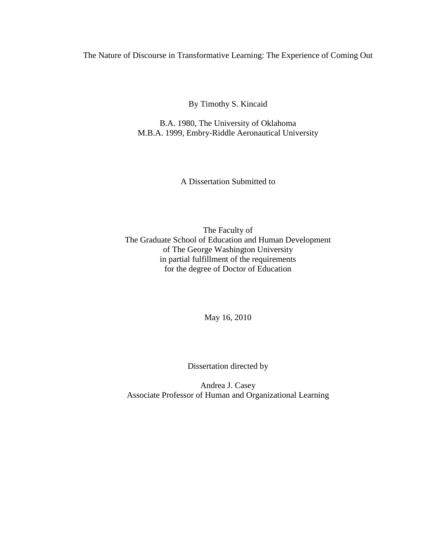### The Nature of Discourse in Transformative Learning: The Experience of Coming Out

By Timothy S. Kincaid

B.A. 1980, The University of Oklahoma M.B.A. 1999, Embry-Riddle Aeronautical University

A Dissertation Submitted to

The Faculty of The Graduate School of Education and Human Development of The George Washington University in partial fulfillment of the requirements for the degree of Doctor of Education

May 16, 2010

Dissertation directed by

Andrea J. Casey Associate Professor of Human and Organizational Learning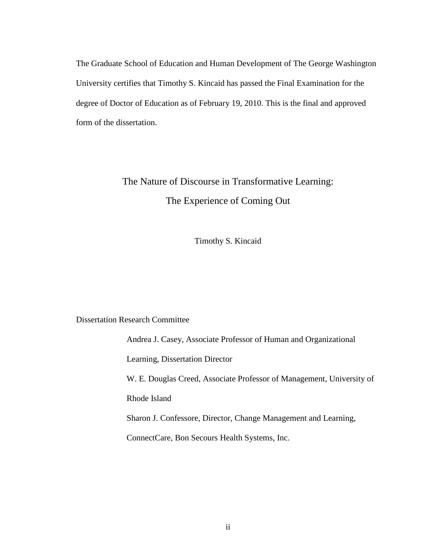The Graduate School of Education and Human Development of The George Washington University certifies that Timothy S. Kincaid has passed the Final Examination for the degree of Doctor of Education as of February 19, 2010. This is the final and approved form of the dissertation.

# The Nature of Discourse in Transformative Learning: The Experience of Coming Out

Timothy S. Kincaid

Dissertation Research Committee

Andrea J. Casey, Associate Professor of Human and Organizational Learning, Dissertation Director W. E. Douglas Creed, Associate Professor of Management, University of Rhode Island Sharon J. Confessore, Director, Change Management and Learning, ConnectCare, Bon Secours Health Systems, Inc.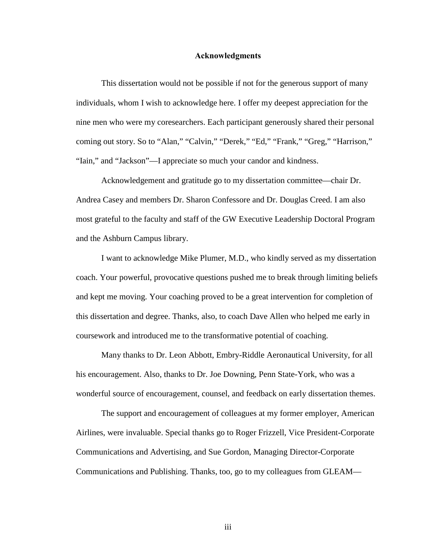#### Acknowledgments

This dissertation would not be possible if not for the generous support of many individuals, whom I wish to acknowledge here. I offer my deepest appreciation for the nine men who were my coresearchers. Each participant generously shared their personal coming out story. So to "Alan," "Calvin," "Derek," "Ed," "Frank," "Greg," "Harrison," "Iain," and "Jackson"—I appreciate so much your candor and kindness.

Acknowledgement and gratitude go to my dissertation committee—chair Dr. Andrea Casey and members Dr. Sharon Confessore and Dr. Douglas Creed. I am also most grateful to the faculty and staff of the GW Executive Leadership Doctoral Program and the Ashburn Campus library.

I want to acknowledge Mike Plumer, M.D., who kindly served as my dissertation coach. Your powerful, provocative questions pushed me to break through limiting beliefs and kept me moving. Your coaching proved to be a great intervention for completion of this dissertation and degree. Thanks, also, to coach Dave Allen who helped me early in coursework and introduced me to the transformative potential of coaching.

Many thanks to Dr. Leon Abbott, Embry-Riddle Aeronautical University, for all his encouragement. Also, thanks to Dr. Joe Downing, Penn State-York, who was a wonderful source of encouragement, counsel, and feedback on early dissertation themes.

The support and encouragement of colleagues at my former employer, American Airlines, were invaluable. Special thanks go to Roger Frizzell, Vice President-Corporate Communications and Advertising, and Sue Gordon, Managing Director-Corporate Communications and Publishing. Thanks, too, go to my colleagues from GLEAM—

iii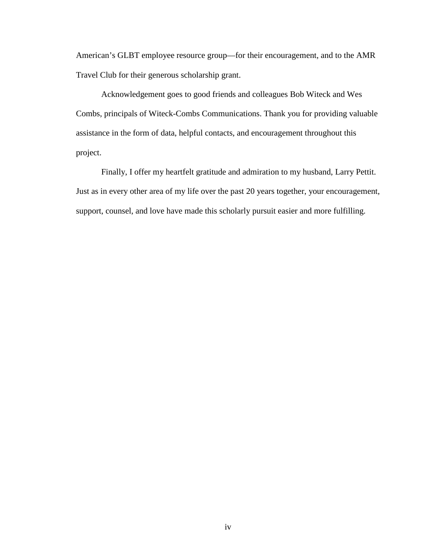American's GLBT employee resource group—for their encouragement, and to the AMR Travel Club for their generous scholarship grant.

Acknowledgement goes to good friends and colleagues Bob Witeck and Wes Combs, principals of Witeck-Combs Communications. Thank you for providing valuable assistance in the form of data, helpful contacts, and encouragement throughout this project.

Finally, I offer my heartfelt gratitude and admiration to my husband, Larry Pettit. Just as in every other area of my life over the past 20 years together, your encouragement, support, counsel, and love have made this scholarly pursuit easier and more fulfilling.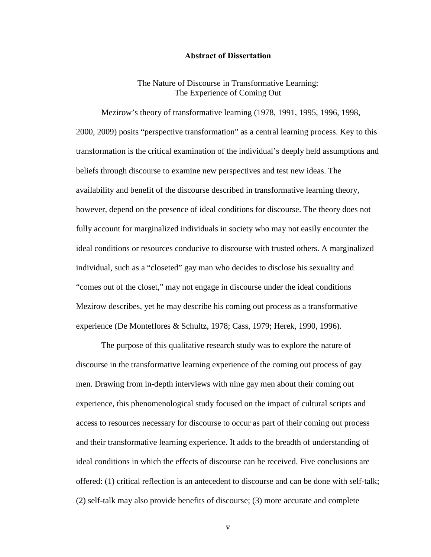#### Abstract of Dissertation

#### The Nature of Discourse in Transformative Learning: The Experience of Coming Out

Mezirow's theory of transformative learning (1978, 1991, 1995, 1996, 1998, 2000, 2009) posits "perspective transformation" as a central learning process. Key to this transformation is the critical examination of the individual's deeply held assumptions and beliefs through discourse to examine new perspectives and test new ideas. The availability and benefit of the discourse described in transformative learning theory, however, depend on the presence of ideal conditions for discourse. The theory does not fully account for marginalized individuals in society who may not easily encounter the ideal conditions or resources conducive to discourse with trusted others. A marginalized individual, such as a "closeted" gay man who decides to disclose his sexuality and "comes out of the closet," may not engage in discourse under the ideal conditions Mezirow describes, yet he may describe his coming out process as a transformative experience (De Monteflores & Schultz, 1978; Cass, 1979; Herek, 1990, 1996).

The purpose of this qualitative research study was to explore the nature of discourse in the transformative learning experience of the coming out process of gay men. Drawing from in-depth interviews with nine gay men about their coming out experience, this phenomenological study focused on the impact of cultural scripts and access to resources necessary for discourse to occur as part of their coming out process and their transformative learning experience. It adds to the breadth of understanding of ideal conditions in which the effects of discourse can be received. Five conclusions are offered: (1) critical reflection is an antecedent to discourse and can be done with self-talk; (2) self-talk may also provide benefits of discourse; (3) more accurate and complete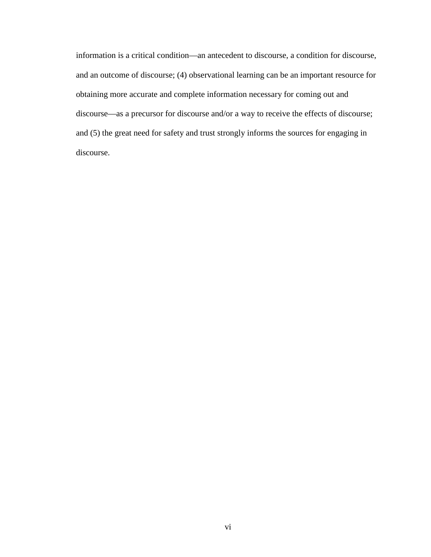information is a critical condition—an antecedent to discourse, a condition for discourse, and an outcome of discourse; (4) observational learning can be an important resource for obtaining more accurate and complete information necessary for coming out and discourse—as a precursor for discourse and/or a way to receive the effects of discourse; and (5) the great need for safety and trust strongly informs the sources for engaging in discourse.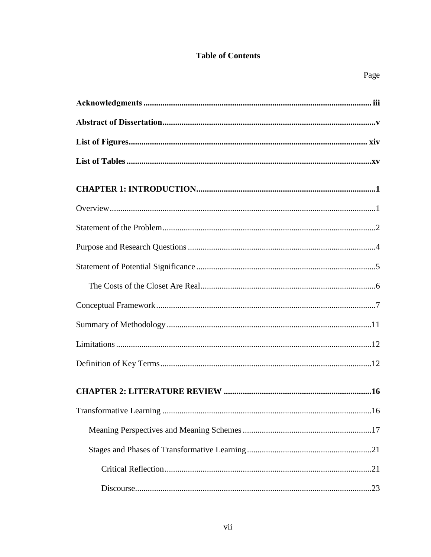## **Table of Contents**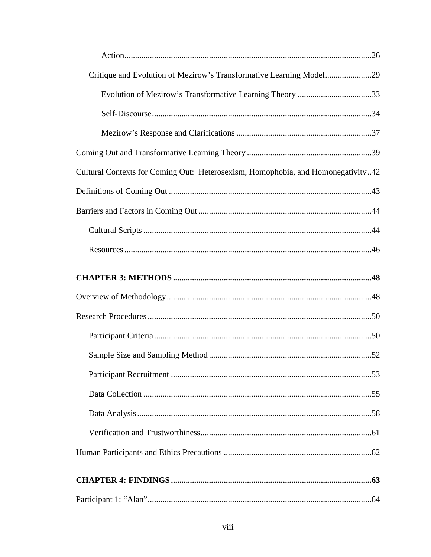| Critique and Evolution of Mezirow's Transformative Learning Model29              |
|----------------------------------------------------------------------------------|
| Evolution of Mezirow's Transformative Learning Theory 33                         |
|                                                                                  |
|                                                                                  |
|                                                                                  |
| Cultural Contexts for Coming Out: Heterosexism, Homophobia, and Homonegativity42 |
|                                                                                  |
|                                                                                  |
|                                                                                  |
|                                                                                  |
|                                                                                  |
|                                                                                  |
|                                                                                  |
|                                                                                  |
|                                                                                  |
|                                                                                  |
|                                                                                  |
|                                                                                  |
|                                                                                  |
|                                                                                  |
|                                                                                  |
|                                                                                  |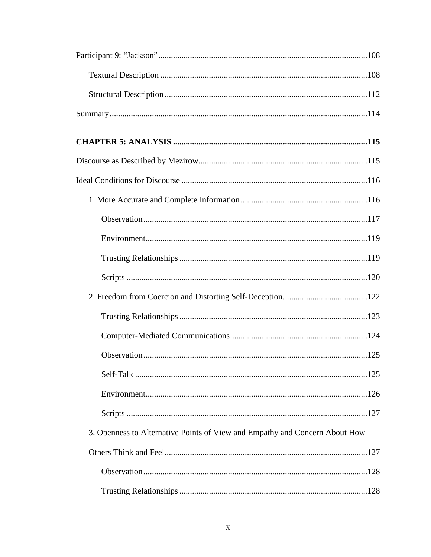| 3. Openness to Alternative Points of View and Empathy and Concern About How |  |
|-----------------------------------------------------------------------------|--|
|                                                                             |  |
|                                                                             |  |
|                                                                             |  |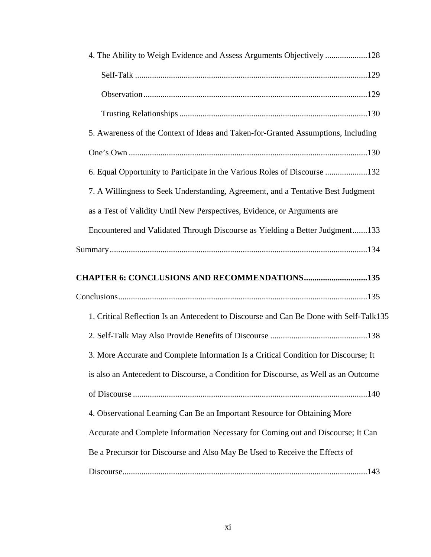| 4. The Ability to Weigh Evidence and Assess Arguments Objectively 128                  |  |
|----------------------------------------------------------------------------------------|--|
|                                                                                        |  |
|                                                                                        |  |
|                                                                                        |  |
| 5. Awareness of the Context of Ideas and Taken-for-Granted Assumptions, Including      |  |
|                                                                                        |  |
| 6. Equal Opportunity to Participate in the Various Roles of Discourse 132              |  |
| 7. A Willingness to Seek Understanding, Agreement, and a Tentative Best Judgment       |  |
| as a Test of Validity Until New Perspectives, Evidence, or Arguments are               |  |
| Encountered and Validated Through Discourse as Yielding a Better Judgment133           |  |
|                                                                                        |  |
|                                                                                        |  |
| <b>CHAPTER 6: CONCLUSIONS AND RECOMMENDATIONS135</b>                                   |  |
|                                                                                        |  |
| 1. Critical Reflection Is an Antecedent to Discourse and Can Be Done with Self-Talk135 |  |
|                                                                                        |  |
| 3. More Accurate and Complete Information Is a Critical Condition for Discourse; It    |  |
| is also an Antecedent to Discourse, a Condition for Discourse, as Well as an Outcome   |  |
|                                                                                        |  |
| 4. Observational Learning Can Be an Important Resource for Obtaining More              |  |
| Accurate and Complete Information Necessary for Coming out and Discourse; It Can       |  |
| Be a Precursor for Discourse and Also May Be Used to Receive the Effects of            |  |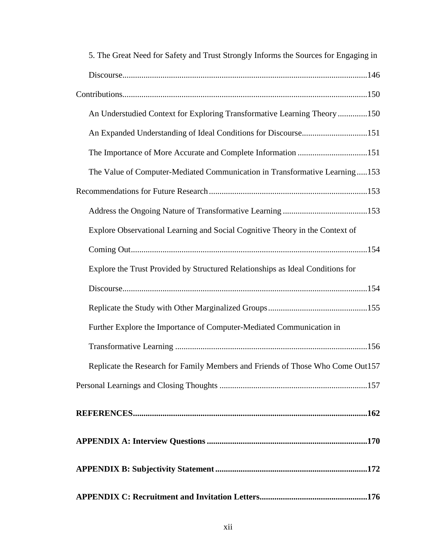| 5. The Great Need for Safety and Trust Strongly Informs the Sources for Engaging in |
|-------------------------------------------------------------------------------------|
|                                                                                     |
|                                                                                     |
| An Understudied Context for Exploring Transformative Learning Theory 150            |
| An Expanded Understanding of Ideal Conditions for Discourse151                      |
| The Importance of More Accurate and Complete Information 151                        |
| The Value of Computer-Mediated Communication in Transformative Learning153          |
|                                                                                     |
|                                                                                     |
| Explore Observational Learning and Social Cognitive Theory in the Context of        |
|                                                                                     |
| Explore the Trust Provided by Structured Relationships as Ideal Conditions for      |
|                                                                                     |
|                                                                                     |
| Further Explore the Importance of Computer-Mediated Communication in                |
|                                                                                     |
| Replicate the Research for Family Members and Friends of Those Who Come Out157      |
|                                                                                     |
|                                                                                     |
|                                                                                     |
|                                                                                     |
|                                                                                     |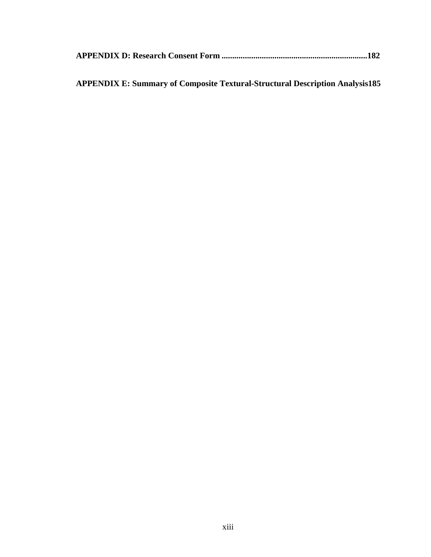|--|--|--|--|--|

## **APPENDIX E: Summary of Composite Textural-Structural Description Analysis185**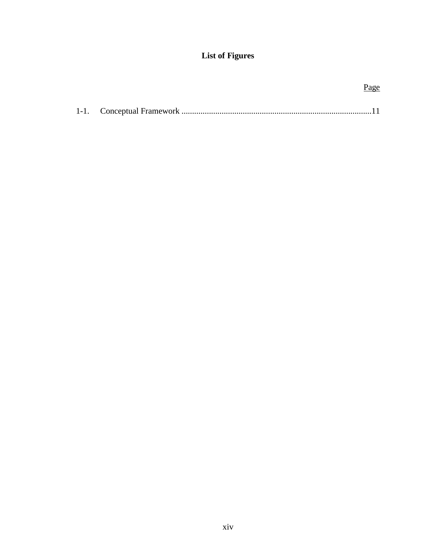## **List of** F**igures**

|  | <u>Page</u> |
|--|-------------|
|  |             |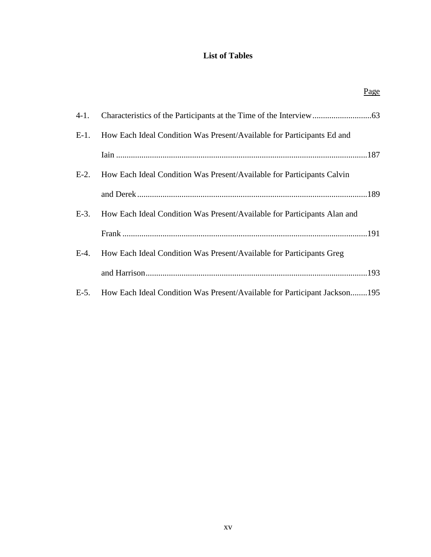## **List of Tables**

Page

| $4-1.$  |                                                                           |
|---------|---------------------------------------------------------------------------|
| $E-1$ . | How Each Ideal Condition Was Present/Available for Participants Ed and    |
|         |                                                                           |
| $E-2$ . | How Each Ideal Condition Was Present/Available for Participants Calvin    |
|         |                                                                           |
| $E-3$ . | How Each Ideal Condition Was Present/Available for Participants Alan and  |
|         |                                                                           |
| $E-4$ . | How Each Ideal Condition Was Present/Available for Participants Greg      |
|         |                                                                           |
| $E-5$ . | How Each Ideal Condition Was Present/Available for Participant Jackson195 |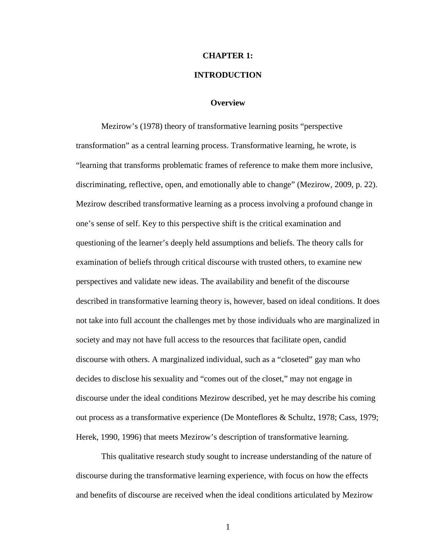# **CHAPTER 1: INTRODUCTION**

#### **Overview**

Mezirow's (1978) theory of transformative learning posits "perspective transformation" as a central learning process. Transformative learning, he wrote, is "learning that transforms problematic frames of reference to make them more inclusive, discriminating, reflective, open, and emotionally able to change" (Mezirow, 2009, p. 22). Mezirow described transformative learning as a process involving a profound change in one's sense of self. Key to this perspective shift is the critical examination and questioning of the learner's deeply held assumptions and beliefs. The theory calls for examination of beliefs through critical discourse with trusted others, to examine new perspectives and validate new ideas. The availability and benefit of the discourse described in transformative learning theory is, however, based on ideal conditions. It does not take into full account the challenges met by those individuals who are marginalized in society and may not have full access to the resources that facilitate open, candid discourse with others. A marginalized individual, such as a "closeted" gay man who decides to disclose his sexuality and "comes out of the closet," may not engage in discourse under the ideal conditions Mezirow described, yet he may describe his coming out process as a transformative experience (De Monteflores & Schultz, 1978; Cass, 1979; Herek, 1990, 1996) that meets Mezirow's description of transformative learning.

This qualitative research study sought to increase understanding of the nature of discourse during the transformative learning experience, with focus on how the effects and benefits of discourse are received when the ideal conditions articulated by Mezirow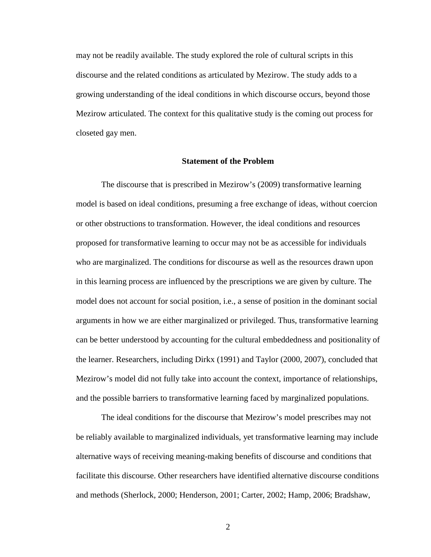may not be readily available. The study explored the role of cultural scripts in this discourse and the related conditions as articulated by Mezirow. The study adds to a growing understanding of the ideal conditions in which discourse occurs, beyond those Mezirow articulated. The context for this qualitative study is the coming out process for closeted gay men.

#### **Statement of the Problem**

The discourse that is prescribed in Mezirow's (2009) transformative learning model is based on ideal conditions, presuming a free exchange of ideas, without coercion or other obstructions to transformation. However, the ideal conditions and resources proposed for transformative learning to occur may not be as accessible for individuals who are marginalized. The conditions for discourse as well as the resources drawn upon in this learning process are influenced by the prescriptions we are given by culture. The model does not account for social position, i.e., a sense of position in the dominant social arguments in how we are either marginalized or privileged. Thus, transformative learning can be better understood by accounting for the cultural embeddedness and positionality of the learner. Researchers, including Dirkx (1991) and Taylor (2000, 2007), concluded that Mezirow's model did not fully take into account the context, importance of relationships, and the possible barriers to transformative learning faced by marginalized populations.

The ideal conditions for the discourse that Mezirow's model prescribes may not be reliably available to marginalized individuals, yet transformative learning may include alternative ways of receiving meaning-making benefits of discourse and conditions that facilitate this discourse. Other researchers have identified alternative discourse conditions and methods (Sherlock, 2000; Henderson, 2001; Carter, 2002; Hamp, 2006; Bradshaw,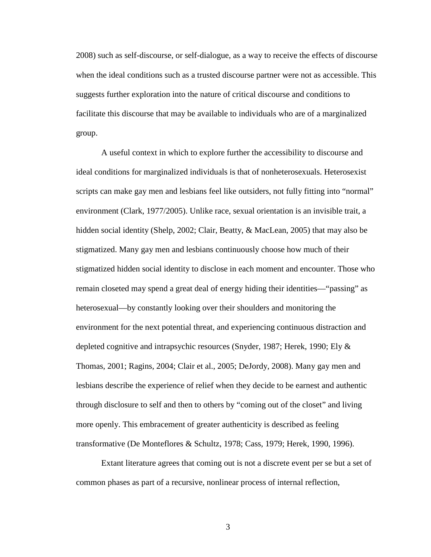2008) such as self-discourse, or self-dialogue, as a way to receive the effects of discourse when the ideal conditions such as a trusted discourse partner were not as accessible. This suggests further exploration into the nature of critical discourse and conditions to facilitate this discourse that may be available to individuals who are of a marginalized group.

A useful context in which to explore further the accessibility to discourse and ideal conditions for marginalized individuals is that of nonheterosexuals. Heterosexist scripts can make gay men and lesbians feel like outsiders, not fully fitting into "normal" environment (Clark, 1977/2005). Unlike race, sexual orientation is an invisible trait, a hidden social identity (Shelp, 2002; Clair, Beatty, & MacLean, 2005) that may also be stigmatized. Many gay men and lesbians continuously choose how much of their stigmatized hidden social identity to disclose in each moment and encounter. Those who remain closeted may spend a great deal of energy hiding their identities—"passing" as heterosexual—by constantly looking over their shoulders and monitoring the environment for the next potential threat, and experiencing continuous distraction and depleted cognitive and intrapsychic resources (Snyder, 1987; Herek, 1990; Ely & Thomas, 2001; Ragins, 2004; Clair et al., 2005; DeJordy, 2008). Many gay men and lesbians describe the experience of relief when they decide to be earnest and authentic through disclosure to self and then to others by "coming out of the closet" and living more openly. This embracement of greater authenticity is described as feeling transformative (De Monteflores & Schultz, 1978; Cass, 1979; Herek, 1990, 1996).

Extant literature agrees that coming out is not a discrete event per se but a set of common phases as part of a recursive, nonlinear process of internal reflection,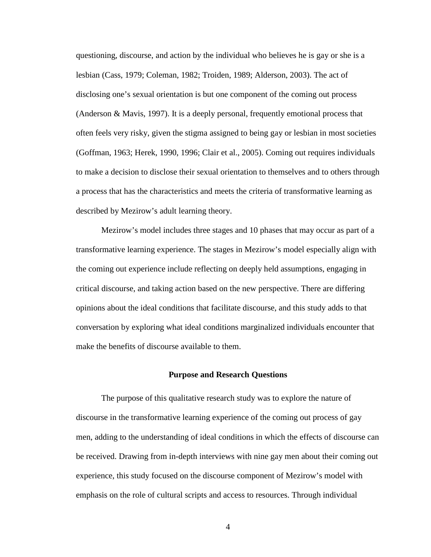questioning, discourse, and action by the individual who believes he is gay or she is a lesbian (Cass, 1979; Coleman, 1982; Troiden, 1989; Alderson, 2003). The act of disclosing one's sexual orientation is but one component of the coming out process (Anderson & Mavis, 1997). It is a deeply personal, frequently emotional process that often feels very risky, given the stigma assigned to being gay or lesbian in most societies (Goffman, 1963; Herek, 1990, 1996; Clair et al., 2005). Coming out requires individuals to make a decision to disclose their sexual orientation to themselves and to others through a process that has the characteristics and meets the criteria of transformative learning as described by Mezirow's adult learning theory.

Mezirow's model includes three stages and 10 phases that may occur as part of a transformative learning experience. The stages in Mezirow's model especially align with the coming out experience include reflecting on deeply held assumptions, engaging in critical discourse, and taking action based on the new perspective. There are differing opinions about the ideal conditions that facilitate discourse, and this study adds to that conversation by exploring what ideal conditions marginalized individuals encounter that make the benefits of discourse available to them.

#### **Purpose and Research Questions**

The purpose of this qualitative research study was to explore the nature of discourse in the transformative learning experience of the coming out process of gay men, adding to the understanding of ideal conditions in which the effects of discourse can be received. Drawing from in-depth interviews with nine gay men about their coming out experience, this study focused on the discourse component of Mezirow's model with emphasis on the role of cultural scripts and access to resources. Through individual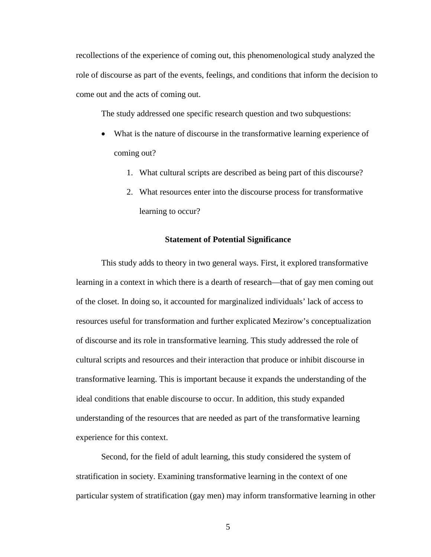recollections of the experience of coming out, this phenomenological study analyzed the role of discourse as part of the events, feelings, and conditions that inform the decision to come out and the acts of coming out.

The study addressed one specific research question and two subquestions:

- What is the nature of discourse in the transformative learning experience of coming out?
	- 1. What cultural scripts are described as being part of this discourse?
	- 2. What resources enter into the discourse process for transformative learning to occur?

#### **Statement of Potential Significance**

This study adds to theory in two general ways. First, it explored transformative learning in a context in which there is a dearth of research—that of gay men coming out of the closet. In doing so, it accounted for marginalized individuals' lack of access to resources useful for transformation and further explicated Mezirow's conceptualization of discourse and its role in transformative learning. This study addressed the role of cultural scripts and resources and their interaction that produce or inhibit discourse in transformative learning. This is important because it expands the understanding of the ideal conditions that enable discourse to occur. In addition, this study expanded understanding of the resources that are needed as part of the transformative learning experience for this context.

Second, for the field of adult learning, this study considered the system of stratification in society. Examining transformative learning in the context of one particular system of stratification (gay men) may inform transformative learning in other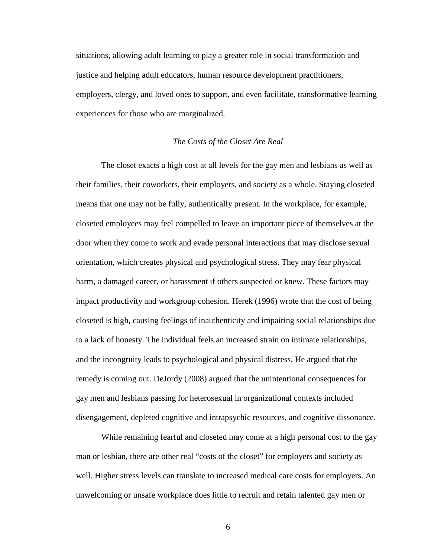situations, allowing adult learning to play a greater role in social transformation and justice and helping adult educators, human resource development practitioners, employers, clergy, and loved ones to support, and even facilitate, transformative learning experiences for those who are marginalized.

#### *The Costs of the Closet Are Real*

The closet exacts a high cost at all levels for the gay men and lesbians as well as their families, their coworkers, their employers, and society as a whole. Staying closeted means that one may not be fully, authentically present. In the workplace, for example, closeted employees may feel compelled to leave an important piece of themselves at the door when they come to work and evade personal interactions that may disclose sexual orientation, which creates physical and psychological stress. They may fear physical harm, a damaged career, or harassment if others suspected or knew. These factors may impact productivity and workgroup cohesion. Herek (1996) wrote that the cost of being closeted is high, causing feelings of inauthenticity and impairing social relationships due to a lack of honesty. The individual feels an increased strain on intimate relationships, and the incongruity leads to psychological and physical distress. He argued that the remedy is coming out. DeJordy (2008) argued that the unintentional consequences for gay men and lesbians passing for heterosexual in organizational contexts included disengagement, depleted cognitive and intrapsychic resources, and cognitive dissonance.

While remaining fearful and closeted may come at a high personal cost to the gay man or lesbian, there are other real "costs of the closet" for employers and society as well. Higher stress levels can translate to increased medical care costs for employers. An unwelcoming or unsafe workplace does little to recruit and retain talented gay men or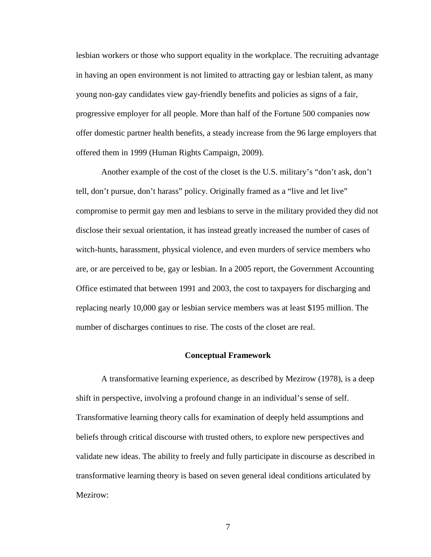lesbian workers or those who support equality in the workplace. The recruiting advantage in having an open environment is not limited to attracting gay or lesbian talent, as many young non-gay candidates view gay-friendly benefits and policies as signs of a fair, progressive employer for all people. More than half of the Fortune 500 companies now offer domestic partner health benefits, a steady increase from the 96 large employers that offered them in 1999 (Human Rights Campaign, 2009).

Another example of the cost of the closet is the U.S. military's "don't ask, don't tell, don't pursue, don't harass" policy. Originally framed as a "live and let live" compromise to permit gay men and lesbians to serve in the military provided they did not disclose their sexual orientation, it has instead greatly increased the number of cases of witch-hunts, harassment, physical violence, and even murders of service members who are, or are perceived to be, gay or lesbian. In a 2005 report, the Government Accounting Office estimated that between 1991 and 2003, the cost to taxpayers for discharging and replacing nearly 10,000 gay or lesbian service members was at least \$195 million. The number of discharges continues to rise. The costs of the closet are real.

#### **Conceptual Framework**

A transformative learning experience, as described by Mezirow (1978), is a deep shift in perspective, involving a profound change in an individual's sense of self. Transformative learning theory calls for examination of deeply held assumptions and beliefs through critical discourse with trusted others, to explore new perspectives and validate new ideas. The ability to freely and fully participate in discourse as described in transformative learning theory is based on seven general ideal conditions articulated by Mezirow: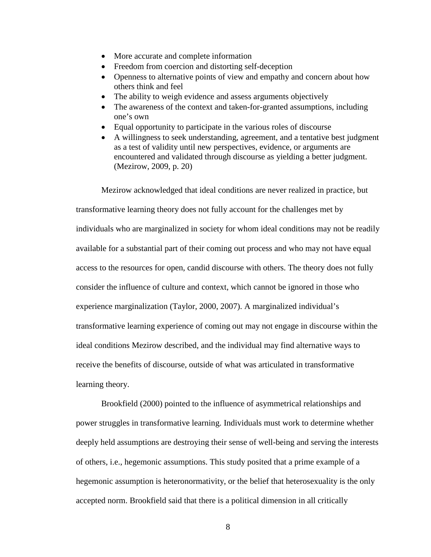- More accurate and complete information
- Freedom from coercion and distorting self-deception
- Openness to alternative points of view and empathy and concern about how others think and feel
- The ability to weigh evidence and assess arguments objectively
- The awareness of the context and taken-for-granted assumptions, including one's own
- Equal opportunity to participate in the various roles of discourse
- A willingness to seek understanding, agreement, and a tentative best judgment as a test of validity until new perspectives, evidence, or arguments are encountered and validated through discourse as yielding a better judgment. (Mezirow, 2009, p. 20)

Mezirow acknowledged that ideal conditions are never realized in practice, but transformative learning theory does not fully account for the challenges met by individuals who are marginalized in society for whom ideal conditions may not be readily available for a substantial part of their coming out process and who may not have equal access to the resources for open, candid discourse with others. The theory does not fully consider the influence of culture and context, which cannot be ignored in those who experience marginalization (Taylor, 2000, 2007). A marginalized individual's transformative learning experience of coming out may not engage in discourse within the ideal conditions Mezirow described, and the individual may find alternative ways to receive the benefits of discourse, outside of what was articulated in transformative learning theory.

Brookfield (2000) pointed to the influence of asymmetrical relationships and power struggles in transformative learning. Individuals must work to determine whether deeply held assumptions are destroying their sense of well-being and serving the interests of others, i.e., hegemonic assumptions. This study posited that a prime example of a hegemonic assumption is heteronormativity, or the belief that heterosexuality is the only accepted norm. Brookfield said that there is a political dimension in all critically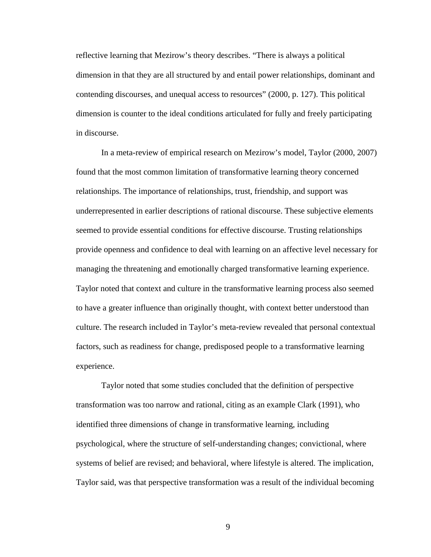reflective learning that Mezirow's theory describes. "There is always a political dimension in that they are all structured by and entail power relationships, dominant and contending discourses, and unequal access to resources" (2000, p. 127). This political dimension is counter to the ideal conditions articulated for fully and freely participating in discourse.

In a meta-review of empirical research on Mezirow's model, Taylor (2000, 2007) found that the most common limitation of transformative learning theory concerned relationships. The importance of relationships, trust, friendship, and support was underrepresented in earlier descriptions of rational discourse. These subjective elements seemed to provide essential conditions for effective discourse. Trusting relationships provide openness and confidence to deal with learning on an affective level necessary for managing the threatening and emotionally charged transformative learning experience. Taylor noted that context and culture in the transformative learning process also seemed to have a greater influence than originally thought, with context better understood than culture. The research included in Taylor's meta-review revealed that personal contextual factors, such as readiness for change, predisposed people to a transformative learning experience.

Taylor noted that some studies concluded that the definition of perspective transformation was too narrow and rational, citing as an example Clark (1991), who identified three dimensions of change in transformative learning, including psychological, where the structure of self-understanding changes; convictional, where systems of belief are revised; and behavioral, where lifestyle is altered. The implication, Taylor said, was that perspective transformation was a result of the individual becoming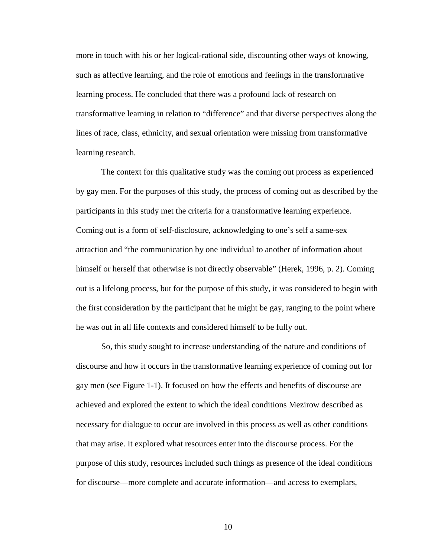more in touch with his or her logical-rational side, discounting other ways of knowing, such as affective learning, and the role of emotions and feelings in the transformative learning process. He concluded that there was a profound lack of research on transformative learning in relation to "difference" and that diverse perspectives along the lines of race, class, ethnicity, and sexual orientation were missing from transformative learning research.

The context for this qualitative study was the coming out process as experienced by gay men. For the purposes of this study, the process of coming out as described by the participants in this study met the criteria for a transformative learning experience. Coming out is a form of self-disclosure, acknowledging to one's self a same-sex attraction and "the communication by one individual to another of information about himself or herself that otherwise is not directly observable" (Herek, 1996, p. 2). Coming out is a lifelong process, but for the purpose of this study, it was considered to begin with the first consideration by the participant that he might be gay, ranging to the point where he was out in all life contexts and considered himself to be fully out.

So, this study sought to increase understanding of the nature and conditions of discourse and how it occurs in the transformative learning experience of coming out for gay men (see Figure 1-1). It focused on how the effects and benefits of discourse are achieved and explored the extent to which the ideal conditions Mezirow described as necessary for dialogue to occur are involved in this process as well as other conditions that may arise. It explored what resources enter into the discourse process. For the purpose of this study, resources included such things as presence of the ideal conditions for discourse—more complete and accurate information—and access to exemplars,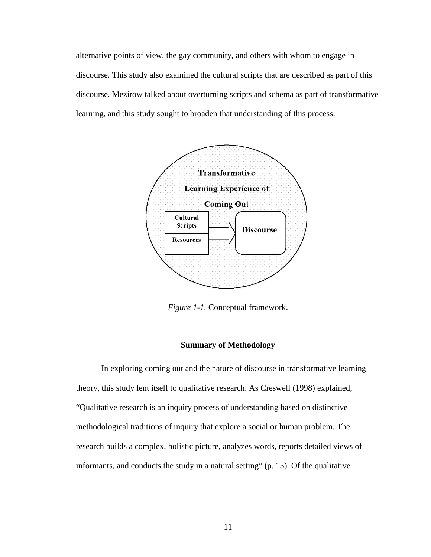alternative points of view, the gay community, and others with whom to engage in discourse. This study also examined the cultural scripts that are described as part of this discourse. Mezirow talked about overturning scripts and schema as part of transformative learning, and this study sought to broaden that understanding of this process.



*Figure 1-1.* Conceptual framework.

#### **Summary of Methodology**

In exploring coming out and the nature of discourse in transformative learning theory, this study lent itself to qualitative research. As Creswell (1998) explained, "Qualitative research is an inquiry process of understanding based on distinctive methodological traditions of inquiry that explore a social or human problem. The research builds a complex, holistic picture, analyzes words, reports detailed views of informants, and conducts the study in a natural setting" (p. 15). Of the qualitative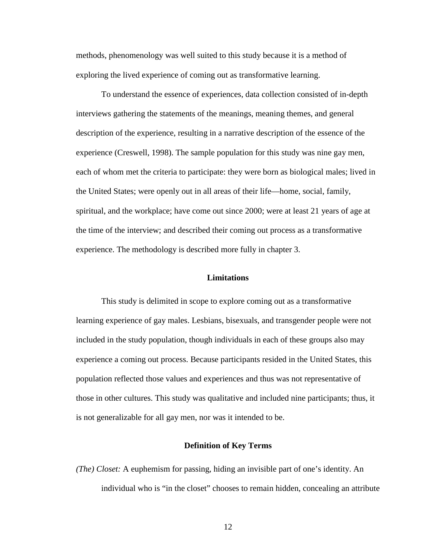methods, phenomenology was well suited to this study because it is a method of exploring the lived experience of coming out as transformative learning.

To understand the essence of experiences, data collection consisted of in-depth interviews gathering the statements of the meanings, meaning themes, and general description of the experience, resulting in a narrative description of the essence of the experience (Creswell, 1998). The sample population for this study was nine gay men, each of whom met the criteria to participate: they were born as biological males; lived in the United States; were openly out in all areas of their life—home, social, family, spiritual, and the workplace; have come out since 2000; were at least 21 years of age at the time of the interview; and described their coming out process as a transformative experience. The methodology is described more fully in chapter 3.

#### **Limitations**

This study is delimited in scope to explore coming out as a transformative learning experience of gay males. Lesbians, bisexuals, and transgender people were not included in the study population, though individuals in each of these groups also may experience a coming out process. Because participants resided in the United States, this population reflected those values and experiences and thus was not representative of those in other cultures. This study was qualitative and included nine participants; thus, it is not generalizable for all gay men, nor was it intended to be.

#### **Definition of Key Terms**

*(The) Closet:* A euphemism for passing, hiding an invisible part of one's identity. An individual who is "in the closet" chooses to remain hidden, concealing an attribute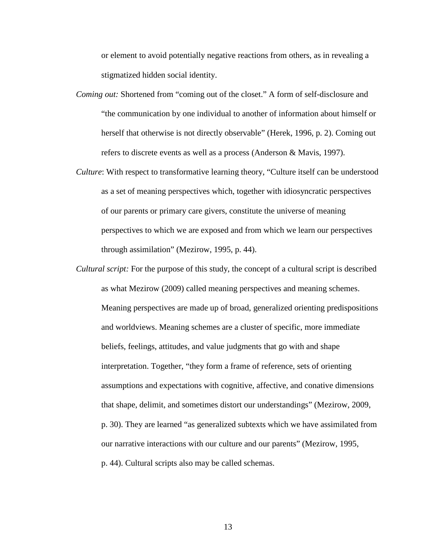or element to avoid potentially negative reactions from others, as in revealing a stigmatized hidden social identity.

- *Coming out:* Shortened from "coming out of the closet." A form of self-disclosure and "the communication by one individual to another of information about himself or herself that otherwise is not directly observable" (Herek, 1996, p. 2). Coming out refers to discrete events as well as a process (Anderson & Mavis, 1997).
- *Culture*: With respect to transformative learning theory, "Culture itself can be understood as a set of meaning perspectives which, together with idiosyncratic perspectives of our parents or primary care givers, constitute the universe of meaning perspectives to which we are exposed and from which we learn our perspectives through assimilation" (Mezirow, 1995, p. 44).
- *Cultural script:* For the purpose of this study, the concept of a cultural script is described as what Mezirow (2009) called meaning perspectives and meaning schemes. Meaning perspectives are made up of broad, generalized orienting predispositions and worldviews. Meaning schemes are a cluster of specific, more immediate beliefs, feelings, attitudes, and value judgments that go with and shape interpretation. Together, "they form a frame of reference, sets of orienting assumptions and expectations with cognitive, affective, and conative dimensions that shape, delimit, and sometimes distort our understandings" (Mezirow, 2009, p. 30). They are learned "as generalized subtexts which we have assimilated from our narrative interactions with our culture and our parents" (Mezirow, 1995, p. 44). Cultural scripts also may be called schemas.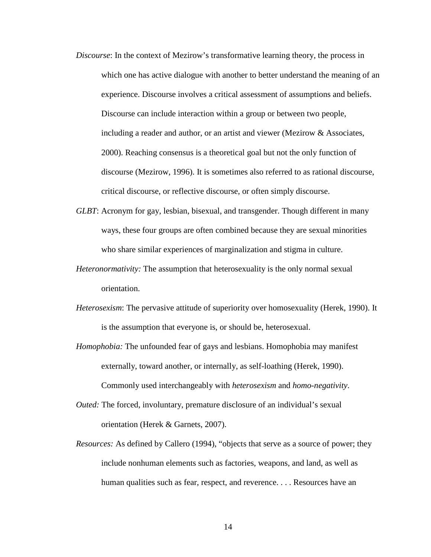- *Discourse*: In the context of Mezirow's transformative learning theory, the process in which one has active dialogue with another to better understand the meaning of an experience. Discourse involves a critical assessment of assumptions and beliefs. Discourse can include interaction within a group or between two people, including a reader and author, or an artist and viewer (Mezirow & Associates, 2000). Reaching consensus is a theoretical goal but not the only function of discourse (Mezirow, 1996). It is sometimes also referred to as rational discourse, critical discourse, or reflective discourse, or often simply discourse.
- *GLBT*: Acronym for gay, lesbian, bisexual, and transgender. Though different in many ways, these four groups are often combined because they are sexual minorities who share similar experiences of marginalization and stigma in culture.
- *Heteronormativity:* The assumption that heterosexuality is the only normal sexual orientation.
- *Heterosexism*: The pervasive attitude of superiority over homosexuality (Herek, 1990). It is the assumption that everyone is, or should be, heterosexual.
- *Homophobia:* The unfounded fear of gays and lesbians. Homophobia may manifest externally, toward another, or internally, as self-loathing (Herek, 1990). Commonly used interchangeably with *heterosexism* and *homo-negativity*.
- *Outed:* The forced, involuntary, premature disclosure of an individual's sexual orientation (Herek & Garnets, 2007).
- *Resources:* As defined by Callero (1994), "objects that serve as a source of power; they include nonhuman elements such as factories, weapons, and land, as well as human qualities such as fear, respect, and reverence. . . . Resources have an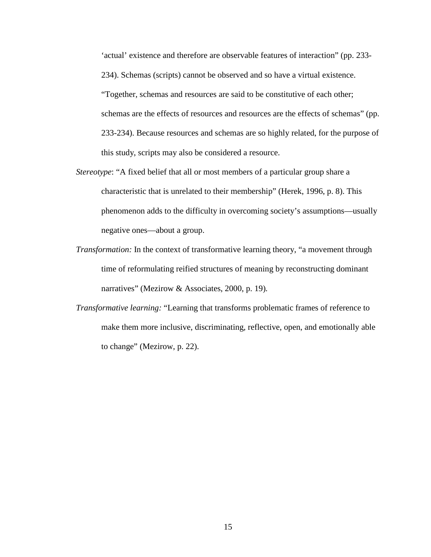'actual' existence and therefore are observable features of interaction" (pp. 233- 234). Schemas (scripts) cannot be observed and so have a virtual existence. "Together, schemas and resources are said to be constitutive of each other; schemas are the effects of resources and resources are the effects of schemas" (pp. 233-234). Because resources and schemas are so highly related, for the purpose of this study, scripts may also be considered a resource.

- *Stereotype*: "A fixed belief that all or most members of a particular group share a characteristic that is unrelated to their membership" (Herek, 1996, p. 8). This phenomenon adds to the difficulty in overcoming society's assumptions—usually negative ones—about a group.
- *Transformation:* In the context of transformative learning theory, "a movement through time of reformulating reified structures of meaning by reconstructing dominant narratives" (Mezirow & Associates, 2000, p. 19)*.*
- *Transformative learning:* "Learning that transforms problematic frames of reference to make them more inclusive, discriminating, reflective, open, and emotionally able to change" (Mezirow, p. 22).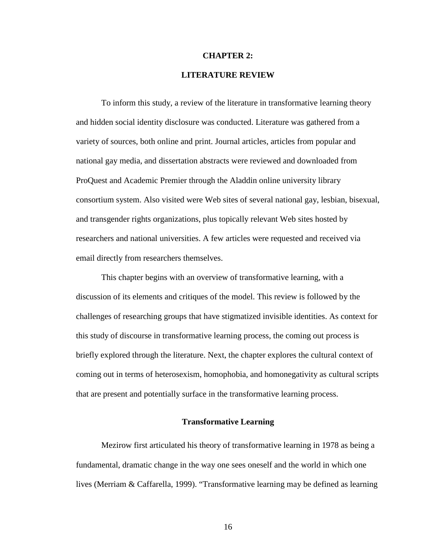#### **CHAPTER 2:**

#### **LITERATURE REVIEW**

To inform this study, a review of the literature in transformative learning theory and hidden social identity disclosure was conducted. Literature was gathered from a variety of sources, both online and print. Journal articles, articles from popular and national gay media, and dissertation abstracts were reviewed and downloaded from ProQuest and Academic Premier through the Aladdin online university library consortium system. Also visited were Web sites of several national gay, lesbian, bisexual, and transgender rights organizations, plus topically relevant Web sites hosted by researchers and national universities. A few articles were requested and received via email directly from researchers themselves.

This chapter begins with an overview of transformative learning, with a discussion of its elements and critiques of the model. This review is followed by the challenges of researching groups that have stigmatized invisible identities. As context for this study of discourse in transformative learning process, the coming out process is briefly explored through the literature. Next, the chapter explores the cultural context of coming out in terms of heterosexism, homophobia, and homonegativity as cultural scripts that are present and potentially surface in the transformative learning process.

#### **Transformative Learning**

Mezirow first articulated his theory of transformative learning in 1978 as being a fundamental, dramatic change in the way one sees oneself and the world in which one lives (Merriam & Caffarella, 1999). "Transformative learning may be defined as learning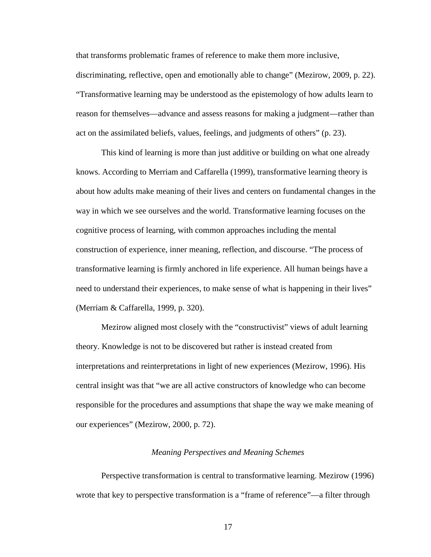that transforms problematic frames of reference to make them more inclusive, discriminating, reflective, open and emotionally able to change" (Mezirow, 2009, p. 22). "Transformative learning may be understood as the epistemology of how adults learn to reason for themselves—advance and assess reasons for making a judgment—rather than act on the assimilated beliefs, values, feelings, and judgments of others" (p. 23).

This kind of learning is more than just additive or building on what one already knows. According to Merriam and Caffarella (1999), transformative learning theory is about how adults make meaning of their lives and centers on fundamental changes in the way in which we see ourselves and the world. Transformative learning focuses on the cognitive process of learning, with common approaches including the mental construction of experience, inner meaning, reflection, and discourse. "The process of transformative learning is firmly anchored in life experience. All human beings have a need to understand their experiences, to make sense of what is happening in their lives" (Merriam & Caffarella, 1999, p. 320).

Mezirow aligned most closely with the "constructivist" views of adult learning theory. Knowledge is not to be discovered but rather is instead created from interpretations and reinterpretations in light of new experiences (Mezirow, 1996). His central insight was that "we are all active constructors of knowledge who can become responsible for the procedures and assumptions that shape the way we make meaning of our experiences" (Mezirow, 2000, p. 72).

#### *Meaning Perspectives and Meaning Schemes*

Perspective transformation is central to transformative learning. Mezirow (1996) wrote that key to perspective transformation is a "frame of reference"—a filter through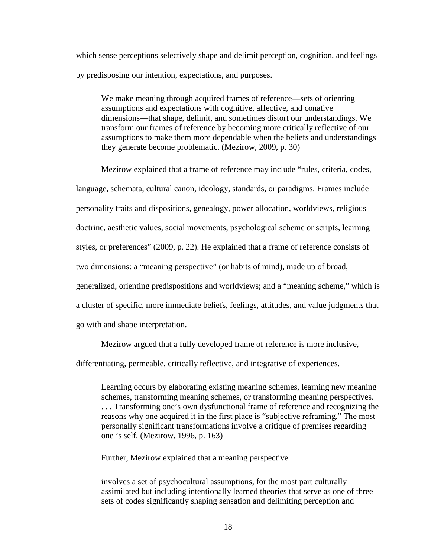which sense perceptions selectively shape and delimit perception, cognition, and feelings by predisposing our intention, expectations, and purposes.

We make meaning through acquired frames of reference—sets of orienting assumptions and expectations with cognitive, affective, and conative dimensions—that shape, delimit, and sometimes distort our understandings. We transform our frames of reference by becoming more critically reflective of our assumptions to make them more dependable when the beliefs and understandings they generate become problematic. (Mezirow, 2009, p. 30)

Mezirow explained that a frame of reference may include "rules, criteria, codes, language, schemata, cultural canon, ideology, standards, or paradigms. Frames include personality traits and dispositions, genealogy, power allocation, worldviews, religious doctrine, aesthetic values, social movements, psychological scheme or scripts, learning styles, or preferences" (2009, p. 22). He explained that a frame of reference consists of two dimensions: a "meaning perspective" (or habits of mind), made up of broad, generalized, orienting predispositions and worldviews; and a "meaning scheme," which is a cluster of specific, more immediate beliefs, feelings, attitudes, and value judgments that go with and shape interpretation.

Mezirow argued that a fully developed frame of reference is more inclusive,

differentiating, permeable, critically reflective, and integrative of experiences.

Learning occurs by elaborating existing meaning schemes, learning new meaning schemes, transforming meaning schemes, or transforming meaning perspectives. . . . Transforming one's own dysfunctional frame of reference and recognizing the reasons why one acquired it in the first place is "subjective reframing." The most personally significant transformations involve a critique of premises regarding one 's self. (Mezirow, 1996, p. 163)

Further, Mezirow explained that a meaning perspective

involves a set of psychocultural assumptions, for the most part culturally assimilated but including intentionally learned theories that serve as one of three sets of codes significantly shaping sensation and delimiting perception and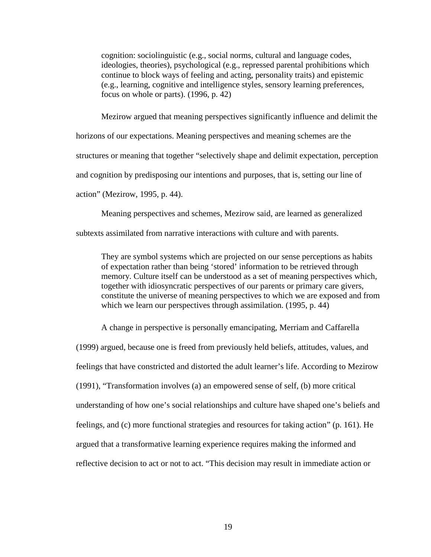cognition: sociolinguistic (e.g., social norms, cultural and language codes, ideologies, theories), psychological (e.g., repressed parental prohibitions which continue to block ways of feeling and acting, personality traits) and epistemic (e.g., learning, cognitive and intelligence styles, sensory learning preferences, focus on whole or parts). (1996, p. 42)

Mezirow argued that meaning perspectives significantly influence and delimit the

horizons of our expectations. Meaning perspectives and meaning schemes are the

structures or meaning that together "selectively shape and delimit expectation, perception

and cognition by predisposing our intentions and purposes, that is, setting our line of

action" (Mezirow, 1995, p. 44).

Meaning perspectives and schemes, Mezirow said, are learned as generalized

subtexts assimilated from narrative interactions with culture and with parents.

They are symbol systems which are projected on our sense perceptions as habits of expectation rather than being 'stored' information to be retrieved through memory. Culture itself can be understood as a set of meaning perspectives which, together with idiosyncratic perspectives of our parents or primary care givers, constitute the universe of meaning perspectives to which we are exposed and from which we learn our perspectives through assimilation. (1995, p. 44)

A change in perspective is personally emancipating, Merriam and Caffarella

(1999) argued, because one is freed from previously held beliefs, attitudes, values, and feelings that have constricted and distorted the adult learner's life. According to Mezirow (1991), "Transformation involves (a) an empowered sense of self, (b) more critical understanding of how one's social relationships and culture have shaped one's beliefs and feelings, and (c) more functional strategies and resources for taking action" (p. 161). He argued that a transformative learning experience requires making the informed and reflective decision to act or not to act. "This decision may result in immediate action or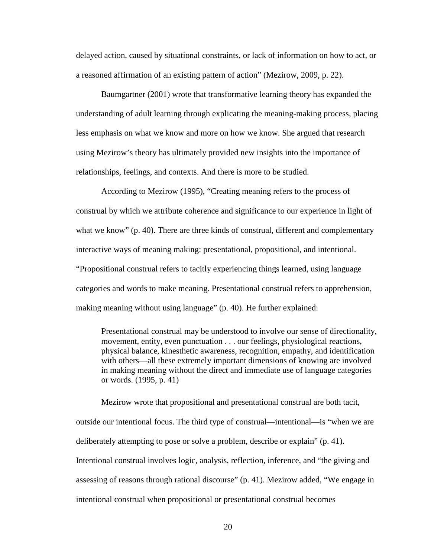delayed action, caused by situational constraints, or lack of information on how to act, or a reasoned affirmation of an existing pattern of action" (Mezirow, 2009, p. 22).

Baumgartner (2001) wrote that transformative learning theory has expanded the understanding of adult learning through explicating the meaning-making process, placing less emphasis on what we know and more on how we know. She argued that research using Mezirow's theory has ultimately provided new insights into the importance of relationships, feelings, and contexts. And there is more to be studied.

According to Mezirow (1995), "Creating meaning refers to the process of construal by which we attribute coherence and significance to our experience in light of what we know" (p. 40). There are three kinds of construal, different and complementary interactive ways of meaning making: presentational, propositional, and intentional. "Propositional construal refers to tacitly experiencing things learned, using language categories and words to make meaning. Presentational construal refers to apprehension, making meaning without using language" (p. 40). He further explained:

Presentational construal may be understood to involve our sense of directionality, movement, entity, even punctuation . . . our feelings, physiological reactions, physical balance, kinesthetic awareness, recognition, empathy, and identification with others—all these extremely important dimensions of knowing are involved in making meaning without the direct and immediate use of language categories or words. (1995, p. 41)

Mezirow wrote that propositional and presentational construal are both tacit, outside our intentional focus. The third type of construal—intentional—is "when we are deliberately attempting to pose or solve a problem, describe or explain" (p. 41). Intentional construal involves logic, analysis, reflection, inference, and "the giving and assessing of reasons through rational discourse" (p. 41). Mezirow added, "We engage in intentional construal when propositional or presentational construal becomes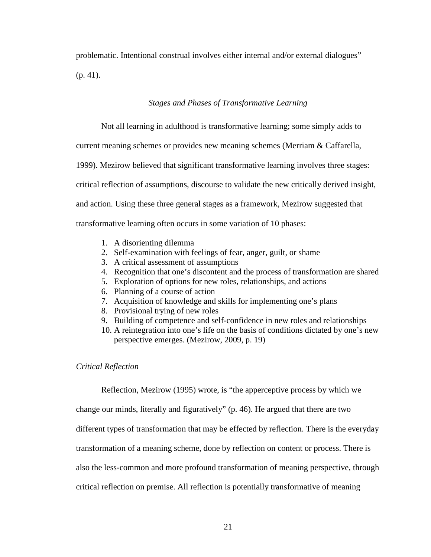problematic. Intentional construal involves either internal and/or external dialogues" (p. 41).

#### *Stages and Phases of Transformative Learning*

Not all learning in adulthood is transformative learning; some simply adds to

current meaning schemes or provides new meaning schemes (Merriam & Caffarella,

1999). Mezirow believed that significant transformative learning involves three stages:

critical reflection of assumptions, discourse to validate the new critically derived insight,

and action. Using these three general stages as a framework, Mezirow suggested that

transformative learning often occurs in some variation of 10 phases:

- 1. A disorienting dilemma
- 2. Self-examination with feelings of fear, anger, guilt, or shame
- 3. A critical assessment of assumptions
- 4. Recognition that one's discontent and the process of transformation are shared
- 5. Exploration of options for new roles, relationships, and actions
- 6. Planning of a course of action
- 7. Acquisition of knowledge and skills for implementing one's plans
- 8. Provisional trying of new roles
- 9. Building of competence and self-confidence in new roles and relationships
- 10. A reintegration into one's life on the basis of conditions dictated by one's new perspective emerges. (Mezirow, 2009, p. 19)

#### *Critical Reflection*

Reflection, Mezirow (1995) wrote, is "the apperceptive process by which we

change our minds, literally and figuratively" (p. 46). He argued that there are two

different types of transformation that may be effected by reflection. There is the everyday

transformation of a meaning scheme, done by reflection on content or process. There is

also the less-common and more profound transformation of meaning perspective, through

critical reflection on premise. All reflection is potentially transformative of meaning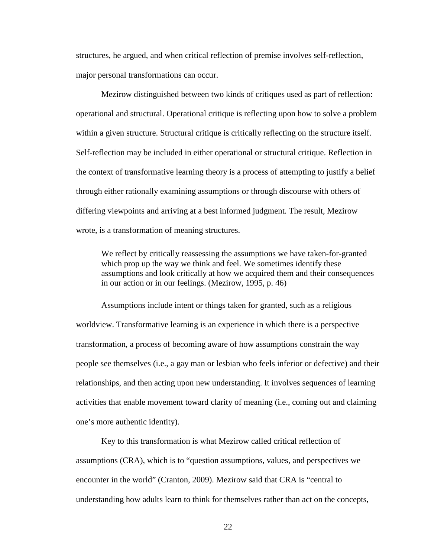structures, he argued, and when critical reflection of premise involves self-reflection, major personal transformations can occur.

Mezirow distinguished between two kinds of critiques used as part of reflection: operational and structural. Operational critique is reflecting upon how to solve a problem within a given structure. Structural critique is critically reflecting on the structure itself. Self-reflection may be included in either operational or structural critique. Reflection in the context of transformative learning theory is a process of attempting to justify a belief through either rationally examining assumptions or through discourse with others of differing viewpoints and arriving at a best informed judgment. The result, Mezirow wrote, is a transformation of meaning structures.

We reflect by critically reassessing the assumptions we have taken-for-granted which prop up the way we think and feel. We sometimes identify these assumptions and look critically at how we acquired them and their consequences in our action or in our feelings. (Mezirow, 1995, p. 46)

Assumptions include intent or things taken for granted, such as a religious worldview. Transformative learning is an experience in which there is a perspective transformation, a process of becoming aware of how assumptions constrain the way people see themselves (i.e., a gay man or lesbian who feels inferior or defective) and their relationships, and then acting upon new understanding. It involves sequences of learning activities that enable movement toward clarity of meaning (i.e., coming out and claiming one's more authentic identity).

Key to this transformation is what Mezirow called critical reflection of assumptions (CRA), which is to "question assumptions, values, and perspectives we encounter in the world" (Cranton, 2009). Mezirow said that CRA is "central to understanding how adults learn to think for themselves rather than act on the concepts,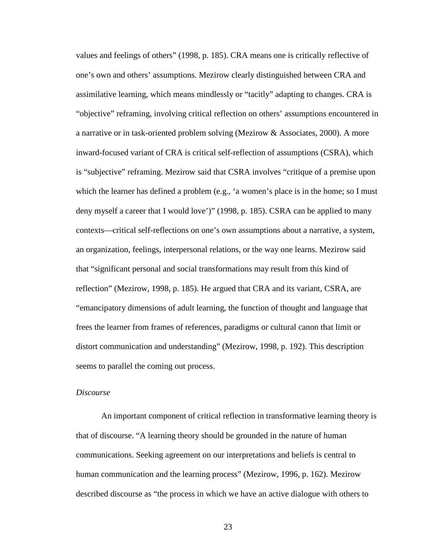values and feelings of others" (1998, p. 185). CRA means one is critically reflective of one's own and others' assumptions. Mezirow clearly distinguished between CRA and assimilative learning, which means mindlessly or "tacitly" adapting to changes. CRA is "objective" reframing, involving critical reflection on others' assumptions encountered in a narrative or in task-oriented problem solving (Mezirow & Associates, 2000). A more inward-focused variant of CRA is critical self-reflection of assumptions (CSRA), which is "subjective" reframing. Mezirow said that CSRA involves "critique of a premise upon which the learner has defined a problem (e.g., 'a women's place is in the home; so I must deny myself a career that I would love')" (1998, p. 185). CSRA can be applied to many contexts—critical self-reflections on one's own assumptions about a narrative, a system, an organization, feelings, interpersonal relations, or the way one learns. Mezirow said that "significant personal and social transformations may result from this kind of reflection" (Mezirow, 1998, p. 185). He argued that CRA and its variant, CSRA, are "emancipatory dimensions of adult learning, the function of thought and language that frees the learner from frames of references, paradigms or cultural canon that limit or distort communication and understanding" (Mezirow, 1998, p. 192). This description seems to parallel the coming out process.

# *Discourse*

An important component of critical reflection in transformative learning theory is that of discourse. "A learning theory should be grounded in the nature of human communications. Seeking agreement on our interpretations and beliefs is central to human communication and the learning process" (Mezirow, 1996, p. 162). Mezirow described discourse as "the process in which we have an active dialogue with others to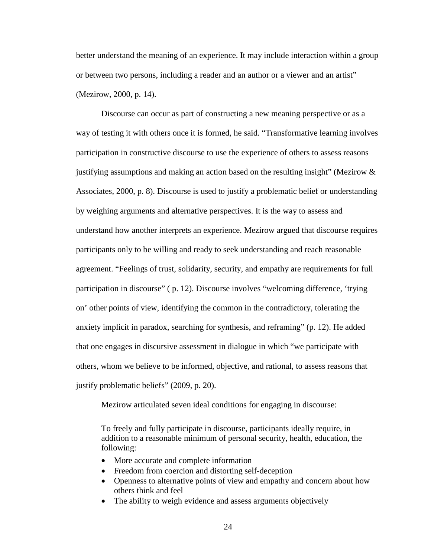better understand the meaning of an experience. It may include interaction within a group or between two persons, including a reader and an author or a viewer and an artist" (Mezirow, 2000, p. 14).

Discourse can occur as part of constructing a new meaning perspective or as a way of testing it with others once it is formed, he said. "Transformative learning involves participation in constructive discourse to use the experience of others to assess reasons justifying assumptions and making an action based on the resulting insight" (Mezirow & Associates, 2000, p. 8). Discourse is used to justify a problematic belief or understanding by weighing arguments and alternative perspectives. It is the way to assess and understand how another interprets an experience. Mezirow argued that discourse requires participants only to be willing and ready to seek understanding and reach reasonable agreement. "Feelings of trust, solidarity, security, and empathy are requirements for full participation in discourse" ( p. 12). Discourse involves "welcoming difference, 'trying on' other points of view, identifying the common in the contradictory, tolerating the anxiety implicit in paradox, searching for synthesis, and reframing" (p. 12). He added that one engages in discursive assessment in dialogue in which "we participate with others, whom we believe to be informed, objective, and rational, to assess reasons that justify problematic beliefs" (2009, p. 20).

Mezirow articulated seven ideal conditions for engaging in discourse:

To freely and fully participate in discourse, participants ideally require, in addition to a reasonable minimum of personal security, health, education, the following:

- More accurate and complete information
- Freedom from coercion and distorting self-deception
- Openness to alternative points of view and empathy and concern about how others think and feel
- The ability to weigh evidence and assess arguments objectively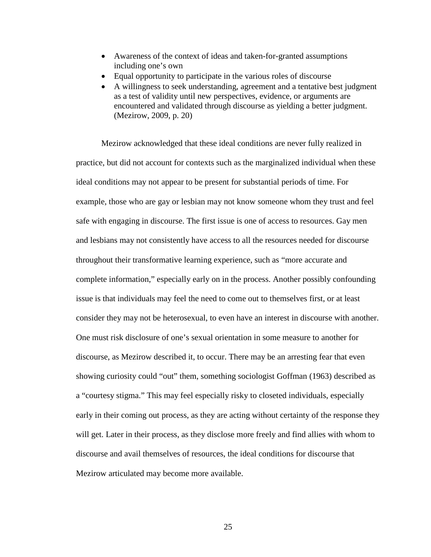- Awareness of the context of ideas and taken-for-granted assumptions including one's own
- Equal opportunity to participate in the various roles of discourse
- A willingness to seek understanding, agreement and a tentative best judgment as a test of validity until new perspectives, evidence, or arguments are encountered and validated through discourse as yielding a better judgment. (Mezirow, 2009, p. 20)

Mezirow acknowledged that these ideal conditions are never fully realized in practice, but did not account for contexts such as the marginalized individual when these ideal conditions may not appear to be present for substantial periods of time. For example, those who are gay or lesbian may not know someone whom they trust and feel safe with engaging in discourse. The first issue is one of access to resources. Gay men and lesbians may not consistently have access to all the resources needed for discourse throughout their transformative learning experience, such as "more accurate and complete information," especially early on in the process. Another possibly confounding issue is that individuals may feel the need to come out to themselves first, or at least consider they may not be heterosexual, to even have an interest in discourse with another. One must risk disclosure of one's sexual orientation in some measure to another for discourse, as Mezirow described it, to occur. There may be an arresting fear that even showing curiosity could "out" them, something sociologist Goffman (1963) described as a "courtesy stigma." This may feel especially risky to closeted individuals, especially early in their coming out process, as they are acting without certainty of the response they will get. Later in their process, as they disclose more freely and find allies with whom to discourse and avail themselves of resources, the ideal conditions for discourse that Mezirow articulated may become more available.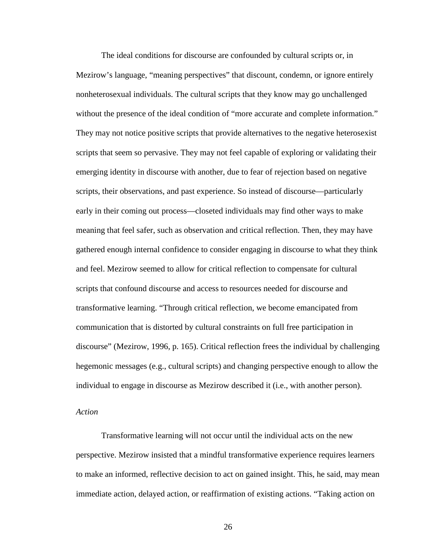The ideal conditions for discourse are confounded by cultural scripts or, in Mezirow's language, "meaning perspectives" that discount, condemn, or ignore entirely nonheterosexual individuals. The cultural scripts that they know may go unchallenged without the presence of the ideal condition of "more accurate and complete information." They may not notice positive scripts that provide alternatives to the negative heterosexist scripts that seem so pervasive. They may not feel capable of exploring or validating their emerging identity in discourse with another, due to fear of rejection based on negative scripts, their observations, and past experience. So instead of discourse—particularly early in their coming out process—closeted individuals may find other ways to make meaning that feel safer, such as observation and critical reflection. Then, they may have gathered enough internal confidence to consider engaging in discourse to what they think and feel. Mezirow seemed to allow for critical reflection to compensate for cultural scripts that confound discourse and access to resources needed for discourse and transformative learning. "Through critical reflection, we become emancipated from communication that is distorted by cultural constraints on full free participation in discourse" (Mezirow, 1996, p. 165). Critical reflection frees the individual by challenging hegemonic messages (e.g., cultural scripts) and changing perspective enough to allow the individual to engage in discourse as Mezirow described it (i.e., with another person).

# *Action*

Transformative learning will not occur until the individual acts on the new perspective. Mezirow insisted that a mindful transformative experience requires learners to make an informed, reflective decision to act on gained insight. This, he said, may mean immediate action, delayed action, or reaffirmation of existing actions. "Taking action on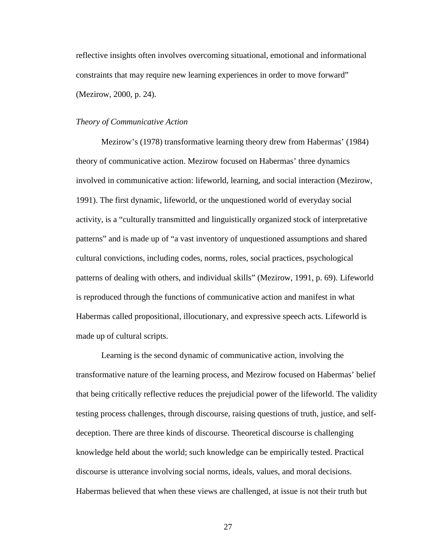reflective insights often involves overcoming situational, emotional and informational constraints that may require new learning experiences in order to move forward" (Mezirow, 2000, p. 24).

### *Theory of Communicative Action*

Mezirow's (1978) transformative learning theory drew from Habermas' (1984) theory of communicative action. Mezirow focused on Habermas' three dynamics involved in communicative action: lifeworld, learning, and social interaction (Mezirow, 1991). The first dynamic, lifeworld, or the unquestioned world of everyday social activity, is a "culturally transmitted and linguistically organized stock of interpretative patterns" and is made up of "a vast inventory of unquestioned assumptions and shared cultural convictions, including codes, norms, roles, social practices, psychological patterns of dealing with others, and individual skills" (Mezirow, 1991, p. 69). Lifeworld is reproduced through the functions of communicative action and manifest in what Habermas called propositional, illocutionary, and expressive speech acts. Lifeworld is made up of cultural scripts.

Learning is the second dynamic of communicative action, involving the transformative nature of the learning process, and Mezirow focused on Habermas' belief that being critically reflective reduces the prejudicial power of the lifeworld. The validity testing process challenges, through discourse, raising questions of truth, justice, and selfdeception. There are three kinds of discourse. Theoretical discourse is challenging knowledge held about the world; such knowledge can be empirically tested. Practical discourse is utterance involving social norms, ideals, values, and moral decisions. Habermas believed that when these views are challenged, at issue is not their truth but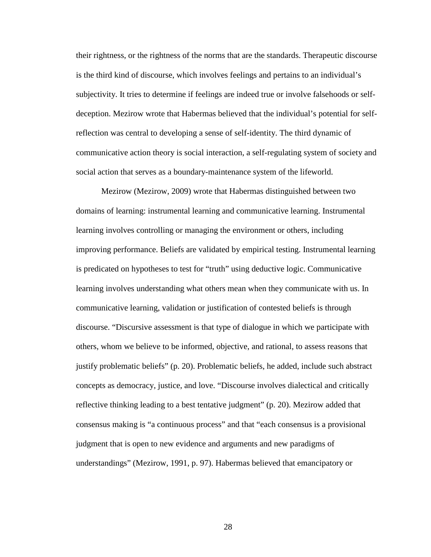their rightness, or the rightness of the norms that are the standards. Therapeutic discourse is the third kind of discourse, which involves feelings and pertains to an individual's subjectivity. It tries to determine if feelings are indeed true or involve falsehoods or selfdeception. Mezirow wrote that Habermas believed that the individual's potential for selfreflection was central to developing a sense of self-identity. The third dynamic of communicative action theory is social interaction, a self-regulating system of society and social action that serves as a boundary-maintenance system of the lifeworld.

Mezirow (Mezirow, 2009) wrote that Habermas distinguished between two domains of learning: instrumental learning and communicative learning. Instrumental learning involves controlling or managing the environment or others, including improving performance. Beliefs are validated by empirical testing. Instrumental learning is predicated on hypotheses to test for "truth" using deductive logic. Communicative learning involves understanding what others mean when they communicate with us. In communicative learning, validation or justification of contested beliefs is through discourse. "Discursive assessment is that type of dialogue in which we participate with others, whom we believe to be informed, objective, and rational, to assess reasons that justify problematic beliefs" (p. 20). Problematic beliefs, he added, include such abstract concepts as democracy, justice, and love. "Discourse involves dialectical and critically reflective thinking leading to a best tentative judgment" (p. 20). Mezirow added that consensus making is "a continuous process" and that "each consensus is a provisional judgment that is open to new evidence and arguments and new paradigms of understandings" (Mezirow, 1991, p. 97). Habermas believed that emancipatory or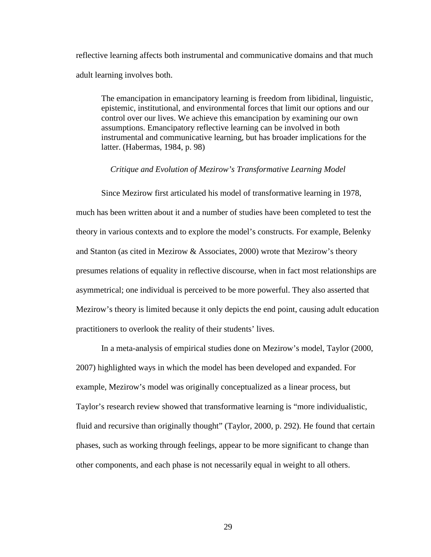reflective learning affects both instrumental and communicative domains and that much adult learning involves both.

The emancipation in emancipatory learning is freedom from libidinal, linguistic, epistemic, institutional, and environmental forces that limit our options and our control over our lives. We achieve this emancipation by examining our own assumptions. Emancipatory reflective learning can be involved in both instrumental and communicative learning, but has broader implications for the latter. (Habermas, 1984, p. 98)

#### *Critique and Evolution of Mezirow's Transformative Learning Model*

Since Mezirow first articulated his model of transformative learning in 1978, much has been written about it and a number of studies have been completed to test the theory in various contexts and to explore the model's constructs. For example, Belenky and Stanton (as cited in Mezirow & Associates, 2000) wrote that Mezirow's theory presumes relations of equality in reflective discourse, when in fact most relationships are asymmetrical; one individual is perceived to be more powerful. They also asserted that Mezirow's theory is limited because it only depicts the end point, causing adult education practitioners to overlook the reality of their students' lives.

In a meta-analysis of empirical studies done on Mezirow's model, Taylor (2000, 2007) highlighted ways in which the model has been developed and expanded. For example, Mezirow's model was originally conceptualized as a linear process, but Taylor's research review showed that transformative learning is "more individualistic, fluid and recursive than originally thought" (Taylor, 2000, p. 292). He found that certain phases, such as working through feelings, appear to be more significant to change than other components, and each phase is not necessarily equal in weight to all others.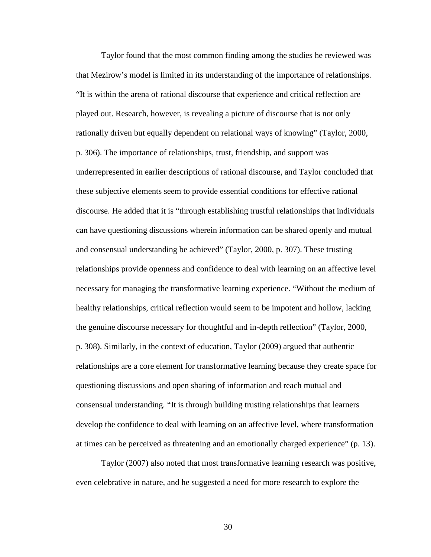Taylor found that the most common finding among the studies he reviewed was that Mezirow's model is limited in its understanding of the importance of relationships. "It is within the arena of rational discourse that experience and critical reflection are played out. Research, however, is revealing a picture of discourse that is not only rationally driven but equally dependent on relational ways of knowing" (Taylor, 2000, p. 306). The importance of relationships, trust, friendship, and support was underrepresented in earlier descriptions of rational discourse, and Taylor concluded that these subjective elements seem to provide essential conditions for effective rational discourse. He added that it is "through establishing trustful relationships that individuals can have questioning discussions wherein information can be shared openly and mutual and consensual understanding be achieved" (Taylor, 2000, p. 307). These trusting relationships provide openness and confidence to deal with learning on an affective level necessary for managing the transformative learning experience. "Without the medium of healthy relationships, critical reflection would seem to be impotent and hollow, lacking the genuine discourse necessary for thoughtful and in-depth reflection" (Taylor, 2000, p. 308). Similarly, in the context of education, Taylor (2009) argued that authentic relationships are a core element for transformative learning because they create space for questioning discussions and open sharing of information and reach mutual and consensual understanding. "It is through building trusting relationships that learners develop the confidence to deal with learning on an affective level, where transformation at times can be perceived as threatening and an emotionally charged experience" (p. 13).

Taylor (2007) also noted that most transformative learning research was positive, even celebrative in nature, and he suggested a need for more research to explore the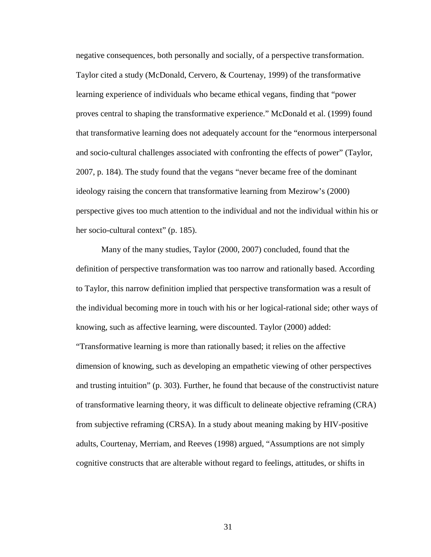negative consequences, both personally and socially, of a perspective transformation. Taylor cited a study (McDonald, Cervero, & Courtenay, 1999) of the transformative learning experience of individuals who became ethical vegans, finding that "power proves central to shaping the transformative experience." McDonald et al. (1999) found that transformative learning does not adequately account for the "enormous interpersonal and socio-cultural challenges associated with confronting the effects of power" (Taylor, 2007, p. 184). The study found that the vegans "never became free of the dominant ideology raising the concern that transformative learning from Mezirow's (2000) perspective gives too much attention to the individual and not the individual within his or her socio-cultural context" (p. 185).

Many of the many studies, Taylor (2000, 2007) concluded, found that the definition of perspective transformation was too narrow and rationally based. According to Taylor, this narrow definition implied that perspective transformation was a result of the individual becoming more in touch with his or her logical-rational side; other ways of knowing, such as affective learning, were discounted. Taylor (2000) added: "Transformative learning is more than rationally based; it relies on the affective dimension of knowing, such as developing an empathetic viewing of other perspectives and trusting intuition" (p. 303). Further, he found that because of the constructivist nature of transformative learning theory, it was difficult to delineate objective reframing (CRA) from subjective reframing (CRSA). In a study about meaning making by HIV-positive adults, Courtenay, Merriam, and Reeves (1998) argued, "Assumptions are not simply cognitive constructs that are alterable without regard to feelings, attitudes, or shifts in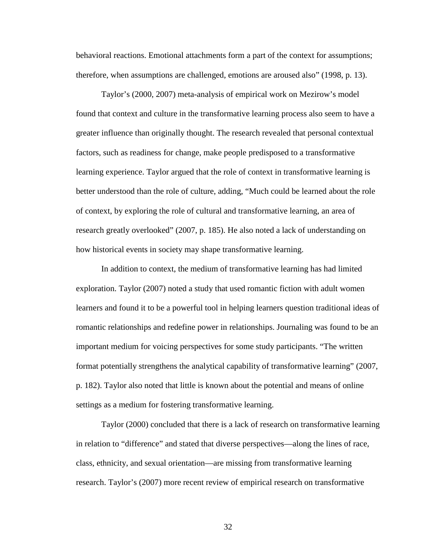behavioral reactions. Emotional attachments form a part of the context for assumptions; therefore, when assumptions are challenged, emotions are aroused also" (1998, p. 13).

Taylor's (2000, 2007) meta-analysis of empirical work on Mezirow's model found that context and culture in the transformative learning process also seem to have a greater influence than originally thought. The research revealed that personal contextual factors, such as readiness for change, make people predisposed to a transformative learning experience. Taylor argued that the role of context in transformative learning is better understood than the role of culture, adding, "Much could be learned about the role of context, by exploring the role of cultural and transformative learning, an area of research greatly overlooked" (2007, p. 185). He also noted a lack of understanding on how historical events in society may shape transformative learning.

In addition to context, the medium of transformative learning has had limited exploration. Taylor (2007) noted a study that used romantic fiction with adult women learners and found it to be a powerful tool in helping learners question traditional ideas of romantic relationships and redefine power in relationships. Journaling was found to be an important medium for voicing perspectives for some study participants. "The written format potentially strengthens the analytical capability of transformative learning" (2007, p. 182). Taylor also noted that little is known about the potential and means of online settings as a medium for fostering transformative learning.

Taylor (2000) concluded that there is a lack of research on transformative learning in relation to "difference" and stated that diverse perspectives—along the lines of race, class, ethnicity, and sexual orientation—are missing from transformative learning research. Taylor's (2007) more recent review of empirical research on transformative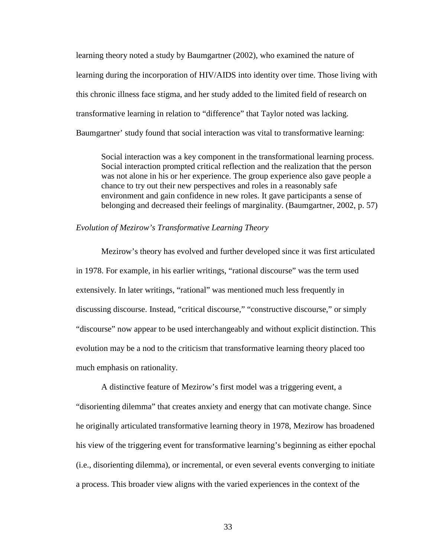learning theory noted a study by Baumgartner (2002), who examined the nature of learning during the incorporation of HIV/AIDS into identity over time. Those living with this chronic illness face stigma, and her study added to the limited field of research on transformative learning in relation to "difference" that Taylor noted was lacking. Baumgartner' study found that social interaction was vital to transformative learning:

Social interaction was a key component in the transformational learning process. Social interaction prompted critical reflection and the realization that the person was not alone in his or her experience. The group experience also gave people a chance to try out their new perspectives and roles in a reasonably safe environment and gain confidence in new roles. It gave participants a sense of belonging and decreased their feelings of marginality. (Baumgartner, 2002, p. 57)

# *Evolution of Mezirow's Transformative Learning Theory*

Mezirow's theory has evolved and further developed since it was first articulated in 1978. For example, in his earlier writings, "rational discourse" was the term used extensively. In later writings, "rational" was mentioned much less frequently in discussing discourse. Instead, "critical discourse," "constructive discourse," or simply "discourse" now appear to be used interchangeably and without explicit distinction. This evolution may be a nod to the criticism that transformative learning theory placed too much emphasis on rationality.

A distinctive feature of Mezirow's first model was a triggering event, a "disorienting dilemma" that creates anxiety and energy that can motivate change. Since he originally articulated transformative learning theory in 1978, Mezirow has broadened his view of the triggering event for transformative learning's beginning as either epochal (i.e., disorienting dilemma), or incremental, or even several events converging to initiate a process. This broader view aligns with the varied experiences in the context of the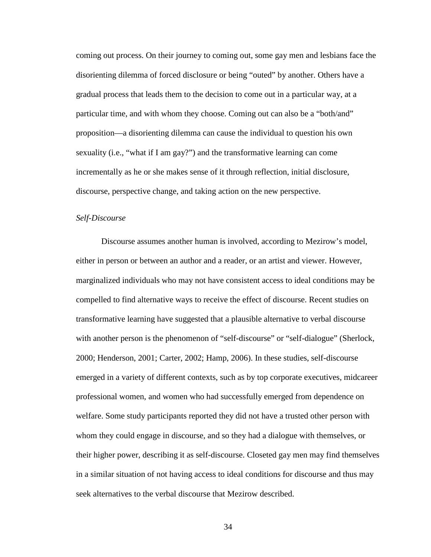coming out process. On their journey to coming out, some gay men and lesbians face the disorienting dilemma of forced disclosure or being "outed" by another. Others have a gradual process that leads them to the decision to come out in a particular way, at a particular time, and with whom they choose. Coming out can also be a "both/and" proposition—a disorienting dilemma can cause the individual to question his own sexuality (i.e., "what if I am gay?") and the transformative learning can come incrementally as he or she makes sense of it through reflection, initial disclosure, discourse, perspective change, and taking action on the new perspective.

# *Self-Discourse*

Discourse assumes another human is involved, according to Mezirow's model, either in person or between an author and a reader, or an artist and viewer. However, marginalized individuals who may not have consistent access to ideal conditions may be compelled to find alternative ways to receive the effect of discourse. Recent studies on transformative learning have suggested that a plausible alternative to verbal discourse with another person is the phenomenon of "self-discourse" or "self-dialogue" (Sherlock, 2000; Henderson, 2001; Carter, 2002; Hamp, 2006). In these studies, self-discourse emerged in a variety of different contexts, such as by top corporate executives, midcareer professional women, and women who had successfully emerged from dependence on welfare. Some study participants reported they did not have a trusted other person with whom they could engage in discourse, and so they had a dialogue with themselves, or their higher power, describing it as self-discourse. Closeted gay men may find themselves in a similar situation of not having access to ideal conditions for discourse and thus may seek alternatives to the verbal discourse that Mezirow described.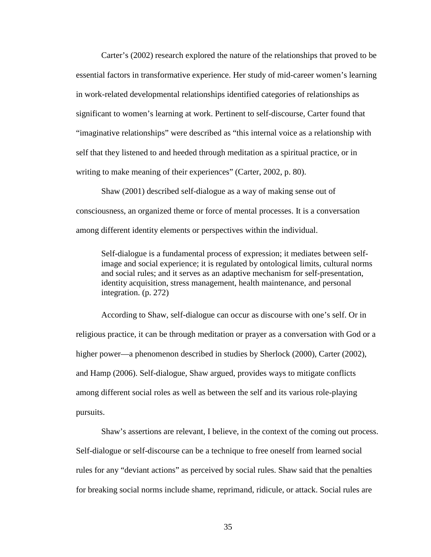Carter's (2002) research explored the nature of the relationships that proved to be essential factors in transformative experience. Her study of mid-career women's learning in work-related developmental relationships identified categories of relationships as significant to women's learning at work. Pertinent to self-discourse, Carter found that "imaginative relationships" were described as "this internal voice as a relationship with self that they listened to and heeded through meditation as a spiritual practice, or in writing to make meaning of their experiences" (Carter, 2002, p. 80).

Shaw (2001) described self-dialogue as a way of making sense out of consciousness, an organized theme or force of mental processes. It is a conversation among different identity elements or perspectives within the individual.

Self-dialogue is a fundamental process of expression; it mediates between selfimage and social experience; it is regulated by ontological limits, cultural norms and social rules; and it serves as an adaptive mechanism for self-presentation, identity acquisition, stress management, health maintenance, and personal integration. (p. 272)

According to Shaw, self-dialogue can occur as discourse with one's self. Or in religious practice, it can be through meditation or prayer as a conversation with God or a higher power—a phenomenon described in studies by Sherlock (2000), Carter (2002), and Hamp (2006). Self-dialogue, Shaw argued, provides ways to mitigate conflicts among different social roles as well as between the self and its various role-playing pursuits.

Shaw's assertions are relevant, I believe, in the context of the coming out process. Self-dialogue or self-discourse can be a technique to free oneself from learned social rules for any "deviant actions" as perceived by social rules. Shaw said that the penalties for breaking social norms include shame, reprimand, ridicule, or attack. Social rules are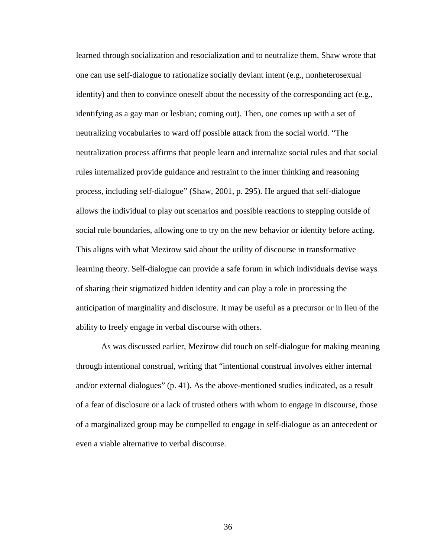learned through socialization and resocialization and to neutralize them, Shaw wrote that one can use self-dialogue to rationalize socially deviant intent (e.g., nonheterosexual identity) and then to convince oneself about the necessity of the corresponding act (e.g., identifying as a gay man or lesbian; coming out). Then, one comes up with a set of neutralizing vocabularies to ward off possible attack from the social world. "The neutralization process affirms that people learn and internalize social rules and that social rules internalized provide guidance and restraint to the inner thinking and reasoning process, including self-dialogue" (Shaw, 2001, p. 295). He argued that self-dialogue allows the individual to play out scenarios and possible reactions to stepping outside of social rule boundaries, allowing one to try on the new behavior or identity before acting. This aligns with what Mezirow said about the utility of discourse in transformative learning theory. Self-dialogue can provide a safe forum in which individuals devise ways of sharing their stigmatized hidden identity and can play a role in processing the anticipation of marginality and disclosure. It may be useful as a precursor or in lieu of the ability to freely engage in verbal discourse with others.

As was discussed earlier, Mezirow did touch on self-dialogue for making meaning through intentional construal, writing that "intentional construal involves either internal and/or external dialogues" (p. 41). As the above-mentioned studies indicated, as a result of a fear of disclosure or a lack of trusted others with whom to engage in discourse, those of a marginalized group may be compelled to engage in self-dialogue as an antecedent or even a viable alternative to verbal discourse.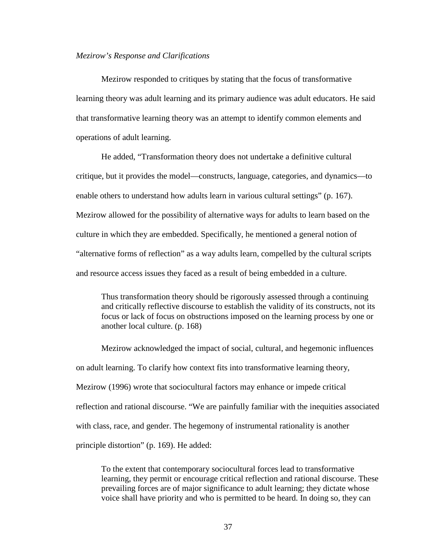#### *Mezirow's Response and Clarifications*

Mezirow responded to critiques by stating that the focus of transformative learning theory was adult learning and its primary audience was adult educators. He said that transformative learning theory was an attempt to identify common elements and operations of adult learning.

He added, "Transformation theory does not undertake a definitive cultural critique, but it provides the model—constructs, language, categories, and dynamics—to enable others to understand how adults learn in various cultural settings" (p. 167). Mezirow allowed for the possibility of alternative ways for adults to learn based on the culture in which they are embedded. Specifically, he mentioned a general notion of "alternative forms of reflection" as a way adults learn, compelled by the cultural scripts and resource access issues they faced as a result of being embedded in a culture.

Thus transformation theory should be rigorously assessed through a continuing and critically reflective discourse to establish the validity of its constructs, not its focus or lack of focus on obstructions imposed on the learning process by one or another local culture. (p. 168)

Mezirow acknowledged the impact of social, cultural, and hegemonic influences on adult learning. To clarify how context fits into transformative learning theory, Mezirow (1996) wrote that sociocultural factors may enhance or impede critical reflection and rational discourse. "We are painfully familiar with the inequities associated with class, race, and gender. The hegemony of instrumental rationality is another principle distortion" (p. 169). He added:

To the extent that contemporary sociocultural forces lead to transformative learning, they permit or encourage critical reflection and rational discourse. These prevailing forces are of major significance to adult learning; they dictate whose voice shall have priority and who is permitted to be heard. In doing so, they can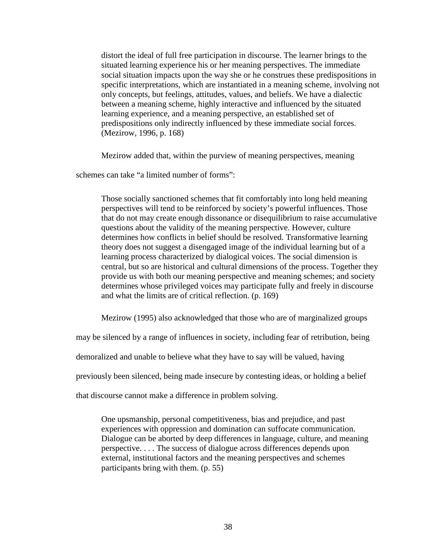distort the ideal of full free participation in discourse. The learner brings to the situated learning experience his or her meaning perspectives. The immediate social situation impacts upon the way she or he construes these predispositions in specific interpretations, which are instantiated in a meaning scheme, involving not only concepts, but feelings, attitudes, values, and beliefs. We have a dialectic between a meaning scheme, highly interactive and influenced by the situated learning experience, and a meaning perspective, an established set of predispositions only indirectly influenced by these immediate social forces. (Mezirow, 1996, p. 168)

Mezirow added that, within the purview of meaning perspectives, meaning

schemes can take "a limited number of forms":

Those socially sanctioned schemes that fit comfortably into long held meaning perspectives will tend to be reinforced by society's powerful influences. Those that do not may create enough dissonance or disequilibrium to raise accumulative questions about the validity of the meaning perspective. However, culture determines how conflicts in belief should be resolved. Transformative learning theory does not suggest a disengaged image of the individual learning but of a learning process characterized by dialogical voices. The social dimension is central, but so are historical and cultural dimensions of the process. Together they provide us with both our meaning perspective and meaning schemes; and society determines whose privileged voices may participate fully and freely in discourse and what the limits are of critical reflection. (p. 169)

Mezirow (1995) also acknowledged that those who are of marginalized groups

may be silenced by a range of influences in society, including fear of retribution, being

demoralized and unable to believe what they have to say will be valued, having

previously been silenced, being made insecure by contesting ideas, or holding a belief

that discourse cannot make a difference in problem solving.

One upsmanship, personal competitiveness, bias and prejudice, and past experiences with oppression and domination can suffocate communication. Dialogue can be aborted by deep differences in language, culture, and meaning perspective. . . . The success of dialogue across differences depends upon external, institutional factors and the meaning perspectives and schemes participants bring with them. (p. 55)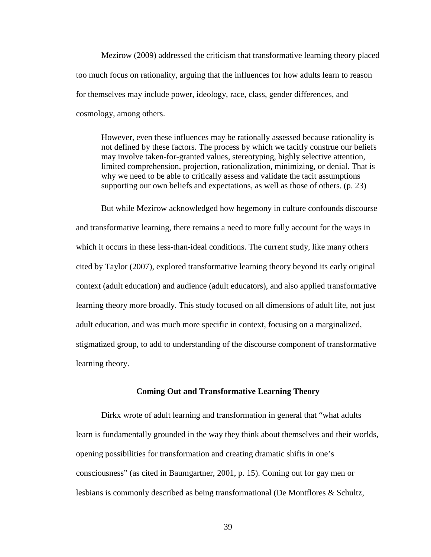Mezirow (2009) addressed the criticism that transformative learning theory placed too much focus on rationality, arguing that the influences for how adults learn to reason for themselves may include power, ideology, race, class, gender differences, and cosmology, among others.

However, even these influences may be rationally assessed because rationality is not defined by these factors. The process by which we tacitly construe our beliefs may involve taken-for-granted values, stereotyping, highly selective attention, limited comprehension, projection, rationalization, minimizing, or denial. That is why we need to be able to critically assess and validate the tacit assumptions supporting our own beliefs and expectations, as well as those of others. (p. 23)

But while Mezirow acknowledged how hegemony in culture confounds discourse and transformative learning, there remains a need to more fully account for the ways in which it occurs in these less-than-ideal conditions. The current study, like many others cited by Taylor (2007), explored transformative learning theory beyond its early original context (adult education) and audience (adult educators), and also applied transformative learning theory more broadly. This study focused on all dimensions of adult life, not just adult education, and was much more specific in context, focusing on a marginalized, stigmatized group, to add to understanding of the discourse component of transformative learning theory.

# **Coming Out and Transformative Learning Theory**

Dirkx wrote of adult learning and transformation in general that "what adults learn is fundamentally grounded in the way they think about themselves and their worlds, opening possibilities for transformation and creating dramatic shifts in one's consciousness" (as cited in Baumgartner, 2001, p. 15). Coming out for gay men or lesbians is commonly described as being transformational (De Montflores & Schultz,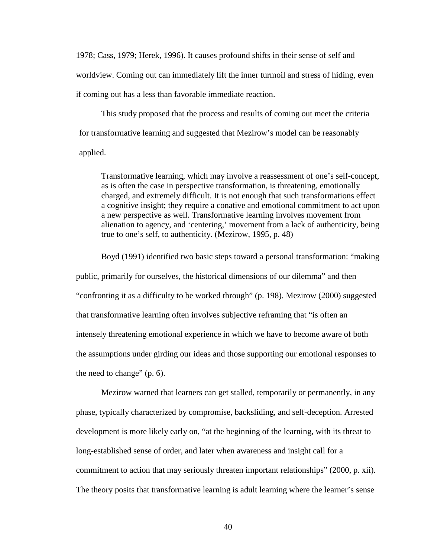1978; Cass, 1979; Herek, 1996). It causes profound shifts in their sense of self and worldview. Coming out can immediately lift the inner turmoil and stress of hiding, even if coming out has a less than favorable immediate reaction.

This study proposed that the process and results of coming out meet the criteria for transformative learning and suggested that Mezirow's model can be reasonably applied.

Transformative learning, which may involve a reassessment of one's self-concept, as is often the case in perspective transformation, is threatening, emotionally charged, and extremely difficult. It is not enough that such transformations effect a cognitive insight; they require a conative and emotional commitment to act upon a new perspective as well. Transformative learning involves movement from alienation to agency, and 'centering,' movement from a lack of authenticity, being true to one's self, to authenticity. (Mezirow, 1995, p. 48)

Boyd (1991) identified two basic steps toward a personal transformation: "making public, primarily for ourselves, the historical dimensions of our dilemma" and then "confronting it as a difficulty to be worked through" (p. 198). Mezirow (2000) suggested that transformative learning often involves subjective reframing that "is often an intensely threatening emotional experience in which we have to become aware of both the assumptions under girding our ideas and those supporting our emotional responses to the need to change" (p. 6).

Mezirow warned that learners can get stalled, temporarily or permanently, in any phase, typically characterized by compromise, backsliding, and self-deception. Arrested development is more likely early on, "at the beginning of the learning, with its threat to long-established sense of order, and later when awareness and insight call for a commitment to action that may seriously threaten important relationships" (2000, p. xii). The theory posits that transformative learning is adult learning where the learner's sense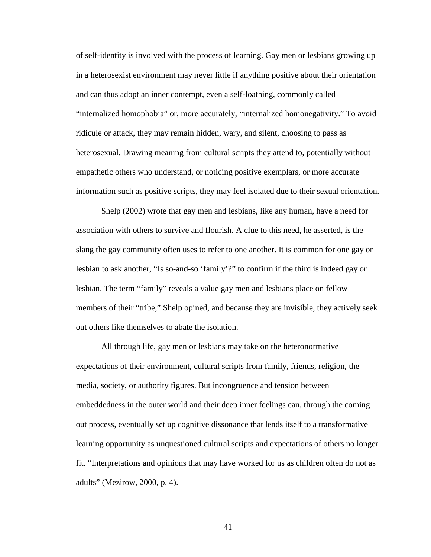of self-identity is involved with the process of learning. Gay men or lesbians growing up in a heterosexist environment may never little if anything positive about their orientation and can thus adopt an inner contempt, even a self-loathing, commonly called "internalized homophobia" or, more accurately, "internalized homonegativity." To avoid ridicule or attack, they may remain hidden, wary, and silent, choosing to pass as heterosexual. Drawing meaning from cultural scripts they attend to, potentially without empathetic others who understand, or noticing positive exemplars, or more accurate information such as positive scripts, they may feel isolated due to their sexual orientation.

Shelp (2002) wrote that gay men and lesbians, like any human, have a need for association with others to survive and flourish. A clue to this need, he asserted, is the slang the gay community often uses to refer to one another. It is common for one gay or lesbian to ask another, "Is so-and-so 'family'?" to confirm if the third is indeed gay or lesbian. The term "family" reveals a value gay men and lesbians place on fellow members of their "tribe," Shelp opined, and because they are invisible, they actively seek out others like themselves to abate the isolation.

All through life, gay men or lesbians may take on the heteronormative expectations of their environment, cultural scripts from family, friends, religion, the media, society, or authority figures. But incongruence and tension between embeddedness in the outer world and their deep inner feelings can, through the coming out process, eventually set up cognitive dissonance that lends itself to a transformative learning opportunity as unquestioned cultural scripts and expectations of others no longer fit. "Interpretations and opinions that may have worked for us as children often do not as adults" (Mezirow, 2000, p. 4).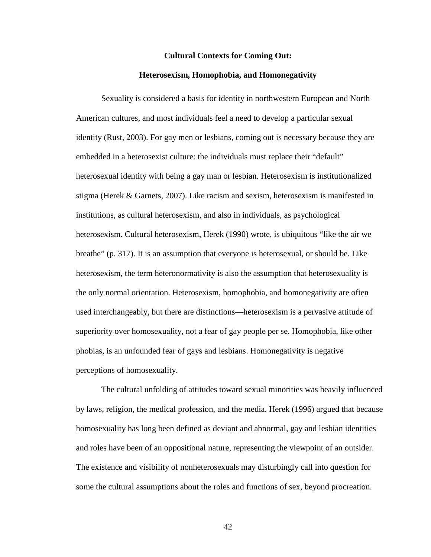#### **Cultural Contexts for Coming Out:**

### **Heterosexism, Homophobia, and Homonegativity**

Sexuality is considered a basis for identity in northwestern European and North American cultures, and most individuals feel a need to develop a particular sexual identity (Rust, 2003). For gay men or lesbians, coming out is necessary because they are embedded in a heterosexist culture: the individuals must replace their "default" heterosexual identity with being a gay man or lesbian. Heterosexism is institutionalized stigma (Herek & Garnets, 2007). Like racism and sexism, heterosexism is manifested in institutions, as cultural heterosexism, and also in individuals, as psychological heterosexism. Cultural heterosexism, Herek (1990) wrote, is ubiquitous "like the air we breathe" (p. 317). It is an assumption that everyone is heterosexual, or should be. Like heterosexism, the term heteronormativity is also the assumption that heterosexuality is the only normal orientation. Heterosexism, homophobia, and homonegativity are often used interchangeably, but there are distinctions—heterosexism is a pervasive attitude of superiority over homosexuality, not a fear of gay people per se. Homophobia, like other phobias, is an unfounded fear of gays and lesbians. Homonegativity is negative perceptions of homosexuality.

The cultural unfolding of attitudes toward sexual minorities was heavily influenced by laws, religion, the medical profession, and the media. Herek (1996) argued that because homosexuality has long been defined as deviant and abnormal, gay and lesbian identities and roles have been of an oppositional nature, representing the viewpoint of an outsider. The existence and visibility of nonheterosexuals may disturbingly call into question for some the cultural assumptions about the roles and functions of sex, beyond procreation.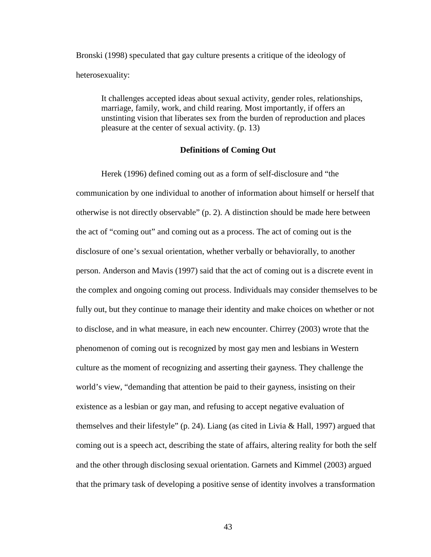Bronski (1998) speculated that gay culture presents a critique of the ideology of heterosexuality:

It challenges accepted ideas about sexual activity, gender roles, relationships, marriage, family, work, and child rearing. Most importantly, if offers an unstinting vision that liberates sex from the burden of reproduction and places pleasure at the center of sexual activity. (p. 13)

## **Definitions of Coming Out**

Herek (1996) defined coming out as a form of self-disclosure and "the communication by one individual to another of information about himself or herself that otherwise is not directly observable" (p. 2). A distinction should be made here between the act of "coming out" and coming out as a process. The act of coming out is the disclosure of one's sexual orientation, whether verbally or behaviorally, to another person. Anderson and Mavis (1997) said that the act of coming out is a discrete event in the complex and ongoing coming out process. Individuals may consider themselves to be fully out, but they continue to manage their identity and make choices on whether or not to disclose, and in what measure, in each new encounter. Chirrey (2003) wrote that the phenomenon of coming out is recognized by most gay men and lesbians in Western culture as the moment of recognizing and asserting their gayness. They challenge the world's view, "demanding that attention be paid to their gayness, insisting on their existence as a lesbian or gay man, and refusing to accept negative evaluation of themselves and their lifestyle" (p. 24). Liang (as cited in Livia  $\&$  Hall, 1997) argued that coming out is a speech act, describing the state of affairs, altering reality for both the self and the other through disclosing sexual orientation. Garnets and Kimmel (2003) argued that the primary task of developing a positive sense of identity involves a transformation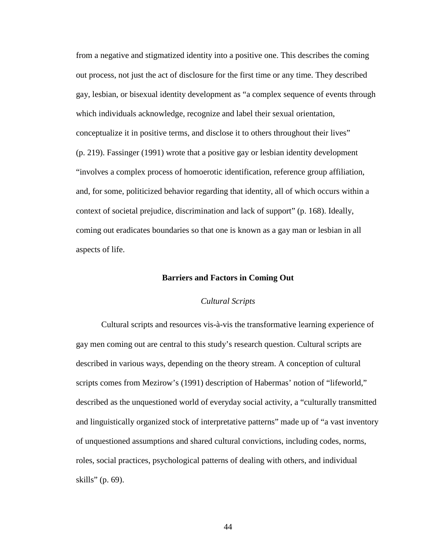from a negative and stigmatized identity into a positive one. This describes the coming out process, not just the act of disclosure for the first time or any time. They described gay, lesbian, or bisexual identity development as "a complex sequence of events through which individuals acknowledge, recognize and label their sexual orientation, conceptualize it in positive terms, and disclose it to others throughout their lives" (p. 219). Fassinger (1991) wrote that a positive gay or lesbian identity development "involves a complex process of homoerotic identification, reference group affiliation, and, for some, politicized behavior regarding that identity, all of which occurs within a context of societal prejudice, discrimination and lack of support" (p. 168). Ideally, coming out eradicates boundaries so that one is known as a gay man or lesbian in all aspects of life.

#### **Barriers and Factors in Coming Out**

### *Cultural Scripts*

Cultural scripts and resources vis-à-vis the transformative learning experience of gay men coming out are central to this study's research question. Cultural scripts are described in various ways, depending on the theory stream. A conception of cultural scripts comes from Mezirow's (1991) description of Habermas' notion of "lifeworld," described as the unquestioned world of everyday social activity, a "culturally transmitted and linguistically organized stock of interpretative patterns" made up of "a vast inventory of unquestioned assumptions and shared cultural convictions, including codes, norms, roles, social practices, psychological patterns of dealing with others, and individual skills" (p. 69).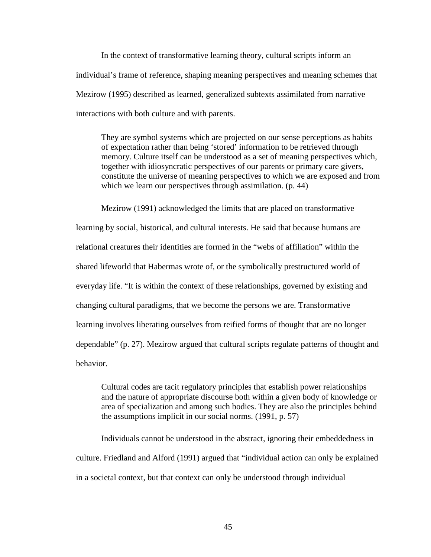In the context of transformative learning theory, cultural scripts inform an individual's frame of reference, shaping meaning perspectives and meaning schemes that Mezirow (1995) described as learned, generalized subtexts assimilated from narrative interactions with both culture and with parents.

They are symbol systems which are projected on our sense perceptions as habits of expectation rather than being 'stored' information to be retrieved through memory. Culture itself can be understood as a set of meaning perspectives which, together with idiosyncratic perspectives of our parents or primary care givers, constitute the universe of meaning perspectives to which we are exposed and from which we learn our perspectives through assimilation. (p. 44)

Mezirow (1991) acknowledged the limits that are placed on transformative learning by social, historical, and cultural interests. He said that because humans are relational creatures their identities are formed in the "webs of affiliation" within the shared lifeworld that Habermas wrote of, or the symbolically prestructured world of everyday life. "It is within the context of these relationships, governed by existing and changing cultural paradigms, that we become the persons we are. Transformative learning involves liberating ourselves from reified forms of thought that are no longer dependable" (p. 27). Mezirow argued that cultural scripts regulate patterns of thought and behavior.

Cultural codes are tacit regulatory principles that establish power relationships and the nature of appropriate discourse both within a given body of knowledge or area of specialization and among such bodies. They are also the principles behind the assumptions implicit in our social norms. (1991, p. 57)

Individuals cannot be understood in the abstract, ignoring their embeddedness in culture. Friedland and Alford (1991) argued that "individual action can only be explained in a societal context, but that context can only be understood through individual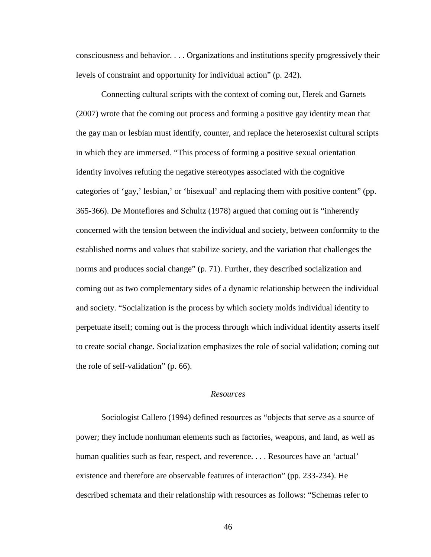consciousness and behavior. . . . Organizations and institutions specify progressively their levels of constraint and opportunity for individual action" (p. 242).

Connecting cultural scripts with the context of coming out, Herek and Garnets (2007) wrote that the coming out process and forming a positive gay identity mean that the gay man or lesbian must identify, counter, and replace the heterosexist cultural scripts in which they are immersed. "This process of forming a positive sexual orientation identity involves refuting the negative stereotypes associated with the cognitive categories of 'gay,' lesbian,' or 'bisexual' and replacing them with positive content" (pp. 365-366). De Monteflores and Schultz (1978) argued that coming out is "inherently concerned with the tension between the individual and society, between conformity to the established norms and values that stabilize society, and the variation that challenges the norms and produces social change" (p. 71). Further, they described socialization and coming out as two complementary sides of a dynamic relationship between the individual and society. "Socialization is the process by which society molds individual identity to perpetuate itself; coming out is the process through which individual identity asserts itself to create social change. Socialization emphasizes the role of social validation; coming out the role of self-validation" (p. 66).

# *Resources*

Sociologist Callero (1994) defined resources as "objects that serve as a source of power; they include nonhuman elements such as factories, weapons, and land, as well as human qualities such as fear, respect, and reverence. . . . Resources have an 'actual' existence and therefore are observable features of interaction" (pp. 233-234). He described schemata and their relationship with resources as follows: "Schemas refer to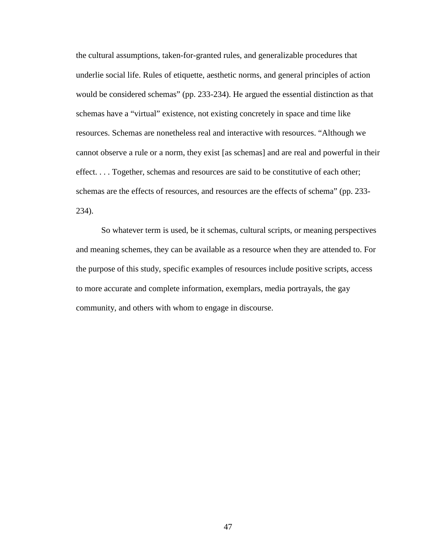the cultural assumptions, taken-for-granted rules, and generalizable procedures that underlie social life. Rules of etiquette, aesthetic norms, and general principles of action would be considered schemas" (pp. 233-234). He argued the essential distinction as that schemas have a "virtual" existence, not existing concretely in space and time like resources. Schemas are nonetheless real and interactive with resources. "Although we cannot observe a rule or a norm, they exist [as schemas] and are real and powerful in their effect. . . . Together, schemas and resources are said to be constitutive of each other; schemas are the effects of resources, and resources are the effects of schema" (pp. 233- 234).

So whatever term is used, be it schemas, cultural scripts, or meaning perspectives and meaning schemes, they can be available as a resource when they are attended to. For the purpose of this study, specific examples of resources include positive scripts, access to more accurate and complete information, exemplars, media portrayals, the gay community, and others with whom to engage in discourse.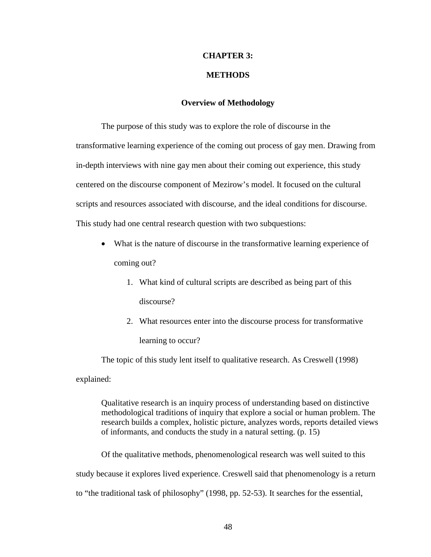# **CHAPTER 3:**

### **METHODS**

# **Overview of Methodology**

The purpose of this study was to explore the role of discourse in the transformative learning experience of the coming out process of gay men. Drawing from in-depth interviews with nine gay men about their coming out experience, this study centered on the discourse component of Mezirow's model. It focused on the cultural scripts and resources associated with discourse, and the ideal conditions for discourse. This study had one central research question with two subquestions:

- What is the nature of discourse in the transformative learning experience of coming out?
	- 1. What kind of cultural scripts are described as being part of this discourse?
	- 2. What resources enter into the discourse process for transformative learning to occur?

The topic of this study lent itself to qualitative research. As Creswell (1998) explained:

Qualitative research is an inquiry process of understanding based on distinctive methodological traditions of inquiry that explore a social or human problem. The research builds a complex, holistic picture, analyzes words, reports detailed views of informants, and conducts the study in a natural setting. (p. 15)

Of the qualitative methods, phenomenological research was well suited to this study because it explores lived experience. Creswell said that phenomenology is a return to "the traditional task of philosophy" (1998, pp. 52-53). It searches for the essential,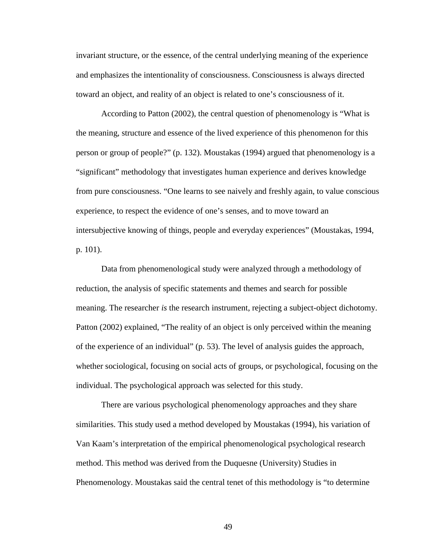invariant structure, or the essence, of the central underlying meaning of the experience and emphasizes the intentionality of consciousness. Consciousness is always directed toward an object, and reality of an object is related to one's consciousness of it.

According to Patton (2002), the central question of phenomenology is "What is the meaning, structure and essence of the lived experience of this phenomenon for this person or group of people?" (p. 132). Moustakas (1994) argued that phenomenology is a "significant" methodology that investigates human experience and derives knowledge from pure consciousness. "One learns to see naively and freshly again, to value conscious experience, to respect the evidence of one's senses, and to move toward an intersubjective knowing of things, people and everyday experiences" (Moustakas, 1994, p. 101).

Data from phenomenological study were analyzed through a methodology of reduction, the analysis of specific statements and themes and search for possible meaning. The researcher *is* the research instrument, rejecting a subject-object dichotomy. Patton (2002) explained, "The reality of an object is only perceived within the meaning of the experience of an individual" (p. 53). The level of analysis guides the approach, whether sociological, focusing on social acts of groups, or psychological, focusing on the individual. The psychological approach was selected for this study.

There are various psychological phenomenology approaches and they share similarities. This study used a method developed by Moustakas (1994), his variation of Van Kaam's interpretation of the empirical phenomenological psychological research method. This method was derived from the Duquesne (University) Studies in Phenomenology. Moustakas said the central tenet of this methodology is "to determine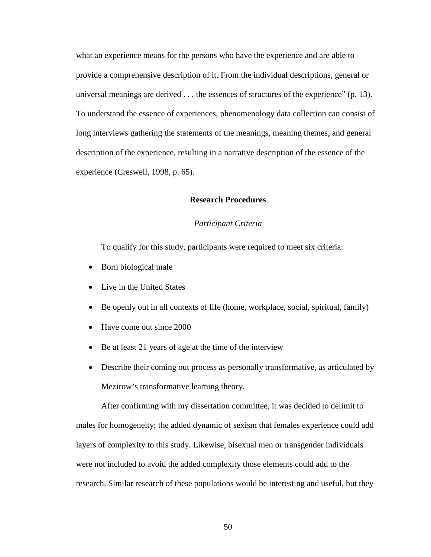what an experience means for the persons who have the experience and are able to provide a comprehensive description of it. From the individual descriptions, general or universal meanings are derived . . . the essences of structures of the experience" (p. 13). To understand the essence of experiences, phenomenology data collection can consist of long interviews gathering the statements of the meanings, meaning themes, and general description of the experience, resulting in a narrative description of the essence of the experience (Creswell, 1998, p. 65).

### **Research Procedures**

### *Participant Criteria*

To qualify for this study, participants were required to meet six criteria:

- Born biological male
- Live in the United States
- Be openly out in all contexts of life (home, workplace, social, spiritual, family)
- Have come out since 2000
- Be at least 21 years of age at the time of the interview
- Describe their coming out process as personally transformative, as articulated by Mezirow's transformative learning theory.

After confirming with my dissertation committee, it was decided to delimit to males for homogeneity; the added dynamic of sexism that females experience could add layers of complexity to this study. Likewise, bisexual men or transgender individuals were not included to avoid the added complexity those elements could add to the research. Similar research of these populations would be interesting and useful, but they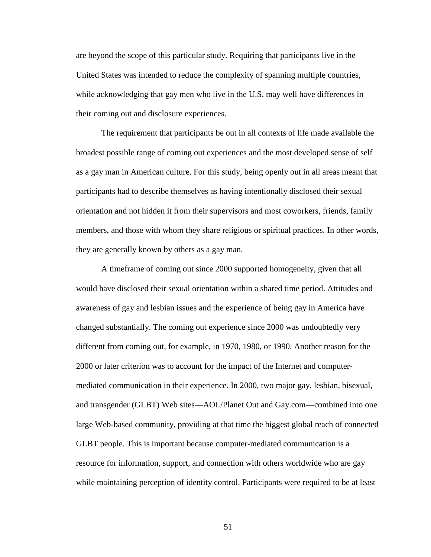are beyond the scope of this particular study. Requiring that participants live in the United States was intended to reduce the complexity of spanning multiple countries, while acknowledging that gay men who live in the U.S. may well have differences in their coming out and disclosure experiences.

The requirement that participants be out in all contexts of life made available the broadest possible range of coming out experiences and the most developed sense of self as a gay man in American culture. For this study, being openly out in all areas meant that participants had to describe themselves as having intentionally disclosed their sexual orientation and not hidden it from their supervisors and most coworkers, friends, family members, and those with whom they share religious or spiritual practices. In other words, they are generally known by others as a gay man.

A timeframe of coming out since 2000 supported homogeneity, given that all would have disclosed their sexual orientation within a shared time period. Attitudes and awareness of gay and lesbian issues and the experience of being gay in America have changed substantially. The coming out experience since 2000 was undoubtedly very different from coming out, for example, in 1970, 1980, or 1990. Another reason for the 2000 or later criterion was to account for the impact of the Internet and computermediated communication in their experience. In 2000, two major gay, lesbian, bisexual, and transgender (GLBT) Web sites—AOL/Planet Out and Gay.com—combined into one large Web-based community, providing at that time the biggest global reach of connected GLBT people. This is important because computer-mediated communication is a resource for information, support, and connection with others worldwide who are gay while maintaining perception of identity control. Participants were required to be at least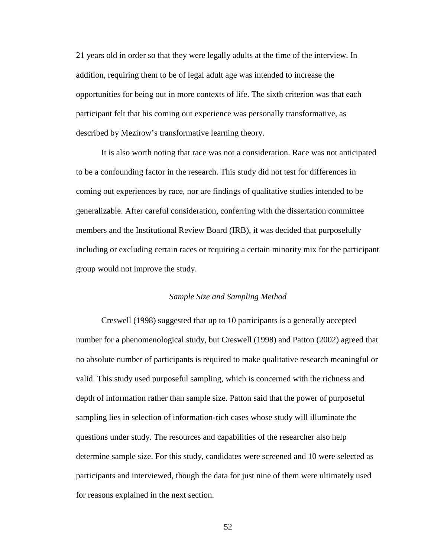21 years old in order so that they were legally adults at the time of the interview. In addition, requiring them to be of legal adult age was intended to increase the opportunities for being out in more contexts of life. The sixth criterion was that each participant felt that his coming out experience was personally transformative, as described by Mezirow's transformative learning theory.

It is also worth noting that race was not a consideration. Race was not anticipated to be a confounding factor in the research. This study did not test for differences in coming out experiences by race, nor are findings of qualitative studies intended to be generalizable. After careful consideration, conferring with the dissertation committee members and the Institutional Review Board (IRB), it was decided that purposefully including or excluding certain races or requiring a certain minority mix for the participant group would not improve the study.

#### *Sample Size and Sampling Method*

Creswell (1998) suggested that up to 10 participants is a generally accepted number for a phenomenological study, but Creswell (1998) and Patton (2002) agreed that no absolute number of participants is required to make qualitative research meaningful or valid. This study used purposeful sampling, which is concerned with the richness and depth of information rather than sample size. Patton said that the power of purposeful sampling lies in selection of information-rich cases whose study will illuminate the questions under study. The resources and capabilities of the researcher also help determine sample size. For this study, candidates were screened and 10 were selected as participants and interviewed, though the data for just nine of them were ultimately used for reasons explained in the next section.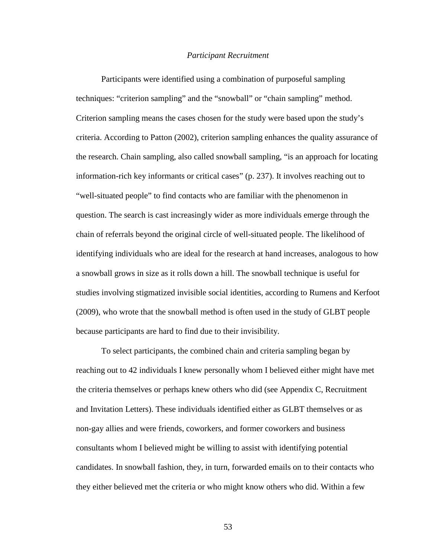#### *Participant Recruitment*

Participants were identified using a combination of purposeful sampling techniques: "criterion sampling" and the "snowball" or "chain sampling" method. Criterion sampling means the cases chosen for the study were based upon the study's criteria. According to Patton (2002), criterion sampling enhances the quality assurance of the research. Chain sampling, also called snowball sampling, "is an approach for locating information-rich key informants or critical cases" (p. 237). It involves reaching out to "well-situated people" to find contacts who are familiar with the phenomenon in question. The search is cast increasingly wider as more individuals emerge through the chain of referrals beyond the original circle of well-situated people. The likelihood of identifying individuals who are ideal for the research at hand increases, analogous to how a snowball grows in size as it rolls down a hill. The snowball technique is useful for studies involving stigmatized invisible social identities, according to Rumens and Kerfoot (2009), who wrote that the snowball method is often used in the study of GLBT people because participants are hard to find due to their invisibility.

To select participants, the combined chain and criteria sampling began by reaching out to 42 individuals I knew personally whom I believed either might have met the criteria themselves or perhaps knew others who did (see Appendix C, Recruitment and Invitation Letters). These individuals identified either as GLBT themselves or as non-gay allies and were friends, coworkers, and former coworkers and business consultants whom I believed might be willing to assist with identifying potential candidates. In snowball fashion, they, in turn, forwarded emails on to their contacts who they either believed met the criteria or who might know others who did. Within a few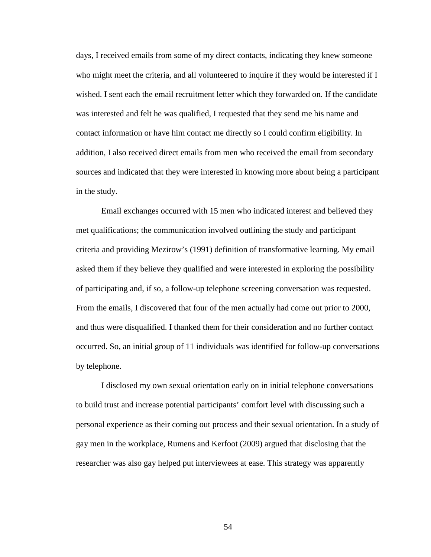days, I received emails from some of my direct contacts, indicating they knew someone who might meet the criteria, and all volunteered to inquire if they would be interested if I wished. I sent each the email recruitment letter which they forwarded on. If the candidate was interested and felt he was qualified, I requested that they send me his name and contact information or have him contact me directly so I could confirm eligibility. In addition, I also received direct emails from men who received the email from secondary sources and indicated that they were interested in knowing more about being a participant in the study.

Email exchanges occurred with 15 men who indicated interest and believed they met qualifications; the communication involved outlining the study and participant criteria and providing Mezirow's (1991) definition of transformative learning. My email asked them if they believe they qualified and were interested in exploring the possibility of participating and, if so, a follow-up telephone screening conversation was requested. From the emails, I discovered that four of the men actually had come out prior to 2000, and thus were disqualified. I thanked them for their consideration and no further contact occurred. So, an initial group of 11 individuals was identified for follow-up conversations by telephone.

I disclosed my own sexual orientation early on in initial telephone conversations to build trust and increase potential participants' comfort level with discussing such a personal experience as their coming out process and their sexual orientation. In a study of gay men in the workplace, Rumens and Kerfoot (2009) argued that disclosing that the researcher was also gay helped put interviewees at ease. This strategy was apparently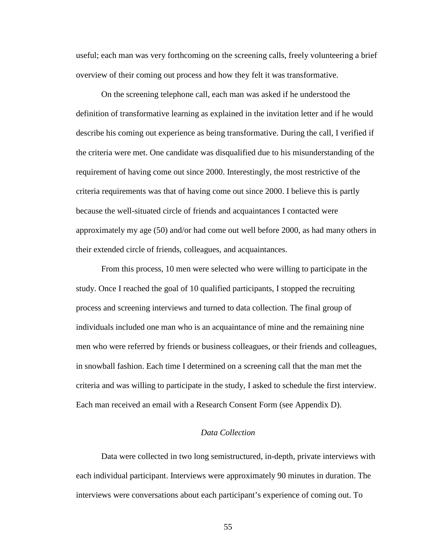useful; each man was very forthcoming on the screening calls, freely volunteering a brief overview of their coming out process and how they felt it was transformative.

On the screening telephone call, each man was asked if he understood the definition of transformative learning as explained in the invitation letter and if he would describe his coming out experience as being transformative. During the call, I verified if the criteria were met. One candidate was disqualified due to his misunderstanding of the requirement of having come out since 2000. Interestingly, the most restrictive of the criteria requirements was that of having come out since 2000. I believe this is partly because the well-situated circle of friends and acquaintances I contacted were approximately my age (50) and/or had come out well before 2000, as had many others in their extended circle of friends, colleagues, and acquaintances.

From this process, 10 men were selected who were willing to participate in the study. Once I reached the goal of 10 qualified participants, I stopped the recruiting process and screening interviews and turned to data collection. The final group of individuals included one man who is an acquaintance of mine and the remaining nine men who were referred by friends or business colleagues, or their friends and colleagues, in snowball fashion. Each time I determined on a screening call that the man met the criteria and was willing to participate in the study, I asked to schedule the first interview. Each man received an email with a Research Consent Form (see Appendix D).

# *Data Collection*

Data were collected in two long semistructured, in-depth, private interviews with each individual participant. Interviews were approximately 90 minutes in duration. The interviews were conversations about each participant's experience of coming out. To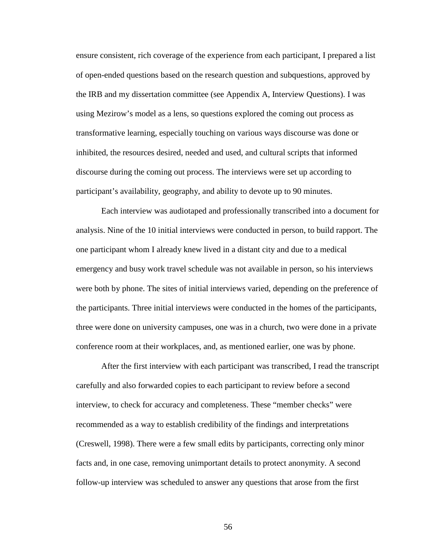ensure consistent, rich coverage of the experience from each participant, I prepared a list of open-ended questions based on the research question and subquestions, approved by the IRB and my dissertation committee (see Appendix A, Interview Questions). I was using Mezirow's model as a lens, so questions explored the coming out process as transformative learning, especially touching on various ways discourse was done or inhibited, the resources desired, needed and used, and cultural scripts that informed discourse during the coming out process. The interviews were set up according to participant's availability, geography, and ability to devote up to 90 minutes.

Each interview was audiotaped and professionally transcribed into a document for analysis. Nine of the 10 initial interviews were conducted in person, to build rapport. The one participant whom I already knew lived in a distant city and due to a medical emergency and busy work travel schedule was not available in person, so his interviews were both by phone. The sites of initial interviews varied, depending on the preference of the participants. Three initial interviews were conducted in the homes of the participants, three were done on university campuses, one was in a church, two were done in a private conference room at their workplaces, and, as mentioned earlier, one was by phone.

After the first interview with each participant was transcribed, I read the transcript carefully and also forwarded copies to each participant to review before a second interview, to check for accuracy and completeness. These "member checks" were recommended as a way to establish credibility of the findings and interpretations (Creswell, 1998). There were a few small edits by participants, correcting only minor facts and, in one case, removing unimportant details to protect anonymity. A second follow-up interview was scheduled to answer any questions that arose from the first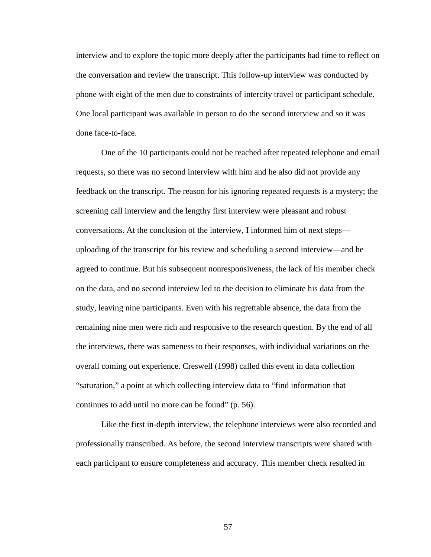interview and to explore the topic more deeply after the participants had time to reflect on the conversation and review the transcript. This follow-up interview was conducted by phone with eight of the men due to constraints of intercity travel or participant schedule. One local participant was available in person to do the second interview and so it was done face-to-face.

One of the 10 participants could not be reached after repeated telephone and email requests, so there was no second interview with him and he also did not provide any feedback on the transcript. The reason for his ignoring repeated requests is a mystery; the screening call interview and the lengthy first interview were pleasant and robust conversations. At the conclusion of the interview, I informed him of next steps uploading of the transcript for his review and scheduling a second interview—and he agreed to continue. But his subsequent nonresponsiveness, the lack of his member check on the data, and no second interview led to the decision to eliminate his data from the study, leaving nine participants. Even with his regrettable absence, the data from the remaining nine men were rich and responsive to the research question. By the end of all the interviews, there was sameness to their responses, with individual variations on the overall coming out experience. Creswell (1998) called this event in data collection "saturation," a point at which collecting interview data to "find information that continues to add until no more can be found" (p. 56).

Like the first in-depth interview, the telephone interviews were also recorded and professionally transcribed. As before, the second interview transcripts were shared with each participant to ensure completeness and accuracy. This member check resulted in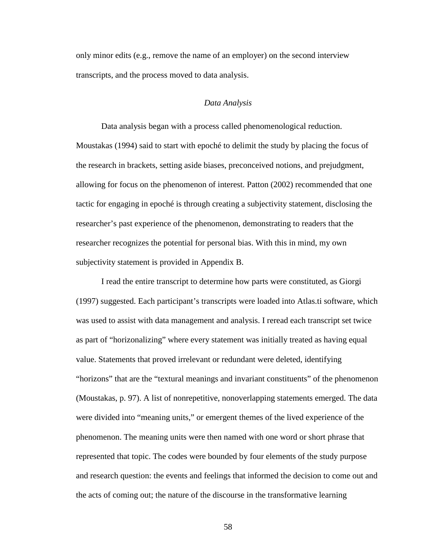only minor edits (e.g., remove the name of an employer) on the second interview transcripts, and the process moved to data analysis.

#### *Data Analysis*

Data analysis began with a process called phenomenological reduction. Moustakas (1994) said to start with epoché to delimit the study by placing the focus of the research in brackets, setting aside biases, preconceived notions, and prejudgment, allowing for focus on the phenomenon of interest. Patton (2002) recommended that one tactic for engaging in epoché is through creating a subjectivity statement, disclosing the researcher's past experience of the phenomenon, demonstrating to readers that the researcher recognizes the potential for personal bias. With this in mind, my own subjectivity statement is provided in Appendix B.

I read the entire transcript to determine how parts were constituted, as Giorgi (1997) suggested. Each participant's transcripts were loaded into Atlas.ti software, which was used to assist with data management and analysis. I reread each transcript set twice as part of "horizonalizing" where every statement was initially treated as having equal value. Statements that proved irrelevant or redundant were deleted, identifying "horizons" that are the "textural meanings and invariant constituents" of the phenomenon (Moustakas, p. 97). A list of nonrepetitive, nonoverlapping statements emerged. The data were divided into "meaning units," or emergent themes of the lived experience of the phenomenon. The meaning units were then named with one word or short phrase that represented that topic. The codes were bounded by four elements of the study purpose and research question: the events and feelings that informed the decision to come out and the acts of coming out; the nature of the discourse in the transformative learning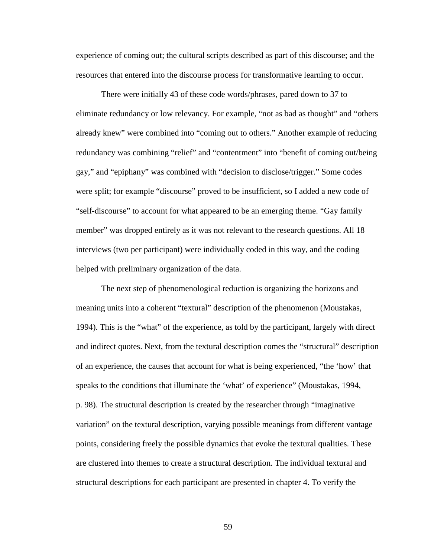experience of coming out; the cultural scripts described as part of this discourse; and the resources that entered into the discourse process for transformative learning to occur.

There were initially 43 of these code words/phrases, pared down to 37 to eliminate redundancy or low relevancy. For example, "not as bad as thought" and "others already knew" were combined into "coming out to others." Another example of reducing redundancy was combining "relief" and "contentment" into "benefit of coming out/being gay," and "epiphany" was combined with "decision to disclose/trigger." Some codes were split; for example "discourse" proved to be insufficient, so I added a new code of "self-discourse" to account for what appeared to be an emerging theme. "Gay family member" was dropped entirely as it was not relevant to the research questions. All 18 interviews (two per participant) were individually coded in this way, and the coding helped with preliminary organization of the data.

The next step of phenomenological reduction is organizing the horizons and meaning units into a coherent "textural" description of the phenomenon (Moustakas, 1994). This is the "what" of the experience, as told by the participant, largely with direct and indirect quotes. Next, from the textural description comes the "structural" description of an experience, the causes that account for what is being experienced, "the 'how' that speaks to the conditions that illuminate the 'what' of experience" (Moustakas, 1994, p. 98). The structural description is created by the researcher through "imaginative variation" on the textural description, varying possible meanings from different vantage points, considering freely the possible dynamics that evoke the textural qualities. These are clustered into themes to create a structural description. The individual textural and structural descriptions for each participant are presented in chapter 4. To verify the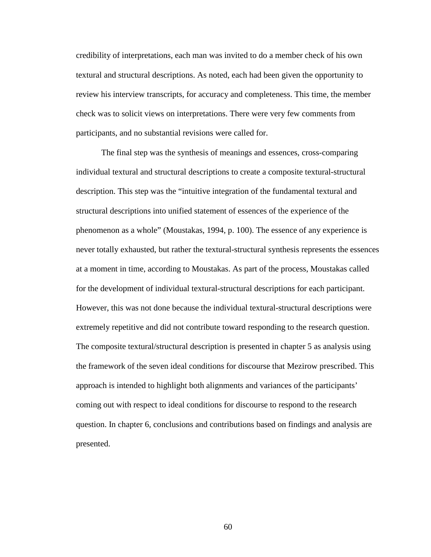credibility of interpretations, each man was invited to do a member check of his own textural and structural descriptions. As noted, each had been given the opportunity to review his interview transcripts, for accuracy and completeness. This time, the member check was to solicit views on interpretations. There were very few comments from participants, and no substantial revisions were called for.

The final step was the synthesis of meanings and essences, cross-comparing individual textural and structural descriptions to create a composite textural-structural description. This step was the "intuitive integration of the fundamental textural and structural descriptions into unified statement of essences of the experience of the phenomenon as a whole" (Moustakas, 1994, p. 100). The essence of any experience is never totally exhausted, but rather the textural-structural synthesis represents the essences at a moment in time, according to Moustakas. As part of the process, Moustakas called for the development of individual textural-structural descriptions for each participant. However, this was not done because the individual textural-structural descriptions were extremely repetitive and did not contribute toward responding to the research question. The composite textural/structural description is presented in chapter 5 as analysis using the framework of the seven ideal conditions for discourse that Mezirow prescribed. This approach is intended to highlight both alignments and variances of the participants' coming out with respect to ideal conditions for discourse to respond to the research question. In chapter 6, conclusions and contributions based on findings and analysis are presented.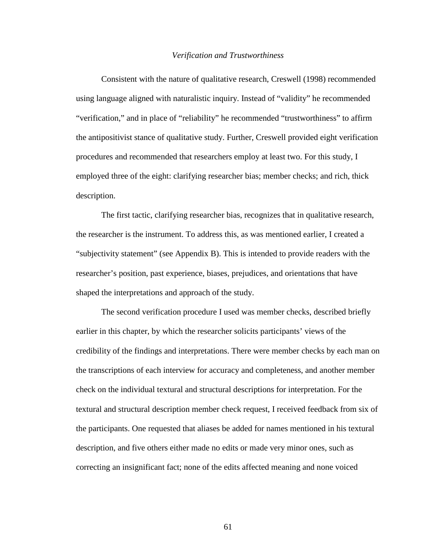### *Verification and Trustworthiness*

Consistent with the nature of qualitative research, Creswell (1998) recommended using language aligned with naturalistic inquiry. Instead of "validity" he recommended "verification," and in place of "reliability" he recommended "trustworthiness" to affirm the antipositivist stance of qualitative study. Further, Creswell provided eight verification procedures and recommended that researchers employ at least two. For this study, I employed three of the eight: clarifying researcher bias; member checks; and rich, thick description.

The first tactic, clarifying researcher bias, recognizes that in qualitative research, the researcher is the instrument. To address this, as was mentioned earlier, I created a "subjectivity statement" (see Appendix B). This is intended to provide readers with the researcher's position, past experience, biases, prejudices, and orientations that have shaped the interpretations and approach of the study.

The second verification procedure I used was member checks, described briefly earlier in this chapter, by which the researcher solicits participants' views of the credibility of the findings and interpretations. There were member checks by each man on the transcriptions of each interview for accuracy and completeness, and another member check on the individual textural and structural descriptions for interpretation. For the textural and structural description member check request, I received feedback from six of the participants. One requested that aliases be added for names mentioned in his textural description, and five others either made no edits or made very minor ones, such as correcting an insignificant fact; none of the edits affected meaning and none voiced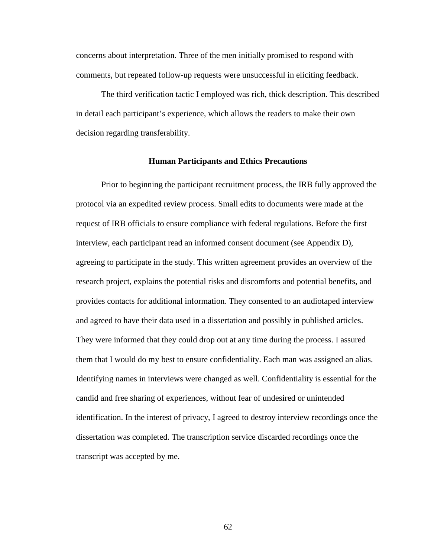concerns about interpretation. Three of the men initially promised to respond with comments, but repeated follow-up requests were unsuccessful in eliciting feedback.

The third verification tactic I employed was rich, thick description. This described in detail each participant's experience, which allows the readers to make their own decision regarding transferability.

#### **Human Participants and Ethics Precautions**

Prior to beginning the participant recruitment process, the IRB fully approved the protocol via an expedited review process. Small edits to documents were made at the request of IRB officials to ensure compliance with federal regulations. Before the first interview, each participant read an informed consent document (see Appendix D), agreeing to participate in the study. This written agreement provides an overview of the research project, explains the potential risks and discomforts and potential benefits, and provides contacts for additional information. They consented to an audiotaped interview and agreed to have their data used in a dissertation and possibly in published articles. They were informed that they could drop out at any time during the process. I assured them that I would do my best to ensure confidentiality. Each man was assigned an alias. Identifying names in interviews were changed as well. Confidentiality is essential for the candid and free sharing of experiences, without fear of undesired or unintended identification. In the interest of privacy, I agreed to destroy interview recordings once the dissertation was completed. The transcription service discarded recordings once the transcript was accepted by me.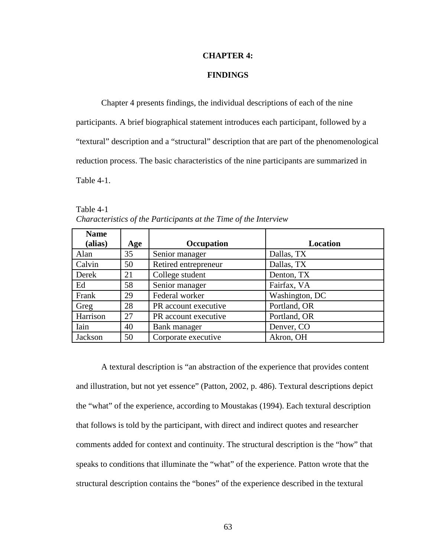#### **CHAPTER 4:**

# **FINDINGS**

Chapter 4 presents findings, the individual descriptions of each of the nine participants. A brief biographical statement introduces each participant, followed by a "textural" description and a "structural" description that are part of the phenomenological reduction process. The basic characteristics of the nine participants are summarized in Table 4-1.

| <b>Name</b> |     |                      |                |
|-------------|-----|----------------------|----------------|
| (alias)     | Age | Occupation           | Location       |
| Alan        | 35  | Senior manager       | Dallas, TX     |
| Calvin      | 50  | Retired entrepreneur | Dallas, TX     |
| Derek       | 21  | College student      | Denton, TX     |
| Ed          | 58  | Senior manager       | Fairfax, VA    |
| Frank       | 29  | Federal worker       | Washington, DC |
| Greg        | 28  | PR account executive | Portland, OR   |
| Harrison    | 27  | PR account executive | Portland, OR   |
| Iain        | 40  | Bank manager         | Denver, CO     |
| Jackson     | 50  | Corporate executive  | Akron, OH      |

Table 4-1 *Characteristics of the Participants at the Time of the Interview* 

A textural description is "an abstraction of the experience that provides content and illustration, but not yet essence" (Patton, 2002, p. 486). Textural descriptions depict the "what" of the experience, according to Moustakas (1994). Each textural description that follows is told by the participant, with direct and indirect quotes and researcher comments added for context and continuity. The structural description is the "how" that speaks to conditions that illuminate the "what" of the experience. Patton wrote that the structural description contains the "bones" of the experience described in the textural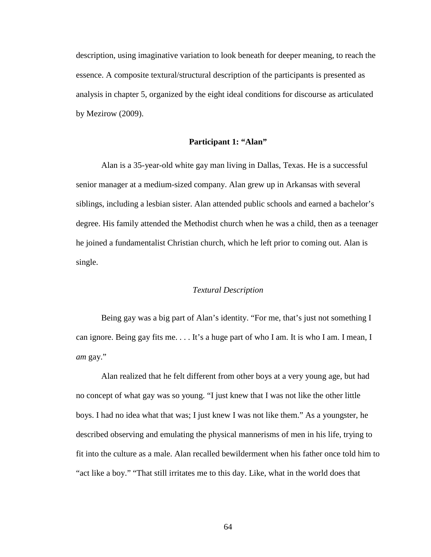description, using imaginative variation to look beneath for deeper meaning, to reach the essence. A composite textural/structural description of the participants is presented as analysis in chapter 5, organized by the eight ideal conditions for discourse as articulated by Mezirow (2009).

## **Participant 1: "Alan"**

Alan is a 35-year-old white gay man living in Dallas, Texas. He is a successful senior manager at a medium-sized company. Alan grew up in Arkansas with several siblings, including a lesbian sister. Alan attended public schools and earned a bachelor's degree. His family attended the Methodist church when he was a child, then as a teenager he joined a fundamentalist Christian church, which he left prior to coming out. Alan is single.

## *Textural Description*

Being gay was a big part of Alan's identity. "For me, that's just not something I can ignore. Being gay fits me. . . . It's a huge part of who I am. It is who I am. I mean, I *am* gay."

Alan realized that he felt different from other boys at a very young age, but had no concept of what gay was so young. "I just knew that I was not like the other little boys. I had no idea what that was; I just knew I was not like them." As a youngster, he described observing and emulating the physical mannerisms of men in his life, trying to fit into the culture as a male. Alan recalled bewilderment when his father once told him to "act like a boy." "That still irritates me to this day. Like, what in the world does that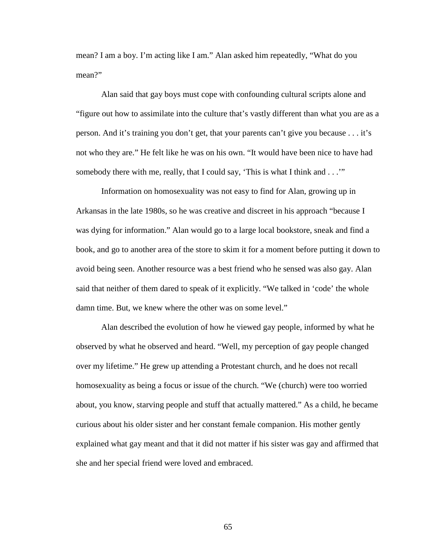mean? I am a boy. I'm acting like I am." Alan asked him repeatedly, "What do you mean?"

Alan said that gay boys must cope with confounding cultural scripts alone and "figure out how to assimilate into the culture that's vastly different than what you are as a person. And it's training you don't get, that your parents can't give you because . . . it's not who they are." He felt like he was on his own. "It would have been nice to have had somebody there with me, really, that I could say, 'This is what I think and . . .'"

Information on homosexuality was not easy to find for Alan, growing up in Arkansas in the late 1980s, so he was creative and discreet in his approach "because I was dying for information." Alan would go to a large local bookstore, sneak and find a book, and go to another area of the store to skim it for a moment before putting it down to avoid being seen. Another resource was a best friend who he sensed was also gay. Alan said that neither of them dared to speak of it explicitly. "We talked in 'code' the whole damn time. But, we knew where the other was on some level."

Alan described the evolution of how he viewed gay people, informed by what he observed by what he observed and heard. "Well, my perception of gay people changed over my lifetime." He grew up attending a Protestant church, and he does not recall homosexuality as being a focus or issue of the church. "We (church) were too worried about, you know, starving people and stuff that actually mattered." As a child, he became curious about his older sister and her constant female companion. His mother gently explained what gay meant and that it did not matter if his sister was gay and affirmed that she and her special friend were loved and embraced.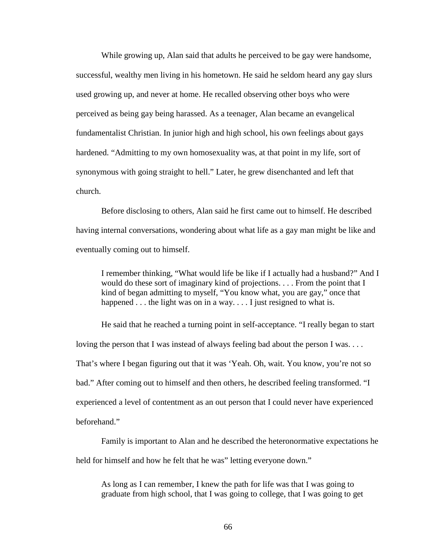While growing up, Alan said that adults he perceived to be gay were handsome, successful, wealthy men living in his hometown. He said he seldom heard any gay slurs used growing up, and never at home. He recalled observing other boys who were perceived as being gay being harassed. As a teenager, Alan became an evangelical fundamentalist Christian. In junior high and high school, his own feelings about gays hardened. "Admitting to my own homosexuality was, at that point in my life, sort of synonymous with going straight to hell." Later, he grew disenchanted and left that church.

Before disclosing to others, Alan said he first came out to himself. He described having internal conversations, wondering about what life as a gay man might be like and eventually coming out to himself.

I remember thinking, "What would life be like if I actually had a husband?" And I would do these sort of imaginary kind of projections. . . . From the point that I kind of began admitting to myself, "You know what, you are gay," once that happened  $\dots$  the light was on in a way.  $\dots$  I just resigned to what is.

He said that he reached a turning point in self-acceptance. "I really began to start loving the person that I was instead of always feeling bad about the person I was.... That's where I began figuring out that it was 'Yeah. Oh, wait. You know, you're not so bad." After coming out to himself and then others, he described feeling transformed. "I experienced a level of contentment as an out person that I could never have experienced beforehand."

Family is important to Alan and he described the heteronormative expectations he held for himself and how he felt that he was" letting everyone down."

As long as I can remember, I knew the path for life was that I was going to graduate from high school, that I was going to college, that I was going to get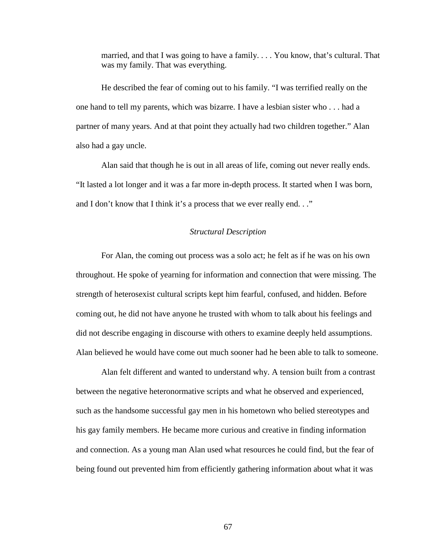married, and that I was going to have a family. . . . You know, that's cultural. That was my family. That was everything.

He described the fear of coming out to his family. "I was terrified really on the one hand to tell my parents, which was bizarre. I have a lesbian sister who . . . had a partner of many years. And at that point they actually had two children together." Alan also had a gay uncle.

Alan said that though he is out in all areas of life, coming out never really ends. "It lasted a lot longer and it was a far more in-depth process. It started when I was born, and I don't know that I think it's a process that we ever really end. . ."

## *Structural Description*

For Alan, the coming out process was a solo act; he felt as if he was on his own throughout. He spoke of yearning for information and connection that were missing. The strength of heterosexist cultural scripts kept him fearful, confused, and hidden. Before coming out, he did not have anyone he trusted with whom to talk about his feelings and did not describe engaging in discourse with others to examine deeply held assumptions. Alan believed he would have come out much sooner had he been able to talk to someone.

Alan felt different and wanted to understand why. A tension built from a contrast between the negative heteronormative scripts and what he observed and experienced, such as the handsome successful gay men in his hometown who belied stereotypes and his gay family members. He became more curious and creative in finding information and connection. As a young man Alan used what resources he could find, but the fear of being found out prevented him from efficiently gathering information about what it was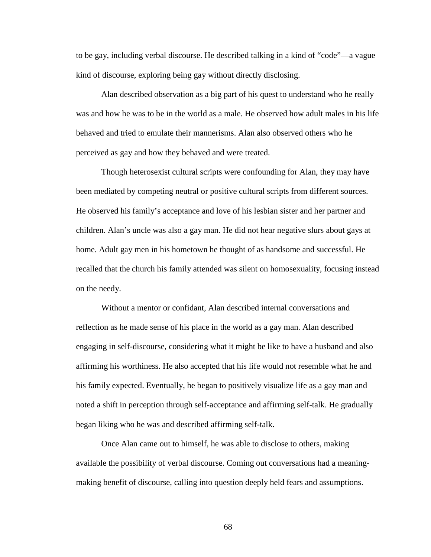to be gay, including verbal discourse. He described talking in a kind of "code"—a vague kind of discourse, exploring being gay without directly disclosing.

Alan described observation as a big part of his quest to understand who he really was and how he was to be in the world as a male. He observed how adult males in his life behaved and tried to emulate their mannerisms. Alan also observed others who he perceived as gay and how they behaved and were treated.

Though heterosexist cultural scripts were confounding for Alan, they may have been mediated by competing neutral or positive cultural scripts from different sources. He observed his family's acceptance and love of his lesbian sister and her partner and children. Alan's uncle was also a gay man. He did not hear negative slurs about gays at home. Adult gay men in his hometown he thought of as handsome and successful. He recalled that the church his family attended was silent on homosexuality, focusing instead on the needy.

Without a mentor or confidant, Alan described internal conversations and reflection as he made sense of his place in the world as a gay man. Alan described engaging in self-discourse, considering what it might be like to have a husband and also affirming his worthiness. He also accepted that his life would not resemble what he and his family expected. Eventually, he began to positively visualize life as a gay man and noted a shift in perception through self-acceptance and affirming self-talk. He gradually began liking who he was and described affirming self-talk.

Once Alan came out to himself, he was able to disclose to others, making available the possibility of verbal discourse. Coming out conversations had a meaningmaking benefit of discourse, calling into question deeply held fears and assumptions.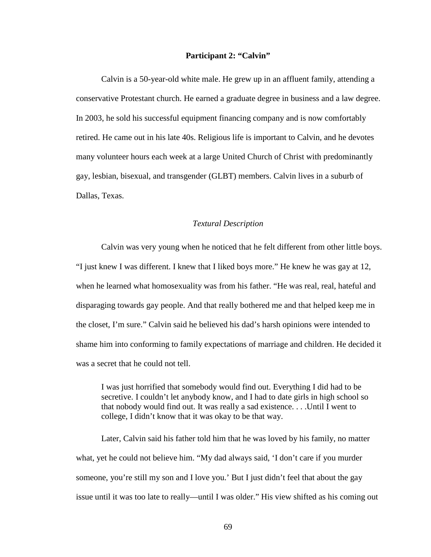# **Participant 2: "Calvin"**

Calvin is a 50-year-old white male. He grew up in an affluent family, attending a conservative Protestant church. He earned a graduate degree in business and a law degree. In 2003, he sold his successful equipment financing company and is now comfortably retired. He came out in his late 40s. Religious life is important to Calvin, and he devotes many volunteer hours each week at a large United Church of Christ with predominantly gay, lesbian, bisexual, and transgender (GLBT) members. Calvin lives in a suburb of Dallas, Texas.

### *Textural Description*

Calvin was very young when he noticed that he felt different from other little boys. "I just knew I was different. I knew that I liked boys more." He knew he was gay at 12, when he learned what homosexuality was from his father. "He was real, real, hateful and disparaging towards gay people. And that really bothered me and that helped keep me in the closet, I'm sure." Calvin said he believed his dad's harsh opinions were intended to shame him into conforming to family expectations of marriage and children. He decided it was a secret that he could not tell.

I was just horrified that somebody would find out. Everything I did had to be secretive. I couldn't let anybody know, and I had to date girls in high school so that nobody would find out. It was really a sad existence. . . .Until I went to college, I didn't know that it was okay to be that way.

Later, Calvin said his father told him that he was loved by his family, no matter what, yet he could not believe him. "My dad always said, 'I don't care if you murder someone, you're still my son and I love you.' But I just didn't feel that about the gay issue until it was too late to really—until I was older." His view shifted as his coming out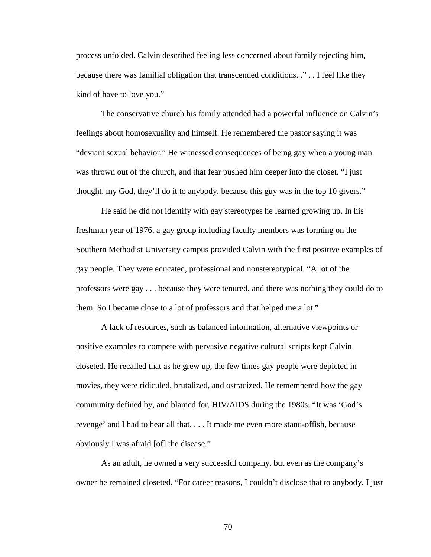process unfolded. Calvin described feeling less concerned about family rejecting him, because there was familial obligation that transcended conditions. ." . . I feel like they kind of have to love you."

The conservative church his family attended had a powerful influence on Calvin's feelings about homosexuality and himself. He remembered the pastor saying it was "deviant sexual behavior." He witnessed consequences of being gay when a young man was thrown out of the church, and that fear pushed him deeper into the closet. "I just thought, my God, they'll do it to anybody, because this guy was in the top 10 givers."

He said he did not identify with gay stereotypes he learned growing up. In his freshman year of 1976, a gay group including faculty members was forming on the Southern Methodist University campus provided Calvin with the first positive examples of gay people. They were educated, professional and nonstereotypical. "A lot of the professors were gay . . . because they were tenured, and there was nothing they could do to them. So I became close to a lot of professors and that helped me a lot."

A lack of resources, such as balanced information, alternative viewpoints or positive examples to compete with pervasive negative cultural scripts kept Calvin closeted. He recalled that as he grew up, the few times gay people were depicted in movies, they were ridiculed, brutalized, and ostracized. He remembered how the gay community defined by, and blamed for, HIV/AIDS during the 1980s. "It was 'God's revenge' and I had to hear all that. . . . It made me even more stand-offish, because obviously I was afraid [of] the disease."

As an adult, he owned a very successful company, but even as the company's owner he remained closeted. "For career reasons, I couldn't disclose that to anybody. I just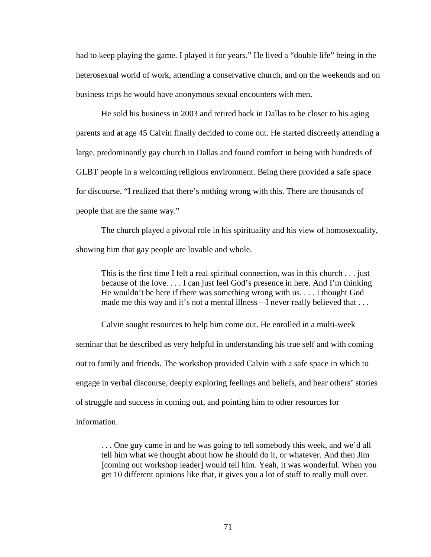had to keep playing the game. I played it for years." He lived a "double life" being in the heterosexual world of work, attending a conservative church, and on the weekends and on business trips he would have anonymous sexual encounters with men.

He sold his business in 2003 and retired back in Dallas to be closer to his aging parents and at age 45 Calvin finally decided to come out. He started discreetly attending a large, predominantly gay church in Dallas and found comfort in being with hundreds of GLBT people in a welcoming religious environment. Being there provided a safe space for discourse. "I realized that there's nothing wrong with this. There are thousands of people that are the same way."

The church played a pivotal role in his spirituality and his view of homosexuality, showing him that gay people are lovable and whole.

This is the first time I felt a real spiritual connection, was in this church . . . just because of the love. . . . I can just feel God's presence in here. And I'm thinking He wouldn't be here if there was something wrong with us. . . . I thought God made me this way and it's not a mental illness—I never really believed that . . .

Calvin sought resources to help him come out. He enrolled in a multi-week seminar that he described as very helpful in understanding his true self and with coming out to family and friends. The workshop provided Calvin with a safe space in which to engage in verbal discourse, deeply exploring feelings and beliefs, and hear others' stories of struggle and success in coming out, and pointing him to other resources for information.

. . . One guy came in and he was going to tell somebody this week, and we'd all tell him what we thought about how he should do it, or whatever. And then Jim [coming out workshop leader] would tell him. Yeah, it was wonderful. When you get 10 different opinions like that, it gives you a lot of stuff to really mull over.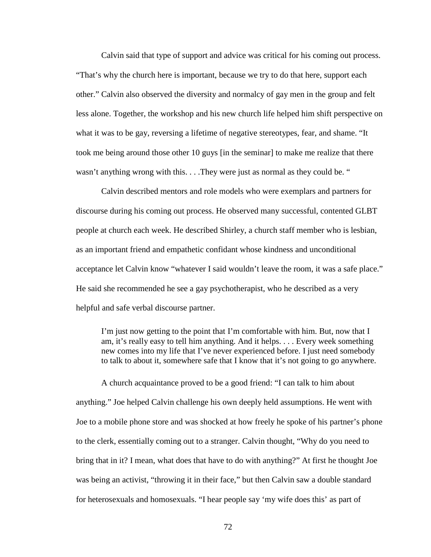Calvin said that type of support and advice was critical for his coming out process. "That's why the church here is important, because we try to do that here, support each other." Calvin also observed the diversity and normalcy of gay men in the group and felt less alone. Together, the workshop and his new church life helped him shift perspective on what it was to be gay, reversing a lifetime of negative stereotypes, fear, and shame. "It took me being around those other 10 guys [in the seminar] to make me realize that there wasn't anything wrong with this. . . . They were just as normal as they could be. "

Calvin described mentors and role models who were exemplars and partners for discourse during his coming out process. He observed many successful, contented GLBT people at church each week. He described Shirley, a church staff member who is lesbian, as an important friend and empathetic confidant whose kindness and unconditional acceptance let Calvin know "whatever I said wouldn't leave the room, it was a safe place." He said she recommended he see a gay psychotherapist, who he described as a very helpful and safe verbal discourse partner.

I'm just now getting to the point that I'm comfortable with him. But, now that I am, it's really easy to tell him anything. And it helps. . . . Every week something new comes into my life that I've never experienced before. I just need somebody to talk to about it, somewhere safe that I know that it's not going to go anywhere.

A church acquaintance proved to be a good friend: "I can talk to him about anything." Joe helped Calvin challenge his own deeply held assumptions. He went with Joe to a mobile phone store and was shocked at how freely he spoke of his partner's phone to the clerk, essentially coming out to a stranger. Calvin thought, "Why do you need to bring that in it? I mean, what does that have to do with anything?" At first he thought Joe was being an activist, "throwing it in their face," but then Calvin saw a double standard for heterosexuals and homosexuals. "I hear people say 'my wife does this' as part of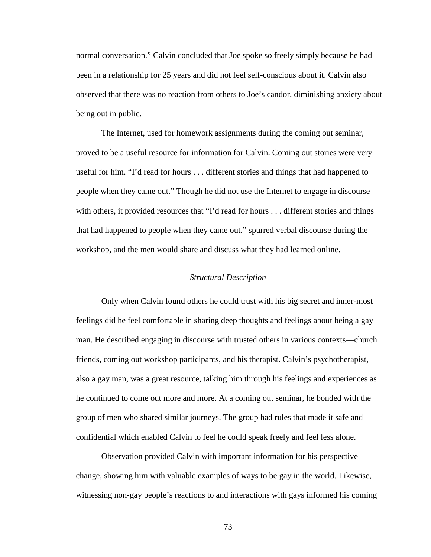normal conversation." Calvin concluded that Joe spoke so freely simply because he had been in a relationship for 25 years and did not feel self-conscious about it. Calvin also observed that there was no reaction from others to Joe's candor, diminishing anxiety about being out in public.

The Internet, used for homework assignments during the coming out seminar, proved to be a useful resource for information for Calvin. Coming out stories were very useful for him. "I'd read for hours . . . different stories and things that had happened to people when they came out." Though he did not use the Internet to engage in discourse with others, it provided resources that "I'd read for hours . . . different stories and things that had happened to people when they came out." spurred verbal discourse during the workshop, and the men would share and discuss what they had learned online.

#### *Structural Description*

Only when Calvin found others he could trust with his big secret and inner-most feelings did he feel comfortable in sharing deep thoughts and feelings about being a gay man. He described engaging in discourse with trusted others in various contexts—church friends, coming out workshop participants, and his therapist. Calvin's psychotherapist, also a gay man, was a great resource, talking him through his feelings and experiences as he continued to come out more and more. At a coming out seminar, he bonded with the group of men who shared similar journeys. The group had rules that made it safe and confidential which enabled Calvin to feel he could speak freely and feel less alone.

Observation provided Calvin with important information for his perspective change, showing him with valuable examples of ways to be gay in the world. Likewise, witnessing non-gay people's reactions to and interactions with gays informed his coming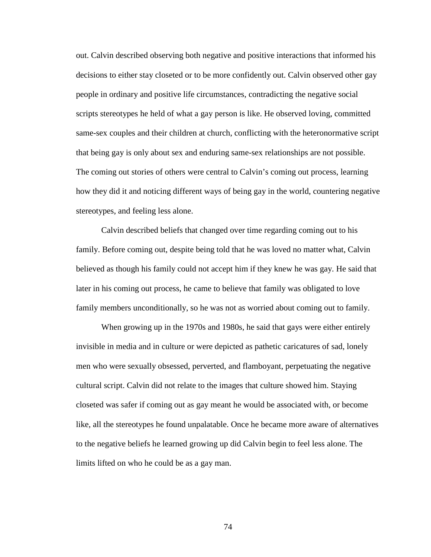out. Calvin described observing both negative and positive interactions that informed his decisions to either stay closeted or to be more confidently out. Calvin observed other gay people in ordinary and positive life circumstances, contradicting the negative social scripts stereotypes he held of what a gay person is like. He observed loving, committed same-sex couples and their children at church, conflicting with the heteronormative script that being gay is only about sex and enduring same-sex relationships are not possible. The coming out stories of others were central to Calvin's coming out process, learning how they did it and noticing different ways of being gay in the world, countering negative stereotypes, and feeling less alone.

Calvin described beliefs that changed over time regarding coming out to his family. Before coming out, despite being told that he was loved no matter what, Calvin believed as though his family could not accept him if they knew he was gay. He said that later in his coming out process, he came to believe that family was obligated to love family members unconditionally, so he was not as worried about coming out to family.

When growing up in the 1970s and 1980s, he said that gays were either entirely invisible in media and in culture or were depicted as pathetic caricatures of sad, lonely men who were sexually obsessed, perverted, and flamboyant, perpetuating the negative cultural script. Calvin did not relate to the images that culture showed him. Staying closeted was safer if coming out as gay meant he would be associated with, or become like, all the stereotypes he found unpalatable. Once he became more aware of alternatives to the negative beliefs he learned growing up did Calvin begin to feel less alone. The limits lifted on who he could be as a gay man.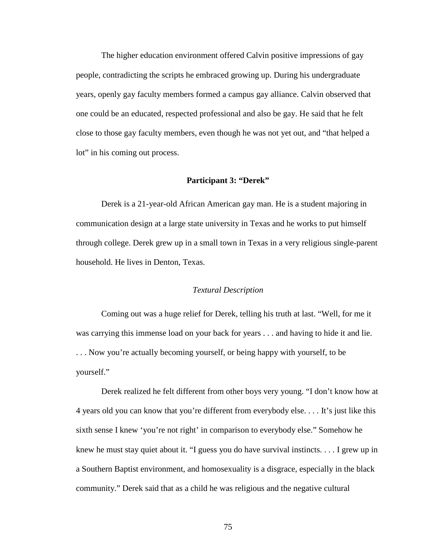The higher education environment offered Calvin positive impressions of gay people, contradicting the scripts he embraced growing up. During his undergraduate years, openly gay faculty members formed a campus gay alliance. Calvin observed that one could be an educated, respected professional and also be gay. He said that he felt close to those gay faculty members, even though he was not yet out, and "that helped a lot" in his coming out process.

#### **Participant 3: "Derek"**

Derek is a 21-year-old African American gay man. He is a student majoring in communication design at a large state university in Texas and he works to put himself through college. Derek grew up in a small town in Texas in a very religious single-parent household. He lives in Denton, Texas.

### *Textural Description*

Coming out was a huge relief for Derek, telling his truth at last. "Well, for me it was carrying this immense load on your back for years . . . and having to hide it and lie. . . . Now you're actually becoming yourself, or being happy with yourself, to be yourself."

Derek realized he felt different from other boys very young. "I don't know how at 4 years old you can know that you're different from everybody else. . . . It's just like this sixth sense I knew 'you're not right' in comparison to everybody else." Somehow he knew he must stay quiet about it. "I guess you do have survival instincts. . . . I grew up in a Southern Baptist environment, and homosexuality is a disgrace, especially in the black community." Derek said that as a child he was religious and the negative cultural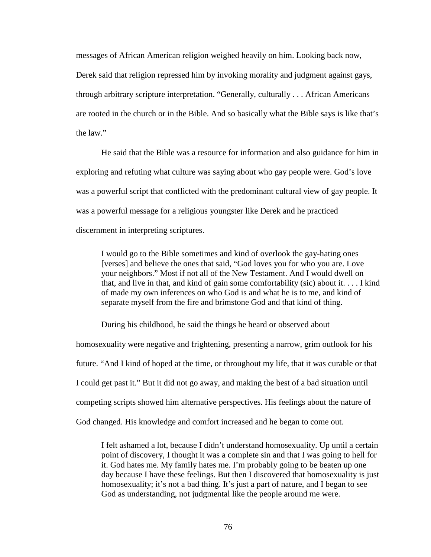messages of African American religion weighed heavily on him. Looking back now,

Derek said that religion repressed him by invoking morality and judgment against gays, through arbitrary scripture interpretation. "Generally, culturally . . . African Americans are rooted in the church or in the Bible. And so basically what the Bible says is like that's the law."

He said that the Bible was a resource for information and also guidance for him in exploring and refuting what culture was saying about who gay people were. God's love was a powerful script that conflicted with the predominant cultural view of gay people. It was a powerful message for a religious youngster like Derek and he practiced discernment in interpreting scriptures.

I would go to the Bible sometimes and kind of overlook the gay-hating ones [verses] and believe the ones that said, "God loves you for who you are. Love your neighbors." Most if not all of the New Testament. And I would dwell on that, and live in that, and kind of gain some comfortability (sic) about it. . . . I kind of made my own inferences on who God is and what he is to me, and kind of separate myself from the fire and brimstone God and that kind of thing.

During his childhood, he said the things he heard or observed about

homosexuality were negative and frightening, presenting a narrow, grim outlook for his future. "And I kind of hoped at the time, or throughout my life, that it was curable or that I could get past it." But it did not go away, and making the best of a bad situation until competing scripts showed him alternative perspectives. His feelings about the nature of God changed. His knowledge and comfort increased and he began to come out.

I felt ashamed a lot, because I didn't understand homosexuality. Up until a certain point of discovery, I thought it was a complete sin and that I was going to hell for it. God hates me. My family hates me. I'm probably going to be beaten up one day because I have these feelings. But then I discovered that homosexuality is just homosexuality; it's not a bad thing. It's just a part of nature, and I began to see God as understanding, not judgmental like the people around me were.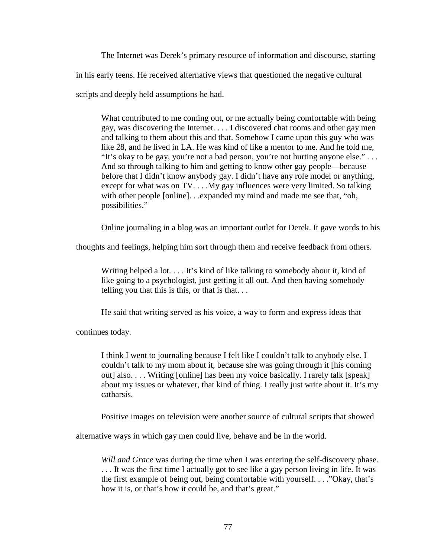The Internet was Derek's primary resource of information and discourse, starting in his early teens. He received alternative views that questioned the negative cultural scripts and deeply held assumptions he had.

What contributed to me coming out, or me actually being comfortable with being gay, was discovering the Internet. . . . I discovered chat rooms and other gay men and talking to them about this and that. Somehow I came upon this guy who was like 28, and he lived in LA. He was kind of like a mentor to me. And he told me, "It's okay to be gay, you're not a bad person, you're not hurting anyone else." . . . And so through talking to him and getting to know other gay people—because before that I didn't know anybody gay. I didn't have any role model or anything, except for what was on TV. . . .My gay influences were very limited. So talking with other people [online]. . .expanded my mind and made me see that, "oh, possibilities."

Online journaling in a blog was an important outlet for Derek. It gave words to his

thoughts and feelings, helping him sort through them and receive feedback from others.

Writing helped a lot. . . . It's kind of like talking to somebody about it, kind of like going to a psychologist, just getting it all out. And then having somebody telling you that this is this, or that is that. . .

He said that writing served as his voice, a way to form and express ideas that

continues today.

I think I went to journaling because I felt like I couldn't talk to anybody else. I couldn't talk to my mom about it, because she was going through it [his coming out] also. . . . Writing [online] has been my voice basically. I rarely talk [speak] about my issues or whatever, that kind of thing. I really just write about it. It's my catharsis.

Positive images on television were another source of cultural scripts that showed

alternative ways in which gay men could live, behave and be in the world.

*Will and Grace* was during the time when I was entering the self-discovery phase. . . . It was the first time I actually got to see like a gay person living in life. It was the first example of being out, being comfortable with yourself. . . ."Okay, that's how it is, or that's how it could be, and that's great."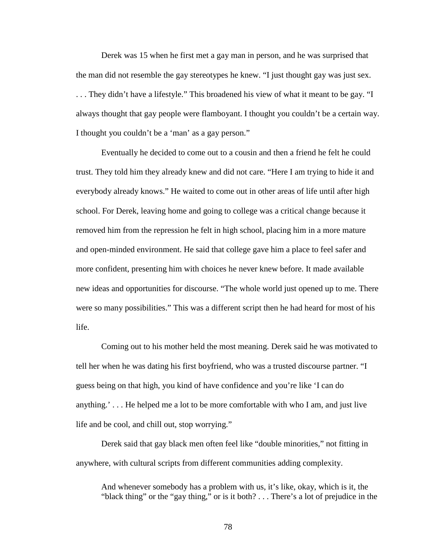Derek was 15 when he first met a gay man in person, and he was surprised that the man did not resemble the gay stereotypes he knew. "I just thought gay was just sex. . . . They didn't have a lifestyle." This broadened his view of what it meant to be gay. "I always thought that gay people were flamboyant. I thought you couldn't be a certain way. I thought you couldn't be a 'man' as a gay person."

Eventually he decided to come out to a cousin and then a friend he felt he could trust. They told him they already knew and did not care. "Here I am trying to hide it and everybody already knows." He waited to come out in other areas of life until after high school. For Derek, leaving home and going to college was a critical change because it removed him from the repression he felt in high school, placing him in a more mature and open-minded environment. He said that college gave him a place to feel safer and more confident, presenting him with choices he never knew before. It made available new ideas and opportunities for discourse. "The whole world just opened up to me. There were so many possibilities." This was a different script then he had heard for most of his life.

Coming out to his mother held the most meaning. Derek said he was motivated to tell her when he was dating his first boyfriend, who was a trusted discourse partner. "I guess being on that high, you kind of have confidence and you're like 'I can do anything.' . . . He helped me a lot to be more comfortable with who I am, and just live life and be cool, and chill out, stop worrying."

Derek said that gay black men often feel like "double minorities," not fitting in anywhere, with cultural scripts from different communities adding complexity.

And whenever somebody has a problem with us, it's like, okay, which is it, the "black thing" or the "gay thing," or is it both? . . . There's a lot of prejudice in the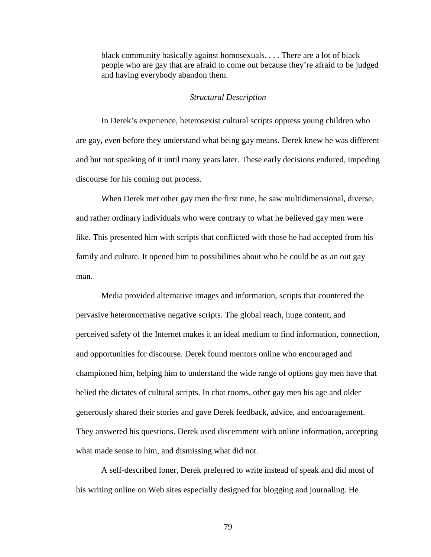black community basically against homosexuals. . . . There are a lot of black people who are gay that are afraid to come out because they're afraid to be judged and having everybody abandon them.

## *Structural Description*

In Derek's experience, heterosexist cultural scripts oppress young children who are gay, even before they understand what being gay means. Derek knew he was different and but not speaking of it until many years later. These early decisions endured, impeding discourse for his coming out process.

When Derek met other gay men the first time, he saw multidimensional, diverse, and rather ordinary individuals who were contrary to what he believed gay men were like. This presented him with scripts that conflicted with those he had accepted from his family and culture. It opened him to possibilities about who he could be as an out gay man.

Media provided alternative images and information, scripts that countered the pervasive heteronormative negative scripts. The global reach, huge content, and perceived safety of the Internet makes it an ideal medium to find information, connection, and opportunities for discourse. Derek found mentors online who encouraged and championed him, helping him to understand the wide range of options gay men have that belied the dictates of cultural scripts. In chat rooms, other gay men his age and older generously shared their stories and gave Derek feedback, advice, and encouragement. They answered his questions. Derek used discernment with online information, accepting what made sense to him, and dismissing what did not.

A self-described loner, Derek preferred to write instead of speak and did most of his writing online on Web sites especially designed for blogging and journaling. He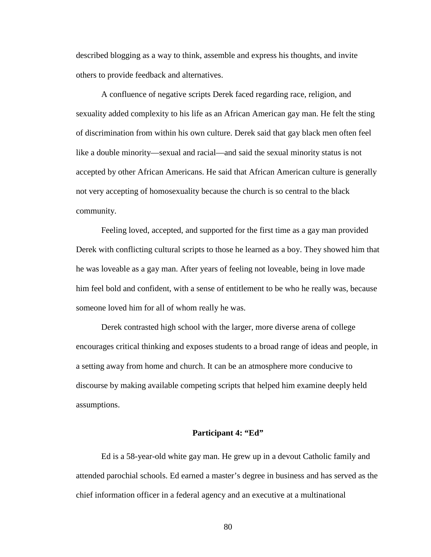described blogging as a way to think, assemble and express his thoughts, and invite others to provide feedback and alternatives.

A confluence of negative scripts Derek faced regarding race, religion, and sexuality added complexity to his life as an African American gay man. He felt the sting of discrimination from within his own culture. Derek said that gay black men often feel like a double minority—sexual and racial—and said the sexual minority status is not accepted by other African Americans. He said that African American culture is generally not very accepting of homosexuality because the church is so central to the black community.

Feeling loved, accepted, and supported for the first time as a gay man provided Derek with conflicting cultural scripts to those he learned as a boy. They showed him that he was loveable as a gay man. After years of feeling not loveable, being in love made him feel bold and confident, with a sense of entitlement to be who he really was, because someone loved him for all of whom really he was.

Derek contrasted high school with the larger, more diverse arena of college encourages critical thinking and exposes students to a broad range of ideas and people, in a setting away from home and church. It can be an atmosphere more conducive to discourse by making available competing scripts that helped him examine deeply held assumptions.

## **Participant 4: "Ed"**

Ed is a 58-year-old white gay man. He grew up in a devout Catholic family and attended parochial schools. Ed earned a master's degree in business and has served as the chief information officer in a federal agency and an executive at a multinational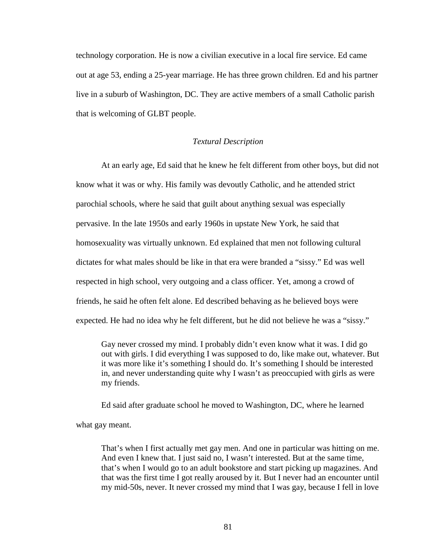technology corporation. He is now a civilian executive in a local fire service. Ed came out at age 53, ending a 25-year marriage. He has three grown children. Ed and his partner live in a suburb of Washington, DC. They are active members of a small Catholic parish that is welcoming of GLBT people.

### *Textural Description*

At an early age, Ed said that he knew he felt different from other boys, but did not know what it was or why. His family was devoutly Catholic, and he attended strict parochial schools, where he said that guilt about anything sexual was especially pervasive. In the late 1950s and early 1960s in upstate New York, he said that homosexuality was virtually unknown. Ed explained that men not following cultural dictates for what males should be like in that era were branded a "sissy." Ed was well respected in high school, very outgoing and a class officer. Yet, among a crowd of friends, he said he often felt alone. Ed described behaving as he believed boys were expected. He had no idea why he felt different, but he did not believe he was a "sissy."

Gay never crossed my mind. I probably didn't even know what it was. I did go out with girls. I did everything I was supposed to do, like make out, whatever. But it was more like it's something I should do. It's something I should be interested in, and never understanding quite why I wasn't as preoccupied with girls as were my friends.

Ed said after graduate school he moved to Washington, DC, where he learned

what gay meant.

That's when I first actually met gay men. And one in particular was hitting on me. And even I knew that. I just said no, I wasn't interested. But at the same time, that's when I would go to an adult bookstore and start picking up magazines. And that was the first time I got really aroused by it. But I never had an encounter until my mid-50s, never. It never crossed my mind that I was gay, because I fell in love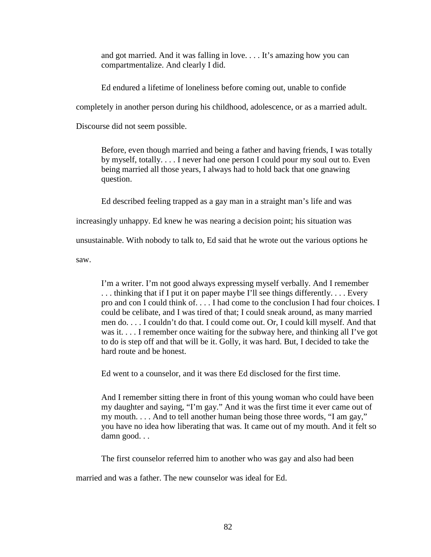and got married. And it was falling in love. . . . It's amazing how you can compartmentalize. And clearly I did.

Ed endured a lifetime of loneliness before coming out, unable to confide

completely in another person during his childhood, adolescence, or as a married adult.

Discourse did not seem possible.

Before, even though married and being a father and having friends, I was totally by myself, totally. . . . I never had one person I could pour my soul out to. Even being married all those years, I always had to hold back that one gnawing question.

Ed described feeling trapped as a gay man in a straight man's life and was

increasingly unhappy. Ed knew he was nearing a decision point; his situation was

unsustainable. With nobody to talk to, Ed said that he wrote out the various options he

saw.

I'm a writer. I'm not good always expressing myself verbally. And I remember . . . thinking that if I put it on paper maybe I'll see things differently. . . . Every pro and con I could think of. . . . I had come to the conclusion I had four choices. I could be celibate, and I was tired of that; I could sneak around, as many married men do. . . . I couldn't do that. I could come out. Or, I could kill myself. And that was it. . . . I remember once waiting for the subway here, and thinking all I've got to do is step off and that will be it. Golly, it was hard. But, I decided to take the hard route and be honest.

Ed went to a counselor, and it was there Ed disclosed for the first time.

And I remember sitting there in front of this young woman who could have been my daughter and saying, "I'm gay." And it was the first time it ever came out of my mouth. . . . And to tell another human being those three words, "I am gay," you have no idea how liberating that was. It came out of my mouth. And it felt so damn good. . .

The first counselor referred him to another who was gay and also had been

married and was a father. The new counselor was ideal for Ed.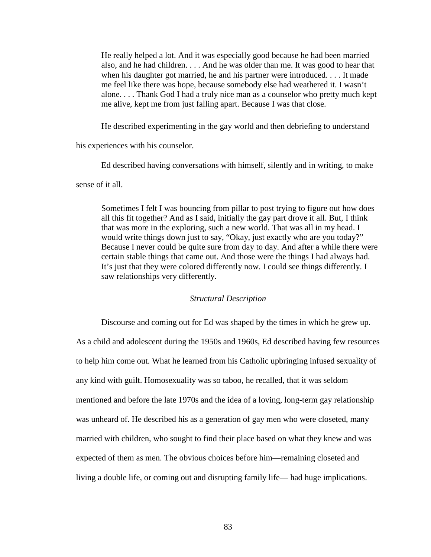He really helped a lot. And it was especially good because he had been married also, and he had children. . . . And he was older than me. It was good to hear that when his daughter got married, he and his partner were introduced. . . . It made me feel like there was hope, because somebody else had weathered it. I wasn't alone. . . . Thank God I had a truly nice man as a counselor who pretty much kept me alive, kept me from just falling apart. Because I was that close.

He described experimenting in the gay world and then debriefing to understand

his experiences with his counselor.

Ed described having conversations with himself, silently and in writing, to make

sense of it all.

Sometimes I felt I was bouncing from pillar to post trying to figure out how does all this fit together? And as I said, initially the gay part drove it all. But, I think that was more in the exploring, such a new world. That was all in my head. I would write things down just to say, "Okay, just exactly who are you today?" Because I never could be quite sure from day to day. And after a while there were certain stable things that came out. And those were the things I had always had. It's just that they were colored differently now. I could see things differently. I saw relationships very differently.

### *Structural Description*

Discourse and coming out for Ed was shaped by the times in which he grew up. As a child and adolescent during the 1950s and 1960s, Ed described having few resources to help him come out. What he learned from his Catholic upbringing infused sexuality of any kind with guilt. Homosexuality was so taboo, he recalled, that it was seldom mentioned and before the late 1970s and the idea of a loving, long-term gay relationship was unheard of. He described his as a generation of gay men who were closeted, many married with children, who sought to find their place based on what they knew and was expected of them as men. The obvious choices before him—remaining closeted and living a double life, or coming out and disrupting family life— had huge implications.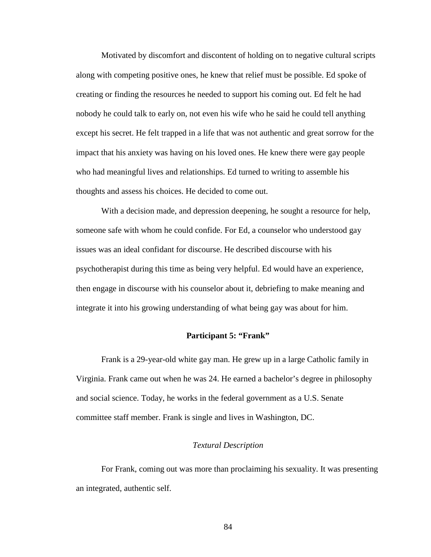Motivated by discomfort and discontent of holding on to negative cultural scripts along with competing positive ones, he knew that relief must be possible. Ed spoke of creating or finding the resources he needed to support his coming out. Ed felt he had nobody he could talk to early on, not even his wife who he said he could tell anything except his secret. He felt trapped in a life that was not authentic and great sorrow for the impact that his anxiety was having on his loved ones. He knew there were gay people who had meaningful lives and relationships. Ed turned to writing to assemble his thoughts and assess his choices. He decided to come out.

With a decision made, and depression deepening, he sought a resource for help, someone safe with whom he could confide. For Ed, a counselor who understood gay issues was an ideal confidant for discourse. He described discourse with his psychotherapist during this time as being very helpful. Ed would have an experience, then engage in discourse with his counselor about it, debriefing to make meaning and integrate it into his growing understanding of what being gay was about for him.

# **Participant 5: "Frank"**

Frank is a 29-year-old white gay man. He grew up in a large Catholic family in Virginia. Frank came out when he was 24. He earned a bachelor's degree in philosophy and social science. Today, he works in the federal government as a U.S. Senate committee staff member. Frank is single and lives in Washington, DC.

## *Textural Description*

For Frank, coming out was more than proclaiming his sexuality. It was presenting an integrated, authentic self.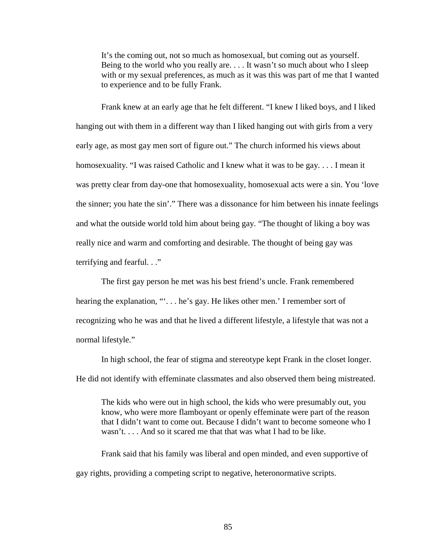It's the coming out, not so much as homosexual, but coming out as yourself. Being to the world who you really are. . . . It wasn't so much about who I sleep with or my sexual preferences, as much as it was this was part of me that I wanted to experience and to be fully Frank.

Frank knew at an early age that he felt different. "I knew I liked boys, and I liked hanging out with them in a different way than I liked hanging out with girls from a very early age, as most gay men sort of figure out." The church informed his views about homosexuality. "I was raised Catholic and I knew what it was to be gay. . . . I mean it was pretty clear from day-one that homosexuality, homosexual acts were a sin. You 'love the sinner; you hate the sin'." There was a dissonance for him between his innate feelings and what the outside world told him about being gay. "The thought of liking a boy was really nice and warm and comforting and desirable. The thought of being gay was terrifying and fearful. . ."

The first gay person he met was his best friend's uncle. Frank remembered hearing the explanation, "". . . he's gay. He likes other men.' I remember sort of recognizing who he was and that he lived a different lifestyle, a lifestyle that was not a normal lifestyle."

In high school, the fear of stigma and stereotype kept Frank in the closet longer. He did not identify with effeminate classmates and also observed them being mistreated.

The kids who were out in high school, the kids who were presumably out, you know, who were more flamboyant or openly effeminate were part of the reason that I didn't want to come out. Because I didn't want to become someone who I wasn't. . . . And so it scared me that that was what I had to be like.

Frank said that his family was liberal and open minded, and even supportive of gay rights, providing a competing script to negative, heteronormative scripts.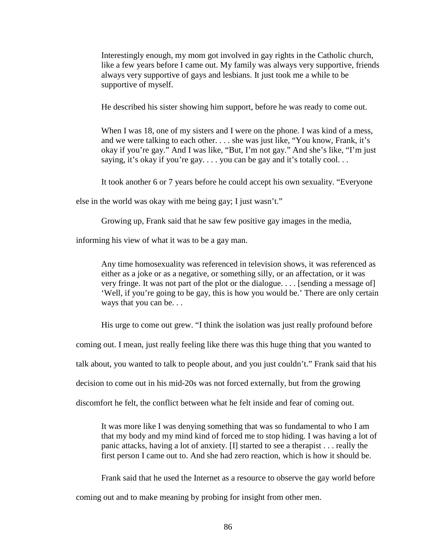Interestingly enough, my mom got involved in gay rights in the Catholic church, like a few years before I came out. My family was always very supportive, friends always very supportive of gays and lesbians. It just took me a while to be supportive of myself.

He described his sister showing him support, before he was ready to come out.

When I was 18, one of my sisters and I were on the phone. I was kind of a mess, and we were talking to each other. . . . she was just like, "You know, Frank, it's okay if you're gay." And I was like, "But, I'm not gay." And she's like, "I'm just saying, it's okay if you're gay.... you can be gay and it's totally cool...

It took another 6 or 7 years before he could accept his own sexuality. "Everyone

else in the world was okay with me being gay; I just wasn't."

Growing up, Frank said that he saw few positive gay images in the media,

informing his view of what it was to be a gay man.

Any time homosexuality was referenced in television shows, it was referenced as either as a joke or as a negative, or something silly, or an affectation, or it was very fringe. It was not part of the plot or the dialogue. . . . [sending a message of] 'Well, if you're going to be gay, this is how you would be.' There are only certain ways that you can be. . .

His urge to come out grew. "I think the isolation was just really profound before

coming out. I mean, just really feeling like there was this huge thing that you wanted to

talk about, you wanted to talk to people about, and you just couldn't." Frank said that his

decision to come out in his mid-20s was not forced externally, but from the growing

discomfort he felt, the conflict between what he felt inside and fear of coming out.

It was more like I was denying something that was so fundamental to who I am that my body and my mind kind of forced me to stop hiding. I was having a lot of panic attacks, having a lot of anxiety. [I] started to see a therapist . . . really the first person I came out to. And she had zero reaction, which is how it should be.

Frank said that he used the Internet as a resource to observe the gay world before coming out and to make meaning by probing for insight from other men.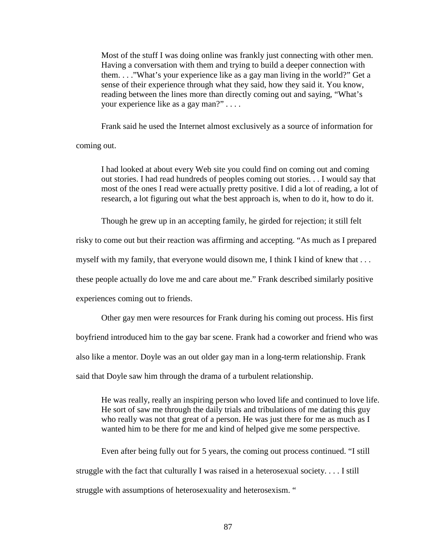Most of the stuff I was doing online was frankly just connecting with other men. Having a conversation with them and trying to build a deeper connection with them. . . ."What's your experience like as a gay man living in the world?" Get a sense of their experience through what they said, how they said it. You know, reading between the lines more than directly coming out and saying, "What's your experience like as a gay man?" . . . .

Frank said he used the Internet almost exclusively as a source of information for

coming out.

I had looked at about every Web site you could find on coming out and coming out stories. I had read hundreds of peoples coming out stories. . . I would say that most of the ones I read were actually pretty positive. I did a lot of reading, a lot of research, a lot figuring out what the best approach is, when to do it, how to do it.

Though he grew up in an accepting family, he girded for rejection; it still felt

risky to come out but their reaction was affirming and accepting. "As much as I prepared

myself with my family, that everyone would disown me, I think I kind of knew that . . .

these people actually do love me and care about me." Frank described similarly positive

experiences coming out to friends.

Other gay men were resources for Frank during his coming out process. His first

boyfriend introduced him to the gay bar scene. Frank had a coworker and friend who was

also like a mentor. Doyle was an out older gay man in a long-term relationship. Frank

said that Doyle saw him through the drama of a turbulent relationship.

He was really, really an inspiring person who loved life and continued to love life. He sort of saw me through the daily trials and tribulations of me dating this guy who really was not that great of a person. He was just there for me as much as I wanted him to be there for me and kind of helped give me some perspective.

Even after being fully out for 5 years, the coming out process continued. "I still struggle with the fact that culturally I was raised in a heterosexual society. . . . I still struggle with assumptions of heterosexuality and heterosexism. "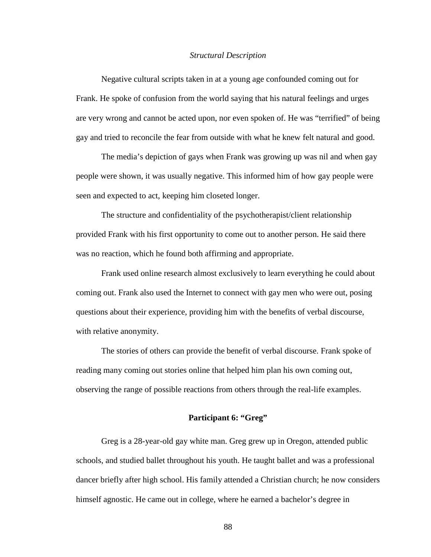#### *Structural Description*

Negative cultural scripts taken in at a young age confounded coming out for Frank. He spoke of confusion from the world saying that his natural feelings and urges are very wrong and cannot be acted upon, nor even spoken of. He was "terrified" of being gay and tried to reconcile the fear from outside with what he knew felt natural and good.

The media's depiction of gays when Frank was growing up was nil and when gay people were shown, it was usually negative. This informed him of how gay people were seen and expected to act, keeping him closeted longer.

The structure and confidentiality of the psychotherapist/client relationship provided Frank with his first opportunity to come out to another person. He said there was no reaction, which he found both affirming and appropriate.

Frank used online research almost exclusively to learn everything he could about coming out. Frank also used the Internet to connect with gay men who were out, posing questions about their experience, providing him with the benefits of verbal discourse, with relative anonymity.

The stories of others can provide the benefit of verbal discourse. Frank spoke of reading many coming out stories online that helped him plan his own coming out, observing the range of possible reactions from others through the real-life examples.

# **Participant 6: "Greg"**

Greg is a 28-year-old gay white man. Greg grew up in Oregon, attended public schools, and studied ballet throughout his youth. He taught ballet and was a professional dancer briefly after high school. His family attended a Christian church; he now considers himself agnostic. He came out in college, where he earned a bachelor's degree in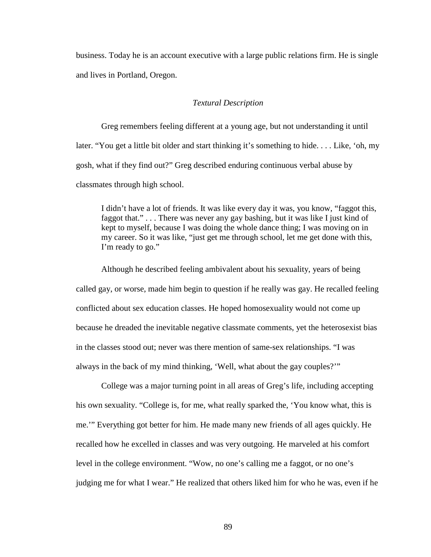business. Today he is an account executive with a large public relations firm. He is single and lives in Portland, Oregon.

## *Textural Description*

Greg remembers feeling different at a young age, but not understanding it until later. "You get a little bit older and start thinking it's something to hide. . . . Like, 'oh, my gosh, what if they find out?" Greg described enduring continuous verbal abuse by classmates through high school.

I didn't have a lot of friends. It was like every day it was, you know, "faggot this, faggot that." . . . There was never any gay bashing, but it was like I just kind of kept to myself, because I was doing the whole dance thing; I was moving on in my career. So it was like, "just get me through school, let me get done with this, I'm ready to go."

Although he described feeling ambivalent about his sexuality, years of being called gay, or worse, made him begin to question if he really was gay. He recalled feeling conflicted about sex education classes. He hoped homosexuality would not come up because he dreaded the inevitable negative classmate comments, yet the heterosexist bias in the classes stood out; never was there mention of same-sex relationships. "I was always in the back of my mind thinking, 'Well, what about the gay couples?'"

College was a major turning point in all areas of Greg's life, including accepting his own sexuality. "College is, for me, what really sparked the, 'You know what, this is me.'" Everything got better for him. He made many new friends of all ages quickly. He recalled how he excelled in classes and was very outgoing. He marveled at his comfort level in the college environment. "Wow, no one's calling me a faggot, or no one's judging me for what I wear." He realized that others liked him for who he was, even if he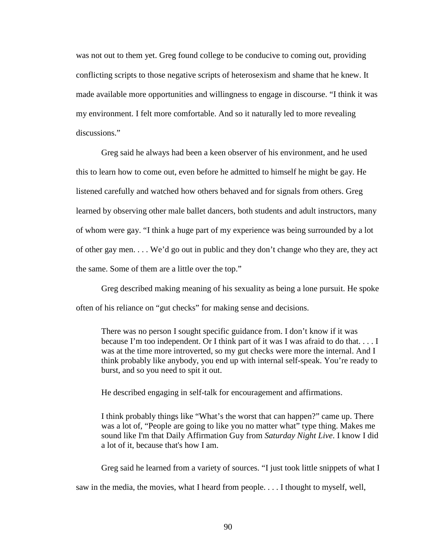was not out to them yet. Greg found college to be conducive to coming out, providing conflicting scripts to those negative scripts of heterosexism and shame that he knew. It made available more opportunities and willingness to engage in discourse. "I think it was my environment. I felt more comfortable. And so it naturally led to more revealing discussions."

Greg said he always had been a keen observer of his environment, and he used this to learn how to come out, even before he admitted to himself he might be gay. He listened carefully and watched how others behaved and for signals from others. Greg learned by observing other male ballet dancers, both students and adult instructors, many of whom were gay. "I think a huge part of my experience was being surrounded by a lot of other gay men. . . . We'd go out in public and they don't change who they are, they act the same. Some of them are a little over the top."

Greg described making meaning of his sexuality as being a lone pursuit. He spoke often of his reliance on "gut checks" for making sense and decisions.

There was no person I sought specific guidance from. I don't know if it was because I'm too independent. Or I think part of it was I was afraid to do that. . . . I was at the time more introverted, so my gut checks were more the internal. And I think probably like anybody, you end up with internal self-speak. You're ready to burst, and so you need to spit it out.

He described engaging in self-talk for encouragement and affirmations.

I think probably things like "What's the worst that can happen?" came up. There was a lot of, "People are going to like you no matter what" type thing. Makes me sound like I'm that Daily Affirmation Guy from *Saturday Night Live*. I know I did a lot of it, because that's how I am.

Greg said he learned from a variety of sources. "I just took little snippets of what I

saw in the media, the movies, what I heard from people. . . . I thought to myself, well,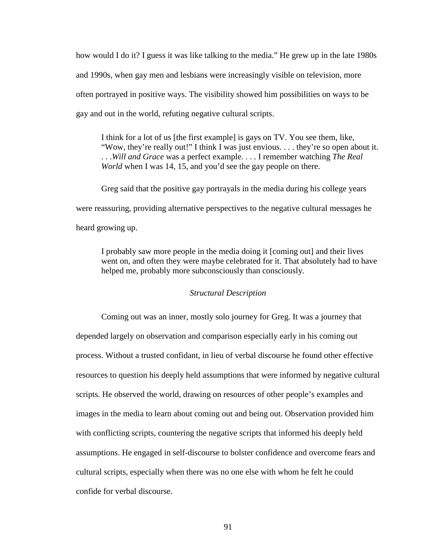how would I do it? I guess it was like talking to the media." He grew up in the late 1980s and 1990s, when gay men and lesbians were increasingly visible on television, more often portrayed in positive ways. The visibility showed him possibilities on ways to be gay and out in the world, refuting negative cultural scripts.

I think for a lot of us [the first example] is gays on TV. You see them, like, "Wow, they're really out!" I think I was just envious. . . . they're so open about it. . . .*Will and Grace* was a perfect example. . . . I remember watching *The Real World* when I was 14, 15, and you'd see the gay people on there.

Greg said that the positive gay portrayals in the media during his college years were reassuring, providing alternative perspectives to the negative cultural messages he heard growing up.

I probably saw more people in the media doing it [coming out] and their lives went on, and often they were maybe celebrated for it. That absolutely had to have helped me, probably more subconsciously than consciously.

## *Structural Description*

Coming out was an inner, mostly solo journey for Greg. It was a journey that depended largely on observation and comparison especially early in his coming out process. Without a trusted confidant, in lieu of verbal discourse he found other effective resources to question his deeply held assumptions that were informed by negative cultural scripts. He observed the world, drawing on resources of other people's examples and images in the media to learn about coming out and being out. Observation provided him with conflicting scripts, countering the negative scripts that informed his deeply held assumptions. He engaged in self-discourse to bolster confidence and overcome fears and cultural scripts, especially when there was no one else with whom he felt he could confide for verbal discourse.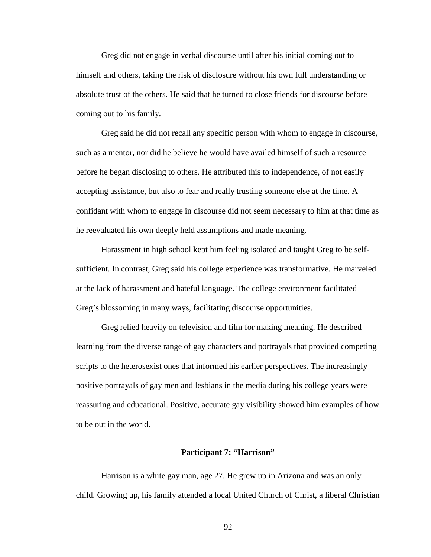Greg did not engage in verbal discourse until after his initial coming out to himself and others, taking the risk of disclosure without his own full understanding or absolute trust of the others. He said that he turned to close friends for discourse before coming out to his family.

Greg said he did not recall any specific person with whom to engage in discourse, such as a mentor, nor did he believe he would have availed himself of such a resource before he began disclosing to others. He attributed this to independence, of not easily accepting assistance, but also to fear and really trusting someone else at the time. A confidant with whom to engage in discourse did not seem necessary to him at that time as he reevaluated his own deeply held assumptions and made meaning.

Harassment in high school kept him feeling isolated and taught Greg to be selfsufficient. In contrast, Greg said his college experience was transformative. He marveled at the lack of harassment and hateful language. The college environment facilitated Greg's blossoming in many ways, facilitating discourse opportunities.

Greg relied heavily on television and film for making meaning. He described learning from the diverse range of gay characters and portrayals that provided competing scripts to the heterosexist ones that informed his earlier perspectives. The increasingly positive portrayals of gay men and lesbians in the media during his college years were reassuring and educational. Positive, accurate gay visibility showed him examples of how to be out in the world.

#### **Participant 7: "Harrison"**

Harrison is a white gay man, age 27. He grew up in Arizona and was an only child. Growing up, his family attended a local United Church of Christ, a liberal Christian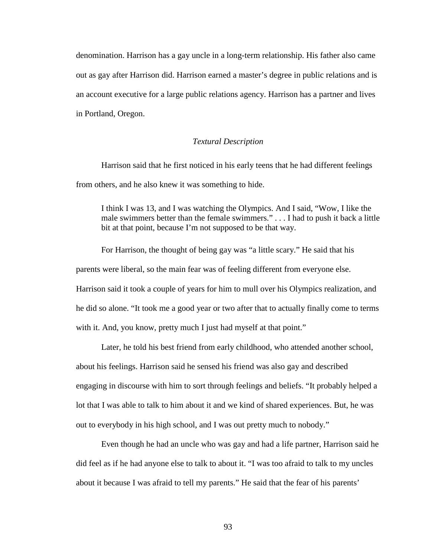denomination. Harrison has a gay uncle in a long-term relationship. His father also came out as gay after Harrison did. Harrison earned a master's degree in public relations and is an account executive for a large public relations agency. Harrison has a partner and lives in Portland, Oregon.

#### *Textural Description*

Harrison said that he first noticed in his early teens that he had different feelings from others, and he also knew it was something to hide.

I think I was 13, and I was watching the Olympics. And I said, "Wow, I like the male swimmers better than the female swimmers." . . . I had to push it back a little bit at that point, because I'm not supposed to be that way.

For Harrison, the thought of being gay was "a little scary." He said that his parents were liberal, so the main fear was of feeling different from everyone else. Harrison said it took a couple of years for him to mull over his Olympics realization, and he did so alone. "It took me a good year or two after that to actually finally come to terms with it. And, you know, pretty much I just had myself at that point."

Later, he told his best friend from early childhood, who attended another school, about his feelings. Harrison said he sensed his friend was also gay and described engaging in discourse with him to sort through feelings and beliefs. "It probably helped a lot that I was able to talk to him about it and we kind of shared experiences. But, he was out to everybody in his high school, and I was out pretty much to nobody."

Even though he had an uncle who was gay and had a life partner, Harrison said he did feel as if he had anyone else to talk to about it. "I was too afraid to talk to my uncles about it because I was afraid to tell my parents." He said that the fear of his parents'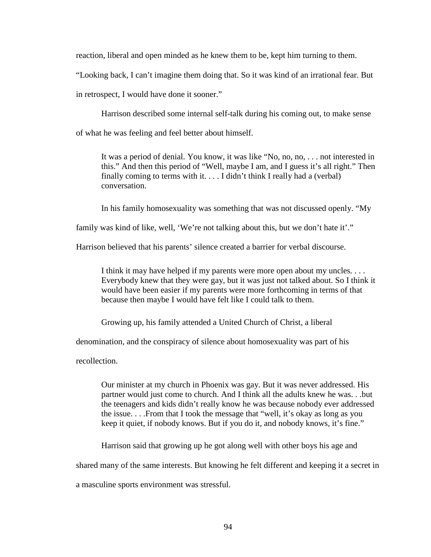reaction, liberal and open minded as he knew them to be, kept him turning to them.

"Looking back, I can't imagine them doing that. So it was kind of an irrational fear. But

in retrospect, I would have done it sooner."

Harrison described some internal self-talk during his coming out, to make sense

of what he was feeling and feel better about himself.

It was a period of denial. You know, it was like "No, no, no, . . . not interested in this." And then this period of "Well, maybe I am, and I guess it's all right." Then finally coming to terms with it.  $\ldots$  I didn't think I really had a (verbal) conversation.

In his family homosexuality was something that was not discussed openly. "My

family was kind of like, well, 'We're not talking about this, but we don't hate it'."

Harrison believed that his parents' silence created a barrier for verbal discourse.

I think it may have helped if my parents were more open about my uncles. . . . Everybody knew that they were gay, but it was just not talked about. So I think it would have been easier if my parents were more forthcoming in terms of that because then maybe I would have felt like I could talk to them.

Growing up, his family attended a United Church of Christ, a liberal

denomination, and the conspiracy of silence about homosexuality was part of his

recollection.

Our minister at my church in Phoenix was gay. But it was never addressed. His partner would just come to church. And I think all the adults knew he was. . .but the teenagers and kids didn't really know he was because nobody ever addressed the issue. . . .From that I took the message that "well, it's okay as long as you keep it quiet, if nobody knows. But if you do it, and nobody knows, it's fine."

Harrison said that growing up he got along well with other boys his age and

shared many of the same interests. But knowing he felt different and keeping it a secret in

a masculine sports environment was stressful.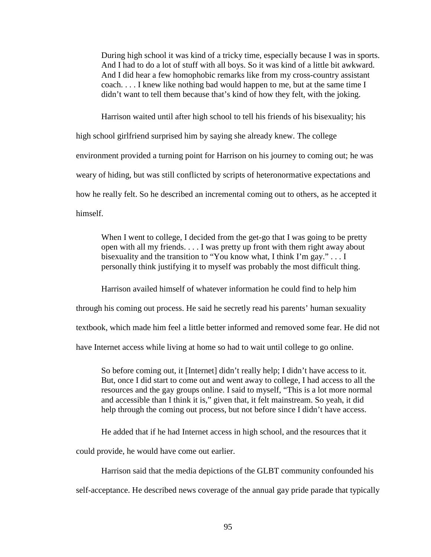During high school it was kind of a tricky time, especially because I was in sports. And I had to do a lot of stuff with all boys. So it was kind of a little bit awkward. And I did hear a few homophobic remarks like from my cross-country assistant coach. . . . I knew like nothing bad would happen to me, but at the same time I didn't want to tell them because that's kind of how they felt, with the joking.

Harrison waited until after high school to tell his friends of his bisexuality; his

high school girlfriend surprised him by saying she already knew. The college environment provided a turning point for Harrison on his journey to coming out; he was weary of hiding, but was still conflicted by scripts of heteronormative expectations and how he really felt. So he described an incremental coming out to others, as he accepted it himself.

When I went to college, I decided from the get-go that I was going to be pretty open with all my friends. . . . I was pretty up front with them right away about bisexuality and the transition to "You know what, I think I'm gay." . . . I personally think justifying it to myself was probably the most difficult thing.

Harrison availed himself of whatever information he could find to help him

through his coming out process. He said he secretly read his parents' human sexuality

textbook, which made him feel a little better informed and removed some fear. He did not

have Internet access while living at home so had to wait until college to go online.

So before coming out, it [Internet] didn't really help; I didn't have access to it. But, once I did start to come out and went away to college, I had access to all the resources and the gay groups online. I said to myself, "This is a lot more normal and accessible than I think it is," given that, it felt mainstream. So yeah, it did help through the coming out process, but not before since I didn't have access.

He added that if he had Internet access in high school, and the resources that it

could provide, he would have come out earlier.

Harrison said that the media depictions of the GLBT community confounded his

self-acceptance. He described news coverage of the annual gay pride parade that typically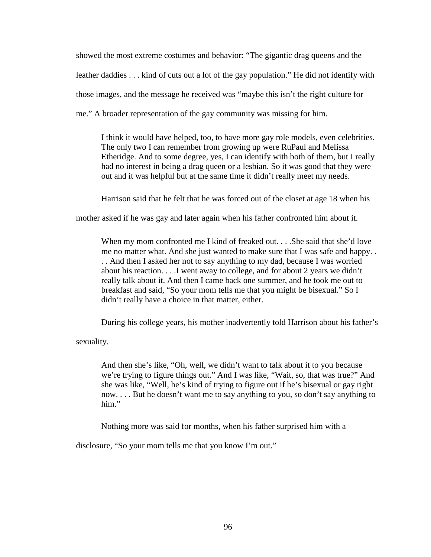showed the most extreme costumes and behavior: "The gigantic drag queens and the leather daddies . . . kind of cuts out a lot of the gay population." He did not identify with those images, and the message he received was "maybe this isn't the right culture for me." A broader representation of the gay community was missing for him.

I think it would have helped, too, to have more gay role models, even celebrities. The only two I can remember from growing up were RuPaul and Melissa Etheridge. And to some degree, yes, I can identify with both of them, but I really had no interest in being a drag queen or a lesbian. So it was good that they were out and it was helpful but at the same time it didn't really meet my needs.

Harrison said that he felt that he was forced out of the closet at age 18 when his

mother asked if he was gay and later again when his father confronted him about it.

When my mom confronted me I kind of freaked out. . . .She said that she'd love me no matter what. And she just wanted to make sure that I was safe and happy. . . . And then I asked her not to say anything to my dad, because I was worried about his reaction. . . .I went away to college, and for about 2 years we didn't really talk about it. And then I came back one summer, and he took me out to breakfast and said, "So your mom tells me that you might be bisexual." So I didn't really have a choice in that matter, either.

During his college years, his mother inadvertently told Harrison about his father's

sexuality.

And then she's like, "Oh, well, we didn't want to talk about it to you because we're trying to figure things out." And I was like, "Wait, so, that was true?" And she was like, "Well, he's kind of trying to figure out if he's bisexual or gay right now. . . . But he doesn't want me to say anything to you, so don't say anything to him."

Nothing more was said for months, when his father surprised him with a

disclosure, "So your mom tells me that you know I'm out."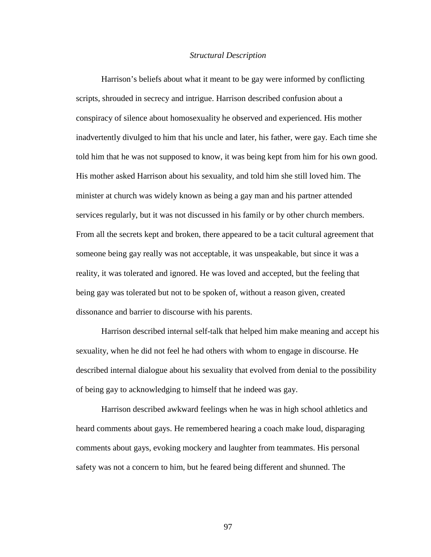#### *Structural Description*

Harrison's beliefs about what it meant to be gay were informed by conflicting scripts, shrouded in secrecy and intrigue. Harrison described confusion about a conspiracy of silence about homosexuality he observed and experienced. His mother inadvertently divulged to him that his uncle and later, his father, were gay. Each time she told him that he was not supposed to know, it was being kept from him for his own good. His mother asked Harrison about his sexuality, and told him she still loved him. The minister at church was widely known as being a gay man and his partner attended services regularly, but it was not discussed in his family or by other church members. From all the secrets kept and broken, there appeared to be a tacit cultural agreement that someone being gay really was not acceptable, it was unspeakable, but since it was a reality, it was tolerated and ignored. He was loved and accepted, but the feeling that being gay was tolerated but not to be spoken of, without a reason given, created dissonance and barrier to discourse with his parents.

Harrison described internal self-talk that helped him make meaning and accept his sexuality, when he did not feel he had others with whom to engage in discourse. He described internal dialogue about his sexuality that evolved from denial to the possibility of being gay to acknowledging to himself that he indeed was gay.

Harrison described awkward feelings when he was in high school athletics and heard comments about gays. He remembered hearing a coach make loud, disparaging comments about gays, evoking mockery and laughter from teammates. His personal safety was not a concern to him, but he feared being different and shunned. The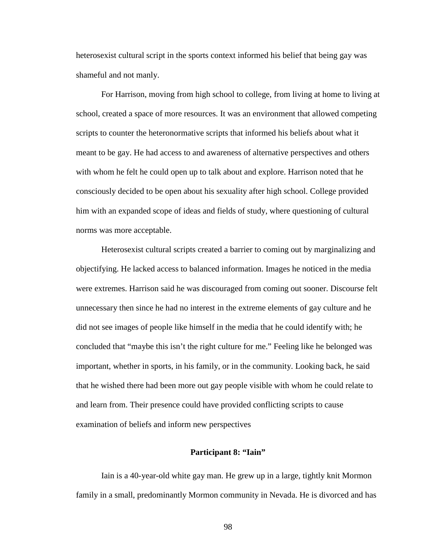heterosexist cultural script in the sports context informed his belief that being gay was shameful and not manly.

For Harrison, moving from high school to college, from living at home to living at school, created a space of more resources. It was an environment that allowed competing scripts to counter the heteronormative scripts that informed his beliefs about what it meant to be gay. He had access to and awareness of alternative perspectives and others with whom he felt he could open up to talk about and explore. Harrison noted that he consciously decided to be open about his sexuality after high school. College provided him with an expanded scope of ideas and fields of study, where questioning of cultural norms was more acceptable.

Heterosexist cultural scripts created a barrier to coming out by marginalizing and objectifying. He lacked access to balanced information. Images he noticed in the media were extremes. Harrison said he was discouraged from coming out sooner. Discourse felt unnecessary then since he had no interest in the extreme elements of gay culture and he did not see images of people like himself in the media that he could identify with; he concluded that "maybe this isn't the right culture for me." Feeling like he belonged was important, whether in sports, in his family, or in the community. Looking back, he said that he wished there had been more out gay people visible with whom he could relate to and learn from. Their presence could have provided conflicting scripts to cause examination of beliefs and inform new perspectives

## **Participant 8: "Iain"**

Iain is a 40-year-old white gay man. He grew up in a large, tightly knit Mormon family in a small, predominantly Mormon community in Nevada. He is divorced and has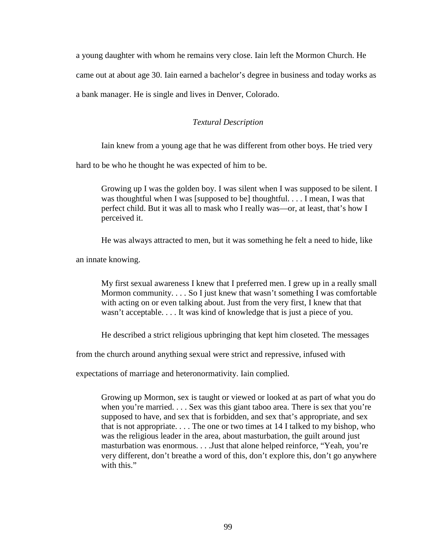a young daughter with whom he remains very close. Iain left the Mormon Church. He came out at about age 30. Iain earned a bachelor's degree in business and today works as a bank manager. He is single and lives in Denver, Colorado.

# *Textural Description*

Iain knew from a young age that he was different from other boys. He tried very

hard to be who he thought he was expected of him to be.

Growing up I was the golden boy. I was silent when I was supposed to be silent. I was thoughtful when I was [supposed to be] thoughtful. . . . I mean, I was that perfect child. But it was all to mask who I really was—or, at least, that's how I perceived it.

He was always attracted to men, but it was something he felt a need to hide, like

an innate knowing.

My first sexual awareness I knew that I preferred men. I grew up in a really small Mormon community. . . . So I just knew that wasn't something I was comfortable with acting on or even talking about. Just from the very first, I knew that that wasn't acceptable. . . . It was kind of knowledge that is just a piece of you.

He described a strict religious upbringing that kept him closeted. The messages

from the church around anything sexual were strict and repressive, infused with

expectations of marriage and heteronormativity. Iain complied.

Growing up Mormon, sex is taught or viewed or looked at as part of what you do when you're married. . . . Sex was this giant taboo area. There is sex that you're supposed to have, and sex that is forbidden, and sex that's appropriate, and sex that is not appropriate. . . . The one or two times at 14 I talked to my bishop, who was the religious leader in the area, about masturbation, the guilt around just masturbation was enormous. . . .Just that alone helped reinforce, "Yeah, you're very different, don't breathe a word of this, don't explore this, don't go anywhere with this."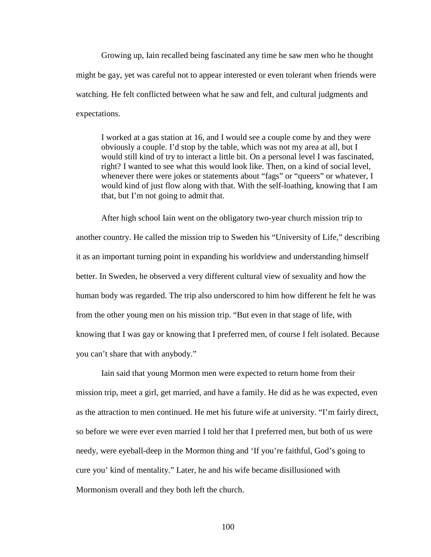Growing up, Iain recalled being fascinated any time he saw men who he thought might be gay, yet was careful not to appear interested or even tolerant when friends were watching. He felt conflicted between what he saw and felt, and cultural judgments and expectations.

I worked at a gas station at 16, and I would see a couple come by and they were obviously a couple. I'd stop by the table, which was not my area at all, but I would still kind of try to interact a little bit. On a personal level I was fascinated, right? I wanted to see what this would look like. Then, on a kind of social level, whenever there were jokes or statements about "fags" or "queers" or whatever, I would kind of just flow along with that. With the self-loathing, knowing that I am that, but I'm not going to admit that.

After high school Iain went on the obligatory two-year church mission trip to another country. He called the mission trip to Sweden his "University of Life," describing it as an important turning point in expanding his worldview and understanding himself better. In Sweden, he observed a very different cultural view of sexuality and how the human body was regarded. The trip also underscored to him how different he felt he was from the other young men on his mission trip. "But even in that stage of life, with knowing that I was gay or knowing that I preferred men, of course I felt isolated. Because you can't share that with anybody."

Iain said that young Mormon men were expected to return home from their mission trip, meet a girl, get married, and have a family. He did as he was expected, even as the attraction to men continued. He met his future wife at university. "I'm fairly direct, so before we were ever even married I told her that I preferred men, but both of us were needy, were eyeball-deep in the Mormon thing and 'If you're faithful, God's going to cure you' kind of mentality." Later, he and his wife became disillusioned with Mormonism overall and they both left the church.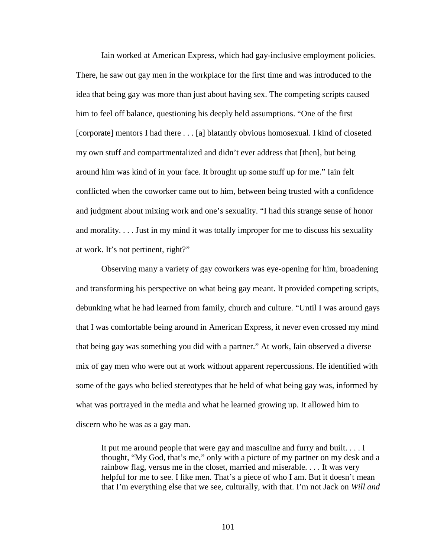Iain worked at American Express, which had gay-inclusive employment policies. There, he saw out gay men in the workplace for the first time and was introduced to the idea that being gay was more than just about having sex. The competing scripts caused him to feel off balance, questioning his deeply held assumptions. "One of the first [corporate] mentors I had there . . . [a] blatantly obvious homosexual. I kind of closeted my own stuff and compartmentalized and didn't ever address that [then], but being around him was kind of in your face. It brought up some stuff up for me." Iain felt conflicted when the coworker came out to him, between being trusted with a confidence and judgment about mixing work and one's sexuality. "I had this strange sense of honor and morality. . . . Just in my mind it was totally improper for me to discuss his sexuality at work. It's not pertinent, right?"

Observing many a variety of gay coworkers was eye-opening for him, broadening and transforming his perspective on what being gay meant. It provided competing scripts, debunking what he had learned from family, church and culture. "Until I was around gays that I was comfortable being around in American Express, it never even crossed my mind that being gay was something you did with a partner." At work, Iain observed a diverse mix of gay men who were out at work without apparent repercussions. He identified with some of the gays who belied stereotypes that he held of what being gay was, informed by what was portrayed in the media and what he learned growing up. It allowed him to discern who he was as a gay man.

It put me around people that were gay and masculine and furry and built. . . . I thought, "My God, that's me," only with a picture of my partner on my desk and a rainbow flag, versus me in the closet, married and miserable. . . . It was very helpful for me to see. I like men. That's a piece of who I am. But it doesn't mean that I'm everything else that we see, culturally, with that. I'm not Jack on *Will and*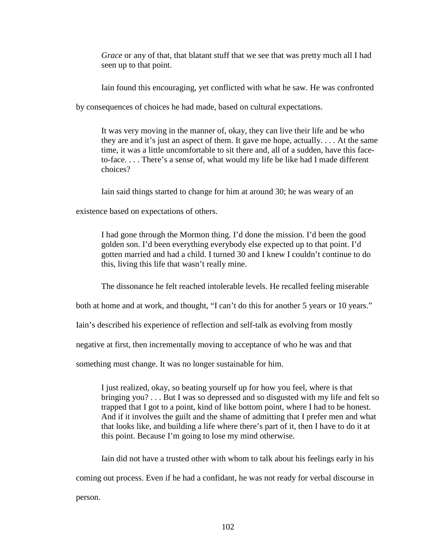*Grace* or any of that, that blatant stuff that we see that was pretty much all I had seen up to that point.

Iain found this encouraging, yet conflicted with what he saw. He was confronted

by consequences of choices he had made, based on cultural expectations.

It was very moving in the manner of, okay, they can live their life and be who they are and it's just an aspect of them. It gave me hope, actually. . . . At the same time, it was a little uncomfortable to sit there and, all of a sudden, have this faceto-face. . . . There's a sense of, what would my life be like had I made different choices?

Iain said things started to change for him at around 30; he was weary of an

existence based on expectations of others.

I had gone through the Mormon thing. I'd done the mission. I'd been the good golden son. I'd been everything everybody else expected up to that point. I'd gotten married and had a child. I turned 30 and I knew I couldn't continue to do this, living this life that wasn't really mine.

The dissonance he felt reached intolerable levels. He recalled feeling miserable

both at home and at work, and thought, "I can't do this for another 5 years or 10 years."

Iain's described his experience of reflection and self-talk as evolving from mostly

negative at first, then incrementally moving to acceptance of who he was and that

something must change. It was no longer sustainable for him.

I just realized, okay, so beating yourself up for how you feel, where is that bringing you? . . . But I was so depressed and so disgusted with my life and felt so trapped that I got to a point, kind of like bottom point, where I had to be honest. And if it involves the guilt and the shame of admitting that I prefer men and what that looks like, and building a life where there's part of it, then I have to do it at this point. Because I'm going to lose my mind otherwise.

Iain did not have a trusted other with whom to talk about his feelings early in his coming out process. Even if he had a confidant, he was not ready for verbal discourse in person.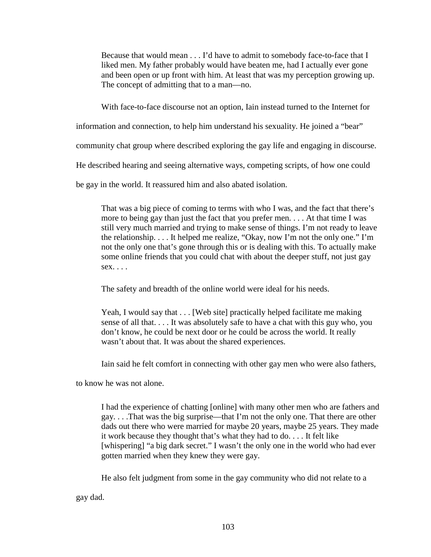Because that would mean . . . I'd have to admit to somebody face-to-face that I liked men. My father probably would have beaten me, had I actually ever gone and been open or up front with him. At least that was my perception growing up. The concept of admitting that to a man—no.

With face-to-face discourse not an option, Iain instead turned to the Internet for

information and connection, to help him understand his sexuality. He joined a "bear"

community chat group where described exploring the gay life and engaging in discourse.

He described hearing and seeing alternative ways, competing scripts, of how one could

be gay in the world. It reassured him and also abated isolation.

That was a big piece of coming to terms with who I was, and the fact that there's more to being gay than just the fact that you prefer men. . . . At that time I was still very much married and trying to make sense of things. I'm not ready to leave the relationship. . . . It helped me realize, "Okay, now I'm not the only one." I'm not the only one that's gone through this or is dealing with this. To actually make some online friends that you could chat with about the deeper stuff, not just gay  $sex. \ldots$ 

The safety and breadth of the online world were ideal for his needs.

Yeah, I would say that . . . [Web site] practically helped facilitate me making sense of all that. . . . It was absolutely safe to have a chat with this guy who, you don't know, he could be next door or he could be across the world. It really wasn't about that. It was about the shared experiences.

Iain said he felt comfort in connecting with other gay men who were also fathers,

to know he was not alone.

I had the experience of chatting [online] with many other men who are fathers and gay. . . .That was the big surprise—that I'm not the only one. That there are other dads out there who were married for maybe 20 years, maybe 25 years. They made it work because they thought that's what they had to do. . . . It felt like [whispering] "a big dark secret." I wasn't the only one in the world who had ever gotten married when they knew they were gay.

He also felt judgment from some in the gay community who did not relate to a

gay dad.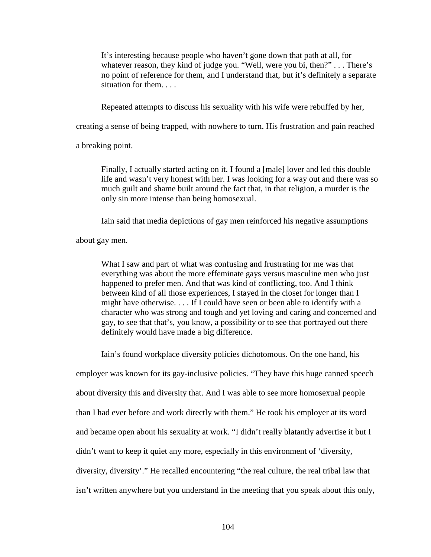It's interesting because people who haven't gone down that path at all, for whatever reason, they kind of judge you. "Well, were you bi, then?" . . . There's no point of reference for them, and I understand that, but it's definitely a separate situation for them. . . .

Repeated attempts to discuss his sexuality with his wife were rebuffed by her,

creating a sense of being trapped, with nowhere to turn. His frustration and pain reached

a breaking point.

Finally, I actually started acting on it. I found a [male] lover and led this double life and wasn't very honest with her. I was looking for a way out and there was so much guilt and shame built around the fact that, in that religion, a murder is the only sin more intense than being homosexual.

Iain said that media depictions of gay men reinforced his negative assumptions

about gay men.

What I saw and part of what was confusing and frustrating for me was that everything was about the more effeminate gays versus masculine men who just happened to prefer men. And that was kind of conflicting, too. And I think between kind of all those experiences, I stayed in the closet for longer than I might have otherwise. . . . If I could have seen or been able to identify with a character who was strong and tough and yet loving and caring and concerned and gay, to see that that's, you know, a possibility or to see that portrayed out there definitely would have made a big difference.

Iain's found workplace diversity policies dichotomous. On the one hand, his

employer was known for its gay-inclusive policies. "They have this huge canned speech about diversity this and diversity that. And I was able to see more homosexual people than I had ever before and work directly with them." He took his employer at its word and became open about his sexuality at work. "I didn't really blatantly advertise it but I didn't want to keep it quiet any more, especially in this environment of 'diversity, diversity, diversity'." He recalled encountering "the real culture, the real tribal law that isn't written anywhere but you understand in the meeting that you speak about this only,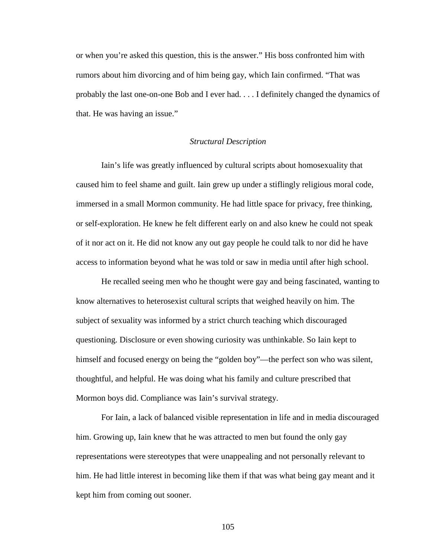or when you're asked this question, this is the answer." His boss confronted him with rumors about him divorcing and of him being gay, which Iain confirmed. "That was probably the last one-on-one Bob and I ever had. . . . I definitely changed the dynamics of that. He was having an issue."

#### *Structural Description*

Iain's life was greatly influenced by cultural scripts about homosexuality that caused him to feel shame and guilt. Iain grew up under a stiflingly religious moral code, immersed in a small Mormon community. He had little space for privacy, free thinking, or self-exploration. He knew he felt different early on and also knew he could not speak of it nor act on it. He did not know any out gay people he could talk to nor did he have access to information beyond what he was told or saw in media until after high school.

He recalled seeing men who he thought were gay and being fascinated, wanting to know alternatives to heterosexist cultural scripts that weighed heavily on him. The subject of sexuality was informed by a strict church teaching which discouraged questioning. Disclosure or even showing curiosity was unthinkable. So Iain kept to himself and focused energy on being the "golden boy"—the perfect son who was silent, thoughtful, and helpful. He was doing what his family and culture prescribed that Mormon boys did. Compliance was Iain's survival strategy.

For Iain, a lack of balanced visible representation in life and in media discouraged him. Growing up, Iain knew that he was attracted to men but found the only gay representations were stereotypes that were unappealing and not personally relevant to him. He had little interest in becoming like them if that was what being gay meant and it kept him from coming out sooner.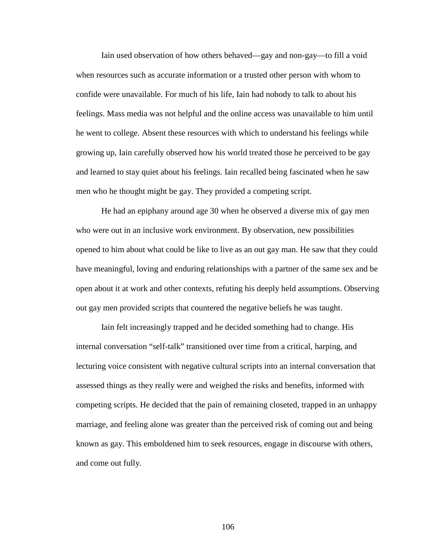Iain used observation of how others behaved—gay and non-gay—to fill a void when resources such as accurate information or a trusted other person with whom to confide were unavailable. For much of his life, Iain had nobody to talk to about his feelings. Mass media was not helpful and the online access was unavailable to him until he went to college. Absent these resources with which to understand his feelings while growing up, Iain carefully observed how his world treated those he perceived to be gay and learned to stay quiet about his feelings. Iain recalled being fascinated when he saw men who he thought might be gay. They provided a competing script.

He had an epiphany around age 30 when he observed a diverse mix of gay men who were out in an inclusive work environment. By observation, new possibilities opened to him about what could be like to live as an out gay man. He saw that they could have meaningful, loving and enduring relationships with a partner of the same sex and be open about it at work and other contexts, refuting his deeply held assumptions. Observing out gay men provided scripts that countered the negative beliefs he was taught.

Iain felt increasingly trapped and he decided something had to change. His internal conversation "self-talk" transitioned over time from a critical, harping, and lecturing voice consistent with negative cultural scripts into an internal conversation that assessed things as they really were and weighed the risks and benefits, informed with competing scripts. He decided that the pain of remaining closeted, trapped in an unhappy marriage, and feeling alone was greater than the perceived risk of coming out and being known as gay. This emboldened him to seek resources, engage in discourse with others, and come out fully.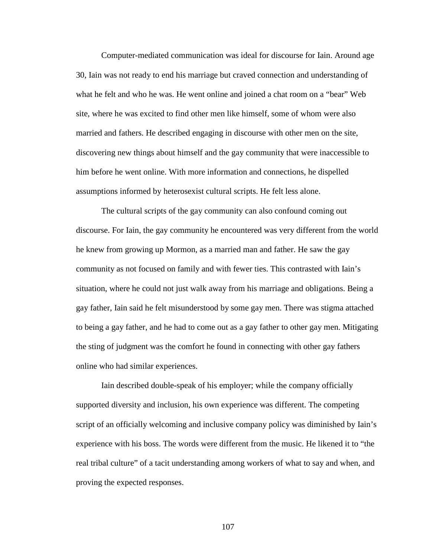Computer-mediated communication was ideal for discourse for Iain. Around age 30, Iain was not ready to end his marriage but craved connection and understanding of what he felt and who he was. He went online and joined a chat room on a "bear" Web site, where he was excited to find other men like himself, some of whom were also married and fathers. He described engaging in discourse with other men on the site, discovering new things about himself and the gay community that were inaccessible to him before he went online. With more information and connections, he dispelled assumptions informed by heterosexist cultural scripts. He felt less alone.

The cultural scripts of the gay community can also confound coming out discourse. For Iain, the gay community he encountered was very different from the world he knew from growing up Mormon, as a married man and father. He saw the gay community as not focused on family and with fewer ties. This contrasted with Iain's situation, where he could not just walk away from his marriage and obligations. Being a gay father, Iain said he felt misunderstood by some gay men. There was stigma attached to being a gay father, and he had to come out as a gay father to other gay men. Mitigating the sting of judgment was the comfort he found in connecting with other gay fathers online who had similar experiences.

Iain described double-speak of his employer; while the company officially supported diversity and inclusion, his own experience was different. The competing script of an officially welcoming and inclusive company policy was diminished by Iain's experience with his boss. The words were different from the music. He likened it to "the real tribal culture" of a tacit understanding among workers of what to say and when, and proving the expected responses.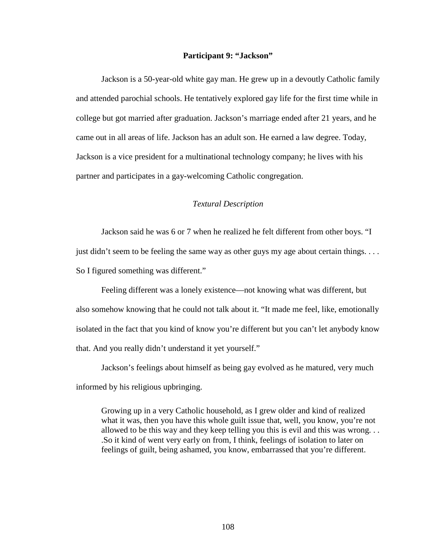#### **Participant 9: "Jackson"**

Jackson is a 50-year-old white gay man. He grew up in a devoutly Catholic family and attended parochial schools. He tentatively explored gay life for the first time while in college but got married after graduation. Jackson's marriage ended after 21 years, and he came out in all areas of life. Jackson has an adult son. He earned a law degree. Today, Jackson is a vice president for a multinational technology company; he lives with his partner and participates in a gay-welcoming Catholic congregation.

#### *Textural Description*

Jackson said he was 6 or 7 when he realized he felt different from other boys. "I just didn't seem to be feeling the same way as other guys my age about certain things. . . . So I figured something was different."

Feeling different was a lonely existence—not knowing what was different, but also somehow knowing that he could not talk about it. "It made me feel, like, emotionally isolated in the fact that you kind of know you're different but you can't let anybody know that. And you really didn't understand it yet yourself."

Jackson's feelings about himself as being gay evolved as he matured, very much informed by his religious upbringing.

Growing up in a very Catholic household, as I grew older and kind of realized what it was, then you have this whole guilt issue that, well, you know, you're not allowed to be this way and they keep telling you this is evil and this was wrong. . . .So it kind of went very early on from, I think, feelings of isolation to later on feelings of guilt, being ashamed, you know, embarrassed that you're different.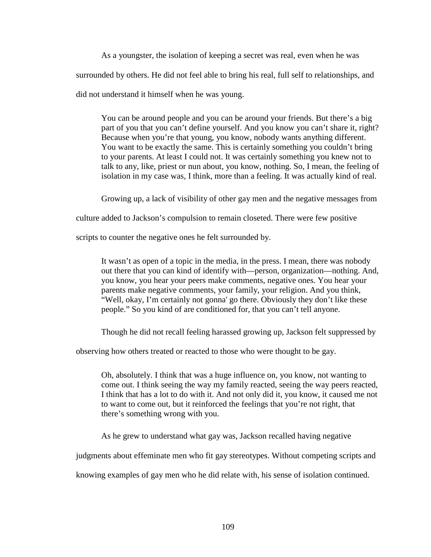As a youngster, the isolation of keeping a secret was real, even when he was surrounded by others. He did not feel able to bring his real, full self to relationships, and did not understand it himself when he was young.

You can be around people and you can be around your friends. But there's a big part of you that you can't define yourself. And you know you can't share it, right? Because when you're that young, you know, nobody wants anything different. You want to be exactly the same. This is certainly something you couldn't bring to your parents. At least I could not. It was certainly something you knew not to talk to any, like, priest or nun about, you know, nothing. So, I mean, the feeling of isolation in my case was, I think, more than a feeling. It was actually kind of real.

Growing up, a lack of visibility of other gay men and the negative messages from

culture added to Jackson's compulsion to remain closeted. There were few positive

scripts to counter the negative ones he felt surrounded by.

It wasn't as open of a topic in the media, in the press. I mean, there was nobody out there that you can kind of identify with—person, organization—nothing. And, you know, you hear your peers make comments, negative ones. You hear your parents make negative comments, your family, your religion. And you think, "Well, okay, I'm certainly not gonna' go there. Obviously they don't like these people." So you kind of are conditioned for, that you can't tell anyone.

Though he did not recall feeling harassed growing up, Jackson felt suppressed by

observing how others treated or reacted to those who were thought to be gay.

Oh, absolutely. I think that was a huge influence on, you know, not wanting to come out. I think seeing the way my family reacted, seeing the way peers reacted, I think that has a lot to do with it. And not only did it, you know, it caused me not to want to come out, but it reinforced the feelings that you're not right, that there's something wrong with you.

As he grew to understand what gay was, Jackson recalled having negative

judgments about effeminate men who fit gay stereotypes. Without competing scripts and

knowing examples of gay men who he did relate with, his sense of isolation continued.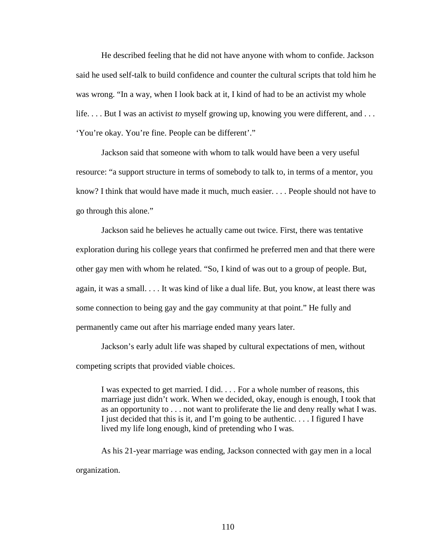He described feeling that he did not have anyone with whom to confide. Jackson said he used self-talk to build confidence and counter the cultural scripts that told him he was wrong. "In a way, when I look back at it, I kind of had to be an activist my whole life. . . . But I was an activist *to* myself growing up, knowing you were different, and . . . 'You're okay. You're fine. People can be different'."

Jackson said that someone with whom to talk would have been a very useful resource: "a support structure in terms of somebody to talk to, in terms of a mentor, you know? I think that would have made it much, much easier. . . . People should not have to go through this alone."

Jackson said he believes he actually came out twice. First, there was tentative exploration during his college years that confirmed he preferred men and that there were other gay men with whom he related. "So, I kind of was out to a group of people. But, again, it was a small. . . . It was kind of like a dual life. But, you know, at least there was some connection to being gay and the gay community at that point." He fully and permanently came out after his marriage ended many years later.

Jackson's early adult life was shaped by cultural expectations of men, without competing scripts that provided viable choices.

I was expected to get married. I did. . . . For a whole number of reasons, this marriage just didn't work. When we decided, okay, enough is enough, I took that as an opportunity to . . . not want to proliferate the lie and deny really what I was. I just decided that this is it, and I'm going to be authentic. . . . I figured I have lived my life long enough, kind of pretending who I was.

As his 21-year marriage was ending, Jackson connected with gay men in a local organization.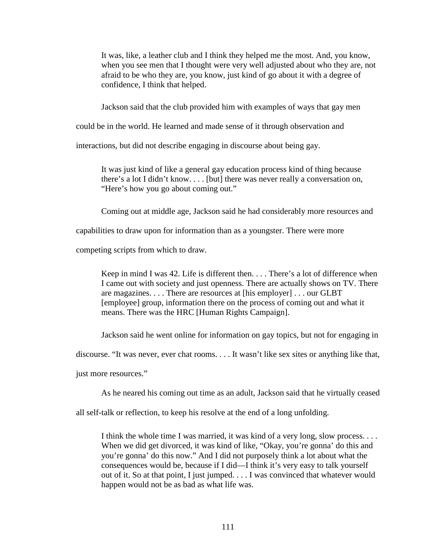It was, like, a leather club and I think they helped me the most. And, you know, when you see men that I thought were very well adjusted about who they are, not afraid to be who they are, you know, just kind of go about it with a degree of confidence, I think that helped.

Jackson said that the club provided him with examples of ways that gay men

could be in the world. He learned and made sense of it through observation and

interactions, but did not describe engaging in discourse about being gay.

It was just kind of like a general gay education process kind of thing because there's a lot I didn't know. . . . [but] there was never really a conversation on, "Here's how you go about coming out."

Coming out at middle age, Jackson said he had considerably more resources and

capabilities to draw upon for information than as a youngster. There were more

competing scripts from which to draw.

Keep in mind I was 42. Life is different then. . . . There's a lot of difference when I came out with society and just openness. There are actually shows on TV. There are magazines. . . . There are resources at [his employer] . . . our GLBT [employee] group, information there on the process of coming out and what it means. There was the HRC [Human Rights Campaign].

Jackson said he went online for information on gay topics, but not for engaging in

discourse. "It was never, ever chat rooms. . . . It wasn't like sex sites or anything like that,

just more resources."

As he neared his coming out time as an adult, Jackson said that he virtually ceased

all self-talk or reflection, to keep his resolve at the end of a long unfolding.

I think the whole time I was married, it was kind of a very long, slow process. . . . When we did get divorced, it was kind of like, "Okay, you're gonna' do this and you're gonna' do this now." And I did not purposely think a lot about what the consequences would be, because if I did—I think it's very easy to talk yourself out of it. So at that point, I just jumped. . . . I was convinced that whatever would happen would not be as bad as what life was.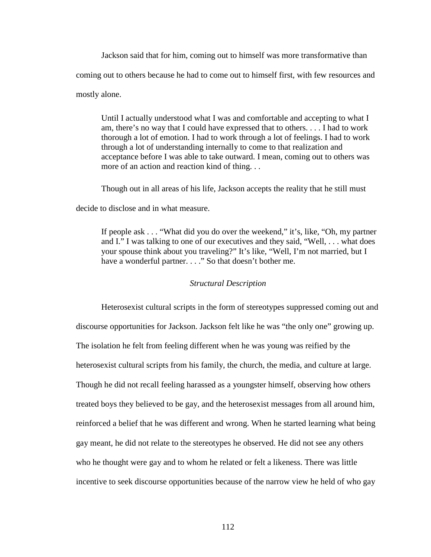Jackson said that for him, coming out to himself was more transformative than coming out to others because he had to come out to himself first, with few resources and mostly alone.

Until I actually understood what I was and comfortable and accepting to what I am, there's no way that I could have expressed that to others. . . . I had to work thorough a lot of emotion. I had to work through a lot of feelings. I had to work through a lot of understanding internally to come to that realization and acceptance before I was able to take outward. I mean, coming out to others was more of an action and reaction kind of thing. . .

Though out in all areas of his life, Jackson accepts the reality that he still must decide to disclose and in what measure.

If people ask . . . "What did you do over the weekend," it's, like, "Oh, my partner and I." I was talking to one of our executives and they said, "Well, . . . what does your spouse think about you traveling?" It's like, "Well, I'm not married, but I have a wonderful partner. . . ." So that doesn't bother me.

## *Structural Description*

Heterosexist cultural scripts in the form of stereotypes suppressed coming out and discourse opportunities for Jackson. Jackson felt like he was "the only one" growing up. The isolation he felt from feeling different when he was young was reified by the heterosexist cultural scripts from his family, the church, the media, and culture at large. Though he did not recall feeling harassed as a youngster himself, observing how others treated boys they believed to be gay, and the heterosexist messages from all around him, reinforced a belief that he was different and wrong. When he started learning what being gay meant, he did not relate to the stereotypes he observed. He did not see any others who he thought were gay and to whom he related or felt a likeness. There was little incentive to seek discourse opportunities because of the narrow view he held of who gay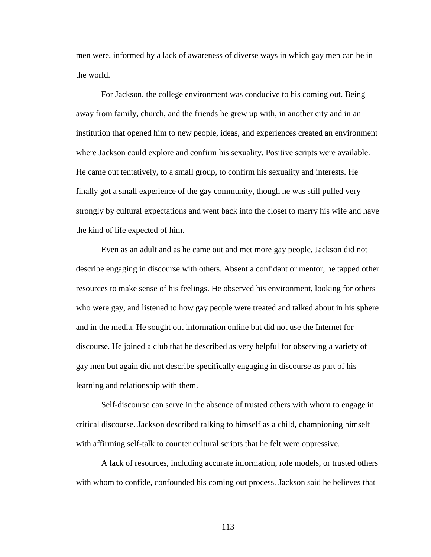men were, informed by a lack of awareness of diverse ways in which gay men can be in the world.

For Jackson, the college environment was conducive to his coming out. Being away from family, church, and the friends he grew up with, in another city and in an institution that opened him to new people, ideas, and experiences created an environment where Jackson could explore and confirm his sexuality. Positive scripts were available. He came out tentatively, to a small group, to confirm his sexuality and interests. He finally got a small experience of the gay community, though he was still pulled very strongly by cultural expectations and went back into the closet to marry his wife and have the kind of life expected of him.

Even as an adult and as he came out and met more gay people, Jackson did not describe engaging in discourse with others. Absent a confidant or mentor, he tapped other resources to make sense of his feelings. He observed his environment, looking for others who were gay, and listened to how gay people were treated and talked about in his sphere and in the media. He sought out information online but did not use the Internet for discourse. He joined a club that he described as very helpful for observing a variety of gay men but again did not describe specifically engaging in discourse as part of his learning and relationship with them.

Self-discourse can serve in the absence of trusted others with whom to engage in critical discourse. Jackson described talking to himself as a child, championing himself with affirming self-talk to counter cultural scripts that he felt were oppressive.

A lack of resources, including accurate information, role models, or trusted others with whom to confide, confounded his coming out process. Jackson said he believes that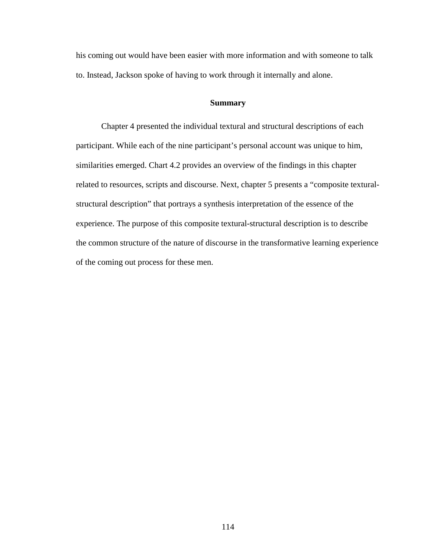his coming out would have been easier with more information and with someone to talk to. Instead, Jackson spoke of having to work through it internally and alone.

## **Summary**

Chapter 4 presented the individual textural and structural descriptions of each participant. While each of the nine participant's personal account was unique to him, similarities emerged. Chart 4.2 provides an overview of the findings in this chapter related to resources, scripts and discourse. Next, chapter 5 presents a "composite texturalstructural description" that portrays a synthesis interpretation of the essence of the experience. The purpose of this composite textural-structural description is to describe the common structure of the nature of discourse in the transformative learning experience of the coming out process for these men.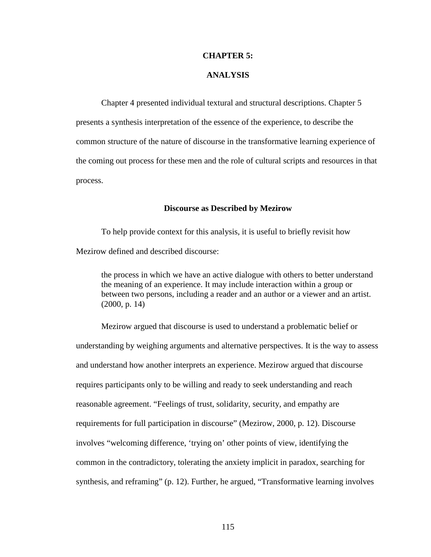#### **CHAPTER 5:**

## **ANALYSIS**

Chapter 4 presented individual textural and structural descriptions. Chapter 5 presents a synthesis interpretation of the essence of the experience, to describe the common structure of the nature of discourse in the transformative learning experience of the coming out process for these men and the role of cultural scripts and resources in that process.

## **Discourse as Described by Mezirow**

To help provide context for this analysis, it is useful to briefly revisit how Mezirow defined and described discourse:

the process in which we have an active dialogue with others to better understand the meaning of an experience. It may include interaction within a group or between two persons, including a reader and an author or a viewer and an artist. (2000, p. 14)

Mezirow argued that discourse is used to understand a problematic belief or understanding by weighing arguments and alternative perspectives. It is the way to assess and understand how another interprets an experience. Mezirow argued that discourse requires participants only to be willing and ready to seek understanding and reach reasonable agreement. "Feelings of trust, solidarity, security, and empathy are requirements for full participation in discourse" (Mezirow, 2000, p. 12). Discourse involves "welcoming difference, 'trying on' other points of view, identifying the common in the contradictory, tolerating the anxiety implicit in paradox, searching for synthesis, and reframing" (p. 12). Further, he argued, "Transformative learning involves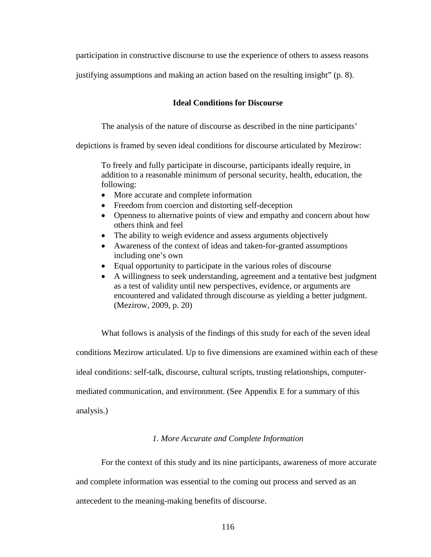participation in constructive discourse to use the experience of others to assess reasons

justifying assumptions and making an action based on the resulting insight" (p. 8).

## **Ideal Conditions for Discourse**

The analysis of the nature of discourse as described in the nine participants'

depictions is framed by seven ideal conditions for discourse articulated by Mezirow:

To freely and fully participate in discourse, participants ideally require, in addition to a reasonable minimum of personal security, health, education, the following:

- More accurate and complete information
- Freedom from coercion and distorting self-deception
- Openness to alternative points of view and empathy and concern about how others think and feel
- The ability to weigh evidence and assess arguments objectively
- Awareness of the context of ideas and taken-for-granted assumptions including one's own
- Equal opportunity to participate in the various roles of discourse
- A willingness to seek understanding, agreement and a tentative best judgment as a test of validity until new perspectives, evidence, or arguments are encountered and validated through discourse as yielding a better judgment. (Mezirow, 2009, p. 20)

What follows is analysis of the findings of this study for each of the seven ideal conditions Mezirow articulated. Up to five dimensions are examined within each of these ideal conditions: self-talk, discourse, cultural scripts, trusting relationships, computermediated communication, and environment. (See Appendix E for a summary of this analysis.)

# *1. More Accurate and Complete Information*

For the context of this study and its nine participants, awareness of more accurate and complete information was essential to the coming out process and served as an antecedent to the meaning-making benefits of discourse.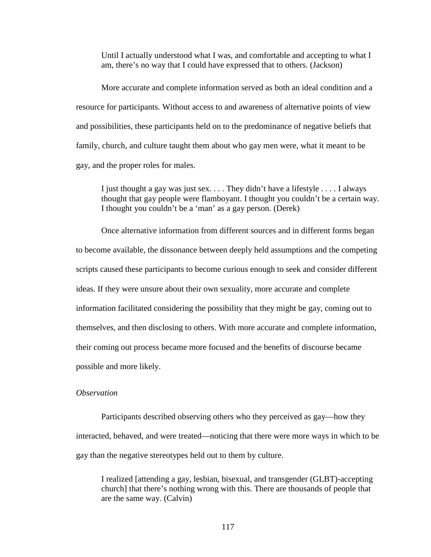Until I actually understood what I was, and comfortable and accepting to what I am, there's no way that I could have expressed that to others. (Jackson)

More accurate and complete information served as both an ideal condition and a resource for participants. Without access to and awareness of alternative points of view and possibilities, these participants held on to the predominance of negative beliefs that family, church, and culture taught them about who gay men were, what it meant to be gay, and the proper roles for males.

I just thought a gay was just sex. . . . They didn't have a lifestyle . . . . I always thought that gay people were flamboyant. I thought you couldn't be a certain way. I thought you couldn't be a 'man' as a gay person. (Derek)

Once alternative information from different sources and in different forms began to become available, the dissonance between deeply held assumptions and the competing scripts caused these participants to become curious enough to seek and consider different ideas. If they were unsure about their own sexuality, more accurate and complete information facilitated considering the possibility that they might be gay, coming out to themselves, and then disclosing to others. With more accurate and complete information, their coming out process became more focused and the benefits of discourse became possible and more likely.

# *Observation*

Participants described observing others who they perceived as gay—how they interacted, behaved, and were treated—noticing that there were more ways in which to be gay than the negative stereotypes held out to them by culture.

I realized [attending a gay, lesbian, bisexual, and transgender (GLBT)-accepting church] that there's nothing wrong with this. There are thousands of people that are the same way. (Calvin)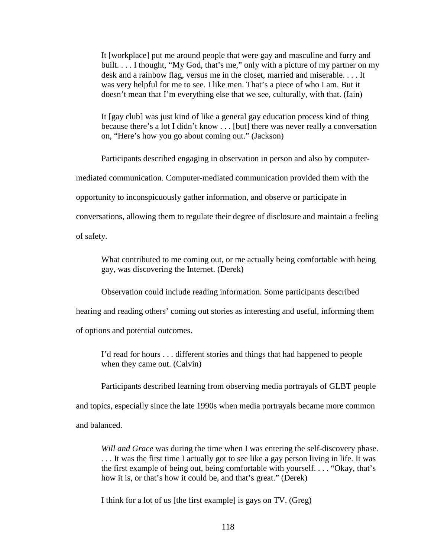It [workplace] put me around people that were gay and masculine and furry and built. . . . I thought, "My God, that's me," only with a picture of my partner on my desk and a rainbow flag, versus me in the closet, married and miserable. . . . It was very helpful for me to see. I like men. That's a piece of who I am. But it doesn't mean that I'm everything else that we see, culturally, with that. (Iain)

It [gay club] was just kind of like a general gay education process kind of thing because there's a lot I didn't know . . . [but] there was never really a conversation on, "Here's how you go about coming out." (Jackson)

Participants described engaging in observation in person and also by computer-

mediated communication. Computer-mediated communication provided them with the

opportunity to inconspicuously gather information, and observe or participate in

conversations, allowing them to regulate their degree of disclosure and maintain a feeling

of safety.

What contributed to me coming out, or me actually being comfortable with being gay, was discovering the Internet. (Derek)

Observation could include reading information. Some participants described

hearing and reading others' coming out stories as interesting and useful, informing them

of options and potential outcomes.

I'd read for hours . . . different stories and things that had happened to people when they came out. (Calvin)

Participants described learning from observing media portrayals of GLBT people and topics, especially since the late 1990s when media portrayals became more common

and balanced.

*Will and Grace* was during the time when I was entering the self-discovery phase. . . . It was the first time I actually got to see like a gay person living in life. It was the first example of being out, being comfortable with yourself. . . . "Okay, that's how it is, or that's how it could be, and that's great." (Derek)

I think for a lot of us [the first example] is gays on TV. (Greg)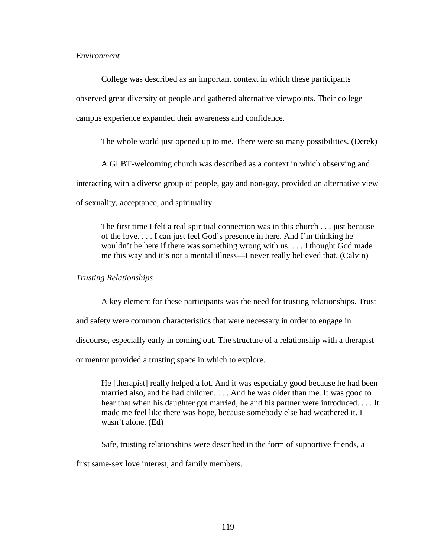## *Environment*

College was described as an important context in which these participants observed great diversity of people and gathered alternative viewpoints. Their college campus experience expanded their awareness and confidence.

The whole world just opened up to me. There were so many possibilities. (Derek)

A GLBT-welcoming church was described as a context in which observing and

interacting with a diverse group of people, gay and non-gay, provided an alternative view

of sexuality, acceptance, and spirituality.

The first time I felt a real spiritual connection was in this church . . . just because of the love. . . . I can just feel God's presence in here. And I'm thinking he wouldn't be here if there was something wrong with us. . . . I thought God made me this way and it's not a mental illness—I never really believed that. (Calvin)

*Trusting Relationships* 

A key element for these participants was the need for trusting relationships. Trust and safety were common characteristics that were necessary in order to engage in discourse, especially early in coming out. The structure of a relationship with a therapist or mentor provided a trusting space in which to explore.

He [therapist] really helped a lot. And it was especially good because he had been married also, and he had children. . . . And he was older than me. It was good to hear that when his daughter got married, he and his partner were introduced. . . . It made me feel like there was hope, because somebody else had weathered it. I wasn't alone. (Ed)

Safe, trusting relationships were described in the form of supportive friends, a

first same-sex love interest, and family members.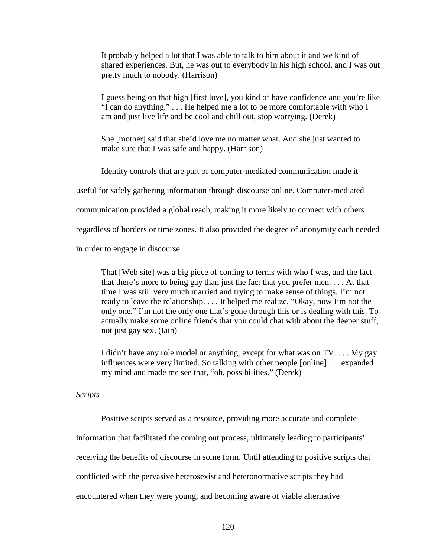It probably helped a lot that I was able to talk to him about it and we kind of shared experiences. But, he was out to everybody in his high school, and I was out pretty much to nobody. (Harrison)

I guess being on that high [first love], you kind of have confidence and you're like "I can do anything." . . . He helped me a lot to be more comfortable with who I am and just live life and be cool and chill out, stop worrying. (Derek)

She [mother] said that she'd love me no matter what. And she just wanted to make sure that I was safe and happy. (Harrison)

Identity controls that are part of computer-mediated communication made it

useful for safely gathering information through discourse online. Computer-mediated

communication provided a global reach, making it more likely to connect with others

regardless of borders or time zones. It also provided the degree of anonymity each needed

in order to engage in discourse.

That [Web site] was a big piece of coming to terms with who I was, and the fact that there's more to being gay than just the fact that you prefer men. . . . At that time I was still very much married and trying to make sense of things. I'm not ready to leave the relationship. . . . It helped me realize, "Okay, now I'm not the only one." I'm not the only one that's gone through this or is dealing with this. To actually make some online friends that you could chat with about the deeper stuff, not just gay sex. (Iain)

I didn't have any role model or anything, except for what was on TV. . . . My gay influences were very limited. So talking with other people [online] . . . expanded my mind and made me see that, "oh, possibilities." (Derek)

*Scripts* 

Positive scripts served as a resource, providing more accurate and complete

information that facilitated the coming out process, ultimately leading to participants'

receiving the benefits of discourse in some form. Until attending to positive scripts that

conflicted with the pervasive heterosexist and heteronormative scripts they had

encountered when they were young, and becoming aware of viable alternative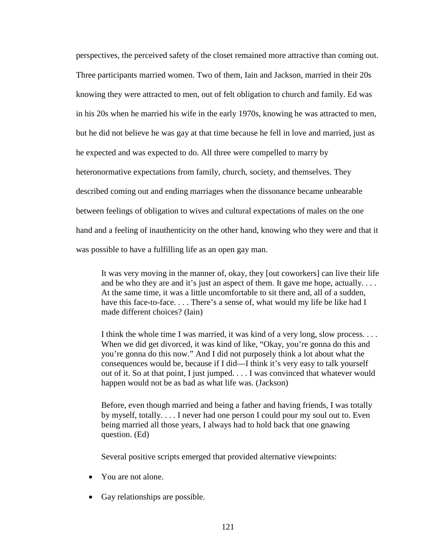perspectives, the perceived safety of the closet remained more attractive than coming out. Three participants married women. Two of them, Iain and Jackson, married in their 20s knowing they were attracted to men, out of felt obligation to church and family. Ed was in his 20s when he married his wife in the early 1970s, knowing he was attracted to men, but he did not believe he was gay at that time because he fell in love and married, just as he expected and was expected to do. All three were compelled to marry by heteronormative expectations from family, church, society, and themselves. They described coming out and ending marriages when the dissonance became unbearable between feelings of obligation to wives and cultural expectations of males on the one hand and a feeling of inauthenticity on the other hand, knowing who they were and that it was possible to have a fulfilling life as an open gay man.

It was very moving in the manner of, okay, they [out coworkers] can live their life and be who they are and it's just an aspect of them. It gave me hope, actually. . . . At the same time, it was a little uncomfortable to sit there and, all of a sudden, have this face-to-face. . . . There's a sense of, what would my life be like had I made different choices? (Iain)

I think the whole time I was married, it was kind of a very long, slow process. . . . When we did get divorced, it was kind of like, "Okay, you're gonna do this and you're gonna do this now." And I did not purposely think a lot about what the consequences would be, because if I did—I think it's very easy to talk yourself out of it. So at that point, I just jumped. . . . I was convinced that whatever would happen would not be as bad as what life was. (Jackson)

Before, even though married and being a father and having friends, I was totally by myself, totally. . . . I never had one person I could pour my soul out to. Even being married all those years, I always had to hold back that one gnawing question. (Ed)

Several positive scripts emerged that provided alternative viewpoints:

- You are not alone.
- Gay relationships are possible.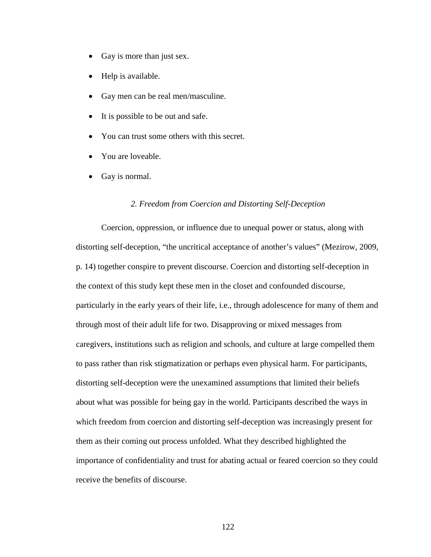- Gay is more than just sex.
- Help is available.
- Gay men can be real men/masculine.
- It is possible to be out and safe.
- You can trust some others with this secret.
- You are loveable.
- Gay is normal.

#### *2. Freedom from Coercion and Distorting Self-Deception*

Coercion, oppression, or influence due to unequal power or status, along with distorting self-deception, "the uncritical acceptance of another's values" (Mezirow, 2009, p. 14) together conspire to prevent discourse. Coercion and distorting self-deception in the context of this study kept these men in the closet and confounded discourse, particularly in the early years of their life, i.e., through adolescence for many of them and through most of their adult life for two. Disapproving or mixed messages from caregivers, institutions such as religion and schools, and culture at large compelled them to pass rather than risk stigmatization or perhaps even physical harm. For participants, distorting self-deception were the unexamined assumptions that limited their beliefs about what was possible for being gay in the world. Participants described the ways in which freedom from coercion and distorting self-deception was increasingly present for them as their coming out process unfolded. What they described highlighted the importance of confidentiality and trust for abating actual or feared coercion so they could receive the benefits of discourse.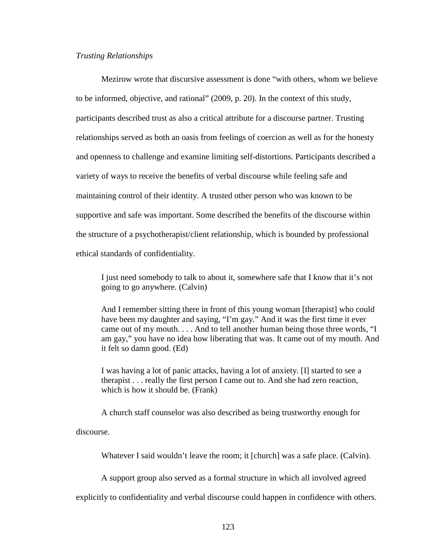### *Trusting Relationships*

Mezirow wrote that discursive assessment is done "with others, whom we believe to be informed, objective, and rational" (2009, p. 20). In the context of this study, participants described trust as also a critical attribute for a discourse partner. Trusting relationships served as both an oasis from feelings of coercion as well as for the honesty and openness to challenge and examine limiting self-distortions. Participants described a variety of ways to receive the benefits of verbal discourse while feeling safe and maintaining control of their identity. A trusted other person who was known to be supportive and safe was important. Some described the benefits of the discourse within the structure of a psychotherapist/client relationship, which is bounded by professional ethical standards of confidentiality.

I just need somebody to talk to about it, somewhere safe that I know that it's not going to go anywhere. (Calvin)

And I remember sitting there in front of this young woman [therapist] who could have been my daughter and saying, "I'm gay." And it was the first time it ever came out of my mouth. . . . And to tell another human being those three words, "I am gay," you have no idea how liberating that was. It came out of my mouth. And it felt so damn good. (Ed)

I was having a lot of panic attacks, having a lot of anxiety. [I] started to see a therapist . . . really the first person I came out to. And she had zero reaction, which is how it should be. (Frank)

A church staff counselor was also described as being trustworthy enough for

discourse.

Whatever I said wouldn't leave the room; it [church] was a safe place. (Calvin).

A support group also served as a formal structure in which all involved agreed

explicitly to confidentiality and verbal discourse could happen in confidence with others.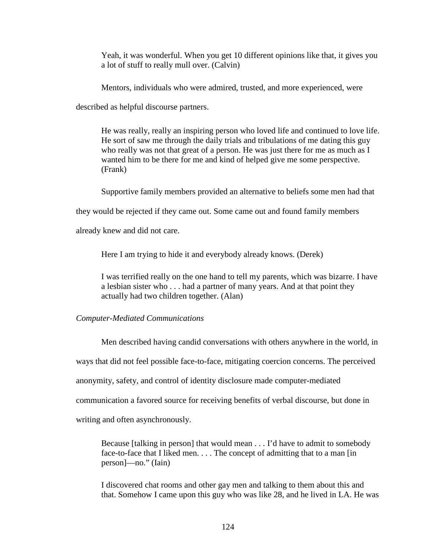Yeah, it was wonderful. When you get 10 different opinions like that, it gives you a lot of stuff to really mull over. (Calvin)

Mentors, individuals who were admired, trusted, and more experienced, were

described as helpful discourse partners.

He was really, really an inspiring person who loved life and continued to love life. He sort of saw me through the daily trials and tribulations of me dating this guy who really was not that great of a person. He was just there for me as much as I wanted him to be there for me and kind of helped give me some perspective. (Frank)

Supportive family members provided an alternative to beliefs some men had that

they would be rejected if they came out. Some came out and found family members

already knew and did not care.

Here I am trying to hide it and everybody already knows. (Derek)

I was terrified really on the one hand to tell my parents, which was bizarre. I have a lesbian sister who . . . had a partner of many years. And at that point they actually had two children together. (Alan)

# *Computer-Mediated Communications*

Men described having candid conversations with others anywhere in the world, in ways that did not feel possible face-to-face, mitigating coercion concerns. The perceived anonymity, safety, and control of identity disclosure made computer-mediated communication a favored source for receiving benefits of verbal discourse, but done in writing and often asynchronously.

Because [talking in person] that would mean . . . I'd have to admit to somebody face-to-face that I liked men. . . . The concept of admitting that to a man [in person]—no." (Iain)

I discovered chat rooms and other gay men and talking to them about this and that. Somehow I came upon this guy who was like 28, and he lived in LA. He was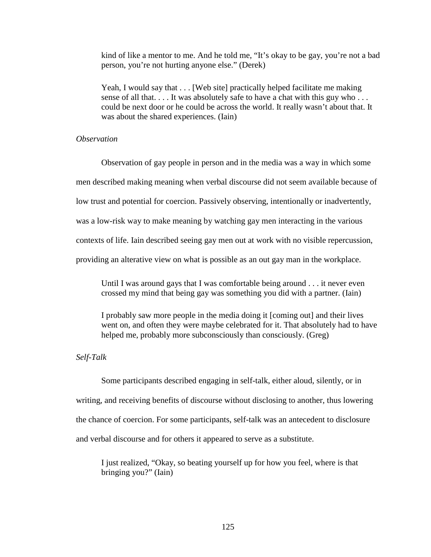kind of like a mentor to me. And he told me, "It's okay to be gay, you're not a bad person, you're not hurting anyone else." (Derek)

Yeah, I would say that . . . [Web site] practically helped facilitate me making sense of all that. . . . It was absolutely safe to have a chat with this guy who . . . could be next door or he could be across the world. It really wasn't about that. It was about the shared experiences. (Iain)

## *Observation*

Observation of gay people in person and in the media was a way in which some men described making meaning when verbal discourse did not seem available because of low trust and potential for coercion. Passively observing, intentionally or inadvertently, was a low-risk way to make meaning by watching gay men interacting in the various contexts of life. Iain described seeing gay men out at work with no visible repercussion, providing an alterative view on what is possible as an out gay man in the workplace.

Until I was around gays that I was comfortable being around . . . it never even crossed my mind that being gay was something you did with a partner. (Iain)

I probably saw more people in the media doing it [coming out] and their lives went on, and often they were maybe celebrated for it. That absolutely had to have helped me, probably more subconsciously than consciously. (Greg)

## *Self-Talk*

Some participants described engaging in self-talk, either aloud, silently, or in writing, and receiving benefits of discourse without disclosing to another, thus lowering the chance of coercion. For some participants, self-talk was an antecedent to disclosure and verbal discourse and for others it appeared to serve as a substitute.

I just realized, "Okay, so beating yourself up for how you feel, where is that bringing you?" (Iain)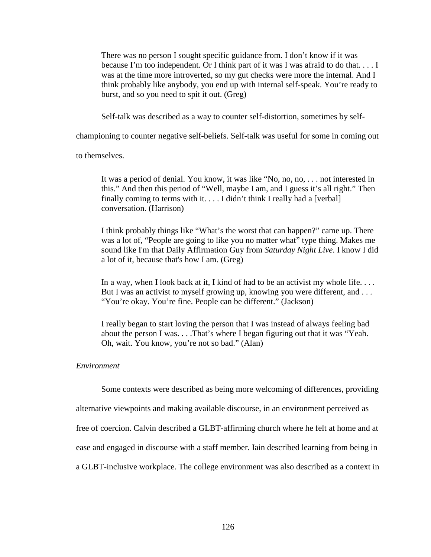There was no person I sought specific guidance from. I don't know if it was because I'm too independent. Or I think part of it was I was afraid to do that. . . . I was at the time more introverted, so my gut checks were more the internal. And I think probably like anybody, you end up with internal self-speak. You're ready to burst, and so you need to spit it out. (Greg)

Self-talk was described as a way to counter self-distortion, sometimes by self-

championing to counter negative self-beliefs. Self-talk was useful for some in coming out

to themselves.

It was a period of denial. You know, it was like "No, no, no, . . . not interested in this." And then this period of "Well, maybe I am, and I guess it's all right." Then finally coming to terms with it.  $\dots$  I didn't think I really had a [verbal] conversation. (Harrison)

I think probably things like "What's the worst that can happen?" came up. There was a lot of, "People are going to like you no matter what" type thing. Makes me sound like I'm that Daily Affirmation Guy from *Saturday Night Live*. I know I did a lot of it, because that's how I am. (Greg)

In a way, when I look back at it, I kind of had to be an activist my whole life... But I was an activist *to* myself growing up, knowing you were different, and . . . "You're okay. You're fine. People can be different." (Jackson)

I really began to start loving the person that I was instead of always feeling bad about the person I was. . . .That's where I began figuring out that it was "Yeah. Oh, wait. You know, you're not so bad." (Alan)

#### *Environment*

Some contexts were described as being more welcoming of differences, providing

alternative viewpoints and making available discourse, in an environment perceived as

free of coercion. Calvin described a GLBT-affirming church where he felt at home and at

ease and engaged in discourse with a staff member. Iain described learning from being in

a GLBT-inclusive workplace. The college environment was also described as a context in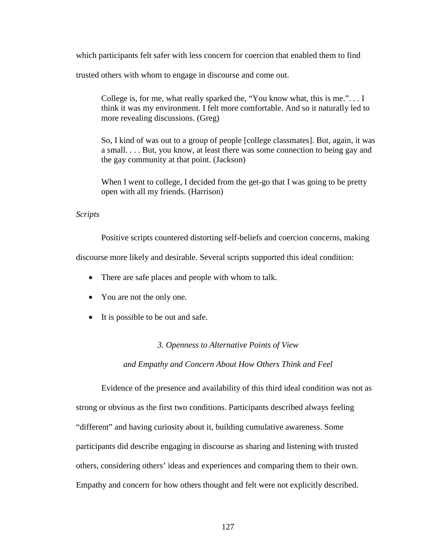which participants felt safer with less concern for coercion that enabled them to find

trusted others with whom to engage in discourse and come out.

College is, for me, what really sparked the, "You know what, this is me.". . . I think it was my environment. I felt more comfortable. And so it naturally led to more revealing discussions. (Greg)

So, I kind of was out to a group of people [college classmates]. But, again, it was a small. . . . But, you know, at least there was some connection to being gay and the gay community at that point. (Jackson)

When I went to college, I decided from the get-go that I was going to be pretty open with all my friends. (Harrison)

## *Scripts*

Positive scripts countered distorting self-beliefs and coercion concerns, making

discourse more likely and desirable. Several scripts supported this ideal condition:

- There are safe places and people with whom to talk.
- You are not the only one.
- It is possible to be out and safe.

## *3. Openness to Alternative Points of View*

*and Empathy and Concern About How Others Think and Feel* 

Evidence of the presence and availability of this third ideal condition was not as strong or obvious as the first two conditions. Participants described always feeling "different" and having curiosity about it, building cumulative awareness. Some participants did describe engaging in discourse as sharing and listening with trusted others, considering others' ideas and experiences and comparing them to their own. Empathy and concern for how others thought and felt were not explicitly described.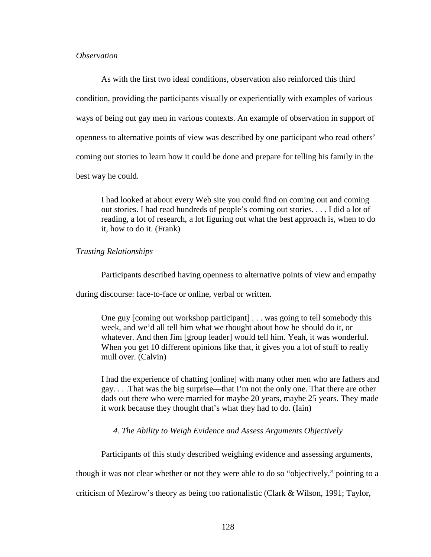## *Observation*

As with the first two ideal conditions, observation also reinforced this third condition, providing the participants visually or experientially with examples of various ways of being out gay men in various contexts. An example of observation in support of openness to alternative points of view was described by one participant who read others' coming out stories to learn how it could be done and prepare for telling his family in the best way he could.

I had looked at about every Web site you could find on coming out and coming out stories. I had read hundreds of people's coming out stories. . . . I did a lot of reading, a lot of research, a lot figuring out what the best approach is, when to do it, how to do it. (Frank)

## *Trusting Relationships*

Participants described having openness to alternative points of view and empathy

during discourse: face-to-face or online, verbal or written.

One guy [coming out workshop participant] . . . was going to tell somebody this week, and we'd all tell him what we thought about how he should do it, or whatever. And then Jim [group leader] would tell him. Yeah, it was wonderful. When you get 10 different opinions like that, it gives you a lot of stuff to really mull over. (Calvin)

I had the experience of chatting [online] with many other men who are fathers and gay. . . .That was the big surprise—that I'm not the only one. That there are other dads out there who were married for maybe 20 years, maybe 25 years. They made it work because they thought that's what they had to do. (Iain)

## *4. The Ability to Weigh Evidence and Assess Arguments Objectively*

Participants of this study described weighing evidence and assessing arguments,

though it was not clear whether or not they were able to do so "objectively," pointing to a

criticism of Mezirow's theory as being too rationalistic (Clark & Wilson, 1991; Taylor,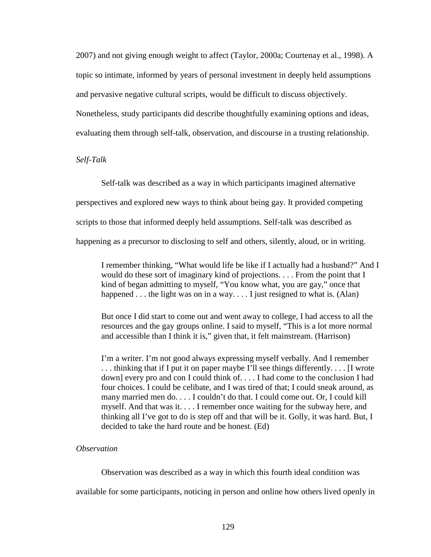2007) and not giving enough weight to affect (Taylor, 2000a; Courtenay et al., 1998). A topic so intimate, informed by years of personal investment in deeply held assumptions and pervasive negative cultural scripts, would be difficult to discuss objectively. Nonetheless, study participants did describe thoughtfully examining options and ideas, evaluating them through self-talk, observation, and discourse in a trusting relationship.

*Self-Talk* 

Self-talk was described as a way in which participants imagined alternative

perspectives and explored new ways to think about being gay. It provided competing

scripts to those that informed deeply held assumptions. Self-talk was described as

happening as a precursor to disclosing to self and others, silently, aloud, or in writing.

I remember thinking, "What would life be like if I actually had a husband?" And I would do these sort of imaginary kind of projections. . . . From the point that I kind of began admitting to myself, "You know what, you are gay," once that happened  $\dots$  the light was on in a way.  $\dots$  I just resigned to what is. (Alan)

But once I did start to come out and went away to college, I had access to all the resources and the gay groups online. I said to myself, "This is a lot more normal and accessible than I think it is," given that, it felt mainstream. (Harrison)

I'm a writer. I'm not good always expressing myself verbally. And I remember . . . thinking that if I put it on paper maybe I'll see things differently. . . . [I wrote down] every pro and con I could think of. . . . I had come to the conclusion I had four choices. I could be celibate, and I was tired of that; I could sneak around, as many married men do. . . . I couldn't do that. I could come out. Or, I could kill myself. And that was it. . . . I remember once waiting for the subway here, and thinking all I've got to do is step off and that will be it. Golly, it was hard. But, I decided to take the hard route and be honest. (Ed)

# *Observation*

Observation was described as a way in which this fourth ideal condition was

available for some participants, noticing in person and online how others lived openly in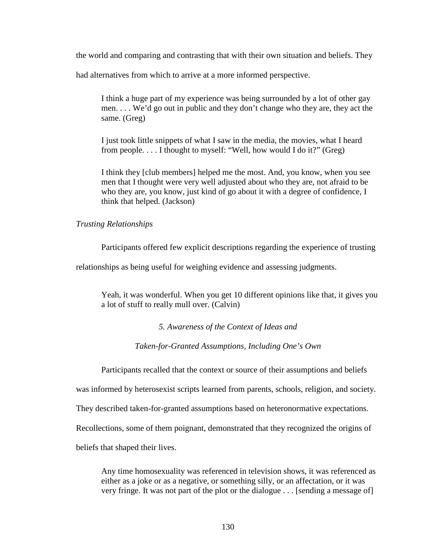the world and comparing and contrasting that with their own situation and beliefs. They

had alternatives from which to arrive at a more informed perspective.

I think a huge part of my experience was being surrounded by a lot of other gay men. . . . We'd go out in public and they don't change who they are, they act the same. (Greg)

I just took little snippets of what I saw in the media, the movies, what I heard from people. . . . I thought to myself: "Well, how would I do it?" (Greg)

I think they [club members] helped me the most. And, you know, when you see men that I thought were very well adjusted about who they are, not afraid to be who they are, you know, just kind of go about it with a degree of confidence, I think that helped. (Jackson)

## *Trusting Relationships*

Participants offered few explicit descriptions regarding the experience of trusting

relationships as being useful for weighing evidence and assessing judgments.

Yeah, it was wonderful. When you get 10 different opinions like that, it gives you a lot of stuff to really mull over. (Calvin)

*5. Awareness of the Context of Ideas and* 

*Taken-for-Granted Assumptions, Including One's Own* 

Participants recalled that the context or source of their assumptions and beliefs

was informed by heterosexist scripts learned from parents, schools, religion, and society.

They described taken-for-granted assumptions based on heteronormative expectations.

Recollections, some of them poignant, demonstrated that they recognized the origins of

beliefs that shaped their lives.

Any time homosexuality was referenced in television shows, it was referenced as either as a joke or as a negative, or something silly, or an affectation, or it was very fringe. It was not part of the plot or the dialogue . . . [sending a message of]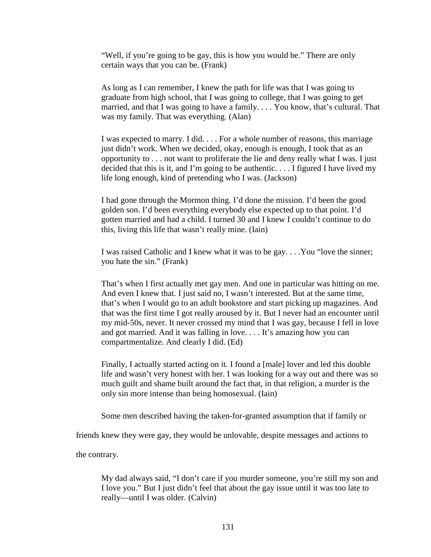"Well, if you're going to be gay, this is how you would be." There are only certain ways that you can be. (Frank)

As long as I can remember, I knew the path for life was that I was going to graduate from high school, that I was going to college, that I was going to get married, and that I was going to have a family. . . . You know, that's cultural. That was my family. That was everything. (Alan)

I was expected to marry. I did. . . . For a whole number of reasons, this marriage just didn't work. When we decided, okay, enough is enough, I took that as an opportunity to . . . not want to proliferate the lie and deny really what I was. I just decided that this is it, and I'm going to be authentic.  $\ldots$  I figured I have lived my life long enough, kind of pretending who I was. (Jackson)

I had gone through the Mormon thing. I'd done the mission. I'd been the good golden son. I'd been everything everybody else expected up to that point. I'd gotten married and had a child. I turned 30 and I knew I couldn't continue to do this, living this life that wasn't really mine. (Iain)

I was raised Catholic and I knew what it was to be gay. . . .You "love the sinner; you hate the sin." (Frank)

That's when I first actually met gay men. And one in particular was hitting on me. And even I knew that. I just said no, I wasn't interested. But at the same time, that's when I would go to an adult bookstore and start picking up magazines. And that was the first time I got really aroused by it. But I never had an encounter until my mid-50s, never. It never crossed my mind that I was gay, because I fell in love and got married. And it was falling in love. . . . It's amazing how you can compartmentalize. And clearly I did. (Ed)

Finally, I actually started acting on it. I found a [male] lover and led this double life and wasn't very honest with her. I was looking for a way out and there was so much guilt and shame built around the fact that, in that religion, a murder is the only sin more intense than being homosexual. (Iain)

Some men described having the taken-for-granted assumption that if family or

friends knew they were gay, they would be unlovable, despite messages and actions to

the contrary.

My dad always said, "I don't care if you murder someone, you're still my son and I love you." But I just didn't feel that about the gay issue until it was too late to really—until I was older. (Calvin)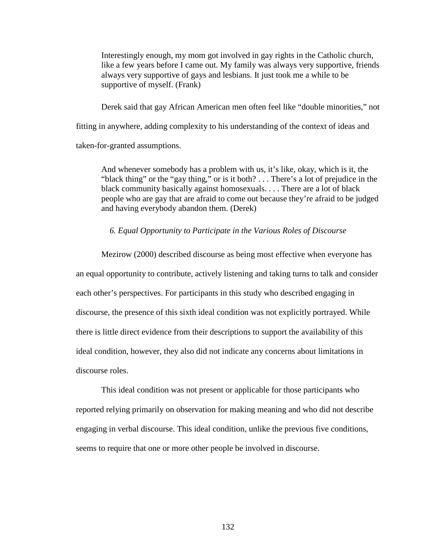Interestingly enough, my mom got involved in gay rights in the Catholic church, like a few years before I came out. My family was always very supportive, friends always very supportive of gays and lesbians. It just took me a while to be supportive of myself. (Frank)

Derek said that gay African American men often feel like "double minorities," not fitting in anywhere, adding complexity to his understanding of the context of ideas and taken-for-granted assumptions.

And whenever somebody has a problem with us, it's like, okay, which is it, the "black thing" or the "gay thing," or is it both? . . . There's a lot of prejudice in the black community basically against homosexuals. . . . There are a lot of black people who are gay that are afraid to come out because they're afraid to be judged and having everybody abandon them. (Derek)

#### *6. Equal Opportunity to Participate in the Various Roles of Discourse*

Mezirow (2000) described discourse as being most effective when everyone has an equal opportunity to contribute, actively listening and taking turns to talk and consider each other's perspectives. For participants in this study who described engaging in discourse, the presence of this sixth ideal condition was not explicitly portrayed. While there is little direct evidence from their descriptions to support the availability of this ideal condition, however, they also did not indicate any concerns about limitations in discourse roles.

This ideal condition was not present or applicable for those participants who reported relying primarily on observation for making meaning and who did not describe engaging in verbal discourse. This ideal condition, unlike the previous five conditions, seems to require that one or more other people be involved in discourse.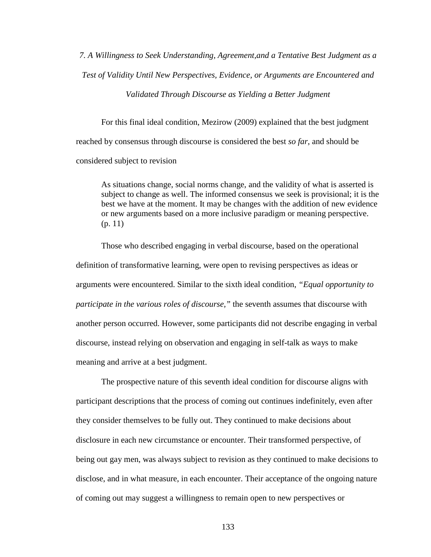*7. A Willingness to Seek Understanding, Agreement,and a Tentative Best Judgment as a Test of Validity Until New Perspectives, Evidence, or Arguments are Encountered and* 

*Validated Through Discourse as Yielding a Better Judgment* 

For this final ideal condition, Mezirow (2009) explained that the best judgment reached by consensus through discourse is considered the best *so far*, and should be considered subject to revision

As situations change, social norms change, and the validity of what is asserted is subject to change as well. The informed consensus we seek is provisional; it is the best we have at the moment. It may be changes with the addition of new evidence or new arguments based on a more inclusive paradigm or meaning perspective. (p. 11)

Those who described engaging in verbal discourse, based on the operational definition of transformative learning, were open to revising perspectives as ideas or arguments were encountered. Similar to the sixth ideal condition, *"Equal opportunity to participate in the various roles of discourse,"* the seventh assumes that discourse with another person occurred. However, some participants did not describe engaging in verbal discourse, instead relying on observation and engaging in self-talk as ways to make meaning and arrive at a best judgment.

The prospective nature of this seventh ideal condition for discourse aligns with participant descriptions that the process of coming out continues indefinitely, even after they consider themselves to be fully out. They continued to make decisions about disclosure in each new circumstance or encounter. Their transformed perspective, of being out gay men, was always subject to revision as they continued to make decisions to disclose, and in what measure, in each encounter. Their acceptance of the ongoing nature of coming out may suggest a willingness to remain open to new perspectives or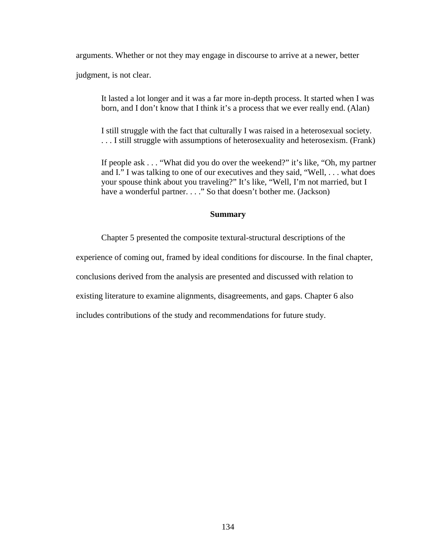arguments. Whether or not they may engage in discourse to arrive at a newer, better

judgment, is not clear.

It lasted a lot longer and it was a far more in-depth process. It started when I was born, and I don't know that I think it's a process that we ever really end. (Alan)

I still struggle with the fact that culturally I was raised in a heterosexual society. . . . I still struggle with assumptions of heterosexuality and heterosexism. (Frank)

If people ask . . . "What did you do over the weekend?" it's like, "Oh, my partner and I." I was talking to one of our executives and they said, "Well, . . . what does your spouse think about you traveling?" It's like, "Well, I'm not married, but I have a wonderful partner. . . ." So that doesn't bother me. (Jackson)

## **Summary**

Chapter 5 presented the composite textural-structural descriptions of the

experience of coming out, framed by ideal conditions for discourse. In the final chapter,

conclusions derived from the analysis are presented and discussed with relation to

existing literature to examine alignments, disagreements, and gaps. Chapter 6 also

includes contributions of the study and recommendations for future study.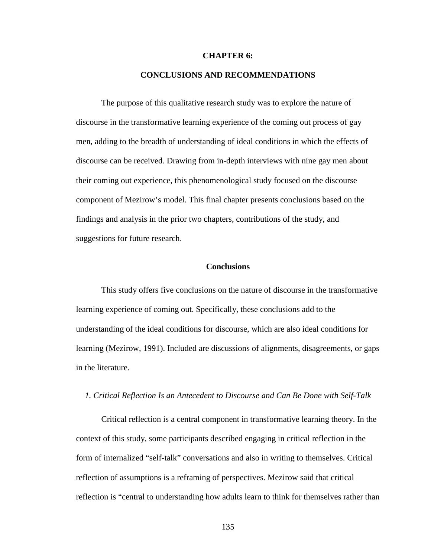#### **CHAPTER 6:**

## **CONCLUSIONS AND RECOMMENDATIONS**

The purpose of this qualitative research study was to explore the nature of discourse in the transformative learning experience of the coming out process of gay men, adding to the breadth of understanding of ideal conditions in which the effects of discourse can be received. Drawing from in-depth interviews with nine gay men about their coming out experience, this phenomenological study focused on the discourse component of Mezirow's model. This final chapter presents conclusions based on the findings and analysis in the prior two chapters, contributions of the study, and suggestions for future research.

## **Conclusions**

This study offers five conclusions on the nature of discourse in the transformative learning experience of coming out. Specifically, these conclusions add to the understanding of the ideal conditions for discourse, which are also ideal conditions for learning (Mezirow, 1991). Included are discussions of alignments, disagreements, or gaps in the literature.

#### *1. Critical Reflection Is an Antecedent to Discourse and Can Be Done with Self-Talk*

Critical reflection is a central component in transformative learning theory. In the context of this study, some participants described engaging in critical reflection in the form of internalized "self-talk" conversations and also in writing to themselves. Critical reflection of assumptions is a reframing of perspectives. Mezirow said that critical reflection is "central to understanding how adults learn to think for themselves rather than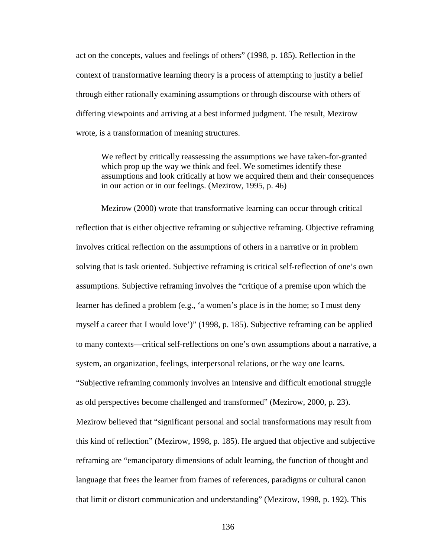act on the concepts, values and feelings of others" (1998, p. 185). Reflection in the context of transformative learning theory is a process of attempting to justify a belief through either rationally examining assumptions or through discourse with others of differing viewpoints and arriving at a best informed judgment. The result, Mezirow wrote, is a transformation of meaning structures.

We reflect by critically reassessing the assumptions we have taken-for-granted which prop up the way we think and feel. We sometimes identify these assumptions and look critically at how we acquired them and their consequences in our action or in our feelings. (Mezirow, 1995, p. 46)

Mezirow (2000) wrote that transformative learning can occur through critical reflection that is either objective reframing or subjective reframing. Objective reframing involves critical reflection on the assumptions of others in a narrative or in problem solving that is task oriented. Subjective reframing is critical self-reflection of one's own assumptions. Subjective reframing involves the "critique of a premise upon which the learner has defined a problem (e.g., 'a women's place is in the home; so I must deny myself a career that I would love')" (1998, p. 185). Subjective reframing can be applied to many contexts—critical self-reflections on one's own assumptions about a narrative, a system, an organization, feelings, interpersonal relations, or the way one learns. "Subjective reframing commonly involves an intensive and difficult emotional struggle as old perspectives become challenged and transformed" (Mezirow, 2000, p. 23). Mezirow believed that "significant personal and social transformations may result from this kind of reflection" (Mezirow, 1998, p. 185). He argued that objective and subjective reframing are "emancipatory dimensions of adult learning, the function of thought and language that frees the learner from frames of references, paradigms or cultural canon that limit or distort communication and understanding" (Mezirow, 1998, p. 192). This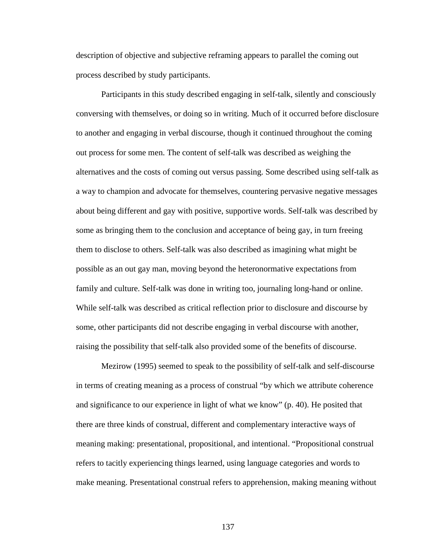description of objective and subjective reframing appears to parallel the coming out process described by study participants.

Participants in this study described engaging in self-talk, silently and consciously conversing with themselves, or doing so in writing. Much of it occurred before disclosure to another and engaging in verbal discourse, though it continued throughout the coming out process for some men. The content of self-talk was described as weighing the alternatives and the costs of coming out versus passing. Some described using self-talk as a way to champion and advocate for themselves, countering pervasive negative messages about being different and gay with positive, supportive words. Self-talk was described by some as bringing them to the conclusion and acceptance of being gay, in turn freeing them to disclose to others. Self-talk was also described as imagining what might be possible as an out gay man, moving beyond the heteronormative expectations from family and culture. Self-talk was done in writing too, journaling long-hand or online. While self-talk was described as critical reflection prior to disclosure and discourse by some, other participants did not describe engaging in verbal discourse with another, raising the possibility that self-talk also provided some of the benefits of discourse.

Mezirow (1995) seemed to speak to the possibility of self-talk and self-discourse in terms of creating meaning as a process of construal "by which we attribute coherence and significance to our experience in light of what we know" (p. 40). He posited that there are three kinds of construal, different and complementary interactive ways of meaning making: presentational, propositional, and intentional. "Propositional construal refers to tacitly experiencing things learned, using language categories and words to make meaning. Presentational construal refers to apprehension, making meaning without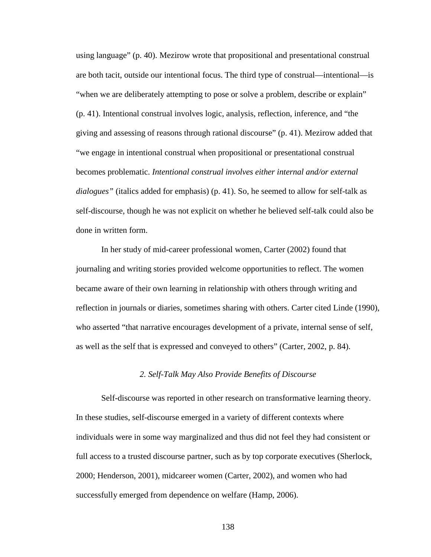using language" (p. 40). Mezirow wrote that propositional and presentational construal are both tacit, outside our intentional focus. The third type of construal—intentional—is "when we are deliberately attempting to pose or solve a problem, describe or explain" (p. 41). Intentional construal involves logic, analysis, reflection, inference, and "the giving and assessing of reasons through rational discourse" (p. 41). Mezirow added that "we engage in intentional construal when propositional or presentational construal becomes problematic. *Intentional construal involves either internal and/or external dialogues"* (italics added for emphasis) (p. 41). So, he seemed to allow for self-talk as self-discourse, though he was not explicit on whether he believed self-talk could also be done in written form.

In her study of mid-career professional women, Carter (2002) found that journaling and writing stories provided welcome opportunities to reflect. The women became aware of their own learning in relationship with others through writing and reflection in journals or diaries, sometimes sharing with others. Carter cited Linde (1990), who asserted "that narrative encourages development of a private, internal sense of self, as well as the self that is expressed and conveyed to others" (Carter, 2002, p. 84).

#### *2. Self-Talk May Also Provide Benefits of Discourse*

Self-discourse was reported in other research on transformative learning theory. In these studies, self-discourse emerged in a variety of different contexts where individuals were in some way marginalized and thus did not feel they had consistent or full access to a trusted discourse partner, such as by top corporate executives (Sherlock, 2000; Henderson, 2001), midcareer women (Carter, 2002), and women who had successfully emerged from dependence on welfare (Hamp, 2006).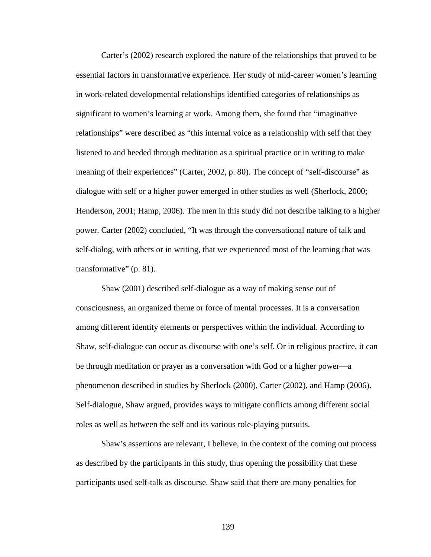Carter's (2002) research explored the nature of the relationships that proved to be essential factors in transformative experience. Her study of mid-career women's learning in work-related developmental relationships identified categories of relationships as significant to women's learning at work. Among them, she found that "imaginative relationships" were described as "this internal voice as a relationship with self that they listened to and heeded through meditation as a spiritual practice or in writing to make meaning of their experiences" (Carter, 2002, p. 80). The concept of "self-discourse" as dialogue with self or a higher power emerged in other studies as well (Sherlock, 2000; Henderson, 2001; Hamp, 2006). The men in this study did not describe talking to a higher power. Carter (2002) concluded, "It was through the conversational nature of talk and self-dialog, with others or in writing, that we experienced most of the learning that was transformative" (p. 81).

Shaw (2001) described self-dialogue as a way of making sense out of consciousness, an organized theme or force of mental processes. It is a conversation among different identity elements or perspectives within the individual. According to Shaw, self-dialogue can occur as discourse with one's self. Or in religious practice, it can be through meditation or prayer as a conversation with God or a higher power—a phenomenon described in studies by Sherlock (2000), Carter (2002), and Hamp (2006). Self-dialogue, Shaw argued, provides ways to mitigate conflicts among different social roles as well as between the self and its various role-playing pursuits.

Shaw's assertions are relevant, I believe, in the context of the coming out process as described by the participants in this study, thus opening the possibility that these participants used self-talk as discourse. Shaw said that there are many penalties for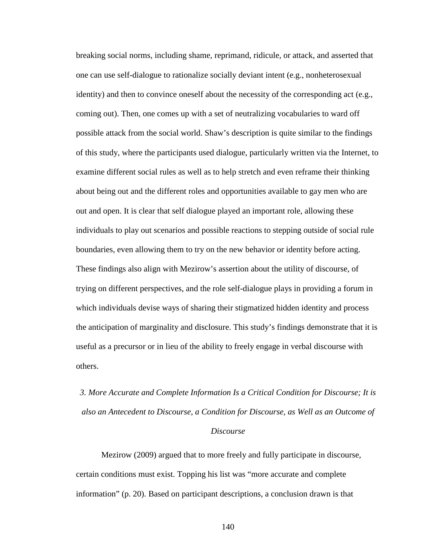breaking social norms, including shame, reprimand, ridicule, or attack, and asserted that one can use self-dialogue to rationalize socially deviant intent (e.g., nonheterosexual identity) and then to convince oneself about the necessity of the corresponding act (e.g., coming out). Then, one comes up with a set of neutralizing vocabularies to ward off possible attack from the social world. Shaw's description is quite similar to the findings of this study, where the participants used dialogue, particularly written via the Internet, to examine different social rules as well as to help stretch and even reframe their thinking about being out and the different roles and opportunities available to gay men who are out and open. It is clear that self dialogue played an important role, allowing these individuals to play out scenarios and possible reactions to stepping outside of social rule boundaries, even allowing them to try on the new behavior or identity before acting. These findings also align with Mezirow's assertion about the utility of discourse, of trying on different perspectives, and the role self-dialogue plays in providing a forum in which individuals devise ways of sharing their stigmatized hidden identity and process the anticipation of marginality and disclosure. This study's findings demonstrate that it is useful as a precursor or in lieu of the ability to freely engage in verbal discourse with others.

*3. More Accurate and Complete Information Is a Critical Condition for Discourse; It is also an Antecedent to Discourse, a Condition for Discourse, as Well as an Outcome of Discourse* 

Mezirow (2009) argued that to more freely and fully participate in discourse, certain conditions must exist. Topping his list was "more accurate and complete information" (p. 20). Based on participant descriptions, a conclusion drawn is that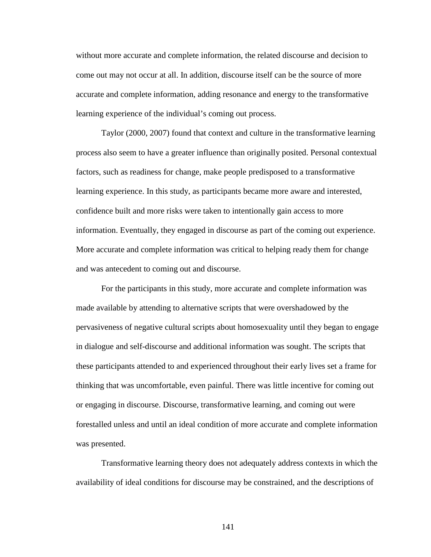without more accurate and complete information, the related discourse and decision to come out may not occur at all. In addition, discourse itself can be the source of more accurate and complete information, adding resonance and energy to the transformative learning experience of the individual's coming out process.

Taylor (2000, 2007) found that context and culture in the transformative learning process also seem to have a greater influence than originally posited. Personal contextual factors, such as readiness for change, make people predisposed to a transformative learning experience. In this study, as participants became more aware and interested, confidence built and more risks were taken to intentionally gain access to more information. Eventually, they engaged in discourse as part of the coming out experience. More accurate and complete information was critical to helping ready them for change and was antecedent to coming out and discourse.

For the participants in this study, more accurate and complete information was made available by attending to alternative scripts that were overshadowed by the pervasiveness of negative cultural scripts about homosexuality until they began to engage in dialogue and self-discourse and additional information was sought. The scripts that these participants attended to and experienced throughout their early lives set a frame for thinking that was uncomfortable, even painful. There was little incentive for coming out or engaging in discourse. Discourse, transformative learning, and coming out were forestalled unless and until an ideal condition of more accurate and complete information was presented.

Transformative learning theory does not adequately address contexts in which the availability of ideal conditions for discourse may be constrained, and the descriptions of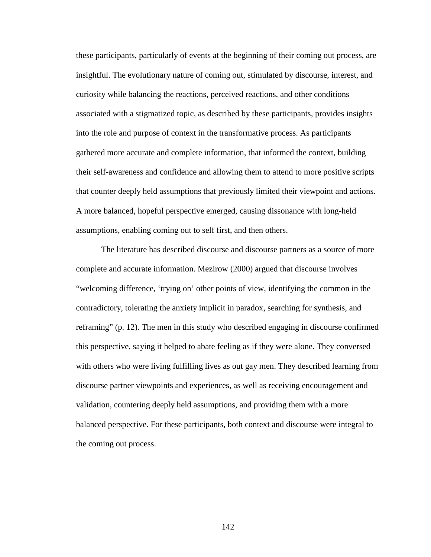these participants, particularly of events at the beginning of their coming out process, are insightful. The evolutionary nature of coming out, stimulated by discourse, interest, and curiosity while balancing the reactions, perceived reactions, and other conditions associated with a stigmatized topic, as described by these participants, provides insights into the role and purpose of context in the transformative process. As participants gathered more accurate and complete information, that informed the context, building their self-awareness and confidence and allowing them to attend to more positive scripts that counter deeply held assumptions that previously limited their viewpoint and actions. A more balanced, hopeful perspective emerged, causing dissonance with long-held assumptions, enabling coming out to self first, and then others.

The literature has described discourse and discourse partners as a source of more complete and accurate information. Mezirow (2000) argued that discourse involves "welcoming difference, 'trying on' other points of view, identifying the common in the contradictory, tolerating the anxiety implicit in paradox, searching for synthesis, and reframing" (p. 12). The men in this study who described engaging in discourse confirmed this perspective, saying it helped to abate feeling as if they were alone. They conversed with others who were living fulfilling lives as out gay men. They described learning from discourse partner viewpoints and experiences, as well as receiving encouragement and validation, countering deeply held assumptions, and providing them with a more balanced perspective. For these participants, both context and discourse were integral to the coming out process.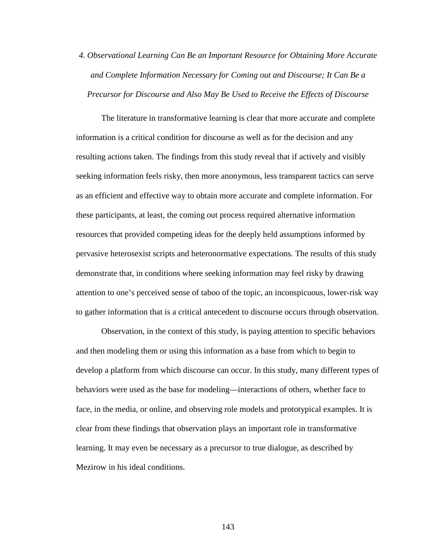*4. Observational Learning Can Be an Important Resource for Obtaining More Accurate and Complete Information Necessary for Coming out and Discourse; It Can Be a Precursor for Discourse and Also May Be Used to Receive the Effects of Discourse* 

The literature in transformative learning is clear that more accurate and complete information is a critical condition for discourse as well as for the decision and any resulting actions taken. The findings from this study reveal that if actively and visibly seeking information feels risky, then more anonymous, less transparent tactics can serve as an efficient and effective way to obtain more accurate and complete information. For these participants, at least, the coming out process required alternative information resources that provided competing ideas for the deeply held assumptions informed by pervasive heterosexist scripts and heteronormative expectations. The results of this study demonstrate that, in conditions where seeking information may feel risky by drawing attention to one's perceived sense of taboo of the topic, an inconspicuous, lower-risk way to gather information that is a critical antecedent to discourse occurs through observation.

Observation, in the context of this study, is paying attention to specific behaviors and then modeling them or using this information as a base from which to begin to develop a platform from which discourse can occur. In this study, many different types of behaviors were used as the base for modeling—interactions of others, whether face to face, in the media, or online, and observing role models and prototypical examples. It is clear from these findings that observation plays an important role in transformative learning. It may even be necessary as a precursor to true dialogue, as described by Mezirow in his ideal conditions.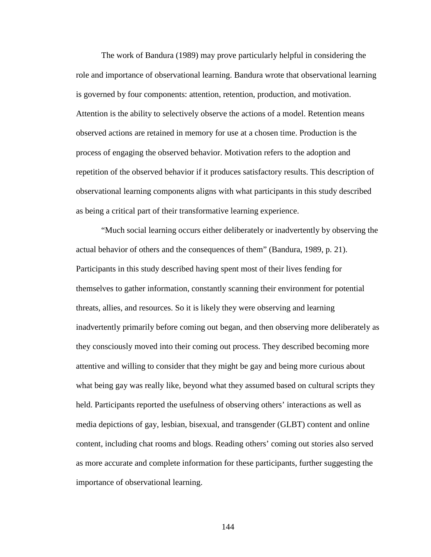The work of Bandura (1989) may prove particularly helpful in considering the role and importance of observational learning. Bandura wrote that observational learning is governed by four components: attention, retention, production, and motivation. Attention is the ability to selectively observe the actions of a model. Retention means observed actions are retained in memory for use at a chosen time. Production is the process of engaging the observed behavior. Motivation refers to the adoption and repetition of the observed behavior if it produces satisfactory results. This description of observational learning components aligns with what participants in this study described as being a critical part of their transformative learning experience.

"Much social learning occurs either deliberately or inadvertently by observing the actual behavior of others and the consequences of them" (Bandura, 1989, p. 21). Participants in this study described having spent most of their lives fending for themselves to gather information, constantly scanning their environment for potential threats, allies, and resources. So it is likely they were observing and learning inadvertently primarily before coming out began, and then observing more deliberately as they consciously moved into their coming out process. They described becoming more attentive and willing to consider that they might be gay and being more curious about what being gay was really like, beyond what they assumed based on cultural scripts they held. Participants reported the usefulness of observing others' interactions as well as media depictions of gay, lesbian, bisexual, and transgender (GLBT) content and online content, including chat rooms and blogs. Reading others' coming out stories also served as more accurate and complete information for these participants, further suggesting the importance of observational learning.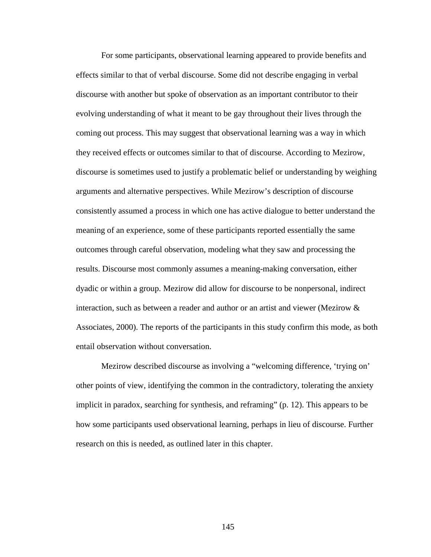For some participants, observational learning appeared to provide benefits and effects similar to that of verbal discourse. Some did not describe engaging in verbal discourse with another but spoke of observation as an important contributor to their evolving understanding of what it meant to be gay throughout their lives through the coming out process. This may suggest that observational learning was a way in which they received effects or outcomes similar to that of discourse. According to Mezirow, discourse is sometimes used to justify a problematic belief or understanding by weighing arguments and alternative perspectives. While Mezirow's description of discourse consistently assumed a process in which one has active dialogue to better understand the meaning of an experience, some of these participants reported essentially the same outcomes through careful observation, modeling what they saw and processing the results. Discourse most commonly assumes a meaning-making conversation, either dyadic or within a group. Mezirow did allow for discourse to be nonpersonal, indirect interaction, such as between a reader and author or an artist and viewer (Mezirow & Associates, 2000). The reports of the participants in this study confirm this mode, as both entail observation without conversation.

Mezirow described discourse as involving a "welcoming difference, 'trying on' other points of view, identifying the common in the contradictory, tolerating the anxiety implicit in paradox, searching for synthesis, and reframing" (p. 12). This appears to be how some participants used observational learning, perhaps in lieu of discourse. Further research on this is needed, as outlined later in this chapter.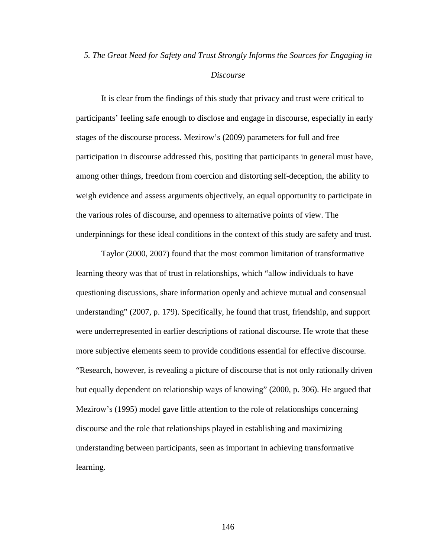## *5. The Great Need for Safety and Trust Strongly Informs the Sources for Engaging in*

#### *Discourse*

It is clear from the findings of this study that privacy and trust were critical to participants' feeling safe enough to disclose and engage in discourse, especially in early stages of the discourse process. Mezirow's (2009) parameters for full and free participation in discourse addressed this, positing that participants in general must have, among other things, freedom from coercion and distorting self-deception, the ability to weigh evidence and assess arguments objectively, an equal opportunity to participate in the various roles of discourse, and openness to alternative points of view. The underpinnings for these ideal conditions in the context of this study are safety and trust.

Taylor (2000, 2007) found that the most common limitation of transformative learning theory was that of trust in relationships, which "allow individuals to have questioning discussions, share information openly and achieve mutual and consensual understanding" (2007, p. 179). Specifically, he found that trust, friendship, and support were underrepresented in earlier descriptions of rational discourse. He wrote that these more subjective elements seem to provide conditions essential for effective discourse. "Research, however, is revealing a picture of discourse that is not only rationally driven but equally dependent on relationship ways of knowing" (2000, p. 306). He argued that Mezirow's (1995) model gave little attention to the role of relationships concerning discourse and the role that relationships played in establishing and maximizing understanding between participants, seen as important in achieving transformative learning.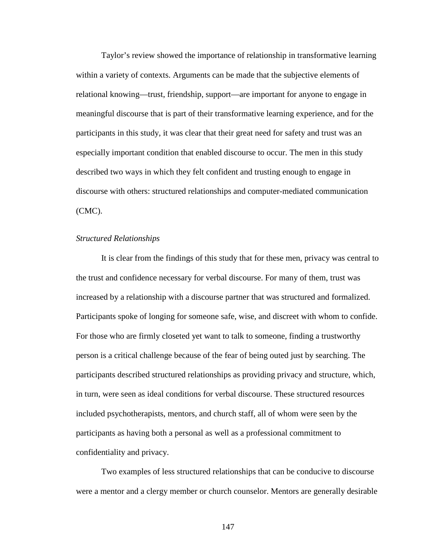Taylor's review showed the importance of relationship in transformative learning within a variety of contexts. Arguments can be made that the subjective elements of relational knowing—trust, friendship, support—are important for anyone to engage in meaningful discourse that is part of their transformative learning experience, and for the participants in this study, it was clear that their great need for safety and trust was an especially important condition that enabled discourse to occur. The men in this study described two ways in which they felt confident and trusting enough to engage in discourse with others: structured relationships and computer-mediated communication (CMC).

#### *Structured Relationships*

It is clear from the findings of this study that for these men, privacy was central to the trust and confidence necessary for verbal discourse. For many of them, trust was increased by a relationship with a discourse partner that was structured and formalized. Participants spoke of longing for someone safe, wise, and discreet with whom to confide. For those who are firmly closeted yet want to talk to someone, finding a trustworthy person is a critical challenge because of the fear of being outed just by searching. The participants described structured relationships as providing privacy and structure, which, in turn, were seen as ideal conditions for verbal discourse. These structured resources included psychotherapists, mentors, and church staff, all of whom were seen by the participants as having both a personal as well as a professional commitment to confidentiality and privacy.

Two examples of less structured relationships that can be conducive to discourse were a mentor and a clergy member or church counselor. Mentors are generally desirable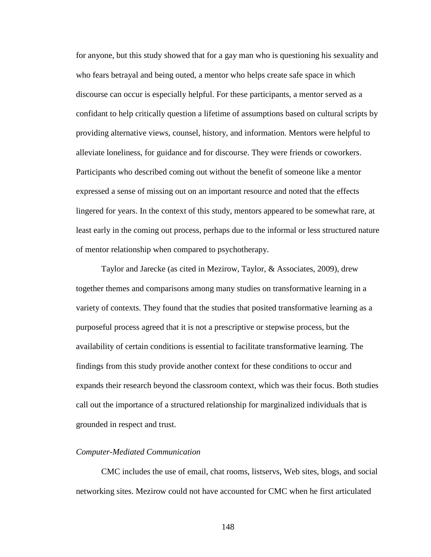for anyone, but this study showed that for a gay man who is questioning his sexuality and who fears betrayal and being outed, a mentor who helps create safe space in which discourse can occur is especially helpful. For these participants, a mentor served as a confidant to help critically question a lifetime of assumptions based on cultural scripts by providing alternative views, counsel, history, and information. Mentors were helpful to alleviate loneliness, for guidance and for discourse. They were friends or coworkers. Participants who described coming out without the benefit of someone like a mentor expressed a sense of missing out on an important resource and noted that the effects lingered for years. In the context of this study, mentors appeared to be somewhat rare, at least early in the coming out process, perhaps due to the informal or less structured nature of mentor relationship when compared to psychotherapy.

Taylor and Jarecke (as cited in Mezirow, Taylor, & Associates, 2009), drew together themes and comparisons among many studies on transformative learning in a variety of contexts. They found that the studies that posited transformative learning as a purposeful process agreed that it is not a prescriptive or stepwise process, but the availability of certain conditions is essential to facilitate transformative learning. The findings from this study provide another context for these conditions to occur and expands their research beyond the classroom context, which was their focus. Both studies call out the importance of a structured relationship for marginalized individuals that is grounded in respect and trust.

#### *Computer-Mediated Communication*

CMC includes the use of email, chat rooms, listservs, Web sites, blogs, and social networking sites. Mezirow could not have accounted for CMC when he first articulated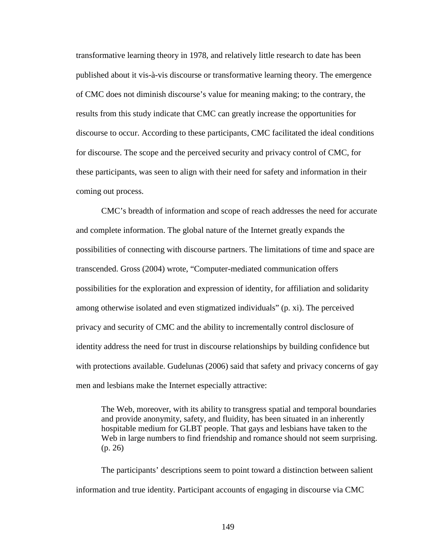transformative learning theory in 1978, and relatively little research to date has been published about it vis-à-vis discourse or transformative learning theory. The emergence of CMC does not diminish discourse's value for meaning making; to the contrary, the results from this study indicate that CMC can greatly increase the opportunities for discourse to occur. According to these participants, CMC facilitated the ideal conditions for discourse. The scope and the perceived security and privacy control of CMC, for these participants, was seen to align with their need for safety and information in their coming out process.

CMC's breadth of information and scope of reach addresses the need for accurate and complete information. The global nature of the Internet greatly expands the possibilities of connecting with discourse partners. The limitations of time and space are transcended. Gross (2004) wrote, "Computer-mediated communication offers possibilities for the exploration and expression of identity, for affiliation and solidarity among otherwise isolated and even stigmatized individuals" (p. xi). The perceived privacy and security of CMC and the ability to incrementally control disclosure of identity address the need for trust in discourse relationships by building confidence but with protections available. Gudelunas (2006) said that safety and privacy concerns of gay men and lesbians make the Internet especially attractive:

The Web, moreover, with its ability to transgress spatial and temporal boundaries and provide anonymity, safety, and fluidity, has been situated in an inherently hospitable medium for GLBT people. That gays and lesbians have taken to the Web in large numbers to find friendship and romance should not seem surprising. (p. 26)

The participants' descriptions seem to point toward a distinction between salient information and true identity. Participant accounts of engaging in discourse via CMC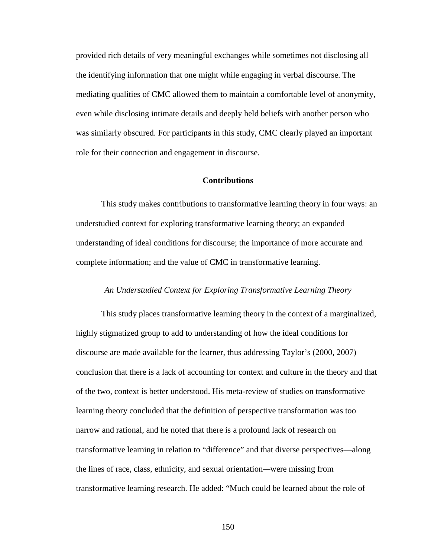provided rich details of very meaningful exchanges while sometimes not disclosing all the identifying information that one might while engaging in verbal discourse. The mediating qualities of CMC allowed them to maintain a comfortable level of anonymity, even while disclosing intimate details and deeply held beliefs with another person who was similarly obscured. For participants in this study, CMC clearly played an important role for their connection and engagement in discourse.

#### **Contributions**

This study makes contributions to transformative learning theory in four ways: an understudied context for exploring transformative learning theory; an expanded understanding of ideal conditions for discourse; the importance of more accurate and complete information; and the value of CMC in transformative learning.

### *An Understudied Context for Exploring Transformative Learning Theory*

This study places transformative learning theory in the context of a marginalized, highly stigmatized group to add to understanding of how the ideal conditions for discourse are made available for the learner, thus addressing Taylor's (2000, 2007) conclusion that there is a lack of accounting for context and culture in the theory and that of the two, context is better understood. His meta-review of studies on transformative learning theory concluded that the definition of perspective transformation was too narrow and rational, and he noted that there is a profound lack of research on transformative learning in relation to "difference" and that diverse perspectives—along the lines of race, class, ethnicity, and sexual orientation*—*were missing from transformative learning research. He added: "Much could be learned about the role of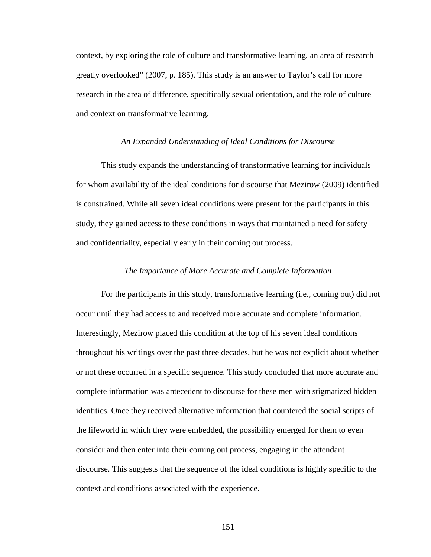context, by exploring the role of culture and transformative learning, an area of research greatly overlooked" (2007, p. 185). This study is an answer to Taylor's call for more research in the area of difference, specifically sexual orientation, and the role of culture and context on transformative learning.

#### *An Expanded Understanding of Ideal Conditions for Discourse*

This study expands the understanding of transformative learning for individuals for whom availability of the ideal conditions for discourse that Mezirow (2009) identified is constrained. While all seven ideal conditions were present for the participants in this study, they gained access to these conditions in ways that maintained a need for safety and confidentiality, especially early in their coming out process.

### *The Importance of More Accurate and Complete Information*

For the participants in this study, transformative learning (i.e., coming out) did not occur until they had access to and received more accurate and complete information. Interestingly, Mezirow placed this condition at the top of his seven ideal conditions throughout his writings over the past three decades, but he was not explicit about whether or not these occurred in a specific sequence. This study concluded that more accurate and complete information was antecedent to discourse for these men with stigmatized hidden identities. Once they received alternative information that countered the social scripts of the lifeworld in which they were embedded, the possibility emerged for them to even consider and then enter into their coming out process, engaging in the attendant discourse. This suggests that the sequence of the ideal conditions is highly specific to the context and conditions associated with the experience.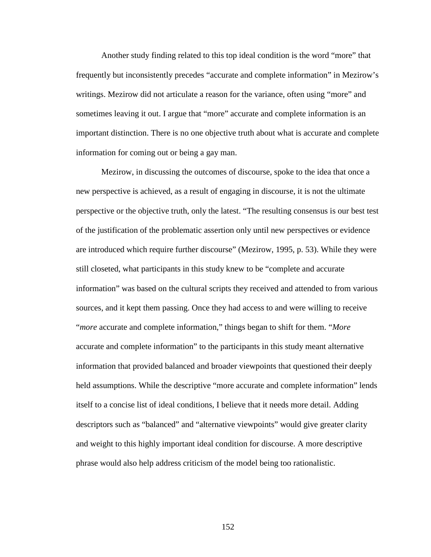Another study finding related to this top ideal condition is the word "more" that frequently but inconsistently precedes "accurate and complete information" in Mezirow's writings. Mezirow did not articulate a reason for the variance, often using "more" and sometimes leaving it out. I argue that "more" accurate and complete information is an important distinction. There is no one objective truth about what is accurate and complete information for coming out or being a gay man.

Mezirow, in discussing the outcomes of discourse, spoke to the idea that once a new perspective is achieved, as a result of engaging in discourse, it is not the ultimate perspective or the objective truth, only the latest. "The resulting consensus is our best test of the justification of the problematic assertion only until new perspectives or evidence are introduced which require further discourse" (Mezirow, 1995, p. 53). While they were still closeted, what participants in this study knew to be "complete and accurate information" was based on the cultural scripts they received and attended to from various sources, and it kept them passing. Once they had access to and were willing to receive "*more* accurate and complete information," things began to shift for them. "*More* accurate and complete information" to the participants in this study meant alternative information that provided balanced and broader viewpoints that questioned their deeply held assumptions. While the descriptive "more accurate and complete information" lends itself to a concise list of ideal conditions, I believe that it needs more detail. Adding descriptors such as "balanced" and "alternative viewpoints" would give greater clarity and weight to this highly important ideal condition for discourse. A more descriptive phrase would also help address criticism of the model being too rationalistic.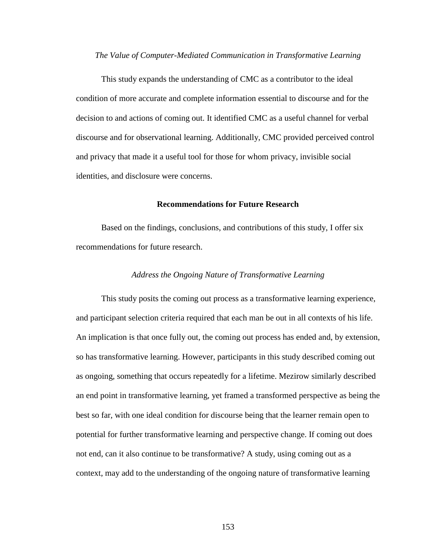#### *The Value of Computer-Mediated Communication in Transformative Learning*

This study expands the understanding of CMC as a contributor to the ideal condition of more accurate and complete information essential to discourse and for the decision to and actions of coming out. It identified CMC as a useful channel for verbal discourse and for observational learning. Additionally, CMC provided perceived control and privacy that made it a useful tool for those for whom privacy, invisible social identities, and disclosure were concerns.

#### **Recommendations for Future Research**

Based on the findings, conclusions, and contributions of this study, I offer six recommendations for future research.

## *Address the Ongoing Nature of Transformative Learning*

This study posits the coming out process as a transformative learning experience, and participant selection criteria required that each man be out in all contexts of his life. An implication is that once fully out, the coming out process has ended and, by extension, so has transformative learning. However, participants in this study described coming out as ongoing, something that occurs repeatedly for a lifetime. Mezirow similarly described an end point in transformative learning, yet framed a transformed perspective as being the best so far, with one ideal condition for discourse being that the learner remain open to potential for further transformative learning and perspective change. If coming out does not end, can it also continue to be transformative? A study, using coming out as a context, may add to the understanding of the ongoing nature of transformative learning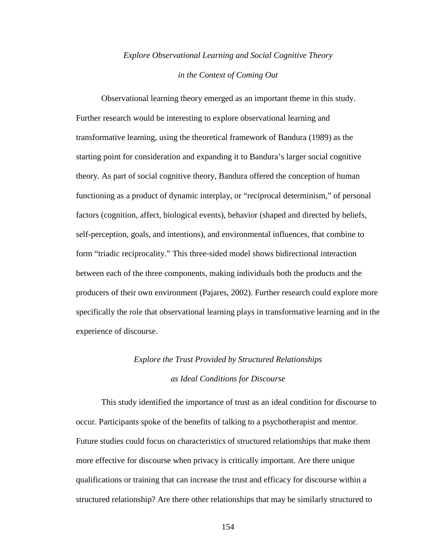## *Explore Observational Learning and Social Cognitive Theory in the Context of Coming Out*

Observational learning theory emerged as an important theme in this study. Further research would be interesting to explore observational learning and transformative learning, using the theoretical framework of Bandura (1989) as the starting point for consideration and expanding it to Bandura's larger social cognitive theory. As part of social cognitive theory, Bandura offered the conception of human functioning as a product of dynamic interplay, or "reciprocal determinism," of personal factors (cognition, affect, biological events), behavior (shaped and directed by beliefs, self-perception, goals, and intentions), and environmental influences, that combine to form "triadic reciprocality." This three-sided model shows bidirectional interaction between each of the three components, making individuals both the products and the producers of their own environment (Pajares, 2002). Further research could explore more specifically the role that observational learning plays in transformative learning and in the experience of discourse.

## *Explore the Trust Provided by Structured Relationships as Ideal Conditions for Discourse*

This study identified the importance of trust as an ideal condition for discourse to occur. Participants spoke of the benefits of talking to a psychotherapist and mentor. Future studies could focus on characteristics of structured relationships that make them more effective for discourse when privacy is critically important. Are there unique qualifications or training that can increase the trust and efficacy for discourse within a structured relationship? Are there other relationships that may be similarly structured to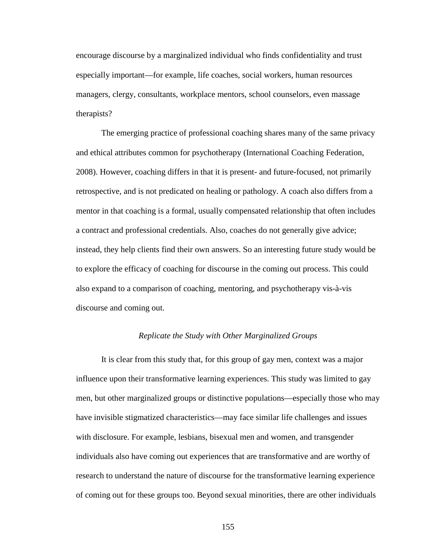encourage discourse by a marginalized individual who finds confidentiality and trust especially important—for example, life coaches, social workers, human resources managers, clergy, consultants, workplace mentors, school counselors, even massage therapists?

The emerging practice of professional coaching shares many of the same privacy and ethical attributes common for psychotherapy (International Coaching Federation, 2008). However, coaching differs in that it is present- and future-focused, not primarily retrospective, and is not predicated on healing or pathology. A coach also differs from a mentor in that coaching is a formal, usually compensated relationship that often includes a contract and professional credentials. Also, coaches do not generally give advice; instead, they help clients find their own answers. So an interesting future study would be to explore the efficacy of coaching for discourse in the coming out process. This could also expand to a comparison of coaching, mentoring, and psychotherapy vis-à-vis discourse and coming out.

## *Replicate the Study with Other Marginalized Groups*

It is clear from this study that, for this group of gay men, context was a major influence upon their transformative learning experiences. This study was limited to gay men, but other marginalized groups or distinctive populations—especially those who may have invisible stigmatized characteristics—may face similar life challenges and issues with disclosure. For example, lesbians, bisexual men and women, and transgender individuals also have coming out experiences that are transformative and are worthy of research to understand the nature of discourse for the transformative learning experience of coming out for these groups too. Beyond sexual minorities, there are other individuals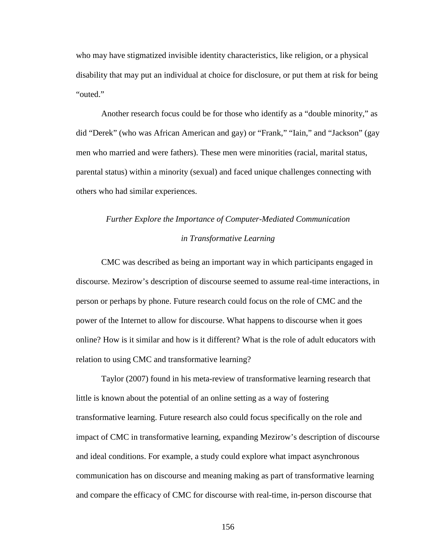who may have stigmatized invisible identity characteristics, like religion, or a physical disability that may put an individual at choice for disclosure, or put them at risk for being "outed."

Another research focus could be for those who identify as a "double minority," as did "Derek" (who was African American and gay) or "Frank," "Iain," and "Jackson" (gay men who married and were fathers). These men were minorities (racial, marital status, parental status) within a minority (sexual) and faced unique challenges connecting with others who had similar experiences.

# *Further Explore the Importance of Computer-Mediated Communication in Transformative Learning*

CMC was described as being an important way in which participants engaged in discourse. Mezirow's description of discourse seemed to assume real-time interactions, in person or perhaps by phone. Future research could focus on the role of CMC and the power of the Internet to allow for discourse. What happens to discourse when it goes online? How is it similar and how is it different? What is the role of adult educators with relation to using CMC and transformative learning?

Taylor (2007) found in his meta-review of transformative learning research that little is known about the potential of an online setting as a way of fostering transformative learning. Future research also could focus specifically on the role and impact of CMC in transformative learning, expanding Mezirow's description of discourse and ideal conditions. For example, a study could explore what impact asynchronous communication has on discourse and meaning making as part of transformative learning and compare the efficacy of CMC for discourse with real-time, in-person discourse that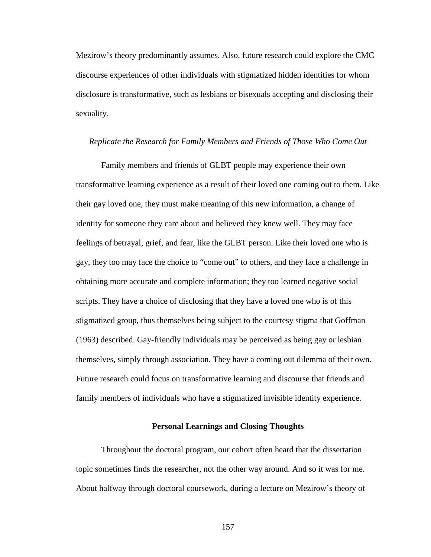Mezirow's theory predominantly assumes. Also, future research could explore the CMC discourse experiences of other individuals with stigmatized hidden identities for whom disclosure is transformative, such as lesbians or bisexuals accepting and disclosing their sexuality.

#### *Replicate the Research for Family Members and Friends of Those Who Come Out*

Family members and friends of GLBT people may experience their own transformative learning experience as a result of their loved one coming out to them. Like their gay loved one, they must make meaning of this new information, a change of identity for someone they care about and believed they knew well. They may face feelings of betrayal, grief, and fear, like the GLBT person. Like their loved one who is gay, they too may face the choice to "come out" to others, and they face a challenge in obtaining more accurate and complete information; they too learned negative social scripts. They have a choice of disclosing that they have a loved one who is of this stigmatized group, thus themselves being subject to the courtesy stigma that Goffman (1963) described. Gay-friendly individuals may be perceived as being gay or lesbian themselves, simply through association. They have a coming out dilemma of their own. Future research could focus on transformative learning and discourse that friends and family members of individuals who have a stigmatized invisible identity experience.

#### **Personal Learnings and Closing Thoughts**

Throughout the doctoral program, our cohort often heard that the dissertation topic sometimes finds the researcher, not the other way around. And so it was for me. About halfway through doctoral coursework, during a lecture on Mezirow's theory of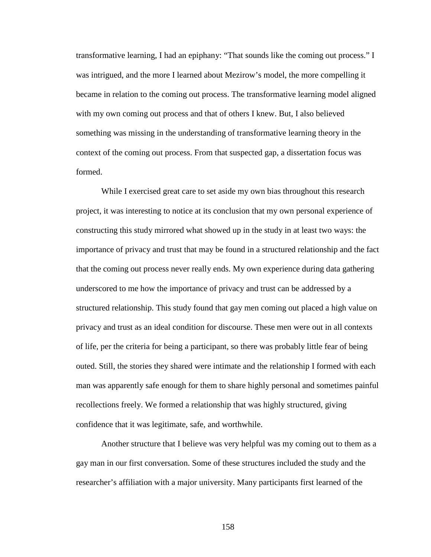transformative learning, I had an epiphany: "That sounds like the coming out process." I was intrigued, and the more I learned about Mezirow's model, the more compelling it became in relation to the coming out process. The transformative learning model aligned with my own coming out process and that of others I knew. But, I also believed something was missing in the understanding of transformative learning theory in the context of the coming out process. From that suspected gap, a dissertation focus was formed.

While I exercised great care to set aside my own bias throughout this research project, it was interesting to notice at its conclusion that my own personal experience of constructing this study mirrored what showed up in the study in at least two ways: the importance of privacy and trust that may be found in a structured relationship and the fact that the coming out process never really ends. My own experience during data gathering underscored to me how the importance of privacy and trust can be addressed by a structured relationship. This study found that gay men coming out placed a high value on privacy and trust as an ideal condition for discourse. These men were out in all contexts of life, per the criteria for being a participant, so there was probably little fear of being outed. Still, the stories they shared were intimate and the relationship I formed with each man was apparently safe enough for them to share highly personal and sometimes painful recollections freely. We formed a relationship that was highly structured, giving confidence that it was legitimate, safe, and worthwhile.

Another structure that I believe was very helpful was my coming out to them as a gay man in our first conversation. Some of these structures included the study and the researcher's affiliation with a major university. Many participants first learned of the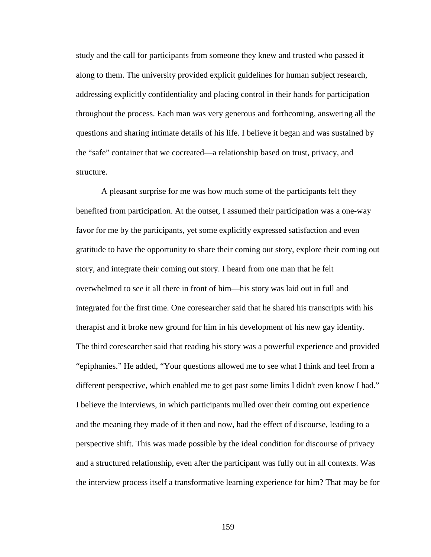study and the call for participants from someone they knew and trusted who passed it along to them. The university provided explicit guidelines for human subject research, addressing explicitly confidentiality and placing control in their hands for participation throughout the process. Each man was very generous and forthcoming, answering all the questions and sharing intimate details of his life. I believe it began and was sustained by the "safe" container that we cocreated—a relationship based on trust, privacy, and structure.

A pleasant surprise for me was how much some of the participants felt they benefited from participation. At the outset, I assumed their participation was a one-way favor for me by the participants, yet some explicitly expressed satisfaction and even gratitude to have the opportunity to share their coming out story, explore their coming out story, and integrate their coming out story. I heard from one man that he felt overwhelmed to see it all there in front of him—his story was laid out in full and integrated for the first time. One coresearcher said that he shared his transcripts with his therapist and it broke new ground for him in his development of his new gay identity. The third coresearcher said that reading his story was a powerful experience and provided "epiphanies." He added, "Your questions allowed me to see what I think and feel from a different perspective, which enabled me to get past some limits I didn't even know I had." I believe the interviews, in which participants mulled over their coming out experience and the meaning they made of it then and now, had the effect of discourse, leading to a perspective shift. This was made possible by the ideal condition for discourse of privacy and a structured relationship, even after the participant was fully out in all contexts. Was the interview process itself a transformative learning experience for him? That may be for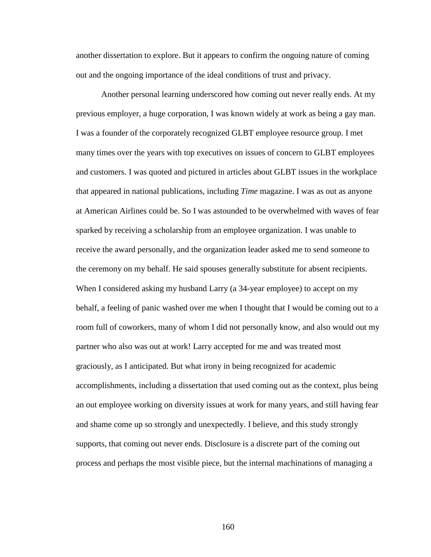another dissertation to explore. But it appears to confirm the ongoing nature of coming out and the ongoing importance of the ideal conditions of trust and privacy.

Another personal learning underscored how coming out never really ends. At my previous employer, a huge corporation, I was known widely at work as being a gay man. I was a founder of the corporately recognized GLBT employee resource group. I met many times over the years with top executives on issues of concern to GLBT employees and customers. I was quoted and pictured in articles about GLBT issues in the workplace that appeared in national publications, including *Time* magazine. I was as out as anyone at American Airlines could be. So I was astounded to be overwhelmed with waves of fear sparked by receiving a scholarship from an employee organization. I was unable to receive the award personally, and the organization leader asked me to send someone to the ceremony on my behalf. He said spouses generally substitute for absent recipients. When I considered asking my husband Larry (a 34-year employee) to accept on my behalf, a feeling of panic washed over me when I thought that I would be coming out to a room full of coworkers, many of whom I did not personally know, and also would out my partner who also was out at work! Larry accepted for me and was treated most graciously, as I anticipated. But what irony in being recognized for academic accomplishments, including a dissertation that used coming out as the context, plus being an out employee working on diversity issues at work for many years, and still having fear and shame come up so strongly and unexpectedly. I believe, and this study strongly supports, that coming out never ends. Disclosure is a discrete part of the coming out process and perhaps the most visible piece, but the internal machinations of managing a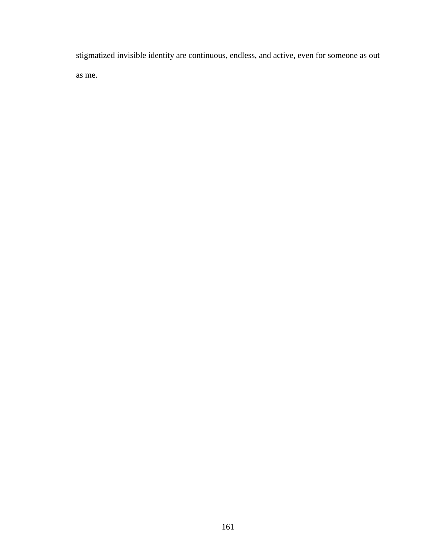stigmatized invisible identity are continuous, endless, and active, even for someone as out as me.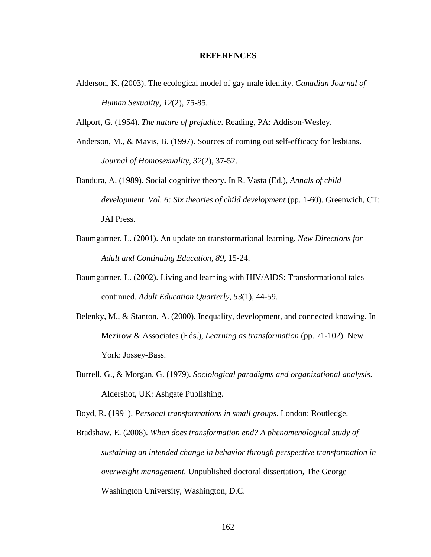#### **REFERENCES**

Alderson, K. (2003). The ecological model of gay male identity. *Canadian Journal of Human Sexuality, 12*(2), 75-85.

Allport, G. (1954). *The nature of prejudice*. Reading, PA: Addison-Wesley.

- Anderson, M., & Mavis, B. (1997). Sources of coming out self-efficacy for lesbians. *Journal of Homosexuality*, *32*(2), 37-52.
- Bandura, A. (1989). Social cognitive theory. In R. Vasta (Ed.), *Annals of child development. Vol. 6: Six theories of child development* (pp. 1-60). Greenwich, CT: JAI Press.
- Baumgartner, L. (2001). An update on transformational learning. *New Directions for Adult and Continuing Education*, *89,* 15-24.
- Baumgartner, L. (2002). Living and learning with HIV/AIDS: Transformational tales continued. *Adult Education Quarterly, 53*(1), 44-59.
- Belenky, M., & Stanton, A. (2000). Inequality, development, and connected knowing. In Mezirow & Associates (Eds.), *Learning as transformation* (pp. 71-102). New York: Jossey-Bass.
- Burrell, G., & Morgan, G. (1979). *Sociological paradigms and organizational analysis*. Aldershot, UK: Ashgate Publishing.

Boyd, R. (1991). *Personal transformations in small groups*. London: Routledge.

Bradshaw, E. (2008). *When does transformation end? A phenomenological study of sustaining an intended change in behavior through perspective transformation in overweight management.* Unpublished doctoral dissertation, The George Washington University, Washington, D.C.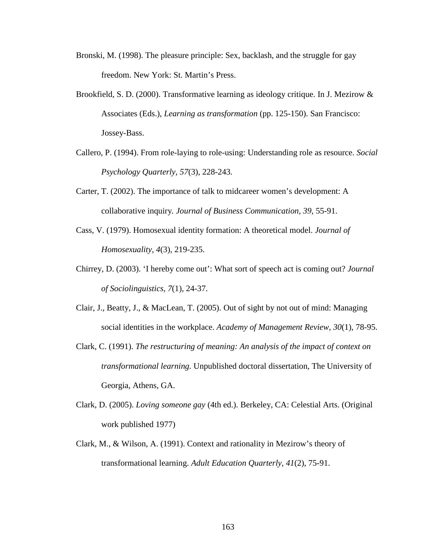- Bronski, M. (1998). The pleasure principle: Sex, backlash, and the struggle for gay freedom. New York: St. Martin's Press.
- Brookfield, S. D. (2000). Transformative learning as ideology critique. In J. Mezirow  $\&$ Associates (Eds.), *Learning as transformation* (pp. 125-150). San Francisco: Jossey-Bass.
- Callero, P. (1994). From role-laying to role-using: Understanding role as resource. *Social Psychology Quarterly, 57*(3), 228-243.
- Carter, T. (2002). The importance of talk to midcareer women's development: A collaborative inquiry*. Journal of Business Communication, 39*, 55-91.
- Cass, V. (1979). Homosexual identity formation: A theoretical model. *Journal of Homosexuality, 4*(3), 219-235.
- Chirrey, D. (2003). 'I hereby come out': What sort of speech act is coming out? *Journal of Sociolinguistics, 7*(1), 24-37.
- Clair, J., Beatty, J., & MacLean, T. (2005). Out of sight by not out of mind: Managing social identities in the workplace. *Academy of Management Review, 30*(1), 78-95.
- Clark, C. (1991). *The restructuring of meaning: An analysis of the impact of context on transformational learning.* Unpublished doctoral dissertation, The University of Georgia, Athens, GA.
- Clark, D. (2005). *Loving someone gay* (4th ed.). Berkeley, CA: Celestial Arts. (Original work published 1977)
- Clark, M., & Wilson, A. (1991). Context and rationality in Mezirow's theory of transformational learning. *Adult Education Quarterly*, *41*(2), 75-91.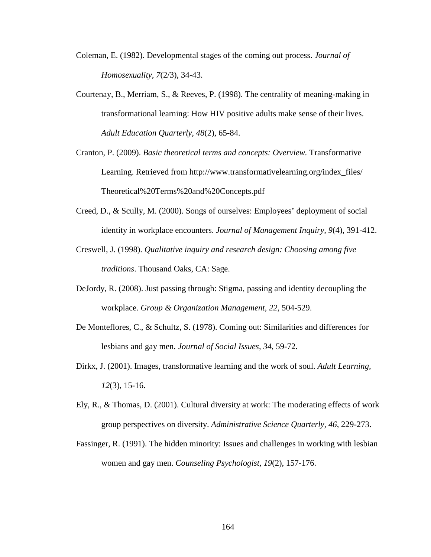- Coleman, E. (1982). Developmental stages of the coming out process. *Journal of Homosexuality, 7*(2/3), 34-43.
- Courtenay, B., Merriam, S., & Reeves, P. (1998). The centrality of meaning-making in transformational learning: How HIV positive adults make sense of their lives. *Adult Education Quarterly, 48*(2), 65-84.
- Cranton, P. (2009). *Basic theoretical terms and concepts: Overview.* Transformative Learning. Retrieved from http://www.transformativelearning.org/index\_files/ Theoretical%20Terms%20and%20Concepts.pdf
- Creed, D., & Scully, M. (2000). Songs of ourselves: Employees' deployment of social identity in workplace encounters. *Journal of Management Inquiry, 9*(4), 391-412.
- Creswell, J. (1998). *Qualitative inquiry and research design: Choosing among five traditions*. Thousand Oaks, CA: Sage.
- DeJordy, R. (2008). Just passing through: Stigma, passing and identity decoupling the workplace. *Group & Organization Management, 22*, 504-529.
- De Monteflores, C., & Schultz, S. (1978). Coming out: Similarities and differences for lesbians and gay men. *Journal of Social Issues, 34*, 59-72.
- Dirkx, J. (2001). Images, transformative learning and the work of soul. *Adult Learning, 12*(3), 15-16.
- Ely, R., & Thomas, D. (2001). Cultural diversity at work: The moderating effects of work group perspectives on diversity. *Administrative Science Quarterly, 46*, 229-273.
- Fassinger, R. (1991). The hidden minority: Issues and challenges in working with lesbian women and gay men. *Counseling Psychologist, 19*(2), 157-176.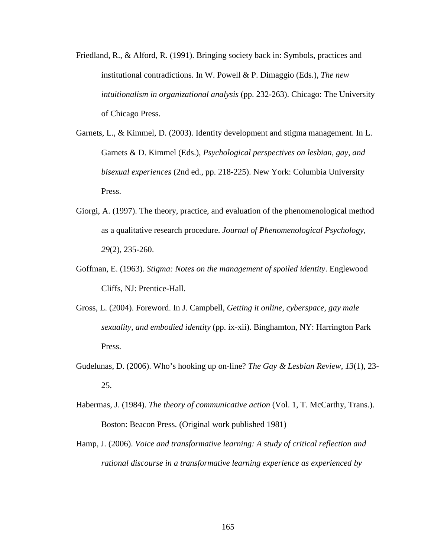- Friedland, R., & Alford, R. (1991). Bringing society back in: Symbols, practices and institutional contradictions. In W. Powell & P. Dimaggio (Eds.), *The new intuitionalism in organizational analysis* (pp. 232-263). Chicago: The University of Chicago Press.
- Garnets, L., & Kimmel, D. (2003). Identity development and stigma management. In L. Garnets & D. Kimmel (Eds.), *Psychological perspectives on lesbian, gay, and bisexual experiences* (2nd ed., pp. 218-225). New York: Columbia University Press.
- Giorgi, A. (1997). The theory, practice, and evaluation of the phenomenological method as a qualitative research procedure. *Journal of Phenomenological Psychology, 29*(2), 235-260.
- Goffman, E. (1963). *Stigma: Notes on the management of spoiled identity*. Englewood Cliffs, NJ: Prentice-Hall.
- Gross, L. (2004). Foreword. In J. Campbell, *Getting it online, cyberspace, gay male sexuality, and embodied identity* (pp. ix-xii). Binghamton, NY: Harrington Park Press.
- Gudelunas, D. (2006). Who's hooking up on-line? *The Gay & Lesbian Review, 13*(1), 23- 25.
- Habermas, J. (1984). *The theory of communicative action* (Vol. 1, T. McCarthy, Trans.). Boston: Beacon Press. (Original work published 1981)
- Hamp, J. (2006). *Voice and transformative learning: A study of critical reflection and rational discourse in a transformative learning experience as experienced by*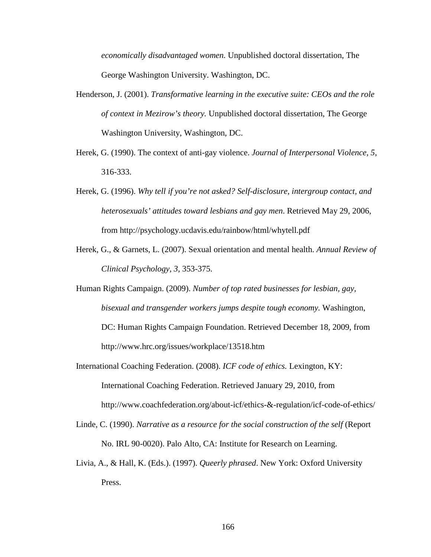*economically disadvantaged women.* Unpublished doctoral dissertation, The George Washington University. Washington, DC.

- Henderson, J. (2001). *Transformative learning in the executive suite: CEOs and the role of context in Mezirow's theory.* Unpublished doctoral dissertation, The George Washington University, Washington, DC.
- Herek, G. (1990). The context of anti-gay violence. *Journal of Interpersonal Violence, 5*, 316-333.
- Herek, G. (1996). *Why tell if you're not asked? Self-disclosure, intergroup contact, and heterosexuals' attitudes toward lesbians and gay men*. Retrieved May 29, 2006, from http://psychology.ucdavis.edu/rainbow/html/whytell.pdf
- Herek, G., & Garnets, L. (2007). Sexual orientation and mental health. *Annual Review of Clinical Psychology*, *3,* 353-375.
- Human Rights Campaign. (2009). *Number of top rated businesses for lesbian, gay, bisexual and transgender workers jumps despite tough economy.* Washington, DC: Human Rights Campaign Foundation. Retrieved December 18, 2009, from http://www.hrc.org/issues/workplace/13518.htm
- International Coaching Federation. (2008). *ICF code of ethics.* Lexington, KY: International Coaching Federation. Retrieved January 29, 2010, from http://www.coachfederation.org/about-icf/ethics-&-regulation/icf-code-of-ethics/
- Linde, C. (1990). *Narrative as a resource for the social construction of the self* (Report No. IRL 90-0020). Palo Alto, CA: Institute for Research on Learning.
- Livia, A., & Hall, K. (Eds.). (1997). *Queerly phrased*. New York: Oxford University Press.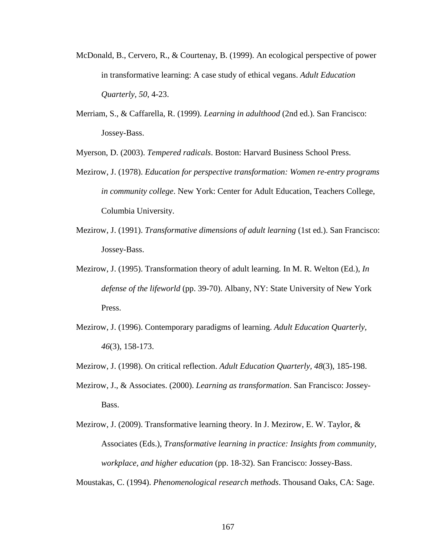- McDonald, B., Cervero, R., & Courtenay, B. (1999). An ecological perspective of power in transformative learning: A case study of ethical vegans. *Adult Education Quarterly, 50*, 4-23.
- Merriam, S., & Caffarella, R. (1999). *Learning in adulthood* (2nd ed.). San Francisco: Jossey-Bass.

Myerson, D. (2003). *Tempered radicals*. Boston: Harvard Business School Press.

- Mezirow, J. (1978). *Education for perspective transformation: Women re-entry programs in community college*. New York: Center for Adult Education, Teachers College, Columbia University.
- Mezirow, J. (1991). *Transformative dimensions of adult learning* (1st ed.). San Francisco: Jossey-Bass.
- Mezirow, J. (1995). Transformation theory of adult learning. In M. R. Welton (Ed.), *In defense of the lifeworld* (pp. 39-70). Albany, NY: State University of New York Press.
- Mezirow, J. (1996). Contemporary paradigms of learning. *Adult Education Quarterly, 46*(3), 158-173.
- Mezirow, J. (1998). On critical reflection. *Adult Education Quarterly, 48*(3), 185-198.
- Mezirow, J., & Associates. (2000). *Learning as transformation*. San Francisco: Jossey-Bass.
- Mezirow, J. (2009). Transformative learning theory. In J. Mezirow, E. W. Taylor,  $\&$ Associates (Eds.), *Transformative learning in practice: Insights from community, workplace, and higher education* (pp. 18-32). San Francisco: Jossey-Bass.

Moustakas, C. (1994). *Phenomenological research methods*. Thousand Oaks, CA: Sage.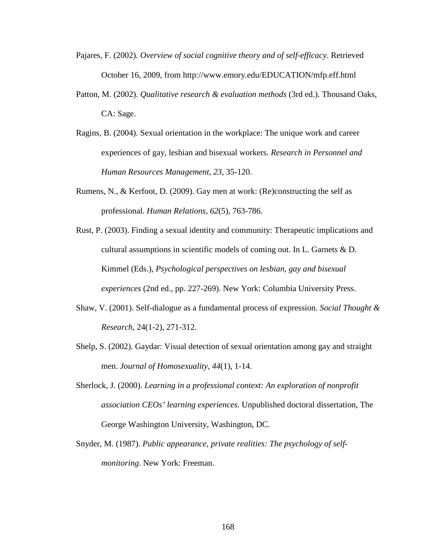- Pajares, F. (2002). *Overview of social cognitive theory and of self-efficacy.* Retrieved October 16, 2009, from http://www.emory.edu/EDUCATION/mfp.eff.html
- Patton, M. (2002). *Qualitative research & evaluation methods* (3rd ed.). Thousand Oaks, CA: Sage.
- Ragins, B. (2004). Sexual orientation in the workplace: The unique work and career experiences of gay, lesbian and bisexual workers. *Research in Personnel and Human Resources Management, 23*, 35-120.
- Rumens, N., & Kerfoot, D. (2009). Gay men at work: (Re)constructing the self as professional. *Human Relations*, *62*(5), 763-786.
- Rust, P. (2003). Finding a sexual identity and community: Therapeutic implications and cultural assumptions in scientific models of coming out. In L. Garnets & D. Kimmel (Eds.), *Psychological perspectives on lesbian, gay and bisexual experiences* (2nd ed., pp. 227-269). New York: Columbia University Press.
- Shaw, V. (2001). Self-dialogue as a fundamental process of expression. *Social Thought & Research*, 24(1-2), 271-312.
- Shelp, S. (2002). Gaydar: Visual detection of sexual orientation among gay and straight men. *Journal of Homosexuality, 44*(1), 1-14.
- Sherlock, J. (2000). *Learning in a professional context: An exploration of nonprofit association CEOs' learning experiences.* Unpublished doctoral dissertation, The George Washington University, Washington, DC.
- Snyder, M. (1987). *Public appearance, private realities: The psychology of selfmonitoring*. New York: Freeman.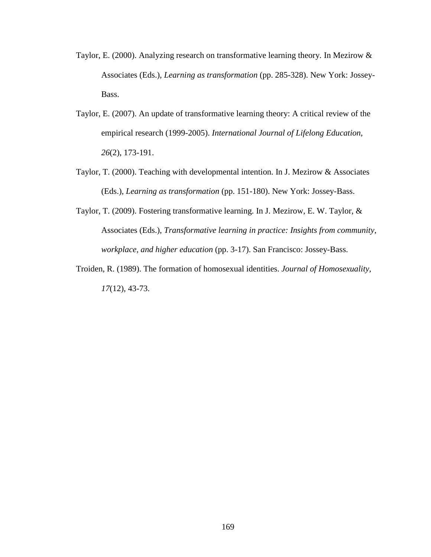- Taylor, E. (2000). Analyzing research on transformative learning theory. In Mezirow & Associates (Eds.), *Learning as transformation* (pp. 285-328). New York: Jossey-Bass.
- Taylor, E. (2007). An update of transformative learning theory: A critical review of the empirical research (1999-2005). *International Journal of Lifelong Education, 26*(2), 173-191.
- Taylor, T. (2000). Teaching with developmental intention. In J. Mezirow & Associates (Eds.), *Learning as transformation* (pp. 151-180). New York: Jossey-Bass.
- Taylor, T. (2009). Fostering transformative learning. In J. Mezirow, E. W. Taylor, & Associates (Eds.), *Transformative learning in practice: Insights from community, workplace, and higher education* (pp. 3-17). San Francisco: Jossey-Bass.
- Troiden, R. (1989). The formation of homosexual identities. *Journal of Homosexuality, 17*(12), 43-73.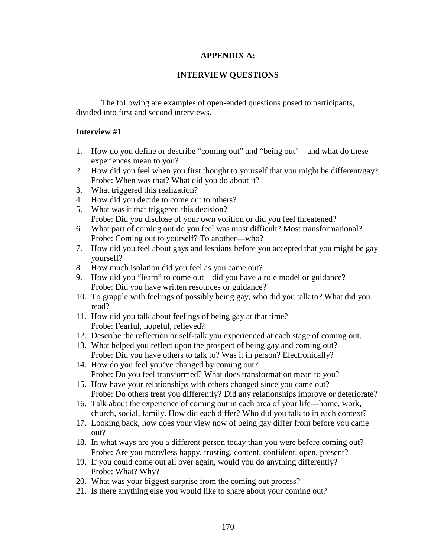## **APPENDIX A:**

## **INTERVIEW QUESTIONS**

The following are examples of open-ended questions posed to participants, divided into first and second interviews.

### **Interview #1**

- 1. How do you define or describe "coming out" and "being out"—and what do these experiences mean to you?
- 2. How did you feel when you first thought to yourself that you might be different/gay? Probe: When was that? What did you do about it?
- 3. What triggered this realization?
- 4. How did you decide to come out to others?
- 5. What was it that triggered this decision? Probe: Did you disclose of your own volition or did you feel threatened?
- 6. What part of coming out do you feel was most difficult? Most transformational? Probe: Coming out to yourself? To another—who?
- 7. How did you feel about gays and lesbians before you accepted that you might be gay yourself?
- 8. How much isolation did you feel as you came out?
- 9. How did you "learn" to come out—did you have a role model or guidance? Probe: Did you have written resources or guidance?
- 10. To grapple with feelings of possibly being gay, who did you talk to? What did you read?
- 11. How did you talk about feelings of being gay at that time? Probe: Fearful, hopeful, relieved?
- 12. Describe the reflection or self-talk you experienced at each stage of coming out.
- 13. What helped you reflect upon the prospect of being gay and coming out? Probe: Did you have others to talk to? Was it in person? Electronically?
- 14. How do you feel you've changed by coming out? Probe: Do you feel transformed? What does transformation mean to you?
- 15. How have your relationships with others changed since you came out? Probe: Do others treat you differently? Did any relationships improve or deteriorate?
- 16. Talk about the experience of coming out in each area of your life—home, work, church, social, family. How did each differ? Who did you talk to in each context?
- 17. Looking back, how does your view now of being gay differ from before you came out?
- 18. In what ways are you a different person today than you were before coming out? Probe: Are you more/less happy, trusting, content, confident, open, present?
- 19. If you could come out all over again, would you do anything differently? Probe: What? Why?
- 20. What was your biggest surprise from the coming out process?
- 21. Is there anything else you would like to share about your coming out?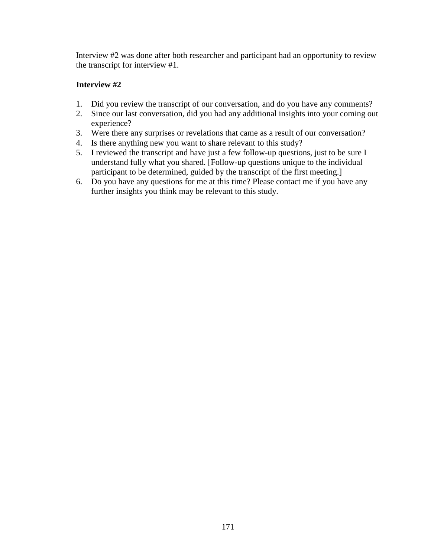Interview #2 was done after both researcher and participant had an opportunity to review the transcript for interview #1.

## **Interview #2**

- 1. Did you review the transcript of our conversation, and do you have any comments?
- 2. Since our last conversation, did you had any additional insights into your coming out experience?
- 3. Were there any surprises or revelations that came as a result of our conversation?
- 4. Is there anything new you want to share relevant to this study?
- 5. I reviewed the transcript and have just a few follow-up questions, just to be sure I understand fully what you shared. [Follow-up questions unique to the individual participant to be determined, guided by the transcript of the first meeting.]
- 6. Do you have any questions for me at this time? Please contact me if you have any further insights you think may be relevant to this study.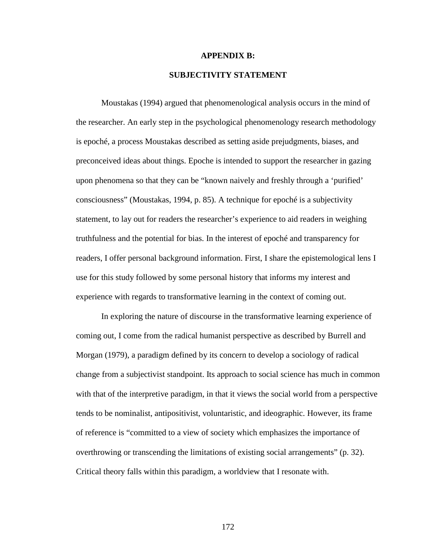#### **APPENDIX B:**

### **SUBJECTIVITY STATEMENT**

Moustakas (1994) argued that phenomenological analysis occurs in the mind of the researcher. An early step in the psychological phenomenology research methodology is epoché, a process Moustakas described as setting aside prejudgments, biases, and preconceived ideas about things. Epoche is intended to support the researcher in gazing upon phenomena so that they can be "known naively and freshly through a 'purified' consciousness" (Moustakas, 1994, p. 85). A technique for epoché is a subjectivity statement, to lay out for readers the researcher's experience to aid readers in weighing truthfulness and the potential for bias. In the interest of epoché and transparency for readers, I offer personal background information. First, I share the epistemological lens I use for this study followed by some personal history that informs my interest and experience with regards to transformative learning in the context of coming out.

In exploring the nature of discourse in the transformative learning experience of coming out, I come from the radical humanist perspective as described by Burrell and Morgan (1979), a paradigm defined by its concern to develop a sociology of radical change from a subjectivist standpoint. Its approach to social science has much in common with that of the interpretive paradigm, in that it views the social world from a perspective tends to be nominalist, antipositivist, voluntaristic, and ideographic. However, its frame of reference is "committed to a view of society which emphasizes the importance of overthrowing or transcending the limitations of existing social arrangements" (p. 32). Critical theory falls within this paradigm, a worldview that I resonate with.

172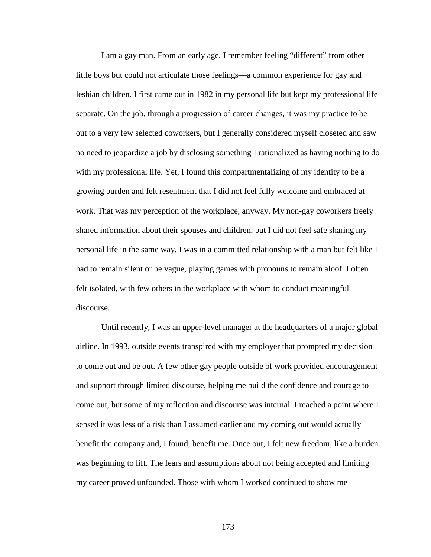I am a gay man. From an early age, I remember feeling "different" from other little boys but could not articulate those feelings—a common experience for gay and lesbian children. I first came out in 1982 in my personal life but kept my professional life separate. On the job, through a progression of career changes, it was my practice to be out to a very few selected coworkers, but I generally considered myself closeted and saw no need to jeopardize a job by disclosing something I rationalized as having nothing to do with my professional life. Yet, I found this compartmentalizing of my identity to be a growing burden and felt resentment that I did not feel fully welcome and embraced at work. That was my perception of the workplace, anyway. My non-gay coworkers freely shared information about their spouses and children, but I did not feel safe sharing my personal life in the same way. I was in a committed relationship with a man but felt like I had to remain silent or be vague, playing games with pronouns to remain aloof. I often felt isolated, with few others in the workplace with whom to conduct meaningful discourse.

Until recently, I was an upper-level manager at the headquarters of a major global airline. In 1993, outside events transpired with my employer that prompted my decision to come out and be out. A few other gay people outside of work provided encouragement and support through limited discourse, helping me build the confidence and courage to come out, but some of my reflection and discourse was internal. I reached a point where I sensed it was less of a risk than I assumed earlier and my coming out would actually benefit the company and, I found, benefit me. Once out, I felt new freedom, like a burden was beginning to lift. The fears and assumptions about not being accepted and limiting my career proved unfounded. Those with whom I worked continued to show me

173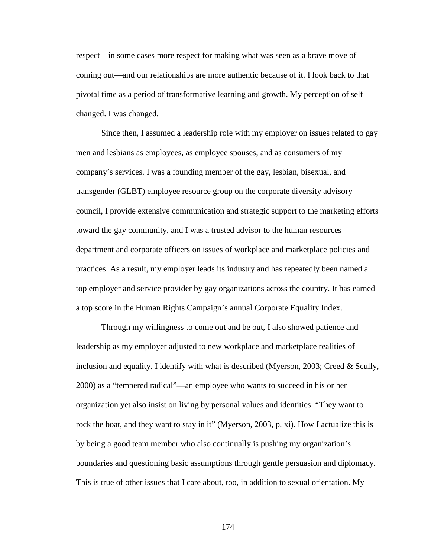respect—in some cases more respect for making what was seen as a brave move of coming out—and our relationships are more authentic because of it. I look back to that pivotal time as a period of transformative learning and growth. My perception of self changed. I was changed.

Since then, I assumed a leadership role with my employer on issues related to gay men and lesbians as employees, as employee spouses, and as consumers of my company's services. I was a founding member of the gay, lesbian, bisexual, and transgender (GLBT) employee resource group on the corporate diversity advisory council, I provide extensive communication and strategic support to the marketing efforts toward the gay community, and I was a trusted advisor to the human resources department and corporate officers on issues of workplace and marketplace policies and practices. As a result, my employer leads its industry and has repeatedly been named a top employer and service provider by gay organizations across the country. It has earned a top score in the Human Rights Campaign's annual Corporate Equality Index.

Through my willingness to come out and be out, I also showed patience and leadership as my employer adjusted to new workplace and marketplace realities of inclusion and equality. I identify with what is described (Myerson, 2003; Creed & Scully, 2000) as a "tempered radical"—an employee who wants to succeed in his or her organization yet also insist on living by personal values and identities. "They want to rock the boat, and they want to stay in it" (Myerson, 2003, p. xi). How I actualize this is by being a good team member who also continually is pushing my organization's boundaries and questioning basic assumptions through gentle persuasion and diplomacy. This is true of other issues that I care about, too, in addition to sexual orientation. My

174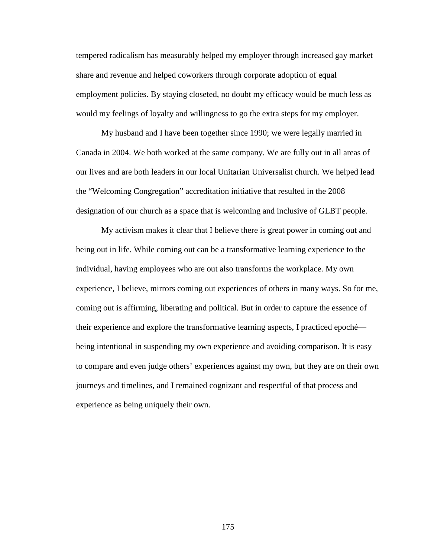tempered radicalism has measurably helped my employer through increased gay market share and revenue and helped coworkers through corporate adoption of equal employment policies. By staying closeted, no doubt my efficacy would be much less as would my feelings of loyalty and willingness to go the extra steps for my employer.

My husband and I have been together since 1990; we were legally married in Canada in 2004. We both worked at the same company. We are fully out in all areas of our lives and are both leaders in our local Unitarian Universalist church. We helped lead the "Welcoming Congregation" accreditation initiative that resulted in the 2008 designation of our church as a space that is welcoming and inclusive of GLBT people.

My activism makes it clear that I believe there is great power in coming out and being out in life. While coming out can be a transformative learning experience to the individual, having employees who are out also transforms the workplace. My own experience, I believe, mirrors coming out experiences of others in many ways. So for me, coming out is affirming, liberating and political. But in order to capture the essence of their experience and explore the transformative learning aspects, I practiced epoché being intentional in suspending my own experience and avoiding comparison. It is easy to compare and even judge others' experiences against my own, but they are on their own journeys and timelines, and I remained cognizant and respectful of that process and experience as being uniquely their own.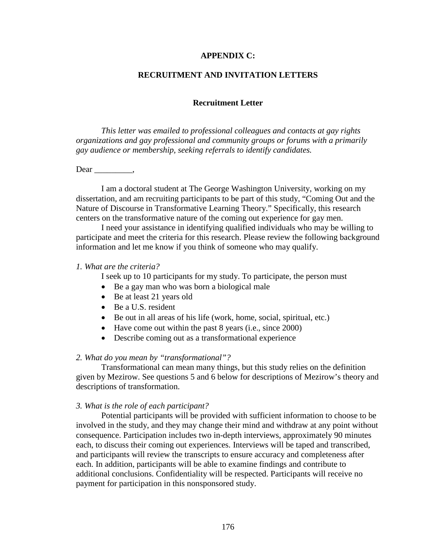#### **APPENDIX C:**

#### **RECRUITMENT AND INVITATION LETTERS**

#### **Recruitment Letter**

*This letter was emailed to professional colleagues and contacts at gay rights organizations and gay professional and community groups or forums with a primarily gay audience or membership, seeking referrals to identify candidates.* 

Dear \_\_\_\_\_\_\_\_\_,

I am a doctoral student at The George Washington University, working on my dissertation, and am recruiting participants to be part of this study, "Coming Out and the Nature of Discourse in Transformative Learning Theory." Specifically, this research centers on the transformative nature of the coming out experience for gay men.

I need your assistance in identifying qualified individuals who may be willing to participate and meet the criteria for this research. Please review the following background information and let me know if you think of someone who may qualify.

#### *1. What are the criteria?*

I seek up to 10 participants for my study. To participate, the person must

- Be a gay man who was born a biological male
- Be at least 21 years old
- Be a U.S. resident
- Be out in all areas of his life (work, home, social, spiritual, etc.)
- Have come out within the past 8 years (i.e., since 2000)
- Describe coming out as a transformational experience

#### *2. What do you mean by "transformational"?*

Transformational can mean many things, but this study relies on the definition given by Mezirow. See questions 5 and 6 below for descriptions of Mezirow's theory and descriptions of transformation.

#### *3. What is the role of each participant?*

Potential participants will be provided with sufficient information to choose to be involved in the study, and they may change their mind and withdraw at any point without consequence. Participation includes two in-depth interviews, approximately 90 minutes each, to discuss their coming out experiences. Interviews will be taped and transcribed, and participants will review the transcripts to ensure accuracy and completeness after each. In addition, participants will be able to examine findings and contribute to additional conclusions. Confidentiality will be respected. Participants will receive no payment for participation in this nonsponsored study.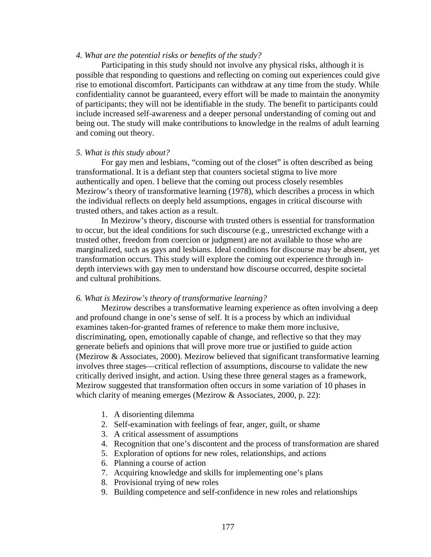#### *4. What are the potential risks or benefits of the study?*

Participating in this study should not involve any physical risks, although it is possible that responding to questions and reflecting on coming out experiences could give rise to emotional discomfort. Participants can withdraw at any time from the study. While confidentiality cannot be guaranteed, every effort will be made to maintain the anonymity of participants; they will not be identifiable in the study. The benefit to participants could include increased self-awareness and a deeper personal understanding of coming out and being out. The study will make contributions to knowledge in the realms of adult learning and coming out theory.

#### *5. What is this study about?*

For gay men and lesbians, "coming out of the closet" is often described as being transformational. It is a defiant step that counters societal stigma to live more authentically and open. I believe that the coming out process closely resembles Mezirow's theory of transformative learning (1978), which describes a process in which the individual reflects on deeply held assumptions, engages in critical discourse with trusted others, and takes action as a result.

In Mezirow's theory, discourse with trusted others is essential for transformation to occur, but the ideal conditions for such discourse (e.g., unrestricted exchange with a trusted other, freedom from coercion or judgment) are not available to those who are marginalized, such as gays and lesbians. Ideal conditions for discourse may be absent, yet transformation occurs. This study will explore the coming out experience through indepth interviews with gay men to understand how discourse occurred, despite societal and cultural prohibitions.

#### *6. What is Mezirow's theory of transformative learning?*

Mezirow describes a transformative learning experience as often involving a deep and profound change in one's sense of self. It is a process by which an individual examines taken-for-granted frames of reference to make them more inclusive, discriminating, open, emotionally capable of change, and reflective so that they may generate beliefs and opinions that will prove more true or justified to guide action (Mezirow & Associates, 2000). Mezirow believed that significant transformative learning involves three stages—critical reflection of assumptions, discourse to validate the new critically derived insight, and action. Using these three general stages as a framework, Mezirow suggested that transformation often occurs in some variation of 10 phases in which clarity of meaning emerges (Mezirow & Associates, 2000, p. 22):

- 1. A disorienting dilemma
- 2. Self-examination with feelings of fear, anger, guilt, or shame
- 3. A critical assessment of assumptions
- 4. Recognition that one's discontent and the process of transformation are shared
- 5. Exploration of options for new roles, relationships, and actions
- 6. Planning a course of action
- 7. Acquiring knowledge and skills for implementing one's plans
- 8. Provisional trying of new roles
- 9. Building competence and self-confidence in new roles and relationships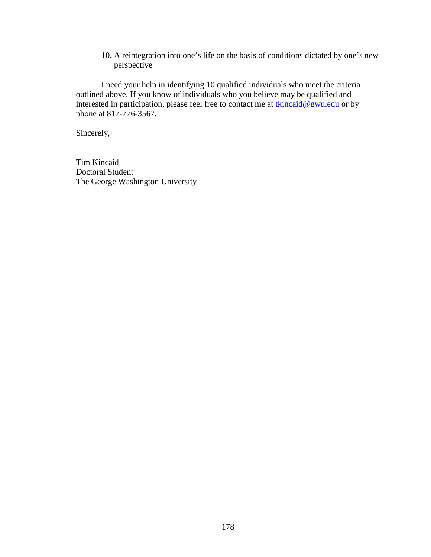10. A reintegration into one's life on the basis of conditions dictated by one's new perspective

I need your help in identifying 10 qualified individuals who meet the criteria outlined above. If you know of individuals who you believe may be qualified and interested in participation, please feel free to contact me at tkincaid@gwu.edu or by phone at 817-776-3567.

Sincerely,

Tim Kincaid Doctoral Student The George Washington University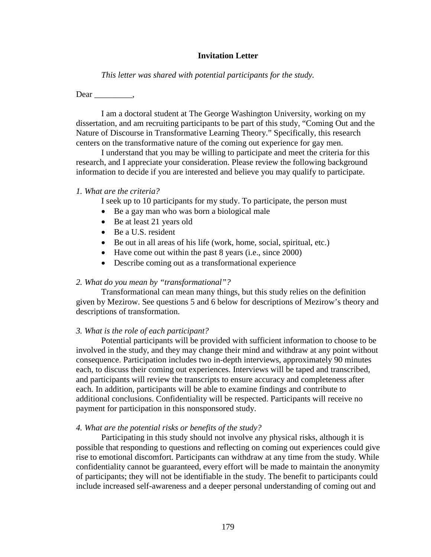#### **Invitation Letter**

*This letter was shared with potential participants for the study.* 

Dear ,

I am a doctoral student at The George Washington University, working on my dissertation, and am recruiting participants to be part of this study, "Coming Out and the Nature of Discourse in Transformative Learning Theory." Specifically, this research centers on the transformative nature of the coming out experience for gay men.

I understand that you may be willing to participate and meet the criteria for this research, and I appreciate your consideration. Please review the following background information to decide if you are interested and believe you may qualify to participate.

### *1. What are the criteria?*

I seek up to 10 participants for my study. To participate, the person must

- Be a gay man who was born a biological male
- Be at least 21 years old
- Be a U.S. resident
- Be out in all areas of his life (work, home, social, spiritual, etc.)
- Have come out within the past 8 years (i.e., since 2000)
- Describe coming out as a transformational experience

## *2. What do you mean by "transformational"?*

Transformational can mean many things, but this study relies on the definition given by Mezirow. See questions 5 and 6 below for descriptions of Mezirow's theory and descriptions of transformation.

## *3. What is the role of each participant?*

Potential participants will be provided with sufficient information to choose to be involved in the study, and they may change their mind and withdraw at any point without consequence. Participation includes two in-depth interviews, approximately 90 minutes each, to discuss their coming out experiences. Interviews will be taped and transcribed, and participants will review the transcripts to ensure accuracy and completeness after each. In addition, participants will be able to examine findings and contribute to additional conclusions. Confidentiality will be respected. Participants will receive no payment for participation in this nonsponsored study.

## *4. What are the potential risks or benefits of the study?*

Participating in this study should not involve any physical risks, although it is possible that responding to questions and reflecting on coming out experiences could give rise to emotional discomfort. Participants can withdraw at any time from the study. While confidentiality cannot be guaranteed, every effort will be made to maintain the anonymity of participants; they will not be identifiable in the study. The benefit to participants could include increased self-awareness and a deeper personal understanding of coming out and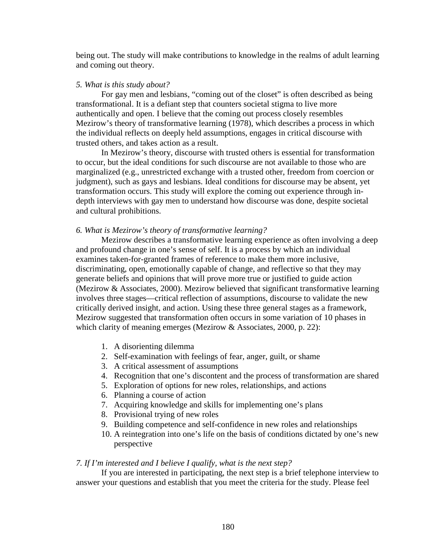being out. The study will make contributions to knowledge in the realms of adult learning and coming out theory.

### *5. What is this study about?*

For gay men and lesbians, "coming out of the closet" is often described as being transformational. It is a defiant step that counters societal stigma to live more authentically and open. I believe that the coming out process closely resembles Mezirow's theory of transformative learning (1978), which describes a process in which the individual reflects on deeply held assumptions, engages in critical discourse with trusted others, and takes action as a result.

In Mezirow's theory, discourse with trusted others is essential for transformation to occur, but the ideal conditions for such discourse are not available to those who are marginalized (e.g., unrestricted exchange with a trusted other, freedom from coercion or judgment), such as gays and lesbians. Ideal conditions for discourse may be absent, yet transformation occurs. This study will explore the coming out experience through indepth interviews with gay men to understand how discourse was done, despite societal and cultural prohibitions.

## *6. What is Mezirow's theory of transformative learning?*

Mezirow describes a transformative learning experience as often involving a deep and profound change in one's sense of self. It is a process by which an individual examines taken-for-granted frames of reference to make them more inclusive, discriminating, open, emotionally capable of change, and reflective so that they may generate beliefs and opinions that will prove more true or justified to guide action (Mezirow & Associates, 2000). Mezirow believed that significant transformative learning involves three stages—critical reflection of assumptions, discourse to validate the new critically derived insight, and action. Using these three general stages as a framework, Mezirow suggested that transformation often occurs in some variation of 10 phases in which clarity of meaning emerges (Mezirow & Associates, 2000, p. 22):

- 1. A disorienting dilemma
- 2. Self-examination with feelings of fear, anger, guilt, or shame
- 3. A critical assessment of assumptions
- 4. Recognition that one's discontent and the process of transformation are shared
- 5. Exploration of options for new roles, relationships, and actions
- 6. Planning a course of action
- 7. Acquiring knowledge and skills for implementing one's plans
- 8. Provisional trying of new roles
- 9. Building competence and self-confidence in new roles and relationships
- 10. A reintegration into one's life on the basis of conditions dictated by one's new perspective

#### *7. If I'm interested and I believe I qualify, what is the next step?*

If you are interested in participating, the next step is a brief telephone interview to answer your questions and establish that you meet the criteria for the study. Please feel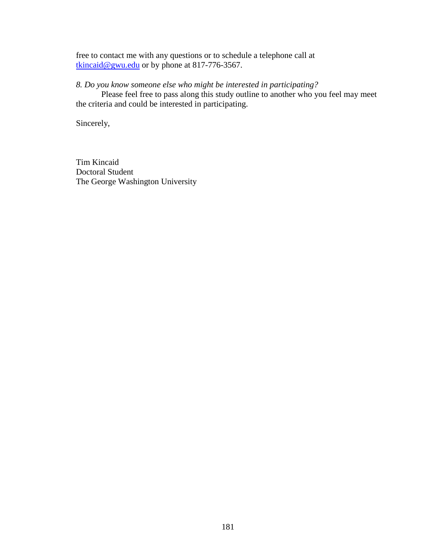free to contact me with any questions or to schedule a telephone call at tkincaid@gwu.edu or by phone at 817-776-3567.

*8. Do you know someone else who might be interested in participating?* 

Please feel free to pass along this study outline to another who you feel may meet the criteria and could be interested in participating.

Sincerely,

Tim Kincaid Doctoral Student The George Washington University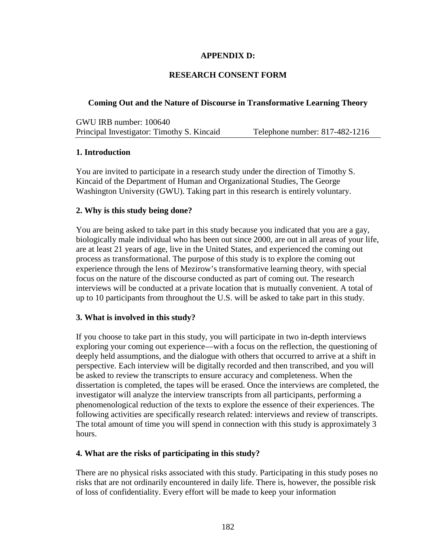## **APPENDIX D:**

## **RESEARCH CONSENT FORM**

## **Coming Out and the Nature of Discourse in Transformative Learning Theory**

GWU IRB number: 100640 Principal Investigator: Timothy S. Kincaid Telephone number: 817-482-1216

## **1. Introduction**

You are invited to participate in a research study under the direction of Timothy S. Kincaid of the Department of Human and Organizational Studies, The George Washington University (GWU). Taking part in this research is entirely voluntary.

## **2. Why is this study being done?**

You are being asked to take part in this study because you indicated that you are a gay, biologically male individual who has been out since 2000, are out in all areas of your life, are at least 21 years of age, live in the United States, and experienced the coming out process as transformational. The purpose of this study is to explore the coming out experience through the lens of Mezirow's transformative learning theory, with special focus on the nature of the discourse conducted as part of coming out. The research interviews will be conducted at a private location that is mutually convenient. A total of up to 10 participants from throughout the U.S. will be asked to take part in this study.

## **3. What is involved in this study?**

If you choose to take part in this study, you will participate in two in-depth interviews exploring your coming out experience—with a focus on the reflection, the questioning of deeply held assumptions, and the dialogue with others that occurred to arrive at a shift in perspective. Each interview will be digitally recorded and then transcribed, and you will be asked to review the transcripts to ensure accuracy and completeness. When the dissertation is completed, the tapes will be erased. Once the interviews are completed, the investigator will analyze the interview transcripts from all participants, performing a phenomenological reduction of the texts to explore the essence of their experiences. The following activities are specifically research related: interviews and review of transcripts. The total amount of time you will spend in connection with this study is approximately 3 hours.

#### **4. What are the risks of participating in this study?**

There are no physical risks associated with this study. Participating in this study poses no risks that are not ordinarily encountered in daily life. There is, however, the possible risk of loss of confidentiality. Every effort will be made to keep your information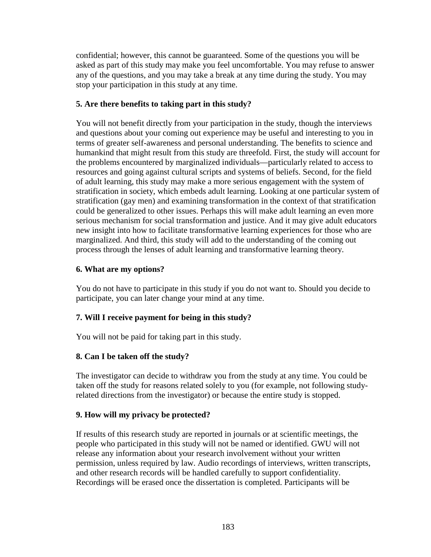confidential; however, this cannot be guaranteed. Some of the questions you will be asked as part of this study may make you feel uncomfortable. You may refuse to answer any of the questions, and you may take a break at any time during the study. You may stop your participation in this study at any time.

## **5. Are there benefits to taking part in this study?**

You will not benefit directly from your participation in the study, though the interviews and questions about your coming out experience may be useful and interesting to you in terms of greater self-awareness and personal understanding. The benefits to science and humankind that might result from this study are threefold. First, the study will account for the problems encountered by marginalized individuals—particularly related to access to resources and going against cultural scripts and systems of beliefs. Second, for the field of adult learning, this study may make a more serious engagement with the system of stratification in society, which embeds adult learning. Looking at one particular system of stratification (gay men) and examining transformation in the context of that stratification could be generalized to other issues. Perhaps this will make adult learning an even more serious mechanism for social transformation and justice. And it may give adult educators new insight into how to facilitate transformative learning experiences for those who are marginalized. And third, this study will add to the understanding of the coming out process through the lenses of adult learning and transformative learning theory.

## **6. What are my options?**

You do not have to participate in this study if you do not want to. Should you decide to participate, you can later change your mind at any time.

## **7. Will I receive payment for being in this study?**

You will not be paid for taking part in this study.

## **8. Can I be taken off the study?**

The investigator can decide to withdraw you from the study at any time. You could be taken off the study for reasons related solely to you (for example, not following studyrelated directions from the investigator) or because the entire study is stopped.

## **9. How will my privacy be protected?**

If results of this research study are reported in journals or at scientific meetings, the people who participated in this study will not be named or identified. GWU will not release any information about your research involvement without your written permission, unless required by law. Audio recordings of interviews, written transcripts, and other research records will be handled carefully to support confidentiality. Recordings will be erased once the dissertation is completed. Participants will be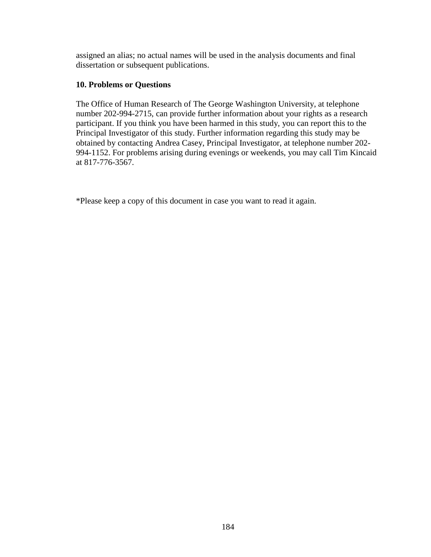assigned an alias; no actual names will be used in the analysis documents and final dissertation or subsequent publications.

## **10. Problems or Questions**

The Office of Human Research of The George Washington University, at telephone number 202-994-2715, can provide further information about your rights as a research participant. If you think you have been harmed in this study, you can report this to the Principal Investigator of this study. Further information regarding this study may be obtained by contacting Andrea Casey, Principal Investigator, at telephone number 202- 994-1152. For problems arising during evenings or weekends, you may call Tim Kincaid at 817-776-3567.

\*Please keep a copy of this document in case you want to read it again.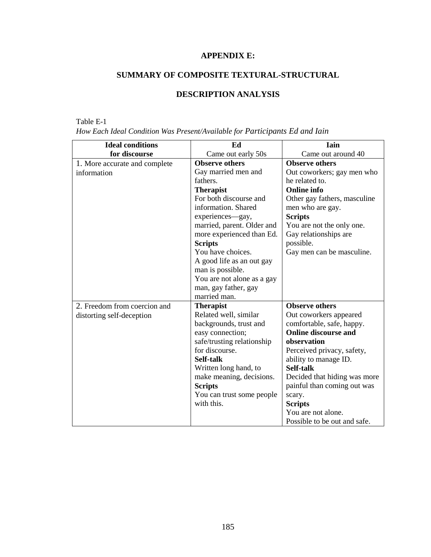# **APPENDIX E:**

# **SUMMARY OF COMPOSITE TEXTURAL-STRUCTURAL**

# **DESCRIPTION ANALYSIS**

## Table E-1

| How Each Ideal Condition Was Present/Available for Participants Ed and Iain |  |  |  |  |  |  |
|-----------------------------------------------------------------------------|--|--|--|--|--|--|
|-----------------------------------------------------------------------------|--|--|--|--|--|--|

| <b>Ideal conditions</b>       | Ed                         | Iain                         |
|-------------------------------|----------------------------|------------------------------|
| for discourse                 | Came out early 50s         | Came out around 40           |
| 1. More accurate and complete | <b>Observe others</b>      | <b>Observe others</b>        |
| information                   | Gay married men and        | Out coworkers; gay men who   |
|                               | fathers.                   | he related to.               |
|                               | <b>Therapist</b>           | <b>Online info</b>           |
|                               | For both discourse and     | Other gay fathers, masculine |
|                               | information. Shared        | men who are gay.             |
|                               | experiences-gay,           | <b>Scripts</b>               |
|                               | married, parent. Older and | You are not the only one.    |
|                               | more experienced than Ed.  | Gay relationships are        |
|                               | <b>Scripts</b>             | possible.                    |
|                               | You have choices.          | Gay men can be masculine.    |
|                               | A good life as an out gay  |                              |
|                               | man is possible.           |                              |
|                               | You are not alone as a gay |                              |
|                               | man, gay father, gay       |                              |
|                               | married man.               |                              |
| 2. Freedom from coercion and  | <b>Therapist</b>           | <b>Observe others</b>        |
| distorting self-deception     | Related well, similar      | Out coworkers appeared       |
|                               | backgrounds, trust and     | comfortable, safe, happy.    |
|                               | easy connection;           | <b>Online discourse and</b>  |
|                               | safe/trusting relationship | observation                  |
|                               | for discourse.             | Perceived privacy, safety,   |
|                               | Self-talk                  | ability to manage ID.        |
|                               | Written long hand, to      | Self-talk                    |
|                               | make meaning, decisions.   | Decided that hiding was more |
|                               | <b>Scripts</b>             | painful than coming out was  |
|                               | You can trust some people  | scary.                       |
|                               | with this.                 | <b>Scripts</b>               |
|                               |                            | You are not alone.           |
|                               |                            | Possible to be out and safe. |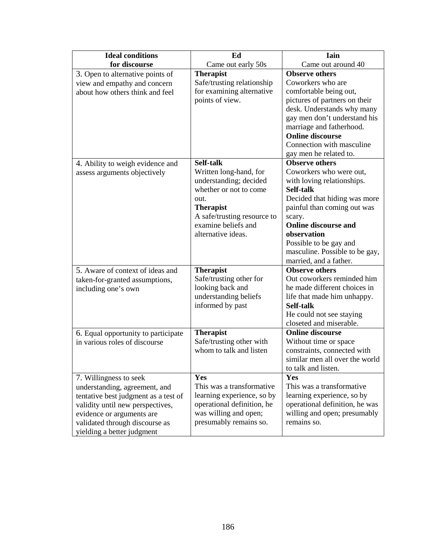| <b>Ideal conditions</b>                                                                                                                                                                                                          | Ed                                                                                                                                                                                              | Iain                                                                                                                                                                                                                                                                                                     |
|----------------------------------------------------------------------------------------------------------------------------------------------------------------------------------------------------------------------------------|-------------------------------------------------------------------------------------------------------------------------------------------------------------------------------------------------|----------------------------------------------------------------------------------------------------------------------------------------------------------------------------------------------------------------------------------------------------------------------------------------------------------|
| for discourse                                                                                                                                                                                                                    | Came out early 50s                                                                                                                                                                              | Came out around 40                                                                                                                                                                                                                                                                                       |
| 3. Open to alternative points of<br>view and empathy and concern<br>about how others think and feel                                                                                                                              | <b>Therapist</b><br>Safe/trusting relationship<br>for examining alternative<br>points of view.                                                                                                  | <b>Observe others</b><br>Coworkers who are<br>comfortable being out,<br>pictures of partners on their<br>desk. Understands why many<br>gay men don't understand his<br>marriage and fatherhood.<br><b>Online discourse</b><br>Connection with masculine<br>gay men he related to.                        |
| 4. Ability to weigh evidence and<br>assess arguments objectively                                                                                                                                                                 | Self-talk<br>Written long-hand, for<br>understanding; decided<br>whether or not to come<br>out.<br><b>Therapist</b><br>A safe/trusting resource to<br>examine beliefs and<br>alternative ideas. | <b>Observe others</b><br>Coworkers who were out,<br>with loving relationships.<br>Self-talk<br>Decided that hiding was more<br>painful than coming out was<br>scary.<br><b>Online discourse and</b><br>observation<br>Possible to be gay and<br>masculine. Possible to be gay,<br>married, and a father. |
| 5. Aware of context of ideas and<br>taken-for-granted assumptions,<br>including one's own                                                                                                                                        | <b>Therapist</b><br>Safe/trusting other for<br>looking back and<br>understanding beliefs<br>informed by past                                                                                    | <b>Observe others</b><br>Out coworkers reminded him<br>he made different choices in<br>life that made him unhappy.<br>Self-talk<br>He could not see staying<br>closeted and miserable.                                                                                                                   |
| 6. Equal opportunity to participate<br>in various roles of discourse                                                                                                                                                             | <b>Therapist</b><br>Safe/trusting other with<br>whom to talk and listen                                                                                                                         | <b>Online discourse</b><br>Without time or space<br>constraints, connected with<br>similar men all over the world<br>to talk and listen.                                                                                                                                                                 |
| 7. Willingness to seek<br>understanding, agreement, and<br>tentative best judgment as a test of<br>validity until new perspectives,<br>evidence or arguments are<br>validated through discourse as<br>yielding a better judgment | Yes<br>This was a transformative<br>learning experience, so by<br>operational definition, he<br>was willing and open;<br>presumably remains so.                                                 | Yes<br>This was a transformative<br>learning experience, so by<br>operational definition, he was<br>willing and open; presumably<br>remains so.                                                                                                                                                          |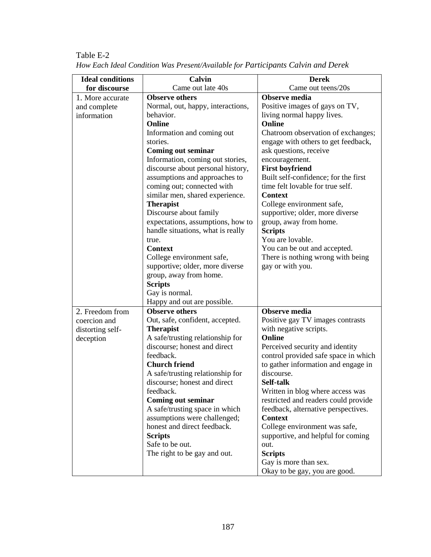| <b>Ideal conditions</b> | Calvin                            | <b>Derek</b>                         |
|-------------------------|-----------------------------------|--------------------------------------|
| for discourse           | Came out late 40s                 | Came out teens/20s                   |
| 1. More accurate        | <b>Observe others</b>             | <b>Observe media</b>                 |
| and complete            | Normal, out, happy, interactions, | Positive images of gays on TV,       |
| information             | behavior.                         | living normal happy lives.           |
|                         | <b>Online</b>                     | <b>Online</b>                        |
|                         | Information and coming out        | Chatroom observation of exchanges;   |
|                         | stories.                          | engage with others to get feedback,  |
|                         | <b>Coming out seminar</b>         | ask questions, receive               |
|                         | Information, coming out stories,  | encouragement.                       |
|                         | discourse about personal history, | <b>First boyfriend</b>               |
|                         | assumptions and approaches to     | Built self-confidence; for the first |
|                         | coming out; connected with        | time felt lovable for true self.     |
|                         | similar men, shared experience.   | <b>Context</b>                       |
|                         | <b>Therapist</b>                  | College environment safe,            |
|                         | Discourse about family            | supportive; older, more diverse      |
|                         | expectations, assumptions, how to | group, away from home.               |
|                         | handle situations, what is really | <b>Scripts</b>                       |
|                         | true.                             | You are lovable.                     |
|                         | <b>Context</b>                    | You can be out and accepted.         |
|                         | College environment safe,         | There is nothing wrong with being    |
|                         | supportive; older, more diverse   | gay or with you.                     |
|                         | group, away from home.            |                                      |
|                         | <b>Scripts</b>                    |                                      |
|                         | Gay is normal.                    |                                      |
|                         | Happy and out are possible.       |                                      |
| 2. Freedom from         | <b>Observe others</b>             | <b>Observe media</b>                 |
| coercion and            | Out, safe, confident, accepted.   | Positive gay TV images contrasts     |
| distorting self-        | <b>Therapist</b>                  | with negative scripts.               |
| deception               | A safe/trusting relationship for  | Online                               |
|                         | discourse; honest and direct      | Perceived security and identity      |
|                         | feedback.                         | control provided safe space in which |
|                         | <b>Church friend</b>              | to gather information and engage in  |
|                         | A safe/trusting relationship for  | discourse.                           |
|                         | discourse; honest and direct      | Self-talk                            |
|                         | feedback.                         | Written in blog where access was     |
|                         | <b>Coming out seminar</b>         | restricted and readers could provide |
|                         | A safe/trusting space in which    | feedback, alternative perspectives.  |
|                         | assumptions were challenged;      | <b>Context</b>                       |
|                         | honest and direct feedback.       | College environment was safe,        |
|                         | <b>Scripts</b>                    | supportive, and helpful for coming   |
|                         | Safe to be out.                   | out.                                 |
|                         | The right to be gay and out.      | <b>Scripts</b>                       |
|                         |                                   | Gay is more than sex.                |
|                         |                                   | Okay to be gay, you are good.        |

Table E-2 *How Each Ideal Condition Was Present/Available for Participants Calvin and Derek*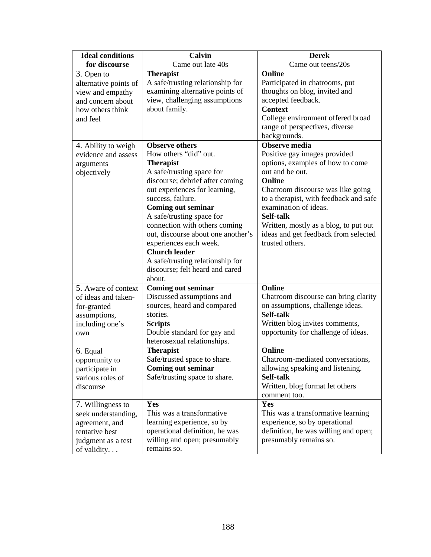| <b>Ideal conditions</b>                                                                                                        | Calvin                                                                                                                                          | <b>Derek</b>                                                                                                                                                                                    |
|--------------------------------------------------------------------------------------------------------------------------------|-------------------------------------------------------------------------------------------------------------------------------------------------|-------------------------------------------------------------------------------------------------------------------------------------------------------------------------------------------------|
| for discourse                                                                                                                  | Came out late 40s                                                                                                                               | Came out teens/20s                                                                                                                                                                              |
| 3. Open to                                                                                                                     | <b>Therapist</b>                                                                                                                                | Online                                                                                                                                                                                          |
| alternative points of                                                                                                          | A safe/trusting relationship for                                                                                                                | Participated in chatrooms, put                                                                                                                                                                  |
| view and empathy                                                                                                               | examining alternative points of                                                                                                                 | thoughts on blog, invited and                                                                                                                                                                   |
| and concern about                                                                                                              | view, challenging assumptions                                                                                                                   | accepted feedback.                                                                                                                                                                              |
| how others think                                                                                                               | about family.                                                                                                                                   | <b>Context</b>                                                                                                                                                                                  |
| and feel                                                                                                                       |                                                                                                                                                 | College environment offered broad                                                                                                                                                               |
|                                                                                                                                |                                                                                                                                                 | range of perspectives, diverse                                                                                                                                                                  |
|                                                                                                                                |                                                                                                                                                 | backgrounds.                                                                                                                                                                                    |
| 4. Ability to weigh                                                                                                            | <b>Observe others</b>                                                                                                                           | Observe media                                                                                                                                                                                   |
| evidence and assess                                                                                                            | How others "did" out.                                                                                                                           | Positive gay images provided                                                                                                                                                                    |
| arguments                                                                                                                      | <b>Therapist</b>                                                                                                                                | options, examples of how to come                                                                                                                                                                |
| objectively                                                                                                                    | A safe/trusting space for                                                                                                                       | out and be out.                                                                                                                                                                                 |
|                                                                                                                                | discourse; debrief after coming                                                                                                                 | <b>Online</b>                                                                                                                                                                                   |
|                                                                                                                                | out experiences for learning,                                                                                                                   | Chatroom discourse was like going                                                                                                                                                               |
|                                                                                                                                | success, failure.                                                                                                                               | to a therapist, with feedback and safe                                                                                                                                                          |
|                                                                                                                                | <b>Coming out seminar</b>                                                                                                                       | examination of ideas.                                                                                                                                                                           |
|                                                                                                                                | A safe/trusting space for                                                                                                                       | Self-talk                                                                                                                                                                                       |
|                                                                                                                                | connection with others coming                                                                                                                   | Written, mostly as a blog, to put out                                                                                                                                                           |
|                                                                                                                                | out, discourse about one another's                                                                                                              | ideas and get feedback from selected                                                                                                                                                            |
|                                                                                                                                | experiences each week.                                                                                                                          | trusted others.                                                                                                                                                                                 |
|                                                                                                                                | <b>Church leader</b>                                                                                                                            |                                                                                                                                                                                                 |
|                                                                                                                                | A safe/trusting relationship for                                                                                                                |                                                                                                                                                                                                 |
|                                                                                                                                | discourse; felt heard and cared                                                                                                                 |                                                                                                                                                                                                 |
|                                                                                                                                | about.                                                                                                                                          |                                                                                                                                                                                                 |
| 5. Aware of context                                                                                                            | <b>Coming out seminar</b>                                                                                                                       | Online                                                                                                                                                                                          |
| of ideas and taken-                                                                                                            | Discussed assumptions and                                                                                                                       | Chatroom discourse can bring clarity                                                                                                                                                            |
| for-granted                                                                                                                    | sources, heard and compared                                                                                                                     | on assumptions, challenge ideas.                                                                                                                                                                |
| assumptions,                                                                                                                   | stories.                                                                                                                                        | Self-talk                                                                                                                                                                                       |
| including one's                                                                                                                | <b>Scripts</b>                                                                                                                                  | Written blog invites comments,                                                                                                                                                                  |
| own                                                                                                                            | Double standard for gay and                                                                                                                     | opportunity for challenge of ideas.                                                                                                                                                             |
|                                                                                                                                | heterosexual relationships.                                                                                                                     |                                                                                                                                                                                                 |
| 6. Equal                                                                                                                       | <b>Therapist</b>                                                                                                                                | Online                                                                                                                                                                                          |
| opportunity to                                                                                                                 | Safe/trusted space to share.                                                                                                                    | Chatroom-mediated conversations,                                                                                                                                                                |
| participate in                                                                                                                 | <b>Coming out seminar</b>                                                                                                                       | allowing speaking and listening.<br>Self-talk                                                                                                                                                   |
| various roles of                                                                                                               | Safe/trusting space to share.                                                                                                                   |                                                                                                                                                                                                 |
|                                                                                                                                |                                                                                                                                                 |                                                                                                                                                                                                 |
|                                                                                                                                |                                                                                                                                                 |                                                                                                                                                                                                 |
|                                                                                                                                |                                                                                                                                                 |                                                                                                                                                                                                 |
|                                                                                                                                |                                                                                                                                                 |                                                                                                                                                                                                 |
|                                                                                                                                |                                                                                                                                                 |                                                                                                                                                                                                 |
|                                                                                                                                |                                                                                                                                                 |                                                                                                                                                                                                 |
|                                                                                                                                |                                                                                                                                                 |                                                                                                                                                                                                 |
| discourse<br>7. Willingness to<br>seek understanding,<br>agreement, and<br>tentative best<br>judgment as a test<br>of validity | Yes<br>This was a transformative<br>learning experience, so by<br>operational definition, he was<br>willing and open; presumably<br>remains so. | Written, blog format let others<br>comment too.<br>Yes<br>This was a transformative learning<br>experience, so by operational<br>definition, he was willing and open;<br>presumably remains so. |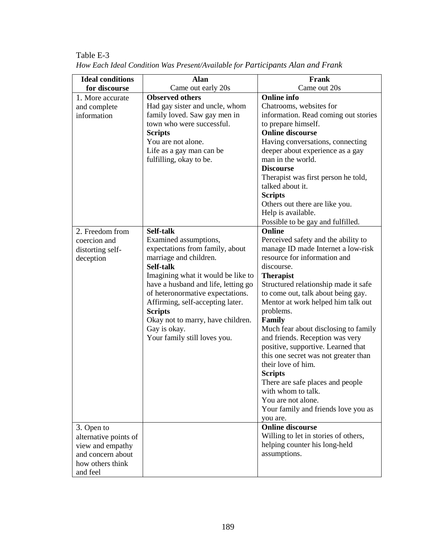| <b>Ideal conditions</b> | <b>Alan</b>                         | Frank                                |
|-------------------------|-------------------------------------|--------------------------------------|
| for discourse           | Came out early 20s                  | Came out 20s                         |
| 1. More accurate        | <b>Observed others</b>              | <b>Online</b> info                   |
| and complete            | Had gay sister and uncle, whom      | Chatrooms, websites for              |
| information             | family loved. Saw gay men in        | information. Read coming out stories |
|                         | town who were successful.           | to prepare himself.                  |
|                         | <b>Scripts</b>                      | <b>Online discourse</b>              |
|                         | You are not alone.                  | Having conversations, connecting     |
|                         | Life as a gay man can be            | deeper about experience as a gay     |
|                         | fulfilling, okay to be.             | man in the world.                    |
|                         |                                     | <b>Discourse</b>                     |
|                         |                                     | Therapist was first person he told,  |
|                         |                                     | talked about it.                     |
|                         |                                     | <b>Scripts</b>                       |
|                         |                                     | Others out there are like you.       |
|                         |                                     | Help is available.                   |
|                         |                                     | Possible to be gay and fulfilled.    |
| 2. Freedom from         | Self-talk                           | Online                               |
| coercion and            | Examined assumptions,               | Perceived safety and the ability to  |
| distorting self-        | expectations from family, about     | manage ID made Internet a low-risk   |
| deception               | marriage and children.              | resource for information and         |
|                         | Self-talk                           | discourse.                           |
|                         | Imagining what it would be like to  | <b>Therapist</b>                     |
|                         | have a husband and life, letting go | Structured relationship made it safe |
|                         | of heteronormative expectations.    | to come out, talk about being gay.   |
|                         | Affirming, self-accepting later.    | Mentor at work helped him talk out   |
|                         | <b>Scripts</b>                      | problems.                            |
|                         | Okay not to marry, have children.   | Family                               |
|                         | Gay is okay.                        | Much fear about disclosing to family |
|                         | Your family still loves you.        | and friends. Reception was very      |
|                         |                                     | positive, supportive. Learned that   |
|                         |                                     | this one secret was not greater than |
|                         |                                     | their love of him.                   |
|                         |                                     | <b>Scripts</b>                       |
|                         |                                     | There are safe places and people     |
|                         |                                     | with whom to talk.                   |
|                         |                                     | You are not alone.                   |
|                         |                                     | Your family and friends love you as  |
|                         |                                     | you are.                             |
| 3. Open to              |                                     | <b>Online discourse</b>              |
| alternative points of   |                                     | Willing to let in stories of others, |
| view and empathy        |                                     | helping counter his long-held        |
| and concern about       |                                     | assumptions.                         |
| how others think        |                                     |                                      |
|                         |                                     |                                      |
| and feel                |                                     |                                      |

Table E-3 *How Each Ideal Condition Was Present/Available for Participants Alan and Frank*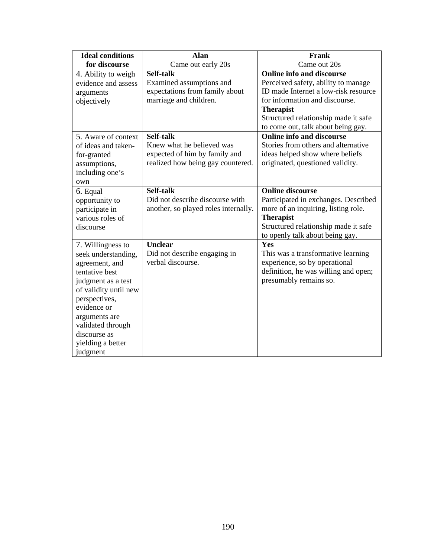| <b>Ideal conditions</b> | <b>Alan</b>                          | Frank                                |
|-------------------------|--------------------------------------|--------------------------------------|
| for discourse           | Came out early 20s                   | Came out 20s                         |
| 4. Ability to weigh     | Self-talk                            | <b>Online info and discourse</b>     |
| evidence and assess     | Examined assumptions and             | Perceived safety, ability to manage  |
| arguments               | expectations from family about       | ID made Internet a low-risk resource |
| objectively             | marriage and children.               | for information and discourse.       |
|                         |                                      | <b>Therapist</b>                     |
|                         |                                      | Structured relationship made it safe |
|                         |                                      | to come out, talk about being gay.   |
| 5. Aware of context     | Self-talk                            | <b>Online info and discourse</b>     |
| of ideas and taken-     | Knew what he believed was            | Stories from others and alternative  |
| for-granted             | expected of him by family and        | ideas helped show where beliefs      |
| assumptions,            | realized how being gay countered.    | originated, questioned validity.     |
| including one's         |                                      |                                      |
| own                     |                                      |                                      |
| 6. Equal                | Self-talk                            | <b>Online discourse</b>              |
| opportunity to          | Did not describe discourse with      | Participated in exchanges. Described |
| participate in          | another, so played roles internally. | more of an inquiring, listing role.  |
| various roles of        |                                      | <b>Therapist</b>                     |
| discourse               |                                      | Structured relationship made it safe |
|                         |                                      | to openly talk about being gay.      |
| 7. Willingness to       | <b>Unclear</b>                       | Yes                                  |
| seek understanding,     | Did not describe engaging in         | This was a transformative learning   |
| agreement, and          | verbal discourse.                    | experience, so by operational        |
| tentative best          |                                      | definition, he was willing and open; |
| judgment as a test      |                                      | presumably remains so.               |
| of validity until new   |                                      |                                      |
| perspectives,           |                                      |                                      |
| evidence or             |                                      |                                      |
| arguments are           |                                      |                                      |
| validated through       |                                      |                                      |
| discourse as            |                                      |                                      |
| yielding a better       |                                      |                                      |
| judgment                |                                      |                                      |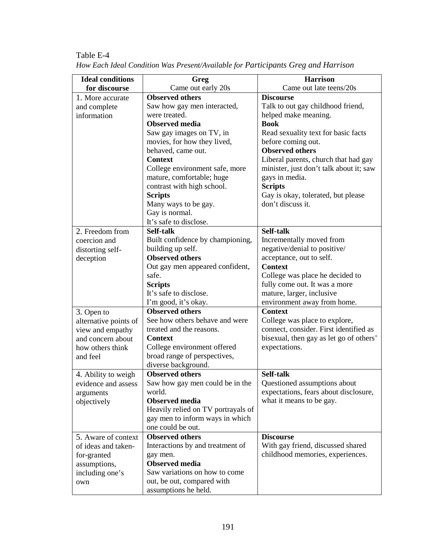| <b>Ideal conditions</b> | Greg                                        | <b>Harrison</b>                                                       |
|-------------------------|---------------------------------------------|-----------------------------------------------------------------------|
| for discourse           | Came out early 20s                          | Came out late teens/20s                                               |
| 1. More accurate        | <b>Observed others</b>                      | <b>Discourse</b>                                                      |
| and complete            | Saw how gay men interacted,                 | Talk to out gay childhood friend,                                     |
| information             | were treated.                               | helped make meaning.                                                  |
|                         | <b>Observed</b> media                       | <b>Book</b>                                                           |
|                         | Saw gay images on TV, in                    | Read sexuality text for basic facts                                   |
|                         | movies, for how they lived,                 | before coming out.                                                    |
|                         | behaved, came out.                          | <b>Observed others</b>                                                |
|                         | <b>Context</b>                              | Liberal parents, church that had gay                                  |
|                         | College environment safe, more              | minister, just don't talk about it; saw                               |
|                         | mature, comfortable; huge                   | gays in media.                                                        |
|                         | contrast with high school.                  | <b>Scripts</b>                                                        |
|                         | <b>Scripts</b>                              | Gay is okay, tolerated, but please                                    |
|                         | Many ways to be gay.                        | don't discuss it.                                                     |
|                         | Gay is normal.                              |                                                                       |
|                         | It's safe to disclose.                      |                                                                       |
| 2. Freedom from         | Self-talk                                   | Self-talk                                                             |
| coercion and            | Built confidence by championing,            | Incrementally moved from                                              |
| distorting self-        | building up self.                           | negative/denial to positive/                                          |
| deception               | <b>Observed others</b>                      | acceptance, out to self.                                              |
|                         | Out gay men appeared confident,             | <b>Context</b>                                                        |
|                         | safe.                                       | College was place he decided to                                       |
|                         | <b>Scripts</b>                              | fully come out. It was a more                                         |
|                         | It's safe to disclose.                      | mature, larger, inclusive                                             |
|                         | I'm good, it's okay.                        | environment away from home.                                           |
| 3. Open to              | <b>Observed others</b>                      | <b>Context</b>                                                        |
| alternative points of   | See how others behave and were              | College was place to explore,                                         |
| view and empathy        | treated and the reasons.                    | connect, consider. First identified as                                |
| and concern about       | <b>Context</b>                              | bisexual, then gay as let go of others'                               |
| how others think        | College environment offered                 | expectations.                                                         |
| and feel                | broad range of perspectives,                |                                                                       |
|                         | diverse background.                         |                                                                       |
| 4. Ability to weigh     | <b>Observed others</b>                      | Self-talk                                                             |
| evidence and assess     | Saw how gay men could be in the             | Questioned assumptions about                                          |
| arguments               | world.                                      | expectations, fears about disclosure,                                 |
| objectively             | <b>Observed</b> media                       | what it means to be gay.                                              |
|                         | Heavily relied on TV portrayals of          |                                                                       |
|                         | gay men to inform ways in which             |                                                                       |
|                         | one could be out.<br><b>Observed others</b> | <b>Discourse</b>                                                      |
| 5. Aware of context     |                                             |                                                                       |
| of ideas and taken-     | Interactions by and treatment of            | With gay friend, discussed shared<br>childhood memories, experiences. |
| for-granted             | gay men.<br><b>Observed</b> media           |                                                                       |
| assumptions,            | Saw variations on how to come               |                                                                       |
| including one's         | out, be out, compared with                  |                                                                       |
| own                     | assumptions he held.                        |                                                                       |
|                         |                                             |                                                                       |

Table E-4 *How Each Ideal Condition Was Present/Available for Participants Greg and Harrison*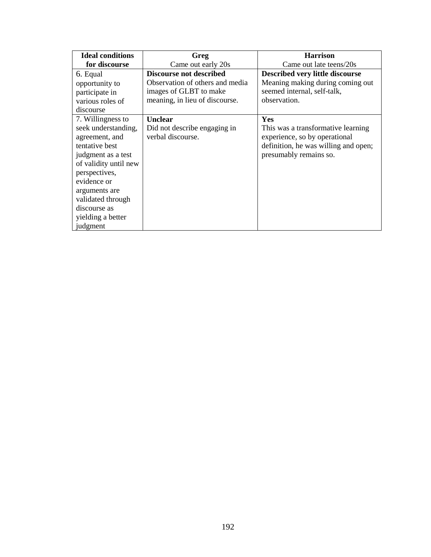| <b>Ideal conditions</b> | Greg                            | <b>Harrison</b>                      |
|-------------------------|---------------------------------|--------------------------------------|
| for discourse           | Came out early 20s              | Came out late teens/20s              |
| 6. Equal                | Discourse not described         | Described very little discourse      |
| opportunity to          | Observation of others and media | Meaning making during coming out     |
| participate in          | images of GLBT to make          | seemed internal, self-talk,          |
| various roles of        | meaning, in lieu of discourse.  | observation.                         |
| discourse               |                                 |                                      |
| 7. Willingness to       | Unclear                         | <b>Yes</b>                           |
| seek understanding,     | Did not describe engaging in    | This was a transformative learning   |
| agreement, and          | verbal discourse.               | experience, so by operational        |
| tentative best          |                                 | definition, he was willing and open; |
| judgment as a test      |                                 | presumably remains so.               |
| of validity until new   |                                 |                                      |
| perspectives,           |                                 |                                      |
| evidence or             |                                 |                                      |
| arguments are           |                                 |                                      |
| validated through       |                                 |                                      |
| discourse as            |                                 |                                      |
| yielding a better       |                                 |                                      |
| judgment                |                                 |                                      |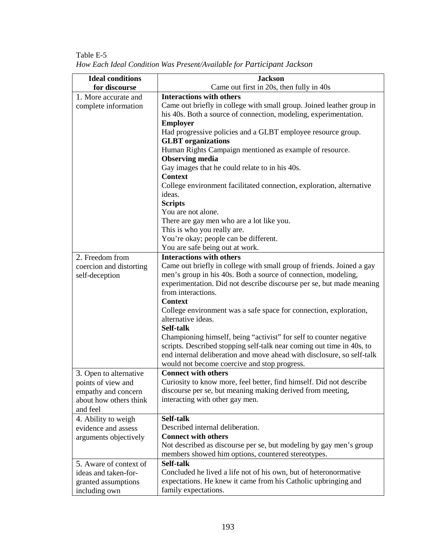| <b>Ideal conditions</b> | <b>Jackson</b>                                                                                                                                  |
|-------------------------|-------------------------------------------------------------------------------------------------------------------------------------------------|
| for discourse           | Came out first in 20s, then fully in 40s                                                                                                        |
| 1. More accurate and    | <b>Interactions with others</b>                                                                                                                 |
| complete information    | Came out briefly in college with small group. Joined leather group in                                                                           |
|                         | his 40s. Both a source of connection, modeling, experimentation.                                                                                |
|                         | <b>Employer</b>                                                                                                                                 |
|                         | Had progressive policies and a GLBT employee resource group.                                                                                    |
|                         | <b>GLBT</b> organizations                                                                                                                       |
|                         | Human Rights Campaign mentioned as example of resource.                                                                                         |
|                         | <b>Observing media</b>                                                                                                                          |
|                         | Gay images that he could relate to in his 40s.                                                                                                  |
|                         | <b>Context</b>                                                                                                                                  |
|                         | College environment facilitated connection, exploration, alternative                                                                            |
|                         | ideas.                                                                                                                                          |
|                         | <b>Scripts</b>                                                                                                                                  |
|                         | You are not alone.                                                                                                                              |
|                         | There are gay men who are a lot like you.                                                                                                       |
|                         | This is who you really are.                                                                                                                     |
|                         | You're okay; people can be different.                                                                                                           |
|                         | You are safe being out at work.                                                                                                                 |
| 2. Freedom from         | <b>Interactions with others</b>                                                                                                                 |
| coercion and distorting | Came out briefly in college with small group of friends. Joined a gay                                                                           |
| self-deception          | men's group in his 40s. Both a source of connection, modeling,                                                                                  |
|                         | experimentation. Did not describe discourse per se, but made meaning                                                                            |
|                         | from interactions.                                                                                                                              |
|                         | <b>Context</b>                                                                                                                                  |
|                         | College environment was a safe space for connection, exploration,                                                                               |
|                         | alternative ideas.                                                                                                                              |
|                         | Self-talk                                                                                                                                       |
|                         | Championing himself, being "activist" for self to counter negative                                                                              |
|                         | scripts. Described stopping self-talk near coming out time in 40s, to<br>end internal deliberation and move ahead with disclosure, so self-talk |
|                         |                                                                                                                                                 |
|                         | would not become coercive and stop progress.                                                                                                    |
| 3. Open to alternative  | <b>Connect with others</b>                                                                                                                      |
| points of view and      | Curiosity to know more, feel better, find himself. Did not describe                                                                             |
| empathy and concern     | discourse per se, but meaning making derived from meeting,                                                                                      |
| about how others think  | interacting with other gay men.                                                                                                                 |
| and feel                |                                                                                                                                                 |
| 4. Ability to weigh     | Self-talk                                                                                                                                       |
| evidence and assess     | Described internal deliberation.                                                                                                                |
| arguments objectively   | <b>Connect with others</b>                                                                                                                      |
|                         | Not described as discourse per se, but modeling by gay men's group                                                                              |
|                         | members showed him options, countered stereotypes.<br>Self-talk                                                                                 |
| 5. Aware of context of  |                                                                                                                                                 |
| ideas and taken-for-    | Concluded he lived a life not of his own, but of heteronormative                                                                                |
| granted assumptions     | expectations. He knew it came from his Catholic upbringing and                                                                                  |
| including own           | family expectations.                                                                                                                            |

Table E-5 *How Each Ideal Condition Was Present/Available for Participant Jackson*